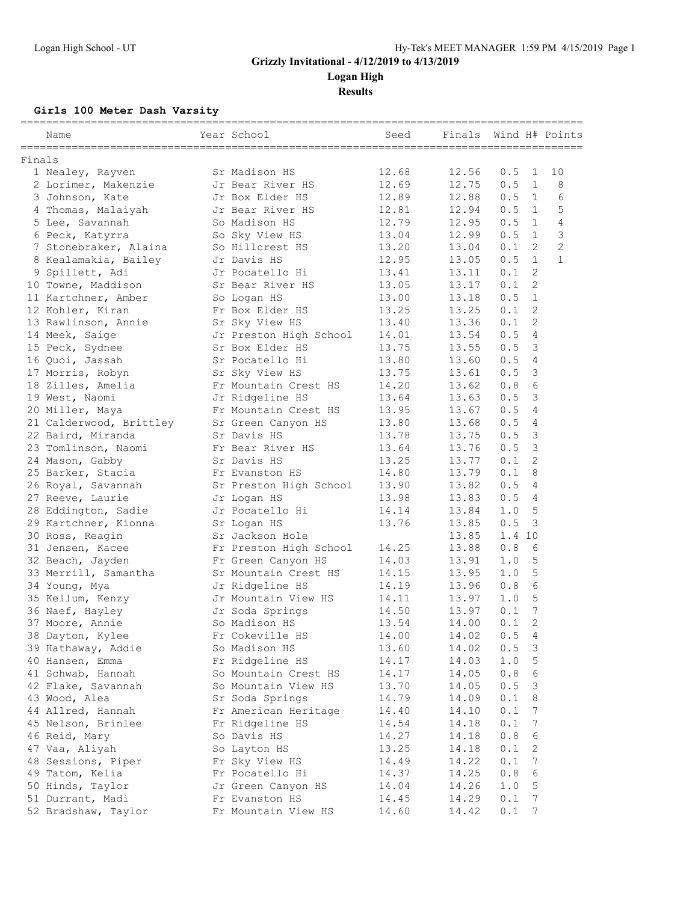**Logan High Results**

**Girls 100 Meter Dash Varsity**

| Name                    | Year School            | Seed  | Finals |        |                 | Wind H# Points |
|-------------------------|------------------------|-------|--------|--------|-----------------|----------------|
| Finals                  |                        |       |        |        |                 |                |
| 1 Nealey, Rayven        | Sr Madison HS          | 12.68 | 12.56  | 0.5    | 1               | 10             |
| 2 Lorimer, Makenzie     | Jr Bear River HS       | 12.69 | 12.75  | 0.5    | $\mathbf{1}$    | 8              |
| 3 Johnson, Kate         | Jr Box Elder HS        | 12.89 | 12.88  | 0.5    | 1               | 6              |
| 4 Thomas, Malaiyah      | Jr Bear River HS       | 12.81 | 12.94  | 0.5    | 1               | 5              |
| 5 Lee, Savannah         | So Madison HS          | 12.79 | 12.95  | 0.5    | 1               | $\overline{4}$ |
| 6 Peck, Katyrra         | So Sky View HS         | 13.04 | 12.99  | 0.5    | 1               | 3              |
| 7 Stonebraker, Alaina   | So Hillcrest HS        | 13.20 | 13.04  | 0.1    | 2               | $\mathbf{2}$   |
| 8 Kealamakia, Bailey    | Jr Davis HS            | 12.95 | 13.05  | 0.5    | $\mathbf{1}$    | $\mathbf{1}$   |
| 9 Spillett, Adi         | Jr Pocatello Hi        | 13.41 | 13.11  | 0.1    | 2               |                |
| 10 Towne, Maddison      | Sr Bear River HS       | 13.05 | 13.17  | 0.1    | 2               |                |
| 11 Kartchner, Amber     | So Logan HS            | 13.00 | 13.18  | 0.5    | $\mathbf{1}$    |                |
| 12 Kohler, Kiran        | Fr Box Elder HS        | 13.25 | 13.25  | 0.1    | 2               |                |
| 13 Rawlinson, Annie     | Sr Sky View HS         | 13.40 | 13.36  | 0.1    | 2               |                |
| 14 Meek, Saige          | Jr Preston High School | 14.01 | 13.54  | 0.5    | $\overline{4}$  |                |
| 15 Peck, Sydnee         | Sr Box Elder HS        | 13.75 | 13.55  | 0.5    | 3               |                |
| 16 Quoi, Jassah         | Sr Pocatello Hi        | 13.80 | 13.60  | 0.5    | 4               |                |
| 17 Morris, Robyn        | Sr Sky View HS         | 13.75 | 13.61  | 0.5    | 3               |                |
| 18 Zilles, Amelia       | Fr Mountain Crest HS   | 14.20 | 13.62  | 0.8    | 6               |                |
| 19 West, Naomi          | Jr Ridgeline HS        | 13.64 | 13.63  | 0.5    | 3               |                |
| 20 Miller, Maya         | Fr Mountain Crest HS   | 13.95 | 13.67  | 0.5    | 4               |                |
| 21 Calderwood, Brittley | Sr Green Canyon HS     | 13.80 | 13.68  | 0.5    | 4               |                |
| 22 Baird, Miranda       | Sr Davis HS            | 13.78 | 13.75  | 0.5    | 3               |                |
| 23 Tomlinson, Naomi     | Fr Bear River HS       | 13.64 | 13.76  | 0.5    | 3               |                |
| 24 Mason, Gabby         | Sr Davis HS            | 13.25 | 13.77  | 0.1    | $\overline{c}$  |                |
| 25 Barker, Stacia       | Fr Evanston HS         | 14.80 | 13.79  | 0.1    | 8               |                |
| 26 Royal, Savannah      | Sr Preston High School | 13.90 | 13.82  | 0.5    | 4               |                |
| 27 Reeve, Laurie        | Jr Logan HS            | 13.98 | 13.83  | 0.5    | 4               |                |
| 28 Eddington, Sadie     | Jr Pocatello Hi        | 14.14 | 13.84  | 1.0    | 5               |                |
| 29 Kartchner, Kionna    | Sr Logan HS            | 13.76 | 13.85  | 0.5    | 3               |                |
| 30 Ross, Reagin         | Sr Jackson Hole        |       | 13.85  | 1.4 10 |                 |                |
| 31 Jensen, Kacee        | Fr Preston High School | 14.25 | 13.88  | 0.8    | 6               |                |
| 32 Beach, Jayden        | Fr Green Canyon HS     | 14.03 | 13.91  | 1.0    | 5               |                |
| 33 Merrill, Samantha    | Sr Mountain Crest HS   | 14.15 | 13.95  | 1.0    | 5               |                |
| 34 Young, Mya           | Jr Ridgeline HS        | 14.19 | 13.96  | 0.8    | 6               |                |
| 35 Kellum, Kenzy        | Jr Mountain View HS    | 14.11 | 13.97  | 1.0    | 5               |                |
| 36 Naef, Hayley         | Jr Soda Springs        | 14.50 | 13.97  | 0.1    | $7\phantom{.0}$ |                |
| 37 Moore, Annie         | So Madison HS          | 13.54 | 14.00  | 0.1    | $\overline{2}$  |                |
| 38 Dayton, Kylee        | Fr Cokeville HS        | 14.00 | 14.02  | 0.5    | 4               |                |
| 39 Hathaway, Addie      | So Madison HS          | 13.60 | 14.02  | 0.5    | 3               |                |
| 40 Hansen, Emma         | Fr Ridgeline HS        | 14.17 | 14.03  | 1.0    | 5               |                |
| 41 Schwab, Hannah       | So Mountain Crest HS   | 14.17 | 14.05  | 0.8    | 6               |                |
| 42 Flake, Savannah      | So Mountain View HS    | 13.70 | 14.05  | 0.5    | 3               |                |
| 43 Wood, Alea           | Sr Soda Springs        | 14.79 | 14.09  | 0.1    | 8               |                |
| 44 Allred, Hannah       | Fr American Heritage   | 14.40 | 14.10  | 0.1    | 7               |                |
| 45 Nelson, Brinlee      | Fr Ridgeline HS        | 14.54 | 14.18  | 0.1    | 7               |                |
| 46 Reid, Mary           | So Davis HS            | 14.27 | 14.18  | 0.8    | 6               |                |
| 47 Vaa, Aliyah          | So Layton HS           | 13.25 | 14.18  | 0.1    | 2               |                |
| 48 Sessions, Piper      | Fr Sky View HS         | 14.49 | 14.22  | 0.1    | 7               |                |
| 49 Tatom, Kelia         | Fr Pocatello Hi        | 14.37 | 14.25  | 0.8    | 6               |                |
| 50 Hinds, Taylor        | Jr Green Canyon HS     | 14.04 | 14.26  | 1.0    | 5               |                |
| 51 Durrant, Madi        | Fr Evanston HS         | 14.45 | 14.29  | 0.1    | 7               |                |
| 52 Bradshaw, Taylor     | Fr Mountain View HS    | 14.60 | 14.42  | 0.1    | 7               |                |
|                         |                        |       |        |        |                 |                |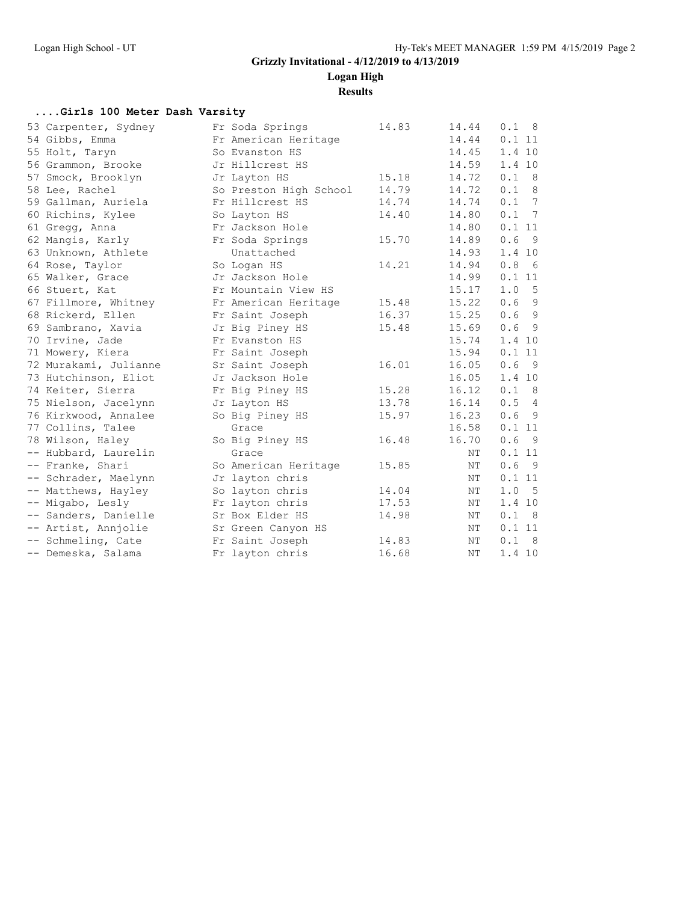**Logan High**

**Results**

#### **....Girls 100 Meter Dash Varsity**

| 53 Carpenter, Sydney  | Fr Soda Springs        | 14.83 | 14.44 | 0.1<br>$_{\rm 8}$ |
|-----------------------|------------------------|-------|-------|-------------------|
| 54 Gibbs, Emma        | Fr American Heritage   |       | 14.44 | 0.111             |
| 55 Holt, Taryn        | So Evanston HS         |       | 14.45 | 1.4 10            |
| 56 Grammon, Brooke    | Jr Hillcrest HS        |       | 14.59 | 1.4 10            |
| 57 Smock, Brooklyn    | Jr Layton HS           | 15.18 | 14.72 | 0.1 8             |
| 58 Lee, Rachel        | So Preston High School | 14.79 | 14.72 | 0.1 8             |
| 59 Gallman, Auriela   | Fr Hillcrest HS        | 14.74 | 14.74 | 0.1 7             |
| 60 Richins, Kylee     | So Layton HS           | 14.40 | 14.80 | 0.1 7             |
| 61 Gregg, Anna        | Fr Jackson Hole        |       | 14.80 | 0.111             |
| 62 Mangis, Karly      | Fr Soda Springs        | 15.70 | 14.89 | 0.6<br>9          |
| 63 Unknown, Athlete   | Unattached             |       | 14.93 | 1.4 10            |
| 64 Rose, Taylor       | So Logan HS            | 14.21 | 14.94 | 0.8<br>6          |
| 65 Walker, Grace      | Jr Jackson Hole        |       | 14.99 | 0.111             |
| 66 Stuert, Kat        | Fr Mountain View HS    |       | 15.17 | 1.0 5             |
| 67 Fillmore, Whitney  | Fr American Heritage   | 15.48 | 15.22 | 0.69              |
| 68 Rickerd, Ellen     | Fr Saint Joseph        | 16.37 | 15.25 | 0.69              |
| 69 Sambrano, Xavia    | Jr Big Piney HS        | 15.48 | 15.69 | 0.69              |
| 70 Irvine, Jade       | Fr Evanston HS         |       | 15.74 | 1.4 10            |
| 71 Mowery, Kiera      | Fr Saint Joseph        |       | 15.94 | 0.111             |
| 72 Murakami, Julianne | Sr Saint Joseph        | 16.01 | 16.05 | - 9<br>0.6        |
| 73 Hutchinson, Eliot  | Jr Jackson Hole        |       | 16.05 | 1.4 10            |
| 74 Keiter, Sierra     | Fr Big Piney HS        | 15.28 | 16.12 | 0.1 8             |
| 75 Nielson, Jacelynn  | Jr Layton HS           | 13.78 | 16.14 | 0.54              |
| 76 Kirkwood, Annalee  | So Big Piney HS        | 15.97 | 16.23 | 0.69              |
| 77 Collins, Talee     | Grace                  |       | 16.58 | 0.111             |
| 78 Wilson, Haley      | So Big Piney HS        | 16.48 | 16.70 | 0.6<br>- 9        |
| -- Hubbard, Laurelin  | Grace                  |       | ΝT    | 0.111             |
| -- Franke, Shari      | So American Heritage   | 15.85 | ΝT    | 0.6<br>- 9        |
| -- Schrader, Maelynn  | Jr layton chris        |       | NΤ    | 0.111             |
| -- Matthews, Hayley   | So layton chris        | 14.04 | ΝT    | 1.0<br>$-5$       |
| -- Migabo, Lesly      | Fr layton chris        | 17.53 | ΝT    | 1.4 10            |
| -- Sanders, Danielle  | Sr Box Elder HS        | 14.98 | NΤ    | 0.1 8             |
| -- Artist, Annjolie   | Sr Green Canyon HS     |       | ΝT    | 0.111             |
| -- Schmeling, Cate    | Fr Saint Joseph        | 14.83 | NΤ    | 0.1<br>8          |
| -- Demeska, Salama    | Fr layton chris        | 16.68 | NΤ    | 1.4 10            |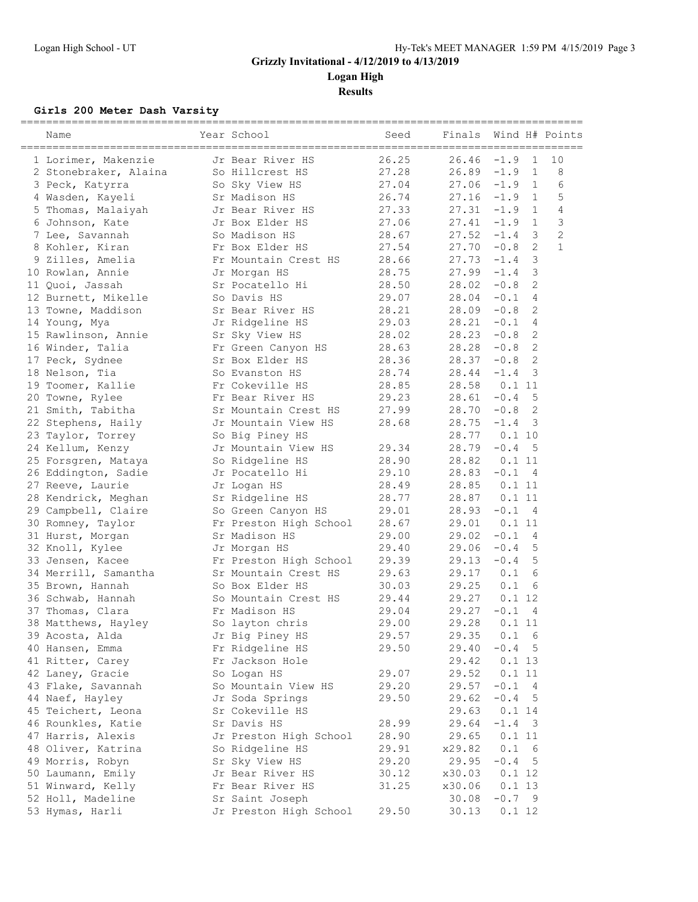**Logan High**

**Results**

### **Girls 200 Meter Dash Varsity**

| Name                  | Year School            | Seed  | Finals |          |                | Wind H# Points |
|-----------------------|------------------------|-------|--------|----------|----------------|----------------|
| 1 Lorimer, Makenzie   | Jr Bear River HS       | 26.25 | 26.46  | $-1.9$   | $\mathbf{1}$   | 10             |
| 2 Stonebraker, Alaina | So Hillcrest HS        | 27.28 | 26.89  | $-1.9$   | $1\,$          | 8              |
| 3 Peck, Katyrra       | So Sky View HS         | 27.04 | 27.06  | $-1.9$   | 1              | 6              |
| 4 Wasden, Kayeli      | Sr Madison HS          | 26.74 | 27.16  | $-1.9$   | 1              | 5              |
| 5 Thomas, Malaiyah    | Jr Bear River HS       | 27.33 | 27.31  | $-1.9$   | $\mathbf{1}$   | $\overline{4}$ |
| 6 Johnson, Kate       | Jr Box Elder HS        | 27.06 | 27.41  | $-1.9$   | 1              | $\mathcal{S}$  |
| 7 Lee, Savannah       | So Madison HS          | 28.67 | 27.52  | $-1.4$   | $\overline{3}$ | $\overline{c}$ |
| 8 Kohler, Kiran       | Fr Box Elder HS        | 27.54 | 27.70  | $-0.8$   | 2              | $\mathbf{1}$   |
| 9 Zilles, Amelia      | Fr Mountain Crest HS   | 28.66 | 27.73  | $-1.4$   | 3              |                |
| 10 Rowlan, Annie      | Jr Morgan HS           | 28.75 | 27.99  | $-1.4$   | 3              |                |
| 11 Quoi, Jassah       | Sr Pocatello Hi        | 28.50 | 28.02  | $-0.8$   | 2              |                |
| 12 Burnett, Mikelle   | So Davis HS            | 29.07 | 28.04  | $-0.1$   | 4              |                |
| 13 Towne, Maddison    | Sr Bear River HS       | 28.21 | 28.09  | $-0.8$   | 2              |                |
| 14 Young, Mya         | Jr Ridgeline HS        | 29.03 | 28.21  | $-0.1$   | $\overline{4}$ |                |
| 15 Rawlinson, Annie   | Sr Sky View HS         | 28.02 | 28.23  | $-0.8$   | 2              |                |
| 16 Winder, Talia      | Fr Green Canyon HS     | 28.63 | 28.28  | $-0.8$   | 2              |                |
| 17 Peck, Sydnee       | Sr Box Elder HS        | 28.36 | 28.37  | $-0.8$   | 2              |                |
| 18 Nelson, Tia        | So Evanston HS         | 28.74 | 28.44  | $-1.4$   | 3              |                |
| 19 Toomer, Kallie     | Fr Cokeville HS        | 28.85 | 28.58  | 0.111    |                |                |
| 20 Towne, Rylee       | Fr Bear River HS       | 29.23 | 28.61  | $-0.4$   | 5              |                |
| 21 Smith, Tabitha     | Sr Mountain Crest HS   | 27.99 | 28.70  | $-0.8$   | 2              |                |
| 22 Stephens, Haily    | Jr Mountain View HS    | 28.68 | 28.75  | $-1.4$   | - 3            |                |
| 23 Taylor, Torrey     | So Big Piney HS        |       | 28.77  | 0.110    |                |                |
| 24 Kellum, Kenzy      | Jr Mountain View HS    | 29.34 | 28.79  | $-0.4$   | 5              |                |
| 25 Forsgren, Mataya   | So Ridgeline HS        | 28.90 | 28.82  | 0.111    |                |                |
| 26 Eddington, Sadie   | Jr Pocatello Hi        | 29.10 | 28.83  | $-0.1$   | 4              |                |
| 27 Reeve, Laurie      | Jr Logan HS            | 28.49 | 28.85  | 0.111    |                |                |
| 28 Kendrick, Meghan   | Sr Ridgeline HS        | 28.77 | 28.87  | 0.111    |                |                |
| 29 Campbell, Claire   | So Green Canyon HS     | 29.01 | 28.93  | $-0.1$ 4 |                |                |
| 30 Romney, Taylor     | Fr Preston High School | 28.67 | 29.01  | 0.111    |                |                |
| 31 Hurst, Morgan      | Sr Madison HS          | 29.00 | 29.02  | $-0.1$   | -4             |                |
| 32 Knoll, Kylee       | Jr Morgan HS           | 29.40 | 29.06  | $-0.4$   | 5              |                |
| 33 Jensen, Kacee      | Fr Preston High School | 29.39 | 29.13  | $-0.4$   | 5              |                |
| 34 Merrill, Samantha  | Sr Mountain Crest HS   | 29.63 | 29.17  | 0.1      | 6              |                |
|                       | So Box Elder HS        | 30.03 | 29.25  | 0.1      |                |                |
| 35 Brown, Hannah      | So Mountain Crest HS   |       | 29.27  | 0.112    | 6              |                |
| 36 Schwab, Hannah     |                        | 29.44 |        |          |                |                |
| 37 Thomas, Clara      | Fr Madison HS          | 29.04 | 29.27  | $-0.1$   | 4              |                |
| 38 Matthews, Hayley   | So layton chris        | 29.00 | 29.28  | 0.111    |                |                |
| 39 Acosta, Alda       | Jr Big Piney HS        | 29.57 | 29.35  | 0.1      | 6              |                |
| 40 Hansen, Emma       | Fr Ridgeline HS        | 29.50 | 29.40  | $-0.4$   | -5             |                |
| 41 Ritter, Carey      | Fr Jackson Hole        |       | 29.42  | 0.113    |                |                |
| 42 Laney, Gracie      | So Logan HS            | 29.07 | 29.52  | 0.111    |                |                |
| 43 Flake, Savannah    | So Mountain View HS    | 29.20 | 29.57  | $-0.1$   | 4              |                |
| 44 Naef, Hayley       | Jr Soda Springs        | 29.50 | 29.62  | $-0.4$   | - 5            |                |
| 45 Teichert, Leona    | Sr Cokeville HS        |       | 29.63  | 0.114    |                |                |
| 46 Rounkles, Katie    | Sr Davis HS            | 28.99 | 29.64  | $-1.4$ 3 |                |                |
| 47 Harris, Alexis     | Jr Preston High School | 28.90 | 29.65  | 0.111    |                |                |
| 48 Oliver, Katrina    | So Ridgeline HS        | 29.91 | x29.82 | 0.1      | - 6            |                |
| 49 Morris, Robyn      | Sr Sky View HS         | 29.20 | 29.95  | $-0.4$   | 5              |                |
| 50 Laumann, Emily     | Jr Bear River HS       | 30.12 | x30.03 | 0.1 12   |                |                |
| 51 Winward, Kelly     | Fr Bear River HS       | 31.25 | x30.06 | 0.113    |                |                |
| 52 Holl, Madeline     | Sr Saint Joseph        |       | 30.08  | $-0.7$ 9 |                |                |
| 53 Hymas, Harli       | Jr Preston High School | 29.50 | 30.13  | 0.1 12   |                |                |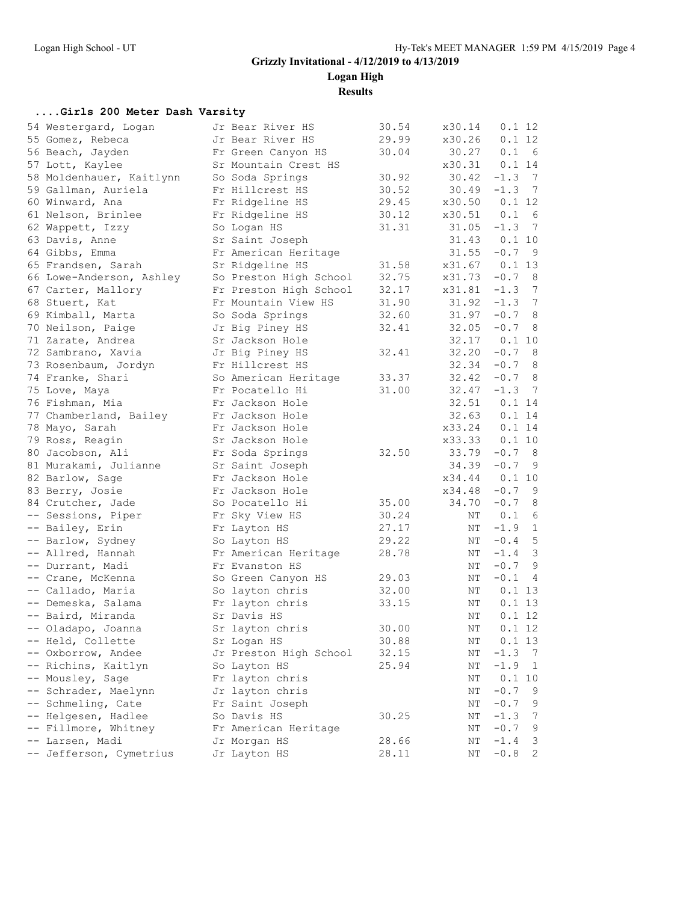**Logan High**

**Results**

#### **....Girls 200 Meter Dash Varsity**

| 54 Westergard, Logan     | Jr Bear River HS       | 30.54 | x30.14   | 0.1 12                   |                 |
|--------------------------|------------------------|-------|----------|--------------------------|-----------------|
| 55 Gomez, Rebeca         | Jr Bear River HS       | 29.99 | x30.26   | 0.1 12                   |                 |
| 56 Beach, Jayden         | Fr Green Canyon HS     | 30.04 | 30.27    | 0.1<br>6                 |                 |
| 57 Lott, Kaylee          | Sr Mountain Crest HS   |       | x30.31   | 0.1 14                   |                 |
| 58 Moldenhauer, Kaitlynn | So Soda Springs        | 30.92 | 30.42    | $-1.3$ 7                 |                 |
| 59 Gallman, Auriela      | Fr Hillcrest HS        | 30.52 | 30.49    | $-1.3$ 7                 |                 |
| 60 Winward, Ana          | Fr Ridgeline HS        | 29.45 | x30.50   | 0.1 12                   |                 |
| 61 Nelson, Brinlee       | Fr Ridgeline HS        | 30.12 | x30.51   | 0.1 6                    |                 |
| 62 Wappett, Izzy         | So Logan HS            | 31.31 | 31.05    | $-1.3$ 7                 |                 |
| 63 Davis, Anne           | Sr Saint Joseph        |       | 31.43    | 0.1 10                   |                 |
| 64 Gibbs, Emma           | Fr American Heritage   |       | 31.55    | $-0.7$ 9                 |                 |
| 65 Frandsen, Sarah       | Sr Ridgeline HS        | 31.58 | x31.67   | 0.113                    |                 |
| 66 Lowe-Anderson, Ashley | So Preston High School | 32.75 | x31.73   | $-0.7$<br>8              |                 |
| 67 Carter, Mallory       | Fr Preston High School | 32.17 | x31.81   | $-1.3$ 7                 |                 |
| 68 Stuert, Kat           | Fr Mountain View HS    | 31.90 | 31.92    | $-1.3$                   | $7\phantom{.0}$ |
| 69 Kimball, Marta        | So Soda Springs        | 32.60 | 31.97    | $-0.7$ 8                 |                 |
| 70 Neilson, Paige        | Jr Big Piney HS        | 32.41 | 32.05    | $-0.7$<br>8              |                 |
| 71 Zarate, Andrea        | Sr Jackson Hole        |       | 32.17    | 0.110                    |                 |
| 72 Sambrano, Xavia       | Jr Big Piney HS        | 32.41 | 32.20    | $-0.7$ 8                 |                 |
| 73 Rosenbaum, Jordyn     | Fr Hillcrest HS        |       | 32.34    | $-0.7$ 8                 |                 |
| 74 Franke, Shari         | So American Heritage   | 33.37 | 32.42    | $-0.7$ 8                 |                 |
| 75 Love, Maya            | Fr Pocatello Hi        | 31.00 | 32.47    | $-1.3$ 7                 |                 |
| 76 Fishman, Mia          | Fr Jackson Hole        |       | 32.51    | 0.114                    |                 |
| 77 Chamberland, Bailey   | Fr Jackson Hole        |       | 32.63    | 0.1 14                   |                 |
| 78 Mayo, Sarah           | Fr Jackson Hole        |       | x33.24   | 0.114                    |                 |
| 79 Ross, Reagin          | Sr Jackson Hole        |       | x33.33   | 0.1 10                   |                 |
| 80 Jacobson, Ali         | Fr Soda Springs        | 32.50 | 33.79    | $-0.7$ 8                 |                 |
| 81 Murakami, Julianne    | Sr Saint Joseph        |       | 34.39    | $-0.7$<br>- 9            |                 |
| 82 Barlow, Sage          | Fr Jackson Hole        |       | x34.44   | 0.110                    |                 |
| 83 Berry, Josie          | Fr Jackson Hole        |       | x34.48   | $-0.7$ 9                 |                 |
| 84 Crutcher, Jade        | So Pocatello Hi        | 35.00 | 34.70    | $-0.78$                  |                 |
| -- Sessions, Piper       | Fr Sky View HS         | 30.24 | ΝT       | 0.1 6                    |                 |
| -- Bailey, Erin          | Fr Layton HS           | 27.17 | ΝT       | $-1.9$ 1                 |                 |
| -- Barlow, Sydney        | So Layton HS           | 29.22 | ΝT       | $-0.4$ 5                 |                 |
| -- Allred, Hannah        | Fr American Heritage   | 28.78 | ΝT       | $-1.4$ 3                 |                 |
| -- Durrant, Madi         | Fr Evanston HS         |       | ΝT       | $-0.7$ 9                 |                 |
| -- Crane, McKenna        | So Green Canyon HS     | 29.03 | ΝT       | $-0.1$                   | $\overline{4}$  |
| -- Callado, Maria        | So layton chris        | 32.00 | ΝT       | 0.113                    |                 |
| -- Demeska, Salama       | Fr layton chris        | 33.15 | ΝT       | 0.113                    |                 |
| -- Baird, Miranda        | Sr Davis HS            |       | ΝT       | 0.1 12                   |                 |
| -- Oladapo, Joanna       | Sr layton chris        | 30.00 | NΤ       | 0.112                    |                 |
| -- Held, Collette        | Sr Logan HS            | 30.88 | ΝT       | 0.113                    |                 |
| -- Oxborrow, Andee       | Jr Preston High School | 32.15 | NΤ       | $-1.3$<br>$\overline{7}$ |                 |
| -- Richins, Kaitlyn      | So Layton HS           | 25.94 | ΝT       | $-1.9$                   | $\mathbf{1}$    |
| -- Mousley, Sage         | Fr layton chris        |       | NΤ       | 0.1 10                   |                 |
| -- Schrader, Maelynn     | Jr layton chris        |       | NΤ       | $-0.7$                   | 9               |
| -- Schmeling, Cate       | Fr Saint Joseph        |       |          | $-0.7$                   | 9               |
| -- Helgesen, Hadlee      | So Davis HS            | 30.25 | ΝT<br>ΝT | $-1.3$                   | $7\phantom{.0}$ |
| -- Fillmore, Whitney     |                        |       | NΤ       | $-0.7$                   | 9               |
| -- Larsen, Madi          | Fr American Heritage   |       |          | $-1.4$                   |                 |
|                          | Jr Morgan HS           | 28.66 | ΝT       |                          | 3               |
| -- Jefferson, Cymetrius  | Jr Layton HS           | 28.11 | ΝT       | $-0.8$                   | $\mathbf{2}$    |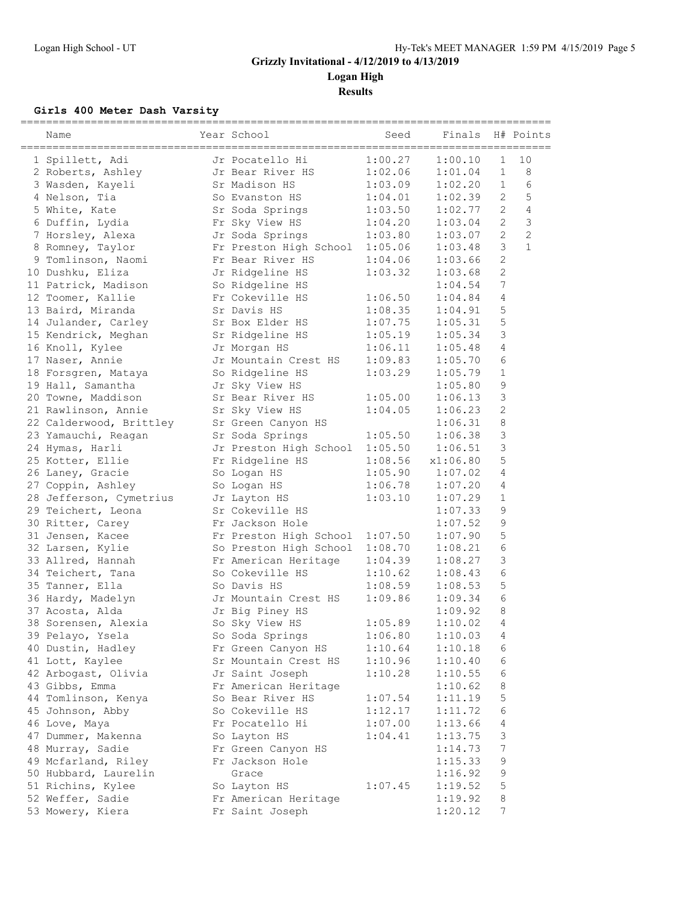**Logan High**

**Results**

#### **Girls 400 Meter Dash Varsity**

| Name                    | Year School                    | Seed    | Finals   |                | H# Points      |
|-------------------------|--------------------------------|---------|----------|----------------|----------------|
| 1 Spillett, Adi         | Jr Pocatello Hi                | 1:00.27 | 1:00.10  | $\mathbf 1$    | 10             |
| 2 Roberts, Ashley       | Jr Bear River HS               | 1:02.06 | 1:01.04  | $\mathbf{1}$   | 8              |
| 3 Wasden, Kayeli        | Sr Madison HS                  | 1:03.09 | 1:02.20  | $\mathbf{1}$   | 6              |
| 4 Nelson, Tia           | So Evanston HS                 | 1:04.01 | 1:02.39  | 2              | 5              |
| 5 White, Kate           | Sr Soda Springs                | 1:03.50 | 1:02.77  | $\overline{c}$ | 4              |
| 6 Duffin, Lydia         | Fr Sky View HS                 | 1:04.20 | 1:03.04  | $\mathbf{2}$   | 3              |
| 7 Horsley, Alexa        | Jr Soda Springs                | 1:03.80 | 1:03.07  | $\overline{2}$ | $\overline{c}$ |
| 8 Romney, Taylor        | Fr Preston High School         | 1:05.06 | 1:03.48  | 3              | $\mathbf{1}$   |
| 9 Tomlinson, Naomi      | Fr Bear River HS               | 1:04.06 | 1:03.66  | $\overline{c}$ |                |
| 10 Dushku, Eliza        | Jr Ridgeline HS                | 1:03.32 | 1:03.68  | $\mathbf{2}$   |                |
| 11 Patrick, Madison     | So Ridgeline HS                |         | 1:04.54  | 7              |                |
| 12 Toomer, Kallie       | Fr Cokeville HS                | 1:06.50 | 1:04.84  | 4              |                |
| 13 Baird, Miranda       | Sr Davis HS                    | 1:08.35 | 1:04.91  | 5              |                |
| 14 Julander, Carley     | Sr Box Elder HS                | 1:07.75 | 1:05.31  | 5              |                |
| 15 Kendrick, Meghan     | Sr Ridgeline HS                | 1:05.19 | 1:05.34  | 3              |                |
| 16 Knoll, Kylee         | Jr Morgan HS                   | 1:06.11 | 1:05.48  | $\overline{4}$ |                |
| 17 Naser, Annie         | Jr Mountain Crest HS           | 1:09.83 | 1:05.70  | 6              |                |
| 18 Forsgren, Mataya     | So Ridgeline HS                | 1:03.29 | 1:05.79  | $\mathbf{1}$   |                |
| 19 Hall, Samantha       | Jr Sky View HS                 |         | 1:05.80  | $\mathsf 9$    |                |
| 20 Towne, Maddison      | Sr Bear River HS               | 1:05.00 | 1:06.13  | $\mathfrak{Z}$ |                |
| 21 Rawlinson, Annie     | Sr Sky View HS                 | 1:04.05 | 1:06.23  | $\mathbf{2}$   |                |
| 22 Calderwood, Brittley | Sr Green Canyon HS             |         | 1:06.31  | 8              |                |
| 23 Yamauchi, Reagan     | Sr Soda Springs                | 1:05.50 | 1:06.38  | 3              |                |
| 24 Hymas, Harli         | Jr Preston High School         | 1:05.50 | 1:06.51  | 3              |                |
| 25 Kotter, Ellie        | Fr Ridgeline HS                | 1:08.56 | x1:06.80 | 5              |                |
| 26 Laney, Gracie        | So Logan HS                    | 1:05.90 | 1:07.02  | 4              |                |
| 27 Coppin, Ashley       | So Logan HS                    | 1:06.78 | 1:07.20  | 4              |                |
| 28 Jefferson, Cymetrius | Jr Layton HS                   | 1:03.10 | 1:07.29  | $\mathbf{1}$   |                |
| 29 Teichert, Leona      | Sr Cokeville HS                |         | 1:07.33  | 9              |                |
| 30 Ritter, Carey        | Fr Jackson Hole                |         | 1:07.52  | 9              |                |
| 31 Jensen, Kacee        | Fr Preston High School 1:07.50 |         | 1:07.90  | 5              |                |
| 32 Larsen, Kylie        | So Preston High School         | 1:08.70 | 1:08.21  | $\sqrt{6}$     |                |
| 33 Allred, Hannah       | Fr American Heritage           | 1:04.39 | 1:08.27  | $\mathsf 3$    |                |
| 34 Teichert, Tana       | So Cokeville HS                | 1:10.62 | 1:08.43  | 6              |                |
|                         | So Davis HS                    | 1:08.59 | 1:08.53  | 5              |                |
| 35 Tanner, Ella         |                                |         |          | 6              |                |
| 36 Hardy, Madelyn       | Jr Mountain Crest HS           | 1:09.86 | 1:09.34  | 8              |                |
| 37 Acosta, Alda         | Jr Big Piney HS                |         | 1:09.92  | 4              |                |
| 38 Sorensen, Alexia     | So Sky View HS                 | 1:05.89 | 1:10.02  |                |                |
| 39 Pelayo, Ysela        | So Soda Springs                | 1:06.80 | 1:10.03  | 4              |                |
| 40 Dustin, Hadley       | Fr Green Canyon HS             | 1:10.64 | 1:10.18  | 6              |                |
| 41 Lott, Kaylee         | Sr Mountain Crest HS           | 1:10.96 | 1:10.40  | 6              |                |
| 42 Arbogast, Olivia     | Jr Saint Joseph                | 1:10.28 | 1:10.55  | 6              |                |
| 43 Gibbs, Emma          | Fr American Heritage           |         | 1:10.62  | 8              |                |
| 44 Tomlinson, Kenya     | So Bear River HS               | 1:07.54 | 1:11.19  | 5              |                |
| 45 Johnson, Abby        | So Cokeville HS                | 1:12.17 | 1:11.72  | 6              |                |
| 46 Love, Maya           | Fr Pocatello Hi                | 1:07.00 | 1:13.66  | 4              |                |
| 47 Dummer, Makenna      | So Layton HS                   | 1:04.41 | 1:13.75  | 3              |                |
| 48 Murray, Sadie        | Fr Green Canyon HS             |         | 1:14.73  | 7              |                |
| 49 Mcfarland, Riley     | Fr Jackson Hole                |         | 1:15.33  | 9              |                |
| 50 Hubbard, Laurelin    | Grace                          |         | 1:16.92  | $\mathsf 9$    |                |
| 51 Richins, Kylee       | So Layton HS                   | 1:07.45 | 1:19.52  | $\mathbb S$    |                |
| 52 Weffer, Sadie        | Fr American Heritage           |         | 1:19.92  | 8              |                |
| 53 Mowery, Kiera        | Fr Saint Joseph                |         | 1:20.12  | 7              |                |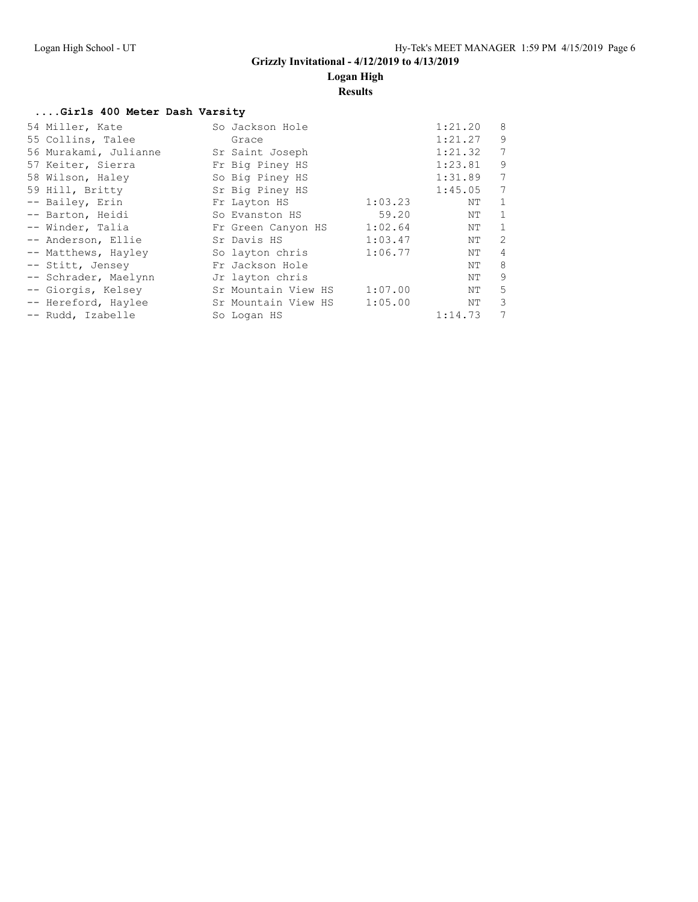### **Logan High**

**Results**

#### **....Girls 400 Meter Dash Varsity**

| 54 Miller, Kate       | So Jackson Hole     |         | 1:21.20 | 8               |
|-----------------------|---------------------|---------|---------|-----------------|
| 55 Collins, Talee     | Grace               |         | 1:21.27 | 9               |
| 56 Murakami, Julianne | Sr Saint Joseph     |         | 1:21.32 | 7               |
| 57 Keiter, Sierra     | Fr Big Piney HS     |         | 1:23.81 | 9               |
| 58 Wilson, Haley      | So Big Piney HS     |         | 1:31.89 | $7\phantom{.0}$ |
| 59 Hill, Britty       | Sr Big Piney HS     |         | 1:45.05 | $\overline{7}$  |
| -- Bailey, Erin       | Fr Layton HS        | 1:03.23 | NΤ      | $\mathbf{1}$    |
| -- Barton, Heidi      | So Evanston HS      | 59.20   | ΝT      | $\mathbf{1}$    |
| -- Winder, Talia      | Fr Green Canyon HS  | 1:02.64 | ΝT      | 1               |
| -- Anderson, Ellie    | Sr Davis HS         | 1:03.47 | NΤ      | 2               |
| -- Matthews, Hayley   | So layton chris     | 1:06.77 | ΝT      | $\overline{4}$  |
| -- Stitt, Jensey      | Fr Jackson Hole     |         | ΝT      | 8               |
| -- Schrader, Maelynn  | Jr layton chris     |         | ΝT      | 9               |
| -- Giorgis, Kelsey    | Sr Mountain View HS | 1:07.00 | ΝT      | 5               |
| -- Hereford, Haylee   | Sr Mountain View HS | 1:05.00 | ΝT      | 3               |
| -- Rudd, Izabelle     | So Logan HS         |         | 1:14.73 | 7               |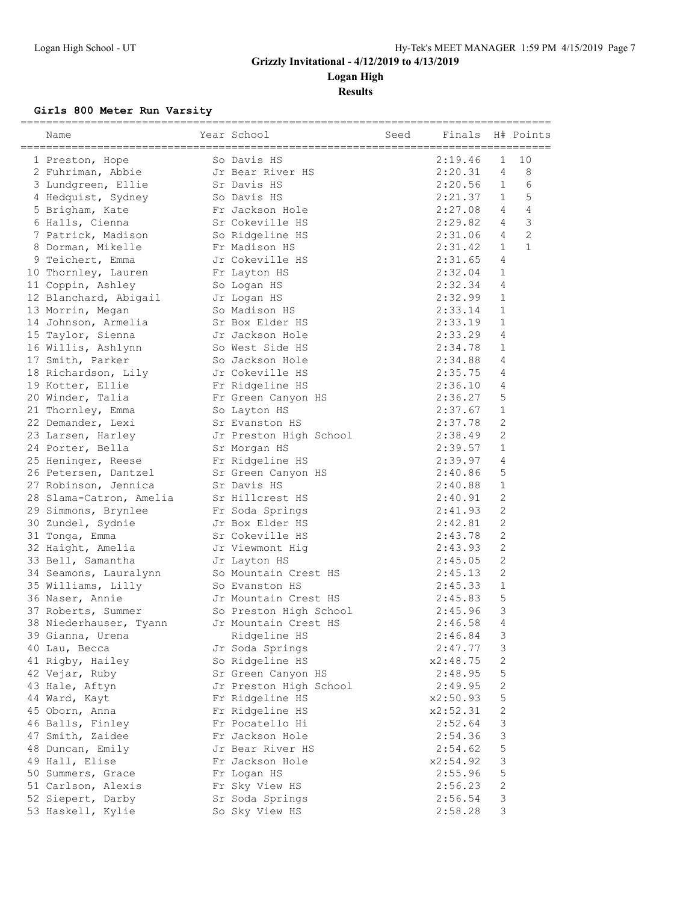**Logan High**

**Results**

#### **Girls 800 Meter Run Varsity**

| Name                              | Year School                      | Seed | Finals   |                           | H# Points      |
|-----------------------------------|----------------------------------|------|----------|---------------------------|----------------|
| 1 Preston, Hope                   | So Davis HS                      |      | 2:19.46  | $\mathbf 1$               | 10             |
| 2 Fuhriman, Abbie                 | Jr Bear River HS                 |      | 2:20.31  | 4                         | 8              |
| 3 Lundgreen, Ellie                | Sr Davis HS                      |      | 2:20.56  | $\mathbf{1}$              | 6              |
| 4 Hedquist, Sydney                | So Davis HS                      |      | 2:21.37  | 1                         | 5              |
| 5 Brigham, Kate                   | Fr Jackson Hole                  |      | 2:27.08  | 4                         | 4              |
| 6 Halls, Cienna                   | Sr Cokeville HS                  |      | 2:29.82  | 4                         | 3              |
| 7 Patrick, Madison                | So Ridgeline HS                  |      | 2:31.06  | 4                         | $\overline{c}$ |
| 8 Dorman, Mikelle                 |                                  |      | 2:31.42  | $\mathbf{1}$              | $\mathbf{1}$   |
| 9 Teichert, Emma                  | Fr Madison HS<br>Jr Cokeville HS |      | 2:31.65  | 4                         |                |
| 10 Thornley, Lauren               | Fr Layton HS                     |      | 2:32.04  | $\mathbf{1}$              |                |
| 11 Coppin, Ashley                 | So Logan HS                      |      | 2:32.34  | 4                         |                |
| 12 Blanchard, Abigail Jr Logan HS |                                  |      | 2:32.99  | $\mathbf{1}$              |                |
| 13 Morrin, Megan                  | So Madison HS                    |      | 2:33.14  | $\mathbf 1$               |                |
| 14 Johnson, Armelia               | Sr Box Elder HS                  |      | 2:33.19  | $\mathbf{1}$              |                |
| 15 Taylor, Sienna                 | Jr Jackson Hole                  |      | 2:33.29  | 4                         |                |
| 16 Willis, Ashlynn                | So West Side HS                  |      | 2:34.78  | $\mathbf 1$               |                |
| 17 Smith, Parker                  | So Jackson Hole                  |      | 2:34.88  | 4                         |                |
| 18 Richardson, Lily               | Jr Cokeville HS                  |      | 2:35.75  | 4                         |                |
| 19 Kotter, Ellie                  | Fr Ridgeline HS                  |      | 2:36.10  | 4                         |                |
| 20 Winder, Talia                  | Fr Green Canyon HS               |      | 2:36.27  | 5                         |                |
| 21 Thornley, Emma                 | So Layton HS                     |      | 2:37.67  | $\mathbf{1}$              |                |
| 22 Demander, Lexi                 | Sr Evanston HS                   |      | 2:37.78  | $\overline{2}$            |                |
| 23 Larsen, Harley                 | Jr Preston High School           |      | 2:38.49  | 2                         |                |
| 24 Porter, Bella                  | Sr Morgan HS                     |      | 2:39.57  | $\mathbf{1}$              |                |
| 25 Heninger, Reese                | Fr Ridgeline HS                  |      | 2:39.97  | 4                         |                |
| 26 Petersen, Dantzel              | Sr Green Canyon HS               |      | 2:40.86  | 5                         |                |
|                                   | Sr Davis HS                      |      | 2:40.88  | $\mathbf{1}$              |                |
| 27 Robinson, Jennica              |                                  |      |          | 2                         |                |
| 28 Slama-Catron, Amelia           | Sr Hillcrest HS                  |      | 2:40.91  | 2                         |                |
| 29 Simmons, Brynlee               | Fr Soda Springs                  |      | 2:41.93  | $\mathbf{2}$              |                |
| 30 Zundel, Sydnie                 | Jr Box Elder HS                  |      | 2:42.81  |                           |                |
| 31 Tonga, Emma                    | Sr Cokeville HS                  |      | 2:43.78  | $\overline{2}$            |                |
| 32 Haight, Amelia                 | Jr Viewmont Hig                  |      | 2:43.93  | $\mathbf{2}$              |                |
| 33 Bell, Samantha                 | Jr Layton HS                     |      | 2:45.05  | $\overline{c}$            |                |
| 34 Seamons, Lauralynn             | So Mountain Crest HS             |      | 2:45.13  | $\overline{c}$            |                |
| 35 Williams, Lilly                | So Evanston HS                   |      | 2:45.33  | $\mathbf{1}$              |                |
| 36 Naser, Annie                   | Jr Mountain Crest HS             |      | 2:45.83  | 5                         |                |
| 37 Roberts, Summer                | So Preston High School           |      | 2:45.96  | 3                         |                |
| 38 Niederhauser, Tyann            | Jr Mountain Crest HS             |      | 2:46.58  | 4                         |                |
| 39 Gianna, Urena                  | Ridgeline HS                     |      | 2:46.84  | 3                         |                |
| 40 Lau, Becca                     | Jr Soda Springs                  |      | 2:47.77  | 3                         |                |
| 41 Rigby, Hailey                  | So Ridgeline HS                  |      | x2:48.75 | 2                         |                |
| 42 Vejar, Ruby                    | Sr Green Canyon HS               |      | 2:48.95  | 5                         |                |
| 43 Hale, Aftyn                    | Jr Preston High School           |      | 2:49.95  | $\sqrt{2}$                |                |
| 44 Ward, Kayt                     | Fr Ridgeline HS                  |      | x2:50.93 | $\mathsf S$               |                |
| 45 Oborn, Anna                    | Fr Ridgeline HS                  |      | x2:52.31 | $\mathbf{2}$              |                |
| 46 Balls, Finley                  | Fr Pocatello Hi                  |      | 2:52.64  | $\ensuremath{\mathsf{3}}$ |                |
| 47 Smith, Zaidee                  | Fr Jackson Hole                  |      | 2:54.36  | $\ensuremath{\mathsf{3}}$ |                |
| 48 Duncan, Emily                  | Jr Bear River HS                 |      | 2:54.62  | 5                         |                |
| 49 Hall, Elise                    | Fr Jackson Hole                  |      | x2:54.92 | 3                         |                |
| 50 Summers, Grace                 | Fr Logan HS                      |      | 2:55.96  | $\mathsf S$               |                |
| 51 Carlson, Alexis                | Fr Sky View HS                   |      | 2:56.23  | $\sqrt{2}$                |                |
| 52 Siepert, Darby                 | Sr Soda Springs                  |      | 2:56.54  | $\ensuremath{\mathsf{3}}$ |                |
| 53 Haskell, Kylie                 | So Sky View HS                   |      | 2:58.28  | 3                         |                |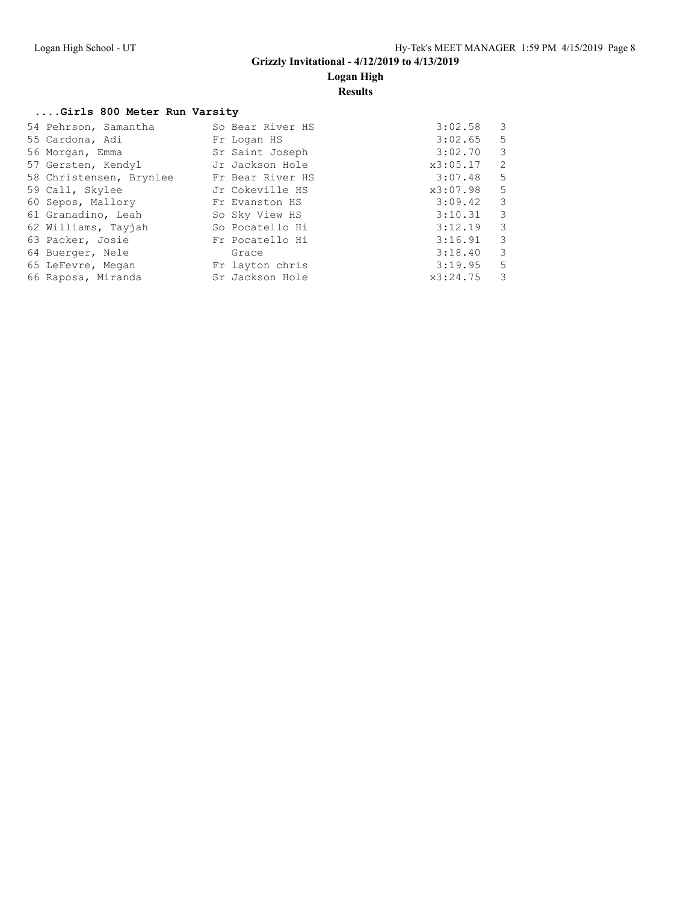### **Logan High**

#### **Results**

#### **....Girls 800 Meter Run Varsity**

| So Bear River HS | 3:02.58<br>3  |
|------------------|---------------|
| Fr Logan HS      | 3:02.65<br>.5 |
| Sr Saint Joseph  | 3:02.70<br>3  |
| Jr Jackson Hole  | 2<br>x3:05.17 |
| Fr Bear River HS | 5<br>3:07.48  |
| Jr Cokeville HS  | 5<br>x3:07.98 |
| Fr Evanston HS   | 3:09.42<br>3  |
| So Sky View HS   | 3<br>3:10.31  |
| So Pocatello Hi  | 3:12.19<br>3  |
| Fr Pocatello Hi  | 3:16.91<br>3  |
| Grace            | 3<br>3:18.40  |
| Fr layton chris  | 5<br>3:19.95  |
| Sr Jackson Hole  | 3<br>x3:24.75 |
|                  |               |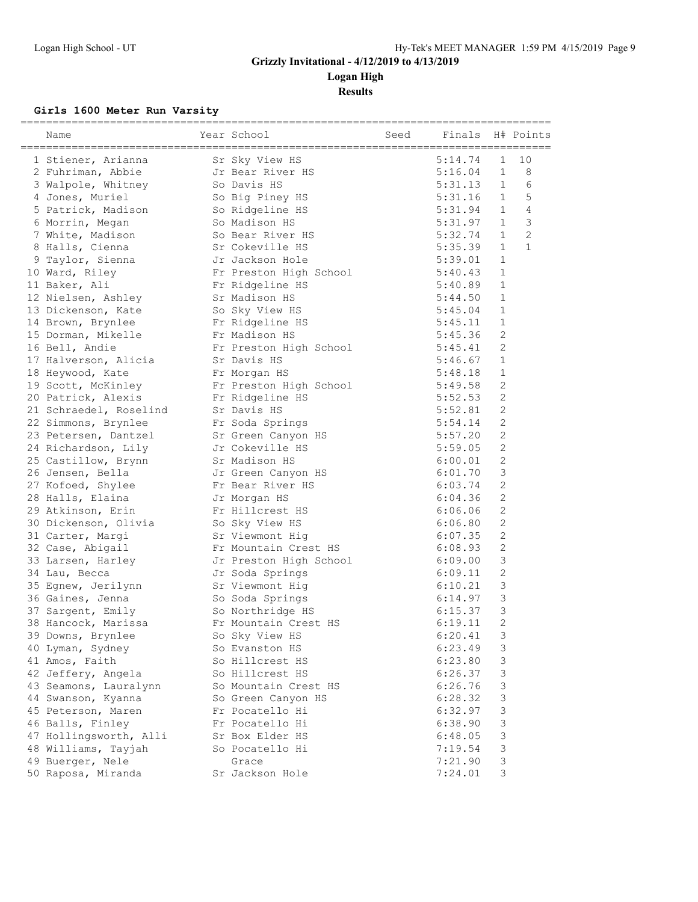**Logan High**

**Results**

### **Girls 1600 Meter Run Varsity**

| Name                                | Year School                            | Seed | Finals  |                           | H# Points      |
|-------------------------------------|----------------------------------------|------|---------|---------------------------|----------------|
| 1 Stiener, Arianna                  | Sr Sky View HS                         |      | 5:14.74 | $\mathbf 1$               | 10             |
| 2 Fuhriman, Abbie                   | Jr Bear River HS                       |      | 5:16.04 | $\mathbf{1}$              | 8              |
| 3 Walpole, Whitney                  | So Davis HS                            |      | 5:31.13 | $\mathbf{1}$              | 6              |
| 4 Jones, Muriel                     | So Big Piney HS                        |      | 5:31.16 | $\mathbf{1}$              | 5              |
| 5 Patrick, Madison So Ridgeline HS  |                                        |      | 5:31.94 | $\mathbf{1}$              | 4              |
| 6 Morrin, Megan                     | So Madison HS                          |      | 5:31.97 | $\mathbf{1}$              | 3              |
| 7 White, Madison                    | So Bear River HS                       |      | 5:32.74 | $\mathbf{1}$              | $\overline{c}$ |
| 8 Halls, Cienna                     |                                        |      | 5:35.39 | $\mathbf{1}$              | $\mathbf{1}$   |
| 9 Taylor, Sienna                    | Sr Cokeville HS<br>Jr Jackson Hole     |      | 5:39.01 | $\mathbf{1}$              |                |
| 10 Ward, Riley                      | Fr Preston High School                 |      | 5:40.43 | $\mathbf{1}$              |                |
| 11 Baker, Ali                       | Fr Ridgeline HS                        |      | 5:40.89 | $\mathbf{1}$              |                |
|                                     |                                        |      |         | $\mathbf 1$               |                |
| 12 Nielsen, Ashley Sr Madison HS    |                                        |      | 5:44.50 |                           |                |
| 13 Dickenson, Kate                  | So Sky View HS                         |      | 5:45.04 | $\mathbf{1}$              |                |
| 14 Brown, Brynlee                   | Fr Ridgeline HS<br>Fr Madison HS       |      | 5:45.11 | $\mathbf{1}$              |                |
| 15 Dorman, Mikelle                  |                                        |      | 5:45.36 | $\overline{c}$            |                |
| 16 Bell, Andie                      | Fr Preston High School                 |      | 5:45.41 | $\overline{c}$            |                |
| 17 Halverson, Alicia                | Sr Davis HS                            |      | 5:46.67 | $\mathbf{1}$              |                |
| 18 Heywood, Kate                    | Fr Morgan HS                           |      | 5:48.18 | $\mathbf{1}$              |                |
| 19 Scott, McKinley                  | Fr Preston High School                 |      | 5:49.58 | $\overline{2}$            |                |
| 20 Patrick, Alexis                  | Fr Ridgeline HS                        |      | 5:52.53 | $\mathbf{2}$              |                |
| 21 Schraedel, Roselind              | Sr Davis HS                            |      | 5:52.81 | $\mathbf{2}$              |                |
| 22 Simmons, Brynlee                 | Fr Soda Springs                        |      | 5:54.14 | $\mathbf{2}$              |                |
| 23 Petersen, Dantzel                | Sr Green Canyon HS                     |      | 5:57.20 | 2                         |                |
| 24 Richardson, Lily                 | Jr Cokeville HS                        |      | 5:59.05 | $\mathbf{2}$              |                |
| 25 Castillow, Brynn Sr Madison HS   |                                        |      | 6:00.01 | $\mathbf{2}$              |                |
| 26 Jensen, Bella                    | Jr Green Canyon HS<br>Fr Bear River HS |      | 6:01.70 | 3                         |                |
| 27 Kofoed, Shylee                   |                                        |      | 6:03.74 | $\mathbf{2}$              |                |
| 28 Halls, Elaina                    | Jr Morgan HS                           |      | 6:04.36 | $\mathbf{2}$              |                |
| 29 Atkinson, Erin                   | Fr Hillcrest HS                        |      | 6:06.06 | 2                         |                |
| 30 Dickenson, Olivia So Sky View HS |                                        |      | 6:06.80 | $\mathbf{2}$              |                |
| 31 Carter, Margi                    | Sr Viewmont Hig                        |      | 6:07.35 | $\overline{2}$            |                |
| 32 Case, Abigail                    | Fr Mountain Crest HS                   |      | 6:08.93 | $\mathbf{2}$              |                |
| 33 Larsen, Harley                   | Jr Preston High School                 |      | 6:09.00 | 3                         |                |
| 34 Lau, Becca                       | Jr Soda Springs                        |      | 6:09.11 | $\sqrt{2}$                |                |
| 35 Egnew, Jerilynn Sr Viewmont Hig  |                                        |      | 6:10.21 | 3                         |                |
| 36 Gaines, Jenna                    | So Soda Springs                        |      | 6:14.97 | 3                         |                |
| 37 Sargent, Emily                   | So Northridge HS                       |      | 6:15.37 | 3                         |                |
| 38 Hancock, Marissa                 | Fr Mountain Crest HS                   |      | 6:19.11 | $\overline{2}$            |                |
| 39 Downs, Brynlee                   | So Sky View HS                         |      | 6:20.41 | 3                         |                |
| 40 Lyman, Sydney                    | So Evanston HS                         |      | 6:23.49 | 3                         |                |
| 41 Amos, Faith                      | So Hillcrest HS                        |      | 6:23.80 | 3                         |                |
| 42 Jeffery, Angela                  | So Hillcrest HS                        |      | 6:26.37 | 3                         |                |
| 43 Seamons, Lauralynn               | So Mountain Crest HS                   |      | 6:26.76 | 3                         |                |
| 44 Swanson, Kyanna                  | So Green Canyon HS                     |      | 6:28.32 | 3                         |                |
| 45 Peterson, Maren                  | Fr Pocatello Hi                        |      | 6:32.97 | $\mathsf 3$               |                |
| 46 Balls, Finley                    | Fr Pocatello Hi                        |      | 6:38.90 | $\ensuremath{\mathsf{3}}$ |                |
| 47 Hollingsworth, Alli              | Sr Box Elder HS                        |      | 6:48.05 | 3                         |                |
| 48 Williams, Tayjah                 | So Pocatello Hi                        |      | 7:19.54 | 3                         |                |
| 49 Buerger, Nele                    | Grace                                  |      | 7:21.90 | $\mathsf 3$               |                |
| 50 Raposa, Miranda                  | Sr Jackson Hole                        |      | 7:24.01 | 3                         |                |
|                                     |                                        |      |         |                           |                |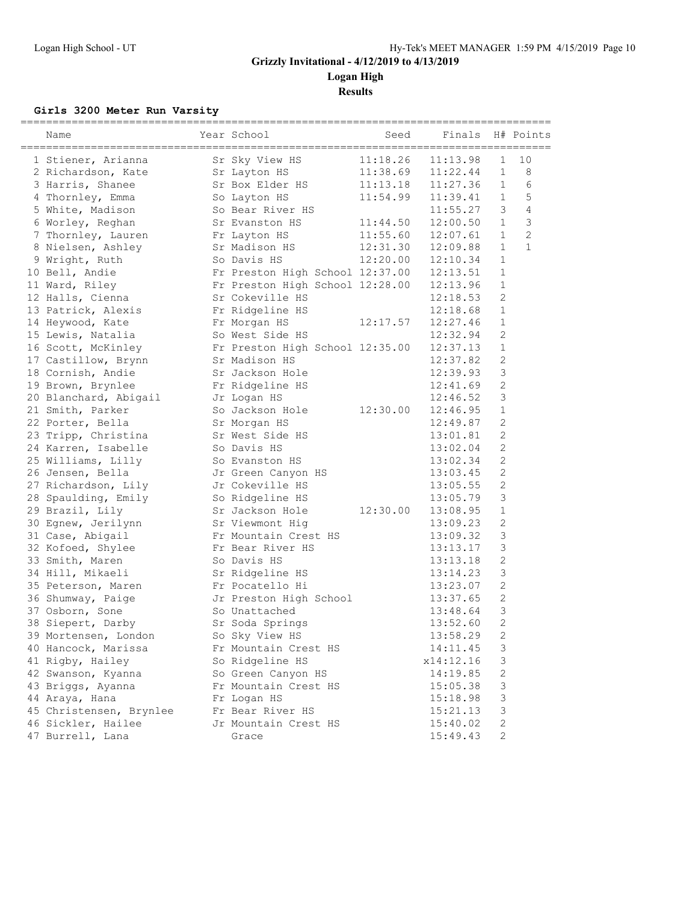**Logan High**

**Results**

#### **Girls 3200 Meter Run Varsity**

| Name                    | Year School                     | Seed                     | Finals    |                | H# Points      |
|-------------------------|---------------------------------|--------------------------|-----------|----------------|----------------|
| 1 Stiener, Arianna      | Sr Sky View HS                  | 11:18.26                 | 11:13.98  | $\mathbf 1$    | 10             |
| 2 Richardson, Kate      | Sr Layton HS                    | $11:38.69$<br>$11:13.18$ | 11:22.44  | $\mathbf{1}$   | 8              |
| 3 Harris, Shanee        | Sr Box Elder HS                 |                          | 11:27.36  | $\mathbf{1}$   | 6              |
| 4 Thornley, Emma        | So Layton HS                    | 11:54.99                 | 11:39.41  | $\mathbf{1}$   | 5              |
| 5 White, Madison        | So Bear River HS                |                          | 11:55.27  | 3              | $\overline{4}$ |
| 6 Worley, Reghan        | Sr Evanston HS                  | 11:44.50                 | 12:00.50  | $\mathbf{1}$   | 3              |
| 7 Thornley, Lauren      | Fr Layton HS                    | 11:55.60                 | 12:07.61  | $\mathbf{1}$   | $\overline{c}$ |
| 8 Nielsen, Ashley       | Sr Madison HS                   | 12:31.30                 | 12:09.88  | $\mathbf{1}$   | $\mathbf{1}$   |
| 9 Wright, Ruth          | So Davis HS                     | 12:20.00                 | 12:10.34  | $\mathbf{1}$   |                |
| 10 Bell, Andie          | Fr Preston High School 12:37.00 |                          | 12:13.51  | $\mathbf{1}$   |                |
| 11 Ward, Riley          | Fr Preston High School 12:28.00 |                          | 12:13.96  | $\mathbf{1}$   |                |
| 12 Halls, Cienna        | Sr Cokeville HS                 |                          | 12:18.53  | $\mathbf{2}$   |                |
| 13 Patrick, Alexis      | Fr Ridgeline HS                 |                          | 12:18.68  | $\mathbf{1}$   |                |
| 14 Heywood, Kate        | Fr Morgan HS                    | 12:17.57                 | 12:27.46  | $\mathbf{1}$   |                |
| 15 Lewis, Natalia       | So West Side HS                 |                          | 12:32.94  | $\mathbf{2}$   |                |
| 16 Scott, McKinley      | Fr Preston High School 12:35.00 |                          | 12:37.13  | $\mathbf{1}$   |                |
| 17 Castillow, Brynn     | Sr Madison HS                   |                          | 12:37.82  | $\mathbf{2}$   |                |
| 18 Cornish, Andie       | Sr Jackson Hole                 |                          | 12:39.93  | 3              |                |
| 19 Brown, Brynlee       | Fr Ridgeline HS                 |                          | 12:41.69  | $\mathbf{2}$   |                |
| 20 Blanchard, Abigail   | Jr Logan HS                     |                          | 12:46.52  | $\mathsf 3$    |                |
| 21 Smith, Parker        | So Jackson Hole                 | 12:30.00                 | 12:46.95  | $\mathbf{1}$   |                |
| 22 Porter, Bella        | Sr Morgan HS                    |                          | 12:49.87  | $\mathbf{2}$   |                |
| 23 Tripp, Christina     | Sr West Side HS                 |                          | 13:01.81  | 2              |                |
| 24 Karren, Isabelle     | So Davis HS                     |                          | 13:02.04  | $\mathbf{2}$   |                |
| 25 Williams, Lilly      | So Evanston HS                  |                          | 13:02.34  | $\mathbf{2}$   |                |
| 26 Jensen, Bella        | Jr Green Canyon HS              |                          | 13:03.45  | $\mathbf{2}$   |                |
| 27 Richardson, Lily     | Jr Cokeville HS                 |                          | 13:05.55  | $\mathbf{2}$   |                |
| 28 Spaulding, Emily     | So Ridgeline HS                 |                          | 13:05.79  | 3              |                |
| 29 Brazil, Lily         | Sr Jackson Hole                 | 12:30.00                 | 13:08.95  | $\mathbf{1}$   |                |
| 30 Egnew, Jerilynn      | Sr Viewmont Hig                 |                          | 13:09.23  | $\mathbf{2}$   |                |
| 31 Case, Abigail        | Fr Mountain Crest HS            |                          | 13:09.32  | $\mathsf 3$    |                |
| 32 Kofoed, Shylee       | Fr Bear River HS                |                          | 13:13.17  | $\mathfrak{Z}$ |                |
| 33 Smith, Maren         | So Davis HS                     |                          | 13:13.18  | $\mathbf{2}$   |                |
| 34 Hill, Mikaeli        | Sr Ridgeline HS                 |                          | 13:14.23  | 3              |                |
| 35 Peterson, Maren      | Fr Pocatello Hi                 |                          | 13:23.07  | $\sqrt{2}$     |                |
| 36 Shumway, Paige       | Jr Preston High School          |                          | 13:37.65  | $\mathbf{2}$   |                |
| 37 Osborn, Sone         | So Unattached                   |                          | 13:48.64  | 3              |                |
| 38 Siepert, Darby       | Sr Soda Springs                 |                          | 13:52.60  | $\overline{2}$ |                |
| 39 Mortensen, London    | So Sky View HS                  |                          | 13:58.29  | 2              |                |
| 40 Hancock, Marissa     | Fr Mountain Crest HS            |                          | 14:11.45  | 3              |                |
| 41 Rigby, Hailey        | So Ridgeline HS                 |                          | x14:12.16 | 3              |                |
| 42 Swanson, Kyanna      | So Green Canyon HS              |                          | 14:19.85  | 2              |                |
| 43 Briggs, Ayanna       | Fr Mountain Crest HS            |                          | 15:05.38  | 3              |                |
| 44 Araya, Hana          | Fr Logan HS                     |                          | 15:18.98  | 3              |                |
| 45 Christensen, Brynlee | Fr Bear River HS                |                          | 15:21.13  | 3              |                |
| 46 Sickler, Hailee      | Jr Mountain Crest HS            |                          | 15:40.02  | $\sqrt{2}$     |                |
| 47 Burrell, Lana        | Grace                           |                          | 15:49.43  | $\mathbf{2}$   |                |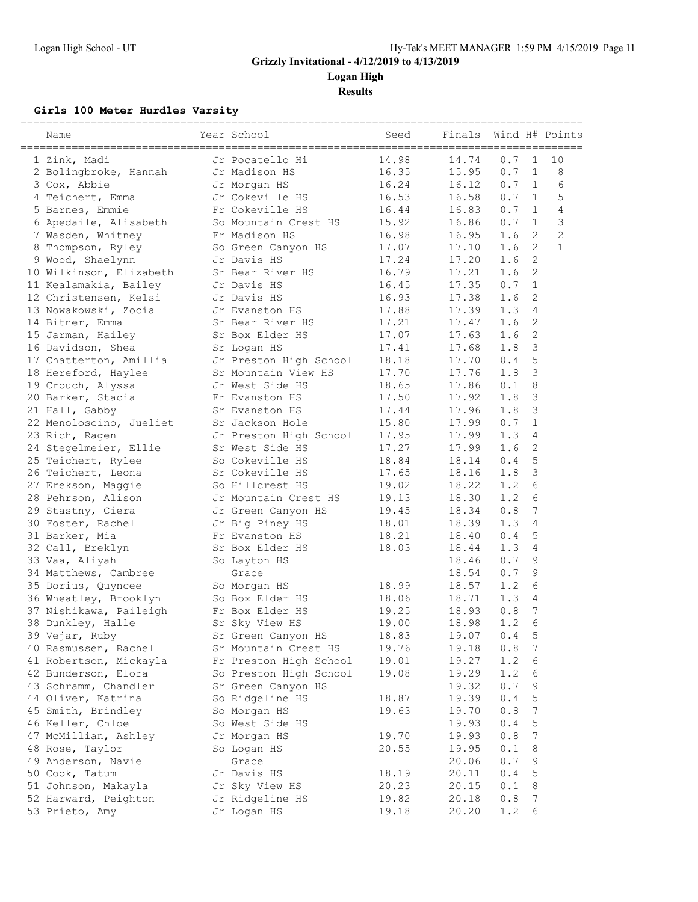**Logan High**

**Results**

### **Girls 100 Meter Hurdles Varsity**

| Name                                          | Year School            | Seed  | Finals |     |               | Wind H# Points |
|-----------------------------------------------|------------------------|-------|--------|-----|---------------|----------------|
| 1 Zink, Madi                                  | Jr Pocatello Hi        | 14.98 | 14.74  | 0.7 | $\mathbf{1}$  | 10             |
| 2 Bolingbroke, Hannah                         | Jr Madison HS          | 16.35 | 15.95  | 0.7 | $\mathbf{1}$  | 8              |
| 3 Cox, Abbie                                  | Jr Morgan HS           | 16.24 | 16.12  | 0.7 | 1             | 6              |
| 4 Teichert, Emma                              | Jr Cokeville HS        | 16.53 | 16.58  | 0.7 | 1             | 5              |
| 5 Barnes, Emmie                               | Fr Cokeville HS        | 16.44 | 16.83  | 0.7 | 1             | $\overline{4}$ |
| 6 Apedaile, Alisabeth                         | So Mountain Crest HS   | 15.92 | 16.86  | 0.7 | 1             | $\mathcal{S}$  |
| 7 Wasden, Whitney                             | Fr Madison HS          | 16.98 | 16.95  | 1.6 | 2             | $\overline{c}$ |
| Thompson, Ryley                               | So Green Canyon HS     | 17.07 | 17.10  | 1.6 | 2             | $\mathbf{1}$   |
| 9 Wood, Shaelynn                              | Jr Davis HS            | 17.24 | 17.20  | 1.6 | 2             |                |
| 10 Wilkinson, Elizabeth                       | Sr Bear River HS       | 16.79 | 17.21  | 1.6 | 2             |                |
| 11 Kealamakia, Bailey                         | Jr Davis HS            | 16.45 | 17.35  | 0.7 | $\mathbf{1}$  |                |
| 12 Christensen, Kelsi                         | Jr Davis HS            | 16.93 | 17.38  | 1.6 | 2             |                |
| 13 Nowakowski, Zocia                          | Jr Evanston HS         | 17.88 | 17.39  | 1.3 | 4             |                |
| 14 Bitner, Emma                               | Sr Bear River HS       | 17.21 | 17.47  | 1.6 | 2             |                |
| 15 Jarman, Hailey                             | Sr Box Elder HS        | 17.07 | 17.63  | 1.6 | 2             |                |
| 16 Davidson, Shea                             | Sr Logan HS            | 17.41 | 17.68  | 1.8 | 3             |                |
| 17 Chatterton, Amillia                        | Jr Preston High School | 18.18 | 17.70  | 0.4 | 5             |                |
| 18 Hereford, Haylee                           | Sr Mountain View HS    | 17.70 | 17.76  | 1.8 | 3             |                |
| 19 Crouch, Alyssa                             | Jr West Side HS        | 18.65 | 17.86  | 0.1 | 8             |                |
| 20 Barker, Stacia                             | Fr Evanston HS         | 17.50 | 17.92  | 1.8 | $\mathcal{S}$ |                |
| 21 Hall, Gabby                                | Sr Evanston HS         | 17.44 | 17.96  | 1.8 | 3             |                |
| 22 Menoloscino, Jueliet                       | Sr Jackson Hole        | 15.80 | 17.99  | 0.7 | $\mathbf{1}$  |                |
| 23 Rich, Ragen                                | Jr Preston High School | 17.95 | 17.99  | 1.3 | 4             |                |
| 24 Stegelmeier, Ellie                         | Sr West Side HS        | 17.27 | 17.99  | 1.6 | 2             |                |
| 25 Teichert, Rylee                            | So Cokeville HS        | 18.84 | 18.14  | 0.4 | 5             |                |
| 26 Teichert, Leona                            | Sr Cokeville HS        | 17.65 | 18.16  | 1.8 | 3             |                |
| 27 Erekson, Maggie                            | So Hillcrest HS        | 19.02 | 18.22  | 1.2 | 6             |                |
| 28 Pehrson, Alison                            | Jr Mountain Crest HS   | 19.13 | 18.30  | 1.2 | 6             |                |
| 29 Stastny, Ciera                             | Jr Green Canyon HS     | 19.45 | 18.34  | 0.8 | 7             |                |
| 30 Foster, Rachel                             | Jr Big Piney HS        | 18.01 | 18.39  | 1.3 | 4             |                |
| 31 Barker, Mia                                | Fr Evanston HS         | 18.21 | 18.40  | 0.4 | 5             |                |
| 32 Call, Breklyn                              | Sr Box Elder HS        | 18.03 | 18.44  | 1.3 | 4             |                |
| 33 Vaa, Aliyah                                | So Layton HS           |       | 18.46  | 0.7 | 9             |                |
| 34 Matthews, Cambree                          | Grace                  |       | 18.54  | 0.7 | 9             |                |
| 35 Dorius, Quyncee                            | So Morgan HS           | 18.99 | 18.57  | 1.2 | 6             |                |
| 36 Wheatley, Brooklyn                         | So Box Elder HS        | 18.06 | 18.71  | 1.3 | 4             |                |
| 37 Nishikawa, Paileigh                        | Fr Box Elder HS        | 19.25 | 18.93  | 0.8 | 7             |                |
| 38 Dunkley, Halle                             | Sr Sky View HS         | 19.00 | 18.98  | 1.2 | 6             |                |
| 39 Vejar, Ruby                                | Sr Green Canyon HS     | 18.83 | 19.07  | 0.4 | 5             |                |
| 40 Rasmussen, Rachel                          | Sr Mountain Crest HS   | 19.76 | 19.18  | 0.8 | 7             |                |
|                                               | Fr Preston High School | 19.01 | 19.27  | 1.2 | 6             |                |
| 41 Robertson, Mickayla<br>42 Bunderson, Elora | So Preston High School | 19.08 | 19.29  | 1.2 | 6             |                |
|                                               |                        |       |        |     |               |                |
| 43 Schramm, Chandler                          | Sr Green Canyon HS     |       | 19.32  | 0.7 | 9             |                |
| 44 Oliver, Katrina                            | So Ridgeline HS        | 18.87 | 19.39  | 0.4 | 5             |                |
| 45 Smith, Brindley                            | So Morgan HS           | 19.63 | 19.70  | 0.8 | 7             |                |
| 46 Keller, Chloe                              | So West Side HS        |       | 19.93  | 0.4 | 5             |                |
| 47 McMillian, Ashley                          | Jr Morgan HS           | 19.70 | 19.93  | 0.8 | 7             |                |
| 48 Rose, Taylor                               | So Logan HS            | 20.55 | 19.95  | 0.1 | 8             |                |
| 49 Anderson, Navie                            | Grace                  |       | 20.06  | 0.7 | 9             |                |
| 50 Cook, Tatum                                | Jr Davis HS            | 18.19 | 20.11  | 0.4 | 5             |                |
| 51 Johnson, Makayla                           | Jr Sky View HS         | 20.23 | 20.15  | 0.1 | 8             |                |
| 52 Harward, Peighton                          | Jr Ridgeline HS        | 19.82 | 20.18  | 0.8 | 7             |                |
| 53 Prieto, Amy                                | Jr Logan HS            | 19.18 | 20.20  | 1.2 | 6             |                |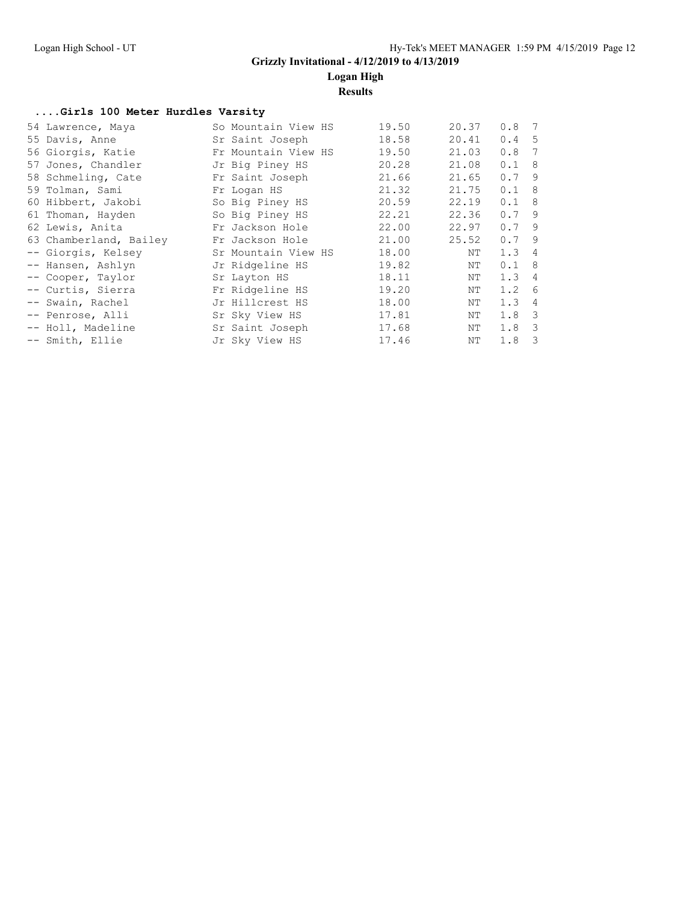### **Logan High**

**Results**

#### **....Girls 100 Meter Hurdles Varsity**

| 54 Lawrence, Maya      | So Mountain View HS | 19.50 | 20.37 | 0.8 <sub>7</sub> |   |
|------------------------|---------------------|-------|-------|------------------|---|
| 55 Davis, Anne         | Sr Saint Joseph     | 18.58 | 20.41 | 0.4 <sub>5</sub> |   |
| 56 Giorgis, Katie      | Fr Mountain View HS | 19.50 | 21.03 | 0.8              | 7 |
| 57 Jones, Chandler     | Jr Big Piney HS     | 20.28 | 21.08 | 0.1 8            |   |
| 58 Schmeling, Cate     | Fr Saint Joseph     | 21.66 | 21.65 | 0.79             |   |
| 59 Tolman, Sami        | Fr Logan HS         | 21.32 | 21.75 | 0.1 8            |   |
| 60 Hibbert, Jakobi     | So Big Piney HS     | 20.59 | 22.19 | 0.1 8            |   |
| 61 Thoman, Hayden      | So Big Piney HS     | 22.21 | 22.36 | 0.79             |   |
| 62 Lewis, Anita        | Fr Jackson Hole     | 22.00 | 22.97 | 0.79             |   |
| 63 Chamberland, Bailey | Fr Jackson Hole     | 21.00 | 25.52 | $0.7$ 9          |   |
| -- Giorgis, Kelsey     | Sr Mountain View HS | 18.00 | NΤ    | 1.34             |   |
| -- Hansen, Ashlyn      | Jr Ridgeline HS     | 19.82 | ΝT    | $0.1 \quad 8$    |   |
| -- Cooper, Taylor      | Sr Layton HS        | 18.11 | NΤ    | 1.34             |   |
| -- Curtis, Sierra      | Fr Ridgeline HS     | 19.20 | NΤ    | 1.2 <sub>6</sub> |   |
| -- Swain, Rachel       | Jr Hillcrest HS     | 18.00 | NΤ    | $1.3 \quad 4$    |   |
| -- Penrose, Alli       | Sr Sky View HS      | 17.81 | NΤ    | $1.8-3$          |   |
| -- Holl, Madeline      | Sr Saint Joseph     | 17.68 | NΤ    | $1.8-3$          |   |
| -- Smith, Ellie        | Jr Sky View HS      | 17.46 | ΝT    | $1.8-3$          |   |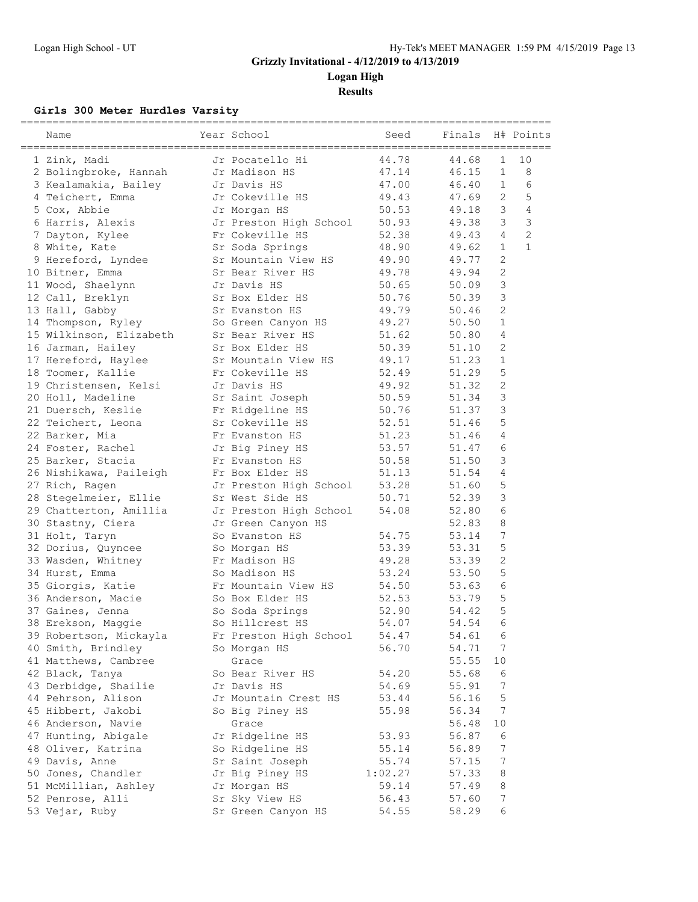**Logan High**

**Results**

### **Girls 300 Meter Hurdles Varsity**

| Name                    | Year School            | Seed    | Finals |                  | H# Points      |
|-------------------------|------------------------|---------|--------|------------------|----------------|
| 1 Zink, Madi            | Jr Pocatello Hi        | 44.78   | 44.68  | $\mathbf 1$      | 10             |
| 2 Bolingbroke, Hannah   | Jr Madison HS          | 47.14   | 46.15  | $\mathbf{1}$     | 8              |
| 3 Kealamakia, Bailey    | Jr Davis HS            | 47.00   | 46.40  | $\mathbf{1}$     | 6              |
| 4 Teichert, Emma        | Jr Cokeville HS        | 49.43   | 47.69  | 2                | 5              |
| 5 Cox, Abbie            | Jr Morgan HS           | 50.53   | 49.18  | 3                | 4              |
| 6 Harris, Alexis        | Jr Preston High School | 50.93   | 49.38  | 3                | 3              |
| 7 Dayton, Kylee         | Fr Cokeville HS        | 52.38   | 49.43  | $\overline{4}$   | $\overline{c}$ |
| 8 White, Kate           | Sr Soda Springs        | 48.90   | 49.62  | $\mathbf{1}$     | $\mathbf{1}$   |
| 9 Hereford, Lyndee      | Sr Mountain View HS    | 49.90   | 49.77  | $\mathbf{2}$     |                |
| 10 Bitner, Emma         | Sr Bear River HS       | 49.78   | 49.94  | $\sqrt{2}$       |                |
| 11 Wood, Shaelynn       | Jr Davis HS            | 50.65   | 50.09  | 3                |                |
| 12 Call, Breklyn        | Sr Box Elder HS        | 50.76   | 50.39  | 3                |                |
| 13 Hall, Gabby          | Sr Evanston HS         | 49.79   | 50.46  | $\mathbf{2}$     |                |
| 14 Thompson, Ryley      | So Green Canyon HS     | 49.27   | 50.50  | $\mathbf{1}$     |                |
| 15 Wilkinson, Elizabeth | Sr Bear River HS       | 51.62   | 50.80  | 4                |                |
| 16 Jarman, Hailey       | Sr Box Elder HS        | 50.39   | 51.10  | 2                |                |
| 17 Hereford, Haylee     | Sr Mountain View HS    | 49.17   | 51.23  | $\mathbf{1}$     |                |
| 18 Toomer, Kallie       | Fr Cokeville HS        | 52.49   | 51.29  | 5                |                |
| 19 Christensen, Kelsi   | Jr Davis HS            | 49.92   | 51.32  | $\mathbf{2}$     |                |
| 20 Holl, Madeline       | Sr Saint Joseph        | 50.59   | 51.34  | 3                |                |
| 21 Duersch, Keslie      | Fr Ridgeline HS        | 50.76   | 51.37  | 3                |                |
| 22 Teichert, Leona      | Sr Cokeville HS        | 52.51   | 51.46  | 5                |                |
| 22 Barker, Mia          | Fr Evanston HS         | 51.23   | 51.46  | 4                |                |
| 24 Foster, Rachel       | Jr Big Piney HS        | 53.57   | 51.47  | 6                |                |
| 25 Barker, Stacia       | Fr Evanston HS         | 50.58   | 51.50  | 3                |                |
| 26 Nishikawa, Paileigh  | Fr Box Elder HS        | 51.13   | 51.54  | 4                |                |
| 27 Rich, Ragen          | Jr Preston High School | 53.28   | 51.60  | 5                |                |
| 28 Stegelmeier, Ellie   | Sr West Side HS        | 50.71   | 52.39  | 3                |                |
| 29 Chatterton, Amillia  | Jr Preston High School | 54.08   | 52.80  | 6                |                |
| 30 Stastny, Ciera       | Jr Green Canyon HS     |         | 52.83  | 8                |                |
| 31 Holt, Taryn          | So Evanston HS         | 54.75   | 53.14  | 7                |                |
| 32 Dorius, Quyncee      | So Morgan HS           | 53.39   | 53.31  | 5                |                |
| 33 Wasden, Whitney      | Fr Madison HS          | 49.28   | 53.39  | $\sqrt{2}$       |                |
| 34 Hurst, Emma          | So Madison HS          | 53.24   | 53.50  | 5                |                |
| 35 Giorgis, Katie       | Fr Mountain View HS    | 54.50   | 53.63  | 6                |                |
| 36 Anderson, Macie      | So Box Elder HS        | 52.53   | 53.79  | 5                |                |
| 37 Gaines, Jenna        | So Soda Springs        | 52.90   | 54.42  | 5                |                |
| 38 Erekson, Maggie      | So Hillcrest HS        | 54.07   | 54.54  | 6                |                |
| 39 Robertson, Mickayla  | Fr Preston High School | 54.47   | 54.61  | 6                |                |
| 40 Smith, Brindley      | So Morgan HS           | 56.70   | 54.71  | 7                |                |
| 41 Matthews, Cambree    | Grace                  |         | 55.55  | 10               |                |
| 42 Black, Tanya         | So Bear River HS       | 54.20   | 55.68  | 6                |                |
| 43 Derbidge, Shailie    | Jr Davis HS            | 54.69   | 55.91  | 7                |                |
| 44 Pehrson, Alison      | Jr Mountain Crest HS   | 53.44   | 56.16  | 5                |                |
| 45 Hibbert, Jakobi      | So Big Piney HS        | 55.98   | 56.34  | $\boldsymbol{7}$ |                |
| 46 Anderson, Navie      | Grace                  |         | 56.48  | 10               |                |
| 47 Hunting, Abigale     | Jr Ridgeline HS        | 53.93   | 56.87  | 6                |                |
| 48 Oliver, Katrina      | So Ridgeline HS        | 55.14   | 56.89  | 7                |                |
| 49 Davis, Anne          | Sr Saint Joseph        | 55.74   | 57.15  | $\boldsymbol{7}$ |                |
| 50 Jones, Chandler      | Jr Big Piney HS        | 1:02.27 | 57.33  | 8                |                |
| 51 McMillian, Ashley    | Jr Morgan HS           | 59.14   | 57.49  | 8                |                |
| 52 Penrose, Alli        | Sr Sky View HS         | 56.43   | 57.60  | $\boldsymbol{7}$ |                |
| 53 Vejar, Ruby          | Sr Green Canyon HS     | 54.55   | 58.29  | 6                |                |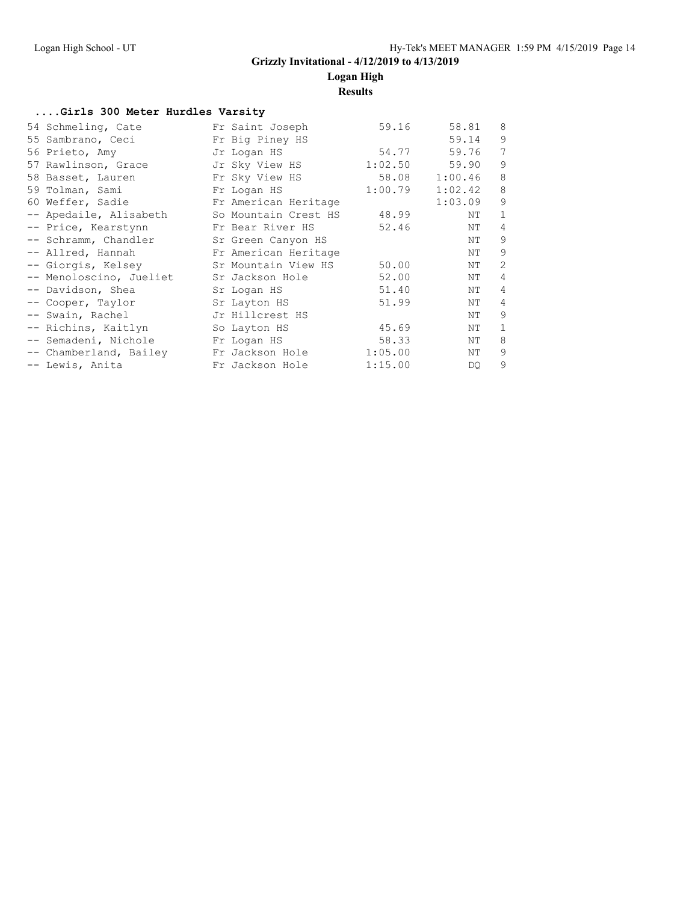**Logan High**

**Results**

#### **....Girls 300 Meter Hurdles Varsity**

| 54 Schmeling, Cate      | Fr Saint Joseph      | 59.16   | 58.81       | 8            |
|-------------------------|----------------------|---------|-------------|--------------|
| 55 Sambrano, Ceci       | Fr Big Piney HS      |         | 59.14       | 9            |
| 56 Prieto, Amy          | Jr Logan HS          |         | 54.77 59.76 | 7            |
| 57 Rawlinson, Grace     | Jr Sky View HS       | 1:02.50 | 59.90       | 9            |
| 58 Basset, Lauren       | Fr Sky View HS       | 58.08   | 1:00.46     | 8            |
| 59 Tolman, Sami         | Fr Logan HS          | 1:00.79 | 1:02.42     | 8            |
| 60 Weffer, Sadie        | Fr American Heritage |         | 1:03.09     | 9            |
| -- Apedaile, Alisabeth  | So Mountain Crest HS | 48.99   | ΝT          | $\mathbf{1}$ |
| -- Price, Kearstynn     | Fr Bear River HS     | 52.46   | ΝT          | 4            |
| -- Schramm, Chandler    | Sr Green Canyon HS   |         | ΝT          | 9            |
| -- Allred, Hannah       | Fr American Heritage |         | ΝT          | 9            |
| -- Giorgis, Kelsey      | Sr Mountain View HS  | 50.00   | ΝT          | 2            |
| -- Menoloscino, Jueliet | Sr Jackson Hole      | 52.00   | ΝT          | 4            |
| -- Davidson, Shea       | Sr Logan HS          | 51.40   | NΤ          | 4            |
| -- Cooper, Taylor       | Sr Layton HS         | 51.99   | ΝT          | 4            |
| -- Swain, Rachel        | Jr Hillcrest HS      |         | ΝT          | 9            |
| -- Richins, Kaitlyn     | So Layton HS         | 45.69   | ΝT          | $\mathbf{1}$ |
| -- Semadeni, Nichole    | Fr Logan HS          | 58.33   | ΝT          | 8            |
| -- Chamberland, Bailey  | Fr Jackson Hole      | 1:05.00 | ΝT          | 9            |
| -- Lewis, Anita         | Fr Jackson Hole      | 1:15.00 | DQ.         | 9            |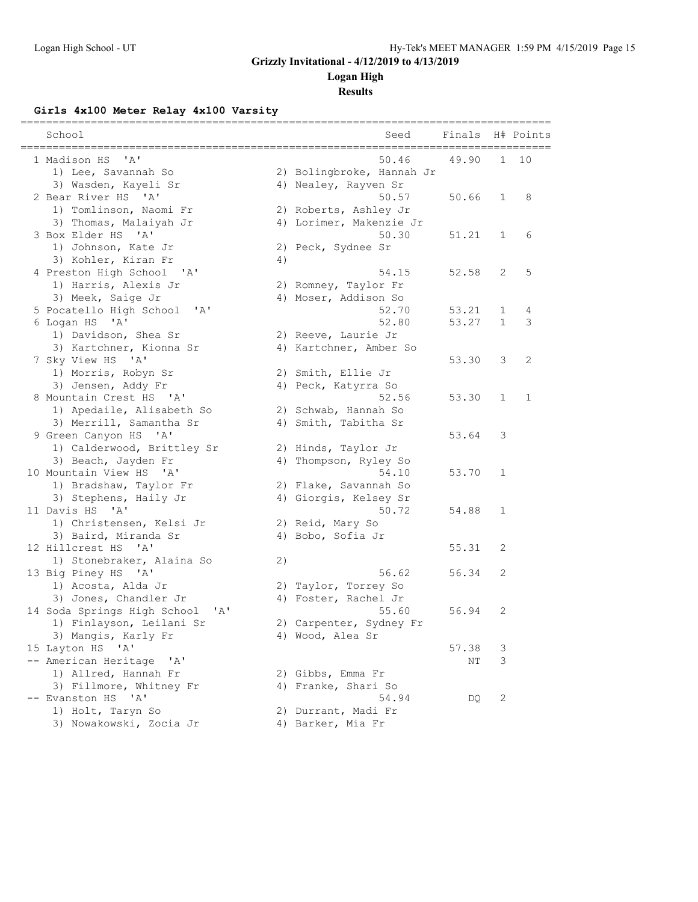### **Logan High**

**Results**

### **Girls 4x100 Meter Relay 4x100 Varsity**

| School<br>==============<br>_________________________________ |    | Seed                      | Finals |                | H# Points    |
|---------------------------------------------------------------|----|---------------------------|--------|----------------|--------------|
| "A"<br>1 Madison HS                                           |    | 50.46                     | 49.90  | $\mathbf{1}$   | 10           |
| 1) Lee, Savannah So                                           |    | 2) Bolingbroke, Hannah Jr |        |                |              |
| 3) Wasden, Kayeli Sr                                          |    | 4) Nealey, Rayven Sr      |        |                |              |
| 2 Bear River HS 'A'                                           |    | 50.57                     | 50.66  | 1              | 8            |
| 1) Tomlinson, Naomi Fr                                        |    | 2) Roberts, Ashley Jr     |        |                |              |
| 3) Thomas, Malaiyah Jr                                        |    | 4) Lorimer, Makenzie Jr   |        |                |              |
| 3 Box Elder HS 'A'                                            |    | 50.30                     | 51.21  | $\mathbf{1}$   | 6            |
| 1) Johnson, Kate Jr                                           |    | 2) Peck, Sydnee Sr        |        |                |              |
| 3) Kohler, Kiran Fr                                           | 4) |                           |        |                |              |
| 4 Preston High School<br>$^{\prime}$ A $^{\prime}$            |    | 54.15                     | 52.58  | $\overline{2}$ | 5            |
| 1) Harris, Alexis Jr                                          |    | 2) Romney, Taylor Fr      |        |                |              |
| 3) Meek, Saige Jr                                             |    | 4) Moser, Addison So      |        |                |              |
| 5 Pocatello High School<br>$^{\prime}$ A $^{\prime}$          |    | 52.70                     | 53.21  | 1              | 4            |
| $^{\prime}$ A<br>6 Logan HS                                   |    | 52.80                     | 53.27  | $\mathbf{1}$   | 3            |
| 1) Davidson, Shea Sr                                          |    | 2) Reeve, Laurie Jr       |        |                |              |
| 3) Kartchner, Kionna Sr                                       |    | 4) Kartchner, Amber So    |        |                |              |
| 7 Sky View HS 'A'                                             |    |                           | 53.30  | 3              | 2            |
| 1) Morris, Robyn Sr                                           |    | 2) Smith, Ellie Jr        |        |                |              |
| 3) Jensen, Addy Fr                                            |    | 4) Peck, Katyrra So       |        |                |              |
| 8 Mountain Crest HS 'A'                                       |    | 52.56                     | 53.30  | $\mathbf{1}$   | $\mathbf{1}$ |
| 1) Apedaile, Alisabeth So                                     |    | 2) Schwab, Hannah So      |        |                |              |
| 3) Merrill, Samantha Sr                                       |    | 4) Smith, Tabitha Sr      |        |                |              |
| 9 Green Canyon HS 'A'                                         |    |                           | 53.64  | 3              |              |
| 1) Calderwood, Brittley Sr                                    |    | 2) Hinds, Taylor Jr       |        |                |              |
| 3) Beach, Jayden Fr                                           |    | 4) Thompson, Ryley So     |        |                |              |
| 10 Mountain View HS 'A'                                       |    | 54.10                     | 53.70  | $\mathbf 1$    |              |
| 1) Bradshaw, Taylor Fr                                        |    | 2) Flake, Savannah So     |        |                |              |
| 3) Stephens, Haily Jr                                         |    | 4) Giorgis, Kelsey Sr     |        |                |              |
| 11 Davis HS<br>$^{\prime}$ A $^{\prime}$                      |    | 50.72                     | 54.88  | $\mathbf 1$    |              |
| 1) Christensen, Kelsi Jr                                      |    | 2) Reid, Mary So          |        |                |              |
| 3) Baird, Miranda Sr                                          |    | 4) Bobo, Sofia Jr         |        |                |              |
| 12 Hillcrest HS<br>$\mathsf{A}$                               |    |                           | 55.31  | 2              |              |
| 1) Stonebraker, Alaina So                                     | 2) |                           |        |                |              |
| 13 Big Piney HS 'A'                                           |    | 56.62                     | 56.34  | 2              |              |
| 1) Acosta, Alda Jr                                            |    | 2) Taylor, Torrey So      |        |                |              |
| 3) Jones, Chandler Jr                                         |    | 4) Foster, Rachel Jr      |        |                |              |
| 14 Soda Springs High School 'A'                               |    | 55.60                     | 56.94  | 2              |              |
| 1) Finlayson, Leilani Sr                                      |    | 2) Carpenter, Sydney Fr   |        |                |              |
| 3) Mangis, Karly Fr                                           |    | 4) Wood, Alea Sr          |        |                |              |
| 15 Layton HS 'A'                                              |    |                           | 57.38  | 3              |              |
| -- American Heritage<br>'A'                                   |    |                           | ΝT     | 3              |              |
| 1) Allred, Hannah Fr                                          |    | 2) Gibbs, Emma Fr         |        |                |              |
| 3) Fillmore, Whitney Fr                                       |    | 4) Franke, Shari So       |        |                |              |
| $\mathsf{A}$<br>-- Evanston HS                                |    | 54.94                     | DQ     | $\mathbf{2}$   |              |
| 1) Holt, Taryn So                                             |    | 2) Durrant, Madi Fr       |        |                |              |
| 3) Nowakowski, Zocia Jr                                       |    | 4) Barker, Mia Fr         |        |                |              |
|                                                               |    |                           |        |                |              |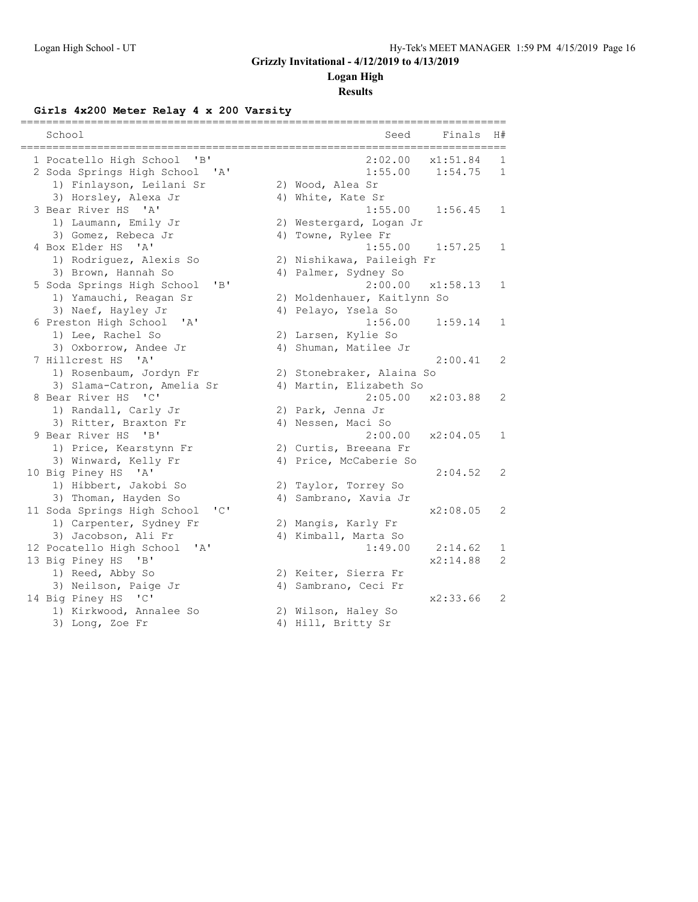### **Logan High**

### **Results**

### **Girls 4x200 Meter Relay 4 x 200 Varsity**

| School                                      | Seed<br>Finals<br>H#                |
|---------------------------------------------|-------------------------------------|
| 1 Pocatello High School<br>"B"              | 2:02.00<br>x1:51.84<br>1            |
| 2 Soda Springs High School 'A'              | 1:55.00<br>1:54.75<br>$\mathbf 1$   |
| 1) Finlayson, Leilani Sr                    | 2) Wood, Alea Sr                    |
| 3) Horsley, Alexa Jr                        | 4) White, Kate Sr                   |
| 3 Bear River HS<br>' A'                     | 1:55.00<br>1:56.45<br>$\mathbf{1}$  |
| 1) Laumann, Emily Jr                        | 2) Westergard, Logan Jr             |
| 3) Gomez, Rebeca Jr                         | 4) Towne, Rylee Fr                  |
| 4 Box Elder HS 'A'                          | 1:55.00<br>1:57.25<br>$\mathbf{1}$  |
| 1) Rodriguez, Alexis So                     | 2) Nishikawa, Paileigh Fr           |
| 3) Brown, Hannah So                         | 4) Palmer, Sydney So                |
| "B"<br>5 Soda Springs High School           | 2:00.00<br>x1:58.13<br>$\mathbf{1}$ |
| 1) Yamauchi, Reagan Sr                      | 2) Moldenhauer, Kaitlynn So         |
| 3) Naef, Hayley Jr                          | 4) Pelayo, Ysela So                 |
| 6 Preston High School<br>'A'                | 1:56.00<br>1:59.14<br>$\mathbf{1}$  |
| 1) Lee, Rachel So                           | 2) Larsen, Kylie So                 |
| 3) Oxborrow, Andee Jr                       | 4) Shuman, Matilee Jr               |
| 7 Hillcrest HS<br>$\mathbf{I}$ $\mathbf{A}$ | 2:00.41<br>2                        |
| 1) Rosenbaum, Jordyn Fr                     | 2) Stonebraker, Alaina So           |
| 3) Slama-Catron, Amelia Sr                  | 4) Martin, Elizabeth So             |
| 8 Bear River HS<br>$\overline{C}$           | 2:05.00<br>x2:03.88<br>2            |
| 1) Randall, Carly Jr                        | 2) Park, Jenna Jr                   |
| 3) Ritter, Braxton Fr                       | 4) Nessen, Maci So                  |
| 9 Bear River HS<br>"B"                      | 2:00.00<br>x2:04.05<br>$\mathbf{1}$ |
| 1) Price, Kearstynn Fr                      | 2) Curtis, Breeana Fr               |
| 3) Winward, Kelly Fr                        | 4) Price, McCaberie So              |
| 10 Big Piney HS 'A'                         | 2:04.52<br>2                        |
| 1) Hibbert, Jakobi So                       | 2) Taylor, Torrey So                |
| 3) Thoman, Hayden So                        | 4) Sambrano, Xavia Jr               |
| 11 Soda Springs High School<br>"C"          | x2:08.05<br>2                       |
| 1) Carpenter, Sydney Fr                     | 2) Mangis, Karly Fr                 |
| 3) Jacobson, Ali Fr                         | 4) Kimball, Marta So                |
| 12 Pocatello High School<br>' A'            | 1:49.00<br>2:14.62<br>$\mathbf{1}$  |
| 13 Big Piney HS 'B'                         | x2:14.88<br>$\overline{2}$          |
| 1) Reed, Abby So                            | 2) Keiter, Sierra Fr                |
| 3) Neilson, Paige Jr                        | 4) Sambrano, Ceci Fr                |
| 14 Big Piney HS 'C'                         | x2:33.66<br>2                       |
| 1) Kirkwood, Annalee So                     | 2) Wilson, Haley So                 |
| 3) Long, Zoe Fr                             | 4) Hill, Britty Sr                  |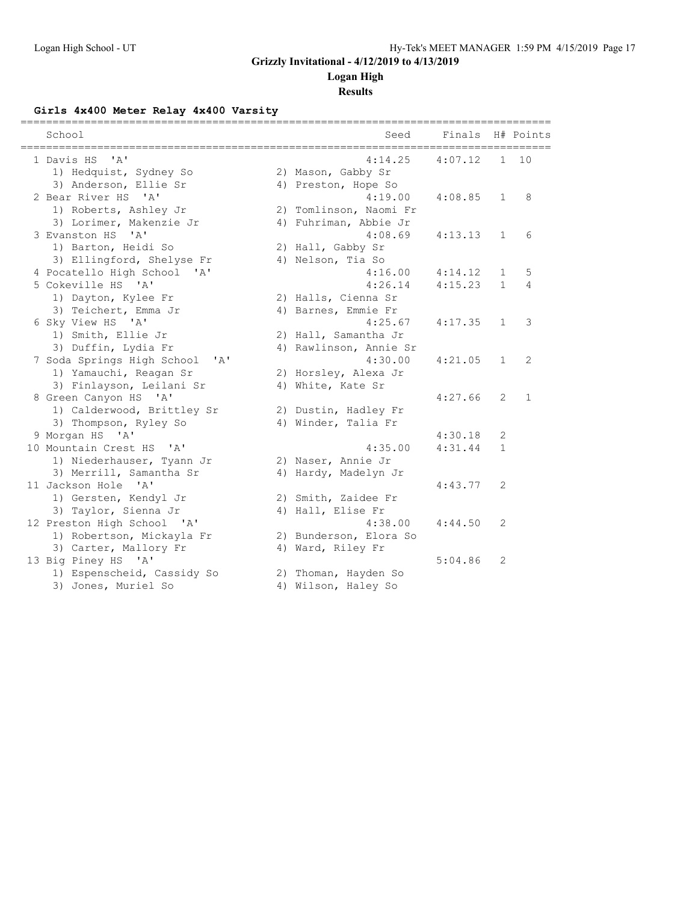### **Logan High**

**Results**

### **Girls 4x400 Meter Relay 4x400 Varsity**

|                                                                    |                        | --------------------------- |              |           |
|--------------------------------------------------------------------|------------------------|-----------------------------|--------------|-----------|
| School                                                             | Seed                   | Finals                      |              | H# Points |
| 1 Davis HS<br>' A'                                                 | 4:14.25                | 4:07.12                     | $\mathbf{1}$ | 10        |
| 1) Hedquist, Sydney So                                             | 2) Mason, Gabby Sr     |                             |              |           |
| 3) Anderson, Ellie Sr                                              | 4) Preston, Hope So    |                             |              |           |
| 2 Bear River HS<br>$^{\prime}$ A <sup><math>^{\prime}</math></sup> | 4:19.00                | 4:08.85                     | $\mathbf{1}$ | 8         |
| 1) Roberts, Ashley Jr                                              | 2) Tomlinson, Naomi Fr |                             |              |           |
| 3) Lorimer, Makenzie Jr                                            | 4) Fuhriman, Abbie Jr  |                             |              |           |
| 3 Evanston HS<br>' A'                                              | 4:08.69                | 4:13.13                     | $\mathbf{1}$ | 6         |
| 1) Barton, Heidi So                                                | 2) Hall, Gabby Sr      |                             |              |           |
| 3) Ellingford, Shelyse Fr                                          | 4) Nelson, Tia So      |                             |              |           |
| 4 Pocatello High School<br>$\mathsf{A}$                            | 4:16.00                | 4:14.12                     | $\mathbf{1}$ | 5         |
| 5 Cokeville HS 'A'                                                 | 4:26.14                | 4:15.23                     | $\mathbf{1}$ | 4         |
| 1) Dayton, Kylee Fr                                                | 2) Halls, Cienna Sr    |                             |              |           |
| 3) Teichert, Emma Jr                                               | 4) Barnes, Emmie Fr    |                             |              |           |
| 6 Sky View HS 'A'                                                  | 4:25.67                | 4:17.35                     | $\mathbf{1}$ | 3         |
| 1) Smith, Ellie Jr                                                 | 2) Hall, Samantha Jr   |                             |              |           |
| 3) Duffin, Lydia Fr                                                | 4) Rawlinson, Annie Sr |                             |              |           |
| 7 Soda Springs High School 'A'                                     | 4:30.00                | 4:21.05                     | $\mathbf{1}$ | 2         |
| 1) Yamauchi, Reagan Sr                                             | 2) Horsley, Alexa Jr   |                             |              |           |
| 3) Finlayson, Leilani Sr                                           | 4) White, Kate Sr      |                             |              |           |
| 8 Green Canyon HS 'A'                                              |                        | 4:27.66                     | 2            | 1         |
| 1) Calderwood, Brittley Sr                                         | 2) Dustin, Hadley Fr   |                             |              |           |
| 3) Thompson, Ryley So                                              | 4) Winder, Talia Fr    |                             |              |           |
| 9 Morgan HS 'A'                                                    |                        | 4:30.18                     | 2            |           |
| 10 Mountain Crest HS<br>$\mathsf{A}$                               | 4:35.00                | 4:31.44                     | $\mathbf{1}$ |           |
| 1) Niederhauser, Tyann Jr                                          | 2) Naser, Annie Jr     |                             |              |           |
| 3) Merrill, Samantha Sr                                            | 4) Hardy, Madelyn Jr   |                             |              |           |
| 11 Jackson Hole 'A'                                                |                        | 4:43.77                     | 2            |           |
| 1) Gersten, Kendyl Jr                                              | 2) Smith, Zaidee Fr    |                             |              |           |
| 3) Taylor, Sienna Jr                                               | 4) Hall, Elise Fr      |                             |              |           |
| 12 Preston High School 'A'                                         | 4:38.00                | 4:44.50                     | 2            |           |
| 1) Robertson, Mickayla Fr                                          | 2) Bunderson, Elora So |                             |              |           |
| 3) Carter, Mallory Fr                                              | 4) Ward, Riley Fr      |                             |              |           |
| 13 Big Piney HS 'A'                                                |                        | 5:04.86                     | 2            |           |
| 1) Espenscheid, Cassidy So                                         | 2) Thoman, Hayden So   |                             |              |           |
| 3) Jones, Muriel So                                                | 4) Wilson, Haley So    |                             |              |           |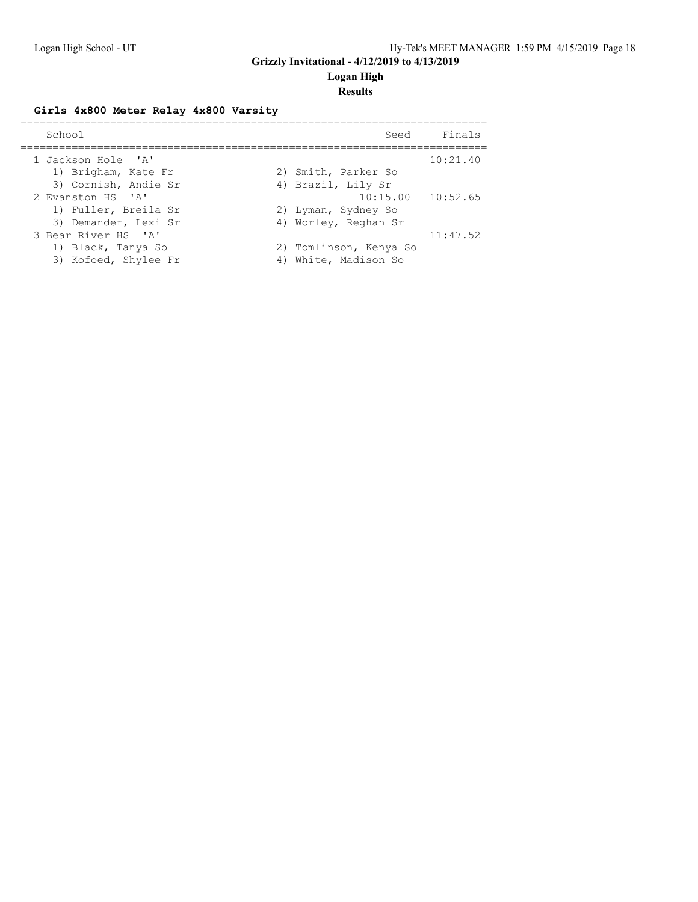**Logan High**

### **Results**

### **Girls 4x800 Meter Relay 4x800 Varsity**

| School               | Finals<br>Seed         |
|----------------------|------------------------|
| 1 Jackson Hole 'A'   | 10:21.40               |
| 1) Brigham, Kate Fr  | 2) Smith, Parker So    |
| 3) Cornish, Andie Sr | 4) Brazil, Lily Sr     |
| 2 Evanston HS 'A'    | $10:15.00$ $10:52.65$  |
| 1) Fuller, Breila Sr | 2) Lyman, Sydney So    |
| 3) Demander, Lexi Sr | 4) Worley, Reghan Sr   |
| 3 Bear River HS 'A'  | 11:47.52               |
| 1) Black, Tanya So   | 2) Tomlinson, Kenya So |
| 3) Kofoed, Shylee Fr | 4) White, Madison So   |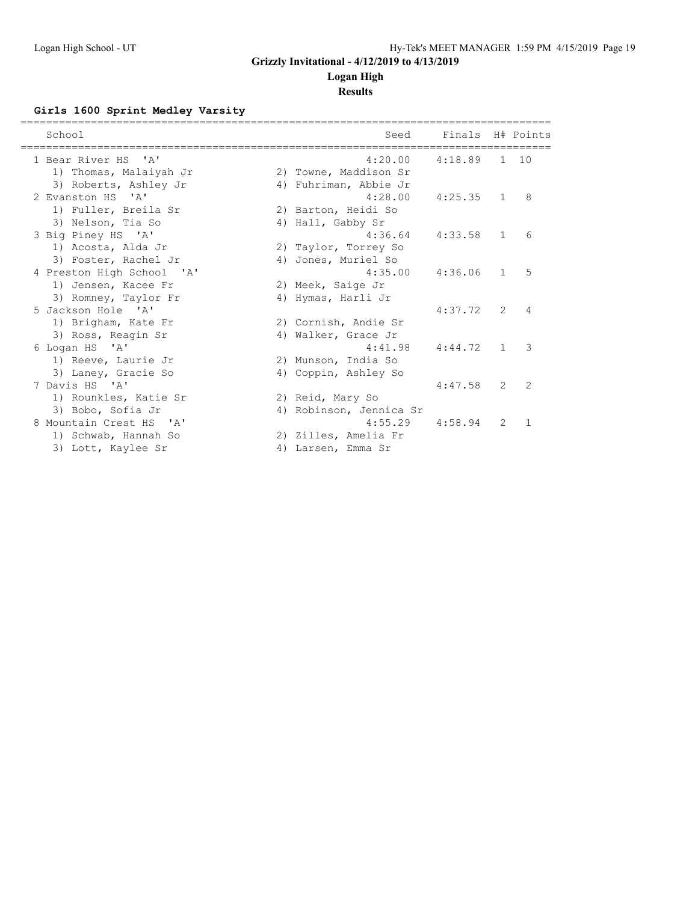## **Logan High**

## **Results**

### **Girls 1600 Sprint Medley Varsity**

| School                                        | Seed                             | Finals H# Points |                |                |
|-----------------------------------------------|----------------------------------|------------------|----------------|----------------|
| 1 Bear River HS 'A'<br>1) Thomas, Malaiyah Jr | 4:20.00<br>2) Towne, Maddison Sr | 4:18.89          |                | 1 10           |
| 3) Roberts, Ashley Jr                         | 4) Fuhriman, Abbie Jr            |                  |                |                |
| 2 Evanston HS 'A'                             | 4:28.00                          | $4:25.35$ 1      |                | 8              |
| 1) Fuller, Breila Sr                          | 2) Barton, Heidi So              |                  |                |                |
| 3) Nelson, Tia So                             | 4) Hall, Gabby Sr                |                  |                |                |
| 3 Big Piney HS 'A'                            | 4:36.64                          | 4:33.58          | $\mathbf{1}$   | 6              |
| 1) Acosta, Alda Jr                            | 2) Taylor, Torrey So             |                  |                |                |
| 3) Foster, Rachel Jr                          | 4) Jones, Muriel So              |                  |                |                |
| 4 Preston High School 'A'                     | 4:35.00                          | 4:36.06          | $\overline{1}$ | 5              |
| 1) Jensen, Kacee Fr                           | 2) Meek, Saige Jr                |                  |                |                |
| 3) Romney, Taylor Fr                          | 4) Hymas, Harli Jr               |                  |                |                |
| 5 Jackson Hole 'A'                            |                                  | 4:37.72          | $\mathcal{L}$  | $\overline{4}$ |
| 1) Brigham, Kate Fr                           | 2) Cornish, Andie Sr             |                  |                |                |
| 3) Ross, Reagin Sr                            | 4) Walker, Grace Jr              |                  |                |                |
| 6 Logan HS 'A'                                | 4:41.98                          | 4:44.72          | $\mathbf{1}$   | 3              |
| 1) Reeve, Laurie Jr                           | 2) Munson, India So              |                  |                |                |
| 3) Laney, Gracie So                           | 4) Coppin, Ashley So             |                  |                |                |
| 7 Davis HS 'A'                                |                                  | 4:47.58          | 2              | 2              |
| 1) Rounkles, Katie Sr                         | 2) Reid, Mary So                 |                  |                |                |
| 3) Bobo, Sofia Jr                             | 4) Robinson, Jennica Sr          |                  |                |                |
| 8 Mountain Crest HS 'A'                       | 4:55.29                          | 4:58.94          | $\overline{2}$ | $\mathbf{1}$   |
| 1) Schwab, Hannah So                          | 2) Zilles, Amelia Fr             |                  |                |                |
| 3) Lott, Kaylee Sr                            | 4) Larsen, Emma Sr               |                  |                |                |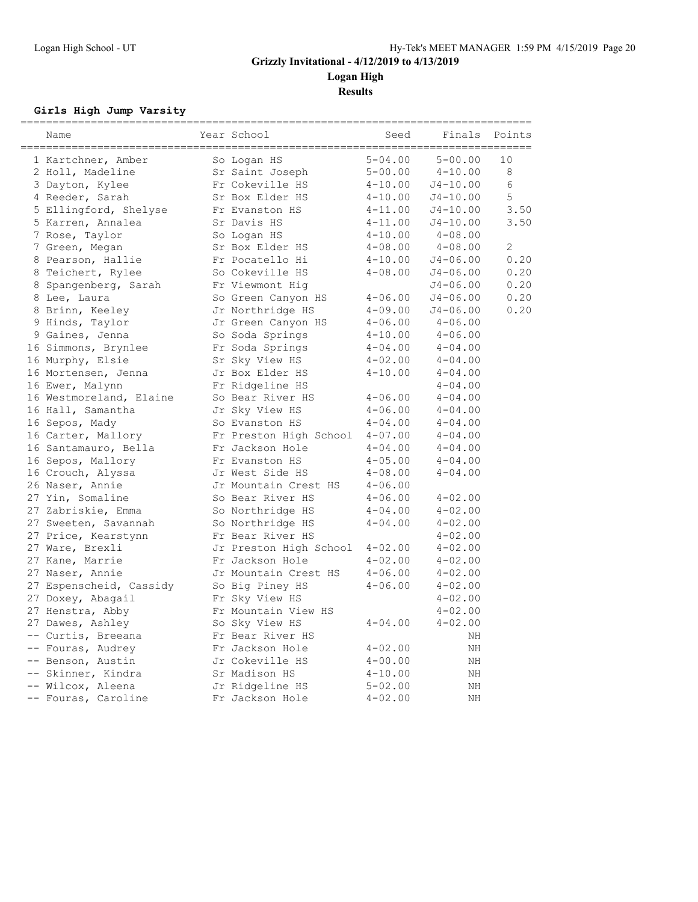**Logan High**

**Results**

### **Girls High Jump Varsity**

| Name                    | Year School            | Seed        | Finals       | ==============<br>Points |
|-------------------------|------------------------|-------------|--------------|--------------------------|
| 1 Kartchner, Amber      | So Logan HS            | $5 - 04.00$ | $5 - 00.00$  | 10                       |
| 2 Holl, Madeline        | Sr Saint Joseph        | $5 - 00.00$ | $4 - 10.00$  | 8                        |
| 3 Dayton, Kylee         | Fr Cokeville HS        | $4 - 10.00$ | $J4 - 10.00$ | 6                        |
| 4 Reeder, Sarah         | Sr Box Elder HS        | $4 - 10.00$ | $J4 - 10.00$ | 5                        |
| 5 Ellingford, Shelyse   | Fr Evanston HS         | $4 - 11.00$ | $J4 - 10.00$ | 3.50                     |
| 5 Karren, Annalea       | Sr Davis HS            | $4 - 11.00$ | $J4 - 10.00$ | 3.50                     |
| 7 Rose, Taylor          | So Logan HS            | $4 - 10.00$ | $4 - 08.00$  |                          |
| 7 Green, Megan          | Sr Box Elder HS        | $4 - 08.00$ | $4 - 08.00$  | 2                        |
| 8 Pearson, Hallie       | Fr Pocatello Hi        | $4 - 10.00$ | $J4 - 06.00$ | 0.20                     |
| 8 Teichert, Rylee       | So Cokeville HS        | $4 - 08.00$ | $J4 - 06.00$ | 0.20                     |
| 8 Spangenberg, Sarah    | Fr Viewmont Hig        |             | $J4 - 06.00$ | 0.20                     |
| 8 Lee, Laura            | So Green Canyon HS     | $4 - 06.00$ | $J4 - 06.00$ | 0.20                     |
| 8 Brinn, Keeley         | Jr Northridge HS       | $4 - 09.00$ | $J4 - 06.00$ | 0.20                     |
| 9 Hinds, Taylor         | Jr Green Canyon HS     | $4 - 06.00$ | $4 - 06.00$  |                          |
| 9 Gaines, Jenna         | So Soda Springs        | $4 - 10.00$ | $4 - 06.00$  |                          |
| 16 Simmons, Brynlee     | Fr Soda Springs        | $4 - 04.00$ | $4 - 04.00$  |                          |
| 16 Murphy, Elsie        | Sr Sky View HS         | $4 - 02.00$ | $4 - 04.00$  |                          |
| 16 Mortensen, Jenna     | Jr Box Elder HS        | $4 - 10.00$ | $4 - 04.00$  |                          |
| 16 Ewer, Malynn         | Fr Ridgeline HS        |             | $4 - 04.00$  |                          |
| 16 Westmoreland, Elaine | So Bear River HS       | $4 - 06.00$ | $4 - 04.00$  |                          |
| 16 Hall, Samantha       | Jr Sky View HS         | $4 - 06.00$ | $4 - 04.00$  |                          |
| 16 Sepos, Mady          | So Evanston HS         | $4 - 04.00$ | $4 - 04.00$  |                          |
| 16 Carter, Mallory      | Fr Preston High School | $4 - 07.00$ | $4 - 04.00$  |                          |
| 16 Santamauro, Bella    | Fr Jackson Hole        | $4 - 04.00$ | $4 - 04.00$  |                          |
| 16 Sepos, Mallory       | Fr Evanston HS         | $4 - 05.00$ | $4 - 04.00$  |                          |
| 16 Crouch, Alyssa       | Jr West Side HS        | $4 - 08.00$ | $4 - 04.00$  |                          |
| 26 Naser, Annie         | Jr Mountain Crest HS   | $4 - 06.00$ |              |                          |
| 27 Yin, Somaline        | So Bear River HS       | $4 - 06.00$ | $4 - 02.00$  |                          |
| 27 Zabriskie, Emma      | So Northridge HS       | $4 - 04.00$ | $4 - 02.00$  |                          |
| 27 Sweeten, Savannah    | So Northridge HS       | $4 - 04.00$ | $4 - 02.00$  |                          |
| 27 Price, Kearstynn     | Fr Bear River HS       |             | $4 - 02.00$  |                          |
| 27 Ware, Brexli         | Jr Preston High School | $4 - 02.00$ | $4 - 02.00$  |                          |
| 27 Kane, Marrie         | Fr Jackson Hole        | $4 - 02.00$ | $4 - 02.00$  |                          |
| 27 Naser, Annie         | Jr Mountain Crest HS   | $4 - 06.00$ | $4 - 02.00$  |                          |
| 27 Espenscheid, Cassidy | So Big Piney HS        | $4 - 06.00$ | $4 - 02.00$  |                          |
| 27 Doxey, Abagail       | Fr Sky View HS         |             | $4 - 02.00$  |                          |
| 27 Henstra, Abby        | Fr Mountain View HS    |             | $4 - 02.00$  |                          |
| 27 Dawes, Ashley        | So Sky View HS         | $4 - 04.00$ | $4 - 02.00$  |                          |
| -- Curtis, Breeana      | Fr Bear River HS       |             | ΝH           |                          |
| -- Fouras, Audrey       | Fr Jackson Hole        | $4 - 02.00$ | ΝH           |                          |
| -- Benson, Austin       | Jr Cokeville HS        | $4 - 00.00$ | ΝH           |                          |
| -- Skinner, Kindra      | Sr Madison HS          | $4 - 10.00$ | ΝH           |                          |
| -- Wilcox, Aleena       | Jr Ridgeline HS        | $5 - 02.00$ | ΝH           |                          |
| -- Fouras, Caroline     | Fr Jackson Hole        | $4 - 02.00$ | ΝH           |                          |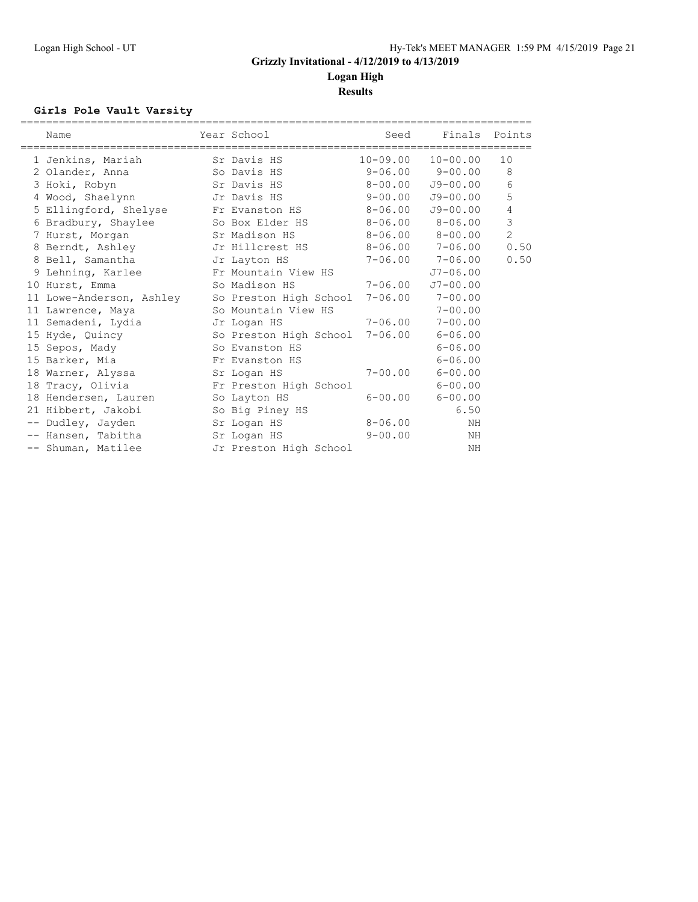**Logan High Results**

### **Girls Pole Vault Varsity**

| Name                                   | Year School            | Seed        | Finals Points             |                |
|----------------------------------------|------------------------|-------------|---------------------------|----------------|
| ______________________________________ |                        |             |                           |                |
| 1 Jenkins, Mariah                      | Sr Davis HS            |             | $10 - 09.00$ $10 - 00.00$ | 10             |
| 2 Olander, Anna                        | So Davis HS            |             | $9 - 06.00$ $9 - 00.00$   | 8              |
| 3 Hoki, Robyn                          | Sr Davis HS            |             | $8 - 00.00$ $J9 - 00.00$  | 6              |
| 4 Wood, Shaelynn Jr Davis HS           |                        |             | $9-00.00$ $J9-00.00$      | 5              |
| 5 Ellingford, Shelyse Fr Evanston HS   |                        | $8 - 06.00$ | $J9 - 00.00$              | 4              |
| 6 Bradbury, Shaylee                    | So Box Elder HS        |             | $8 - 06.00$ $8 - 06.00$   | 3              |
| 7 Hurst, Morgan                        | Sr Madison HS          |             | $8 - 06.00$ $8 - 00.00$   | $\overline{c}$ |
| 8 Berndt, Ashley                       | Jr Hillcrest HS        | $8 - 06.00$ | 7-06.00                   | 0.50           |
| 8 Bell, Samantha                       | Jr Layton HS           |             | $7 - 06.00$ $7 - 06.00$   | 0.50           |
| 9 Lehning, Karlee                      | Fr Mountain View HS    |             | $J7 - 06.00$              |                |
| 10 Hurst, Emma                         | So Madison HS          | 7-06.00     | $J7 - 00.00$              |                |
| 11 Lowe-Anderson, Ashley               | So Preston High School | $7 - 06.00$ | $7 - 00.00$               |                |
| 11 Lawrence, Maya                      | So Mountain View HS    |             | $7 - 00.00$               |                |
| 11 Semadeni, Lydia                     | Jr Logan HS            | 7-06.00     | $7 - 00.00$               |                |
| 15 Hyde, Quincy                        | So Preston High School | $7 - 06.00$ | $6 - 06.00$               |                |
| 15 Sepos, Mady                         | So Evanston HS         |             | $6 - 06.00$               |                |
| 15 Barker, Mia                         | Fr Evanston HS         |             | $6 - 06.00$               |                |
| 18 Warner, Alyssa                      | Sr Logan HS            | $7 - 00.00$ | $6 - 00.00$               |                |
| 18 Tracy, Olivia                       | Fr Preston High School |             | $6 - 00.00$               |                |
| 18 Hendersen, Lauren                   | So Layton HS           | $6 - 00.00$ | $6 - 00.00$               |                |
| 21 Hibbert, Jakobi                     | So Big Piney HS        |             | 6.50                      |                |
| -- Dudley, Jayden                      | Sr Logan HS            | $8 - 06.00$ | ΝH                        |                |
| -- Hansen, Tabitha                     | Sr Logan HS            | $9 - 00.00$ | ΝH                        |                |
| -- Shuman, Matilee                     | Jr Preston High School |             | NH                        |                |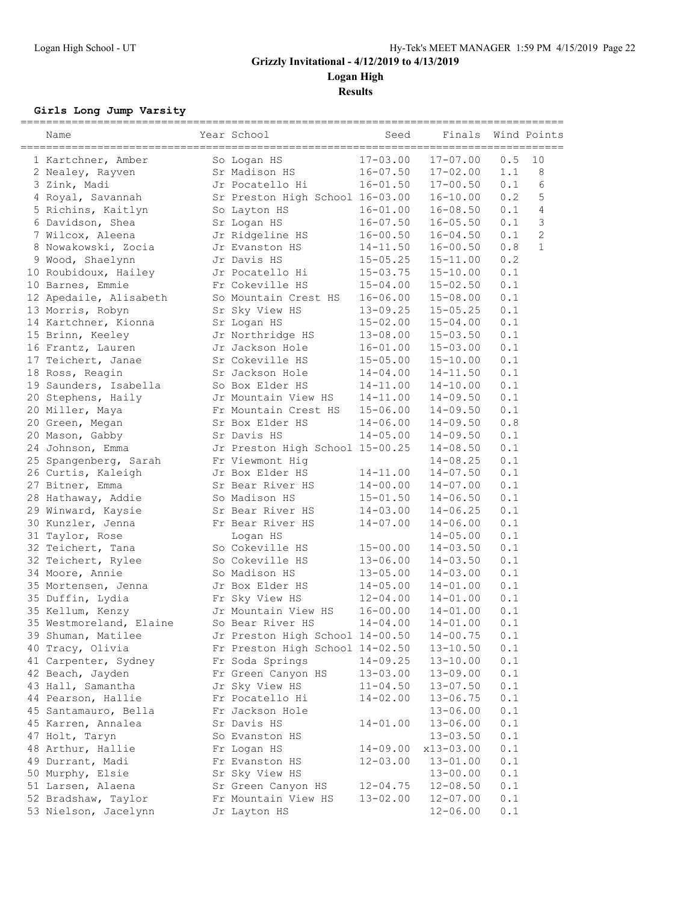**Results**

#### **Girls Long Jump Varsity**

|  | Name                    | Year School                     | Seed         | Finals<br>======= |                                                                    | Wind Points    |
|--|-------------------------|---------------------------------|--------------|-------------------|--------------------------------------------------------------------|----------------|
|  | 1 Kartchner, Amber      | So Logan HS                     | $17 - 03.00$ | $17 - 07.00$      | $0.5$                                                              | 10             |
|  | 2 Nealey, Rayven        | Sr Madison HS                   | $16 - 07.50$ | $17 - 02.00$      | 1.1                                                                | 8              |
|  | 3 Zink, Madi            | Jr Pocatello Hi                 | $16 - 01.50$ | $17 - 00.50$      | 0.1                                                                | 6              |
|  | 4 Royal, Savannah       | Sr Preston High School 16-03.00 |              | $16 - 10.00$      | 0.2                                                                | 5              |
|  | 5 Richins, Kaitlyn      | So Layton HS                    | 16-01.00     | $16 - 08.50$      | 0.1                                                                | $\overline{4}$ |
|  | 6 Davidson, Shea        | Sr Logan HS                     | $16 - 07.50$ | $16 - 05.50$      | 0.1                                                                | 3              |
|  | 7 Wilcox, Aleena        | Jr Ridgeline HS                 | $16 - 00.50$ | $16 - 04.50$      | 0.1                                                                | $\mathbf{2}$   |
|  | 8 Nowakowski, Zocia     | Jr Evanston HS                  | $14 - 11.50$ | $16 - 00.50$      | 0.8                                                                | $\mathbf{1}$   |
|  | 9 Wood, Shaelynn        | Jr Davis HS                     | $15 - 05.25$ | $15 - 11.00$      | 0.2                                                                |                |
|  | 10 Roubidoux, Hailey    | Jr Pocatello Hi                 | $15 - 03.75$ | $15 - 10.00$      | 0.1                                                                |                |
|  | 10 Barnes, Emmie        | Fr Cokeville HS                 | $15 - 04.00$ | $15 - 02.50$      | 0.1                                                                |                |
|  | 12 Apedaile, Alisabeth  | So Mountain Crest HS            | $16 - 06.00$ | $15 - 08.00$      | 0.1                                                                |                |
|  | 13 Morris, Robyn        | Sr Sky View HS                  | $13 - 09.25$ | $15 - 05.25$      | 0.1                                                                |                |
|  | 14 Kartchner, Kionna    | Sr Logan HS                     | $15 - 02.00$ | $15 - 04.00$      | 0.1                                                                |                |
|  | 15 Brinn, Keeley        | Jr Northridge HS                | $13 - 08.00$ | $15 - 03.50$      | 0.1                                                                |                |
|  | 16 Frantz, Lauren       | Jr Jackson Hole                 | $16 - 01.00$ | $15 - 03.00$      | 0.1                                                                |                |
|  | 17 Teichert, Janae      | Sr Cokeville HS                 | $15 - 05.00$ | $15 - 10.00$      | 0.1                                                                |                |
|  | 18 Ross, Reagin         | Sr Jackson Hole                 | $14 - 04.00$ | $14 - 11.50$      | 0.1                                                                |                |
|  | 19 Saunders, Isabella   | So Box Elder HS                 | $14 - 11.00$ | $14 - 10.00$      | 0.1                                                                |                |
|  | 20 Stephens, Haily      | Jr Mountain View HS             | $14 - 11.00$ | $14 - 09.50$      | 0.1                                                                |                |
|  | 20 Miller, Maya         | Fr Mountain Crest HS            | $15 - 06.00$ | $14 - 09.50$      | 0.1                                                                |                |
|  | 20 Green, Megan         | Sr Box Elder HS                 | $14 - 06.00$ | $14 - 09.50$      | 0.8                                                                |                |
|  | 20 Mason, Gabby         | Sr Davis HS                     | $14 - 05.00$ | $14 - 09.50$      | 0.1                                                                |                |
|  | 24 Johnson, Emma        | Jr Preston High School 15-00.25 |              | $14 - 08.50$      | 0.1                                                                |                |
|  | 25 Spangenberg, Sarah   | Fr Viewmont Hiq                 |              | $14 - 08.25$      | 0.1                                                                |                |
|  | 26 Curtis, Kaleigh      | Jr Box Elder HS                 | $14 - 11.00$ | $14 - 07.50$      | 0.1                                                                |                |
|  | 27 Bitner, Emma         | Sr Bear River HS                | $14 - 00.00$ | $14 - 07.00$      | 0.1                                                                |                |
|  | 28 Hathaway, Addie      | So Madison HS                   | $15 - 01.50$ | $14 - 06.50$      | 0.1                                                                |                |
|  | 29 Winward, Kaysie      | Sr Bear River HS                | $14 - 03.00$ | $14 - 06.25$      | 0.1                                                                |                |
|  | 30 Kunzler, Jenna       | Fr Bear River HS                | $14 - 07.00$ | $14 - 06.00$      | 0.1                                                                |                |
|  | 31 Taylor, Rose         | Logan HS                        |              | $14 - 05.00$      | 0.1                                                                |                |
|  | 32 Teichert, Tana       | So Cokeville HS                 | $15 - 00.00$ | $14 - 03.50$      | 0.1                                                                |                |
|  | 32 Teichert, Rylee      | So Cokeville HS                 | $13 - 06.00$ | $14 - 03.50$      | 0.1                                                                |                |
|  | 34 Moore, Annie         | So Madison HS                   | $13 - 05.00$ | $14 - 03.00$      | 0.1                                                                |                |
|  | 35 Mortensen, Jenna     | Jr Box Elder HS                 | $14 - 05.00$ | $14 - 01.00$      | 0.1                                                                |                |
|  | 35 Duffin, Lydia        | Fr Sky View HS                  | $12 - 04.00$ | $14 - 01.00$      | 0.1                                                                |                |
|  | 35 Kellum, Kenzy        | Jr Mountain View HS             | $16 - 00.00$ | $14 - 01.00$      | 0.1                                                                |                |
|  | 35 Westmoreland, Elaine | So Bear River HS                | $14 - 04.00$ | $14 - 01.00$      | 0.1                                                                |                |
|  | 39 Shuman, Matilee      | Jr Preston High School 14-00.50 |              | $14 - 00.75$      | 0.1                                                                |                |
|  | 40 Tracy, Olivia        | Fr Preston High School 14-02.50 |              | $13 - 10.50$      | 0.1                                                                |                |
|  | 41 Carpenter, Sydney    | Fr Soda Springs                 | $14 - 09.25$ | $13 - 10.00$      | 0.1                                                                |                |
|  | 42 Beach, Jayden        | Fr Green Canyon HS              | $13 - 03.00$ | $13 - 09.00$      | 0.1                                                                |                |
|  | 43 Hall, Samantha       | Jr Sky View HS                  | $11 - 04.50$ | $13 - 07.50$      | $0.1\,$                                                            |                |
|  | 44 Pearson, Hallie      | Fr Pocatello Hi                 | $14 - 02.00$ | $13 - 06.75$      | 0.1                                                                |                |
|  | 45 Santamauro, Bella    | Fr Jackson Hole                 |              | $13 - 06.00$      | 0.1                                                                |                |
|  | 45 Karren, Annalea      | Sr Davis HS                     | $14 - 01.00$ | $13 - 06.00$      | 0.1                                                                |                |
|  | 47 Holt, Taryn          | So Evanston HS                  |              | $13 - 03.50$      | 0.1                                                                |                |
|  | 48 Arthur, Hallie       | Fr Logan HS                     | $14 - 09.00$ | x13-03.00         | 0.1                                                                |                |
|  | 49 Durrant, Madi        | Fr Evanston HS                  | $12 - 03.00$ | $13 - 01.00$      | $0.1\,$                                                            |                |
|  | 50 Murphy, Elsie        | Sr Sky View HS                  |              | $13 - 00.00$      | $\ensuremath{\text{o}}\xspace$ .<br>$\ensuremath{\text{1}}\xspace$ |                |
|  | 51 Larsen, Alaena       | Sr Green Canyon HS              | $12 - 04.75$ | $12 - 08.50$      | 0.1                                                                |                |
|  | 52 Bradshaw, Taylor     | Fr Mountain View HS             | $13 - 02.00$ | $12 - 07.00$      | 0.1                                                                |                |
|  | 53 Nielson, Jacelynn    | Jr Layton HS                    |              | $12 - 06.00$      | 0.1                                                                |                |
|  |                         |                                 |              |                   |                                                                    |                |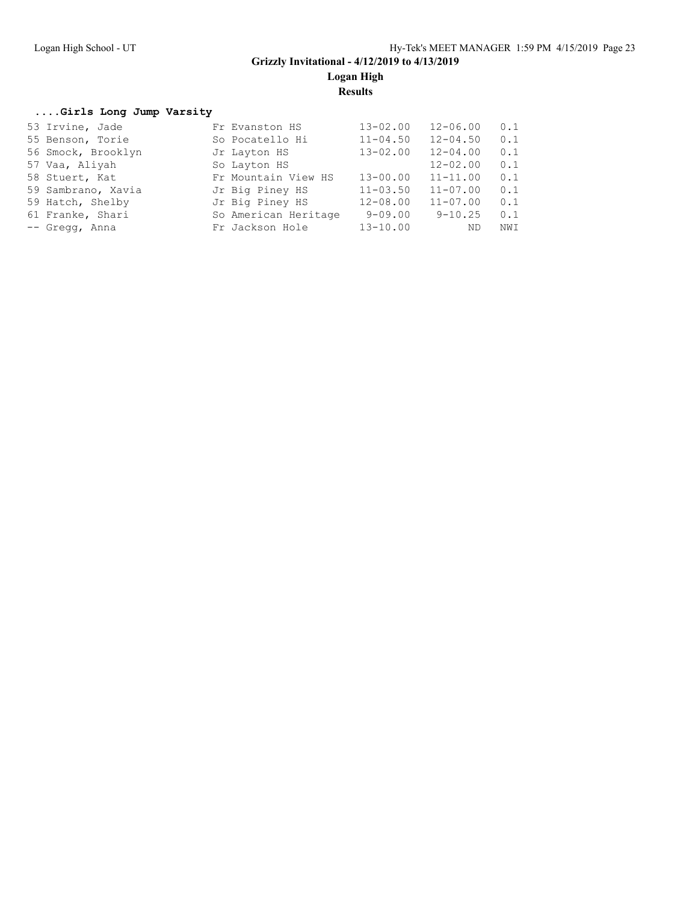**Results**

#### **....Girls Long Jump Varsity**

| 53 Irvine, Jade    | Fr Evanston HS       | $13 - 02.00$ | $12 - 06.00$ | 0.1 |
|--------------------|----------------------|--------------|--------------|-----|
| 55 Benson, Torie   | So Pocatello Hi      | $11 - 04.50$ | $12 - 04.50$ | 0.1 |
| 56 Smock, Brooklyn | Jr Layton HS         | $13 - 02.00$ | $12 - 04.00$ | 0.1 |
| 57 Vaa, Aliyah     | So Layton HS         |              | $12 - 02.00$ | 0.1 |
| 58 Stuert, Kat     | Fr Mountain View HS  | $13 - 00.00$ | $11 - 11.00$ | 0.1 |
| 59 Sambrano, Xavia | Jr Big Piney HS      | $11 - 03.50$ | $11 - 07.00$ | 0.1 |
| 59 Hatch, Shelby   | Jr Big Piney HS      | $12 - 08.00$ | $11 - 07.00$ | 0.1 |
| 61 Franke, Shari   | So American Heritage | $9 - 09.00$  | $9 - 10.25$  | 0.1 |
| -- Gregg, Anna     | Fr Jackson Hole      | $13 - 10.00$ | ND           | NWI |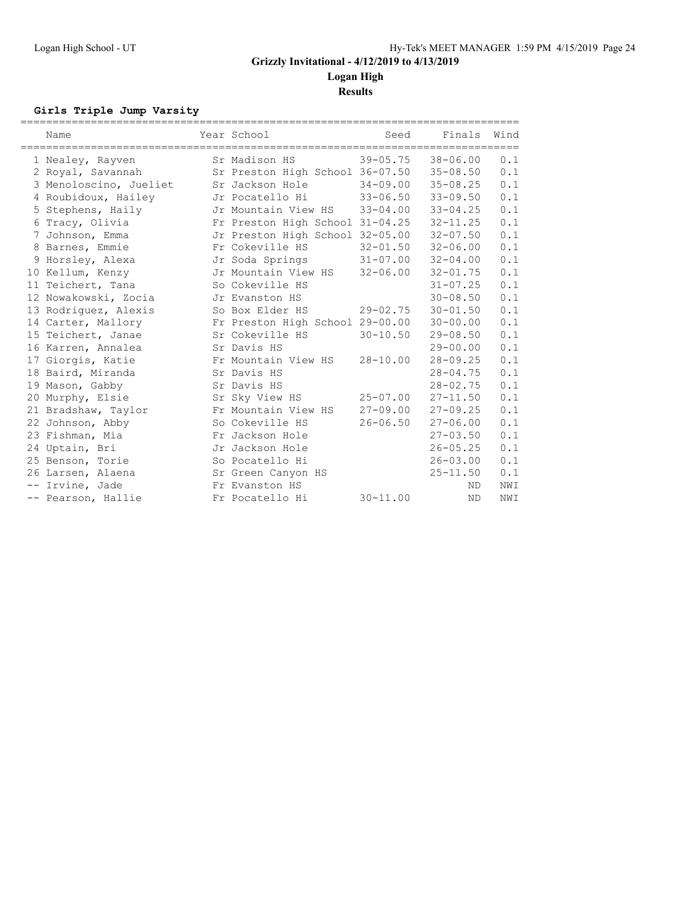**Results**

### **Girls Triple Jump Varsity**

| Name                   | Year School                              | Seed         | Finals       | Wind |
|------------------------|------------------------------------------|--------------|--------------|------|
| 1 Nealey, Rayven       | Sr Madison HS                            | $39 - 05.75$ | $38 - 06.00$ | 0.1  |
| 2 Royal, Savannah      | Sr Preston High School 36-07.50 35-08.50 |              |              | 0.1  |
| 3 Menoloscino, Jueliet | Sr Jackson Hole                          | $34 - 09.00$ | $35 - 08.25$ | 0.1  |
| 4 Roubidoux, Hailey    | Jr Pocatello Hi                          | $33 - 06.50$ | $33 - 09.50$ | 0.1  |
| 5 Stephens, Haily      | Jr Mountain View HS                      | $33 - 04.00$ | $33 - 04.25$ | 0.1  |
| 6 Tracy, Olivia        | Fr Preston High School 31-04.25          |              | $32 - 11.25$ | 0.1  |
| 7 Johnson, Emma        | Jr Preston High School 32-05.00          |              | $32 - 07.50$ | 0.1  |
| 8 Barnes, Emmie        | Fr Cokeville HS                          | $32 - 01.50$ | $32 - 06.00$ | 0.1  |
| 9 Horsley, Alexa       | Jr Soda Springs                          | $31 - 07.00$ | $32 - 04.00$ | 0.1  |
| 10 Kellum, Kenzy       | Jr Mountain View HS                      | $32 - 06.00$ | $32 - 01.75$ | 0.1  |
| 11 Teichert, Tana      | So Cokeville HS                          |              | $31 - 07.25$ | 0.1  |
| 12 Nowakowski, Zocia   | Jr Evanston HS                           |              | $30 - 08.50$ | 0.1  |
| 13 Rodriquez, Alexis   | So Box Elder HS                          | $29 - 02.75$ | $30 - 01.50$ | 0.1  |
| 14 Carter, Mallory     | Fr Preston High School 29-00.00          |              | 30-00.00     | 0.1  |
| 15 Teichert, Janae     | Sr Cokeville HS                          | $30 - 10.50$ | $29 - 08.50$ | 0.1  |
| 16 Karren, Annalea     | Sr Davis HS                              |              | $29 - 00.00$ | 0.1  |
| 17 Giorgis, Katie      | Fr Mountain View HS                      | $28 - 10.00$ | $28 - 09.25$ | 0.1  |
| 18 Baird, Miranda      | Sr Davis HS                              |              | $28 - 04.75$ | 0.1  |
| 19 Mason, Gabby        | Sr Davis HS                              |              | $28 - 02.75$ | 0.1  |
| 20 Murphy, Elsie       | Sr Sky View HS                           | $25 - 07.00$ | $27 - 11.50$ | 0.1  |
| 21 Bradshaw, Taylor    | Fr Mountain View HS                      | $27 - 09.00$ | $27 - 09.25$ | 0.1  |
| 22 Johnson, Abby       | So Cokeville HS                          | $26 - 06.50$ | $27 - 06.00$ | 0.1  |
| 23 Fishman, Mia        | Fr Jackson Hole                          |              | $27 - 03.50$ | 0.1  |
| 24 Uptain, Bri         | Jr Jackson Hole                          |              | $26 - 05.25$ | 0.1  |
| 25 Benson, Torie       | So Pocatello Hi                          |              | $26 - 03.00$ | 0.1  |
| 26 Larsen, Alaena      | Sr Green Canyon HS                       |              | $25 - 11.50$ | 0.1  |
| -- Irvine, Jade        | Fr Evanston HS                           |              | ND.          | NWI  |
| -- Pearson, Hallie     | Fr Pocatello Hi                          | $30 - 11.00$ | <b>ND</b>    | NWI  |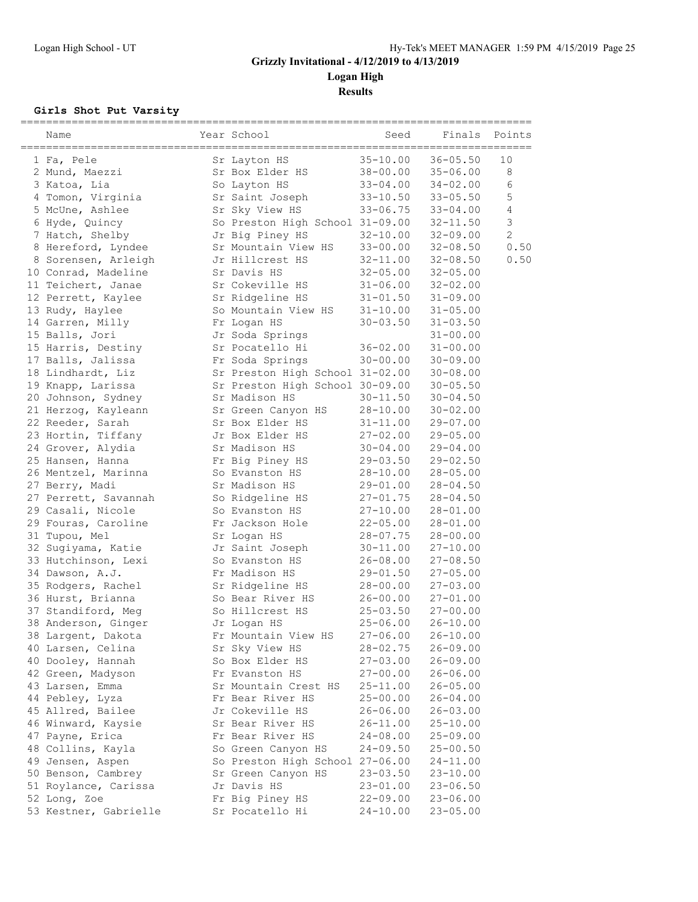**Results**

#### **Girls Shot Put Varsity**

| Name                                   | Year School                     | Seed                     | Finals<br>=================== | Points         |
|----------------------------------------|---------------------------------|--------------------------|-------------------------------|----------------|
| 1 Fa, Pele                             | Sr Layton HS                    | $35 - 10.00$             | $36 - 05.50$                  | 10             |
| 2 Mund, Maezzi                         | Sr Box Elder HS                 | $38 - 00.00$             | $35 - 06.00$                  | 8              |
| 3 Katoa, Lia                           | So Layton HS                    | $33 - 04.00$             | $34 - 02.00$                  | 6              |
| 4 Tomon, Virginia                      | Sr Saint Joseph                 | $33 - 10.50$             | $33 - 05.50$                  | 5              |
| 5 McUne, Ashlee                        | Sr Sky View HS                  | $33 - 06.75$             | 33-04.00                      | $\overline{4}$ |
| 6 Hyde, Quincy                         | So Preston High School 31-09.00 |                          | 32-11.50                      | $\mathfrak{Z}$ |
| 7 Hatch, Shelby                        | Jr Big Piney HS                 | $32 - 10.00$             | $32 - 09.00$                  | $\overline{2}$ |
| 8 Hereford, Lyndee                     | Sr Mountain View HS             | $33 - 00.00$             | $32 - 08.50$                  | 0.50           |
| 8 Sorensen, Arleigh                    | Jr Hillcrest HS                 | 32-11.00                 | $32 - 08.50$                  | 0.50           |
| 10 Conrad, Madeline                    | Sr Davis HS                     | $32 - 05.00$             | $32 - 05.00$                  |                |
| 11 Teichert, Janae                     | Sr Cokeville HS                 | $31 - 06.00$             | $32 - 02.00$                  |                |
| 12 Perrett, Kaylee                     | Sr Ridgeline HS                 | $31 - 01.50$             | 31-09.00                      |                |
| 13 Rudy, Haylee                        | So Mountain View HS             | $31 - 10.00$             | $31 - 05.00$                  |                |
| 14 Garren, Milly                       | Fr Logan HS                     | $30 - 03.50$             | $31 - 03.50$                  |                |
| 15 Balls, Jori                         | Jr Soda Springs                 |                          | $31 - 00.00$                  |                |
| 15 Harris, Destiny                     | Sr Pocatello Hi                 | $36 - 02.00$             | $31 - 00.00$                  |                |
| 17 Balls, Jalissa                      | Fr Soda Springs                 | $30 - 00.00$             | 30-09.00                      |                |
| 18 Lindhardt, Liz                      | Sr Preston High School 31-02.00 |                          | 30-08.00                      |                |
| 19 Knapp, Larissa                      | Sr Preston High School 30-09.00 |                          | $30 - 05.50$                  |                |
| 20 Johnson, Sydney                     | Sr Madison HS                   | $30 - 11.50$             | $30 - 04.50$                  |                |
| 21 Herzog, Kayleann                    | Sr Green Canyon HS              | $28 - 10.00$             | $30 - 02.00$                  |                |
| 22 Reeder, Sarah                       | Sr Box Elder HS                 | $31 - 11.00$             | $29 - 07.00$                  |                |
| 23 Hortin, Tiffany                     | Jr Box Elder HS                 | $27 - 02.00$             | $29 - 05.00$                  |                |
| 24 Grover, Alydia                      | Sr Madison HS                   | $30 - 04.00$             | 29-04.00                      |                |
| 25 Hansen, Hanna                       | Fr Big Piney HS                 | $29 - 03.50$             | $29 - 02.50$                  |                |
| 26 Mentzel, Marinna                    | So Evanston HS<br>Sr Madison HS | $28 - 10.00$             | $28 - 05.00$<br>$28 - 04.50$  |                |
| 27 Berry, Madi<br>27 Perrett, Savannah | So Ridgeline HS                 | 29-01.00<br>$27 - 01.75$ | $28 - 04.50$                  |                |
| 29 Casali, Nicole                      | So Evanston HS                  | $27 - 10.00$             | $28 - 01.00$                  |                |
| 29 Fouras, Caroline                    | Fr Jackson Hole                 | $22 - 05.00$             | 28-01.00                      |                |
| 31 Tupou, Mel                          | Sr Logan HS                     | $28 - 07.75$             | $28 - 00.00$                  |                |
| 32 Sugiyama, Katie                     | Jr Saint Joseph                 | $30 - 11.00$             | $27 - 10.00$                  |                |
| 33 Hutchinson, Lexi                    | So Evanston HS                  | $26 - 08.00$             | 27-08.50                      |                |
| 34 Dawson, A.J.                        | Fr Madison HS                   | $29 - 01.50$             | $27 - 05.00$                  |                |
| 35 Rodgers, Rachel                     | Sr Ridgeline HS                 | $28 - 00.00$             | $27 - 03.00$                  |                |
| 36 Hurst, Brianna                      | So Bear River HS                | $26 - 00.00$             | $27 - 01.00$                  |                |
| 37 Standiford, Meg                     | So Hillcrest HS                 | $25 - 03.50$             | $27 - 00.00$                  |                |
| 38 Anderson, Ginger                    | Jr Logan HS                     | $25 - 06.00$             | $26 - 10.00$                  |                |
| 38 Largent, Dakota                     | Fr Mountain View HS             | $27 - 06.00$             | $26 - 10.00$                  |                |
| 40 Larsen, Celina                      | Sr Sky View HS                  | $28 - 02.75$             | $26 - 09.00$                  |                |
| 40 Dooley, Hannah                      | So Box Elder HS                 | $27 - 03.00$             | 26-09.00                      |                |
| 42 Green, Madyson                      | Fr Evanston HS                  | $27 - 00.00$             | $26 - 06.00$                  |                |
| 43 Larsen, Emma                        | Sr Mountain Crest HS            | $25 - 11.00$             | $26 - 05.00$                  |                |
| 44 Pebley, Lyza                        | Fr Bear River HS                | $25 - 00.00$             | $26 - 04.00$                  |                |
| 45 Allred, Bailee                      | Jr Cokeville HS                 | $26 - 06.00$             | $26 - 03.00$                  |                |
| 46 Winward, Kaysie                     | Sr Bear River HS                | $26 - 11.00$             | $25 - 10.00$                  |                |
| 47 Payne, Erica                        | Fr Bear River HS                | $24 - 08.00$             | 25-09.00                      |                |
| 48 Collins, Kayla                      | So Green Canyon HS              | $24 - 09.50$             | $25 - 00.50$                  |                |
| 49 Jensen, Aspen                       | So Preston High School 27-06.00 |                          | $24 - 11.00$                  |                |
| 50 Benson, Cambrey                     | Sr Green Canyon HS              | $23 - 03.50$             | $23 - 10.00$                  |                |
| 51 Roylance, Carissa                   | Jr Davis HS                     | $23 - 01.00$             | $23 - 06.50$                  |                |
| 52 Long, Zoe                           | Fr Big Piney HS                 | $22 - 09.00$             | $23 - 06.00$                  |                |
| 53 Kestner, Gabrielle                  | Sr Pocatello Hi                 | $24 - 10.00$             | $23 - 05.00$                  |                |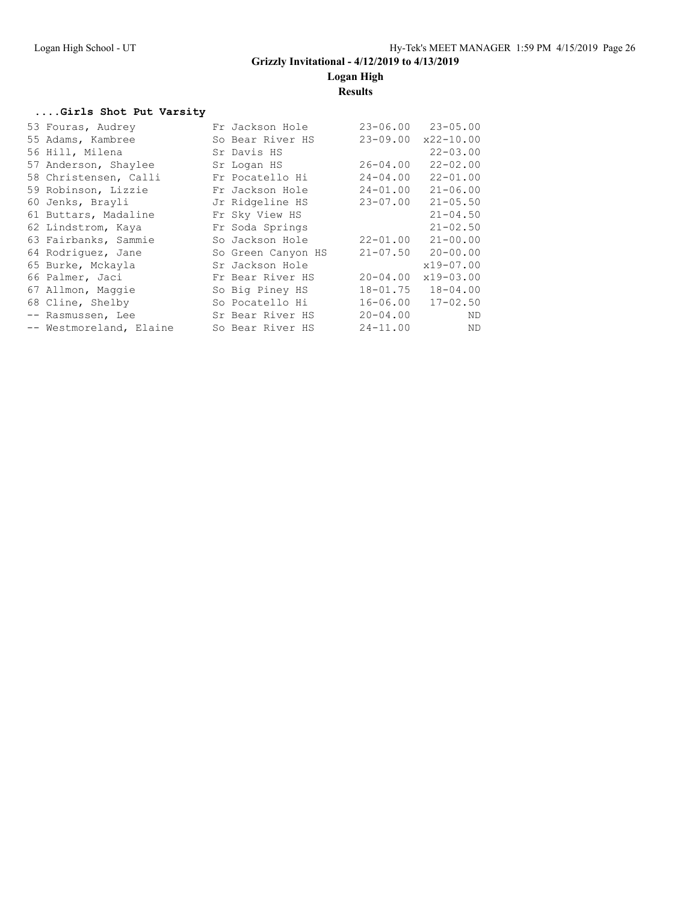**Logan High**

### **Results**

#### **....Girls Shot Put Varsity**

| 53 Fouras, Audrey       | Fr Jackson Hole    | $23 - 06.00$ | $23 - 05.00$              |
|-------------------------|--------------------|--------------|---------------------------|
| 55 Adams, Kambree       | So Bear River HS   | $23 - 09.00$ | $x22 - 10.00$             |
| 56 Hill, Milena         | Sr Davis HS        |              | $22 - 03.00$              |
| 57 Anderson, Shaylee    | Sr Logan HS        | $26 - 04.00$ | $22 - 02.00$              |
| 58 Christensen, Calli   | Fr Pocatello Hi    | $24 - 04.00$ | $22 - 01.00$              |
| 59 Robinson, Lizzie     | Fr Jackson Hole    | $24 - 01.00$ | $21 - 06.00$              |
| 60 Jenks, Brayli        | Jr Ridgeline HS    | $23 - 07.00$ | $21 - 05.50$              |
| 61 Buttars, Madaline    | Fr Sky View HS     |              | $21 - 04.50$              |
| 62 Lindstrom, Kaya      | Fr Soda Springs    |              | $21 - 02.50$              |
| 63 Fairbanks, Sammie    | So Jackson Hole    | $22 - 01.00$ | $21 - 00.00$              |
| 64 Rodriquez, Jane      | So Green Canyon HS |              | $21 - 07.50$ $20 - 00.00$ |
| 65 Burke, Mckayla       | Sr Jackson Hole    |              | $x19 - 07.00$             |
| 66 Palmer, Jaci         | Fr Bear River HS   | $20 - 04.00$ | $x19 - 03.00$             |
| 67 Allmon, Maggie       | So Big Piney HS    | $18 - 01.75$ | $18 - 04.00$              |
| 68 Cline, Shelby        | So Pocatello Hi    | $16 - 06.00$ | $17 - 02.50$              |
| -- Rasmussen, Lee       | Sr Bear River HS   | $20 - 04.00$ | ND                        |
| -- Westmoreland, Elaine | So Bear River HS   | $24 - 11.00$ | ND                        |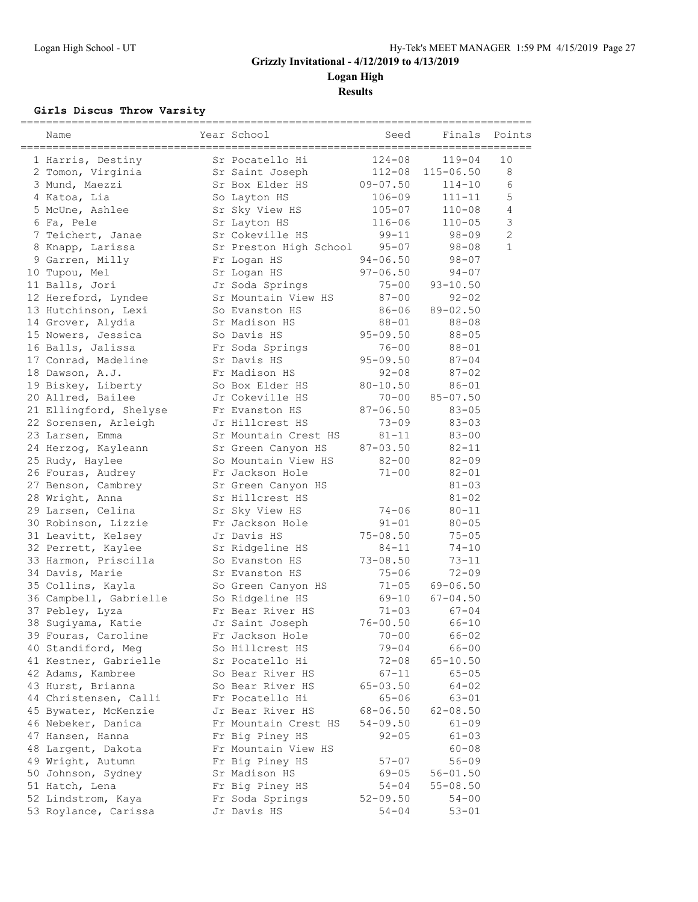**Logan High**

**Results**

#### **Girls Discus Throw Varsity**

| Name                   | Year School            | Seed         | Finals        | Points         |
|------------------------|------------------------|--------------|---------------|----------------|
| 1 Harris, Destiny      | Sr Pocatello Hi        | $124 - 08$   | $119 - 04$    | 10             |
| 2 Tomon, Virginia      | Sr Saint Joseph        | $112 - 08$   | $115 - 06.50$ | 8              |
| 3 Mund, Maezzi         | Sr Box Elder HS        | $09 - 07.50$ | $114 - 10$    | 6              |
| 4 Katoa, Lia           | So Layton HS           | $106 - 09$   | $111 - 11$    | 5              |
| 5 McUne, Ashlee        | Sr Sky View HS         | $105 - 07$   | $110 - 08$    | 4              |
| 6 Fa, Pele             | Sr Layton HS           | $116 - 06$   | $110 - 05$    | $\mathcal{S}$  |
| 7 Teichert, Janae      | Sr Cokeville HS        | $99 - 11$    | $98 - 09$     | $\overline{c}$ |
| 8 Knapp, Larissa       | Sr Preston High School | $95 - 07$    | $98 - 08$     | $\mathbf{1}$   |
| 9 Garren, Milly        | Fr Logan HS            | $94 - 06.50$ | $98 - 07$     |                |
| 10 Tupou, Mel          | Sr Logan HS            | $97 - 06.50$ | $94 - 07$     |                |
| 11 Balls, Jori         | Jr Soda Springs        | $75 - 00$    | $93 - 10.50$  |                |
| 12 Hereford, Lyndee    | Sr Mountain View HS    | $87 - 00$    | $92 - 02$     |                |
| 13 Hutchinson, Lexi    | So Evanston HS         | $86 - 06$    | $89 - 02.50$  |                |
| 14 Grover, Alydia      | Sr Madison HS          | $88 - 01$    | $88 - 08$     |                |
| 15 Nowers, Jessica     | So Davis HS            | $95 - 09.50$ | $88 - 05$     |                |
| 16 Balls, Jalissa      | Fr Soda Springs        | $76 - 00$    | $88 - 01$     |                |
| 17 Conrad, Madeline    | Sr Davis HS            | $95 - 09.50$ | $87 - 04$     |                |
| 18 Dawson, A.J.        | Fr Madison HS          | $92 - 08$    | $87 - 02$     |                |
| 19 Biskey, Liberty     | So Box Elder HS        | $80 - 10.50$ | $86 - 01$     |                |
| 20 Allred, Bailee      | Jr Cokeville HS        | $70 - 00$    | $85 - 07.50$  |                |
| 21 Ellingford, Shelyse | Fr Evanston HS         | $87 - 06.50$ | $83 - 05$     |                |
| 22 Sorensen, Arleigh   | Jr Hillcrest HS        | $73 - 09$    | $83 - 03$     |                |
| 23 Larsen, Emma        | Sr Mountain Crest HS   | $81 - 11$    | $83 - 00$     |                |
| 24 Herzog, Kayleann    | Sr Green Canyon HS     | $87 - 03.50$ | $82 - 11$     |                |
| 25 Rudy, Haylee        | So Mountain View HS    | $82 - 00$    | $82 - 09$     |                |
| 26 Fouras, Audrey      | Fr Jackson Hole        | $71 - 00$    | $82 - 01$     |                |
| 27 Benson, Cambrey     | Sr Green Canyon HS     |              | $81 - 03$     |                |
| 28 Wright, Anna        | Sr Hillcrest HS        |              | $81 - 02$     |                |
| 29 Larsen, Celina      | Sr Sky View HS         | $74 - 06$    | $80 - 11$     |                |
| 30 Robinson, Lizzie    | Fr Jackson Hole        | $91 - 01$    | $80 - 05$     |                |
| 31 Leavitt, Kelsey     | Jr Davis HS            | $75 - 08.50$ | $75 - 05$     |                |
| 32 Perrett, Kaylee     | Sr Ridgeline HS        | $84 - 11$    | $74 - 10$     |                |
| 33 Harmon, Priscilla   | So Evanston HS         | $73 - 08.50$ | $73 - 11$     |                |
| 34 Davis, Marie        | Sr Evanston HS         | $75 - 06$    | $72 - 09$     |                |
| 35 Collins, Kayla      | So Green Canyon HS     | $71 - 05$    | $69 - 06.50$  |                |
| 36 Campbell, Gabrielle | So Ridgeline HS        | $69 - 10$    | $67 - 04.50$  |                |
| 37 Pebley, Lyza        | Fr Bear River HS       | $71 - 03$    | $67 - 04$     |                |
| 38 Sugiyama, Katie     | Jr Saint Joseph        | $76 - 00.50$ | $66 - 10$     |                |
| 39 Fouras, Caroline    | Fr Jackson Hole        | $70 - 00$    | 66-02         |                |
| 40 Standiford, Meg     | So Hillcrest HS        | $79 - 04$    | $66 - 00$     |                |
| 41 Kestner, Gabrielle  | Sr Pocatello Hi        | $72 - 08$    | $65 - 10.50$  |                |
| 42 Adams, Kambree      | So Bear River HS       | $67 - 11$    | $65 - 05$     |                |
| 43 Hurst, Brianna      | So Bear River HS       | $65 - 03.50$ | $64 - 02$     |                |
| 44 Christensen, Calli  | Fr Pocatello Hi        | $65 - 06$    | 63-01         |                |
| 45 Bywater, McKenzie   | Jr Bear River HS       | $68 - 06.50$ | $62 - 08.50$  |                |
| 46 Nebeker, Danica     | Fr Mountain Crest HS   | $54 - 09.50$ | $61 - 09$     |                |
| 47 Hansen, Hanna       | Fr Big Piney HS        | $92 - 05$    | $61 - 03$     |                |
| 48 Largent, Dakota     | Fr Mountain View HS    |              | $60 - 08$     |                |
| 49 Wright, Autumn      | Fr Big Piney HS        | $57 - 07$    | $56 - 09$     |                |
| 50 Johnson, Sydney     | Sr Madison HS          | $69 - 05$    | $56 - 01.50$  |                |
| 51 Hatch, Lena         | Fr Big Piney HS        | 54-04        | $55 - 08.50$  |                |
| 52 Lindstrom, Kaya     | Fr Soda Springs        | $52 - 09.50$ | $54 - 00$     |                |
| 53 Roylance, Carissa   | Jr Davis HS            | 54-04        | $53 - 01$     |                |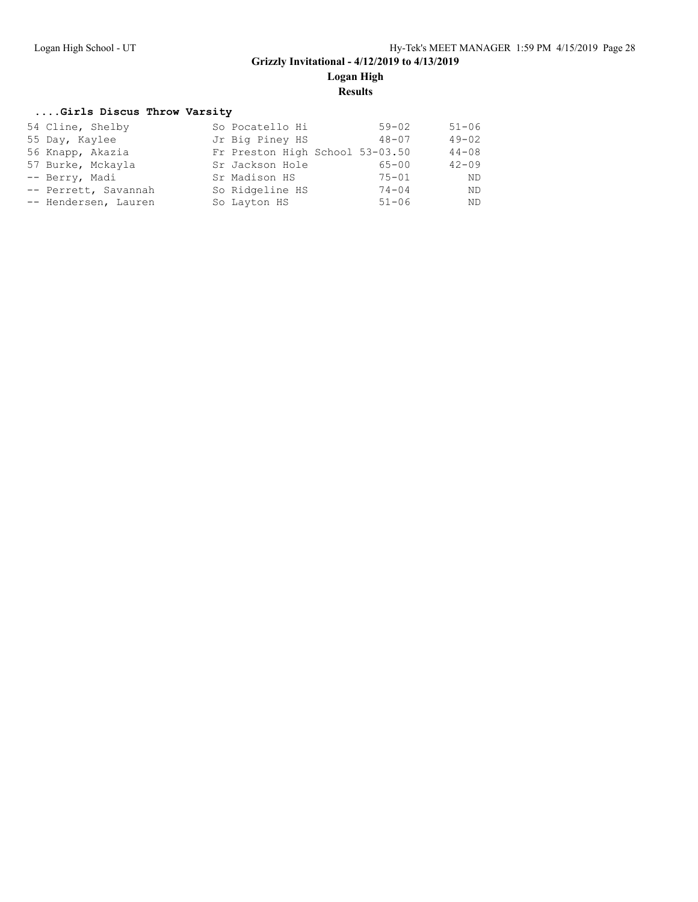**Logan High**

**Results**

#### **....Girls Discus Throw Varsity**

| 54 Cline, Shelby     | So Pocatello Hi                 | $59 - 02$ | $51 - 06$ |
|----------------------|---------------------------------|-----------|-----------|
| 55 Day, Kaylee       | Jr Big Piney HS                 | $48 - 07$ | $49 - 02$ |
| 56 Knapp, Akazia     | Fr Preston High School 53-03.50 |           | $44 - 08$ |
| 57 Burke, Mckayla    | Sr Jackson Hole                 | $65 - 00$ | $42 - 09$ |
| -- Berry, Madi       | Sr Madison HS                   | $75 - 01$ | <b>ND</b> |
| -- Perrett, Savannah | So Ridgeline HS                 | $74 - 04$ | ND.       |
| -- Hendersen, Lauren | So Layton HS                    | $51 - 06$ | ND.       |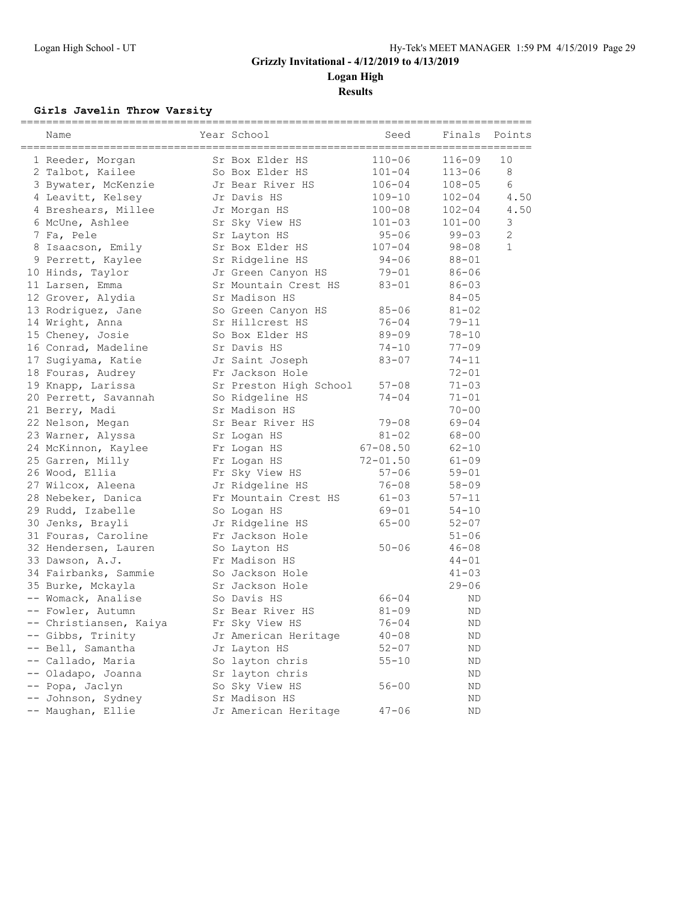**Logan High**

**Results**

#### **Girls Javelin Throw Varsity**

| Name                   | Year School            | Seed         | Finals     | Points         |
|------------------------|------------------------|--------------|------------|----------------|
| 1 Reeder, Morgan       | Sr Box Elder HS        | $110 - 06$   | $116 - 09$ | 10             |
| 2 Talbot, Kailee       | So Box Elder HS        | $101 - 04$   | $113 - 06$ | 8              |
| 3 Bywater, McKenzie    | Jr Bear River HS       | $106 - 04$   | $108 - 05$ | 6              |
| 4 Leavitt, Kelsey      | Jr Davis HS            | $109 - 10$   | $102 - 04$ | 4.50           |
| 4 Breshears, Millee    | Jr Morgan HS           | $100 - 08$   | $102 - 04$ | 4.50           |
| 6 McUne, Ashlee        | Sr Sky View HS         | $101 - 03$   | $101 - 00$ | 3              |
| 7 Fa, Pele             | Sr Layton HS           | $95 - 06$    | $99 - 03$  | $\overline{c}$ |
| 8 Isaacson, Emily      | Sr Box Elder HS        | $107 - 04$   | $98 - 08$  | $\mathbf{1}$   |
| 9 Perrett, Kaylee      | Sr Ridgeline HS        | $94 - 06$    | $88 - 01$  |                |
| 10 Hinds, Taylor       | Jr Green Canyon HS     | $79 - 01$    | $86 - 06$  |                |
| 11 Larsen, Emma        | Sr Mountain Crest HS   | $83 - 01$    | $86 - 03$  |                |
| 12 Grover, Alydia      | Sr Madison HS          |              | $84 - 05$  |                |
| 13 Rodriguez, Jane     | So Green Canyon HS     | $85 - 06$    | $81 - 02$  |                |
| 14 Wright, Anna        | Sr Hillcrest HS        | $76 - 04$    | $79 - 11$  |                |
| 15 Cheney, Josie       | So Box Elder HS        | $89 - 09$    | $78 - 10$  |                |
| 16 Conrad, Madeline    | Sr Davis HS            | $74 - 10$    | $77 - 09$  |                |
| 17 Sugiyama, Katie     | Jr Saint Joseph        | $83 - 07$    | $74 - 11$  |                |
| 18 Fouras, Audrey      | Fr Jackson Hole        |              | $72 - 01$  |                |
| 19 Knapp, Larissa      | Sr Preston High School | $57 - 08$    | $71 - 03$  |                |
| 20 Perrett, Savannah   | So Ridgeline HS        | $74 - 04$    | $71 - 01$  |                |
| 21 Berry, Madi         | Sr Madison HS          |              | $70 - 00$  |                |
| 22 Nelson, Megan       | Sr Bear River HS       | $79 - 08$    | $69 - 04$  |                |
| 23 Warner, Alyssa      | Sr Logan HS            | $81 - 02$    | $68 - 00$  |                |
| 24 McKinnon, Kaylee    | Fr Logan HS            | $67 - 08.50$ | $62 - 10$  |                |
| 25 Garren, Milly       | Fr Logan HS            | $72 - 01.50$ | $61 - 09$  |                |
| 26 Wood, Ellia         | Fr Sky View HS         | $57 - 06$    | $59 - 01$  |                |
| 27 Wilcox, Aleena      | Jr Ridgeline HS        | $76 - 08$    | $58 - 09$  |                |
| 28 Nebeker, Danica     | Fr Mountain Crest HS   | $61 - 03$    | $57 - 11$  |                |
| 29 Rudd, Izabelle      | So Logan HS            | $69 - 01$    | $54 - 10$  |                |
| 30 Jenks, Brayli       | Jr Ridgeline HS        | $65 - 00$    | $52 - 07$  |                |
| 31 Fouras, Caroline    | Fr Jackson Hole        |              | $51 - 06$  |                |
| 32 Hendersen, Lauren   | So Layton HS           | $50 - 06$    | $46 - 08$  |                |
| 33 Dawson, A.J.        | Fr Madison HS          |              | $44 - 01$  |                |
| 34 Fairbanks, Sammie   | So Jackson Hole        |              | $41 - 03$  |                |
| 35 Burke, Mckayla      | Sr Jackson Hole        |              | $29 - 06$  |                |
| -- Womack, Analise     | So Davis HS            | $66 - 04$    | ΝD         |                |
| -- Fowler, Autumn      | Sr Bear River HS       | $81 - 09$    | ND         |                |
| -- Christiansen, Kaiya | Fr Sky View HS         | $76 - 04$    | ΝD         |                |
| -- Gibbs, Trinity      | Jr American Heritage   | $40 - 08$    | ΝD         |                |
| -- Bell, Samantha      | Jr Layton HS           | $52 - 07$    | ND         |                |
| -- Callado, Maria      | So layton chris        | $55 - 10$    | ND         |                |
| -- Oladapo, Joanna     | Sr layton chris        |              | ΝD         |                |
| -- Popa, Jaclyn        | So Sky View HS         | $56 - 00$    | ΝD         |                |
| -- Johnson, Sydney     | Sr Madison HS          |              | ΝD         |                |
| -- Maughan, Ellie      | Jr American Heritage   | $47 - 06$    | ΝD         |                |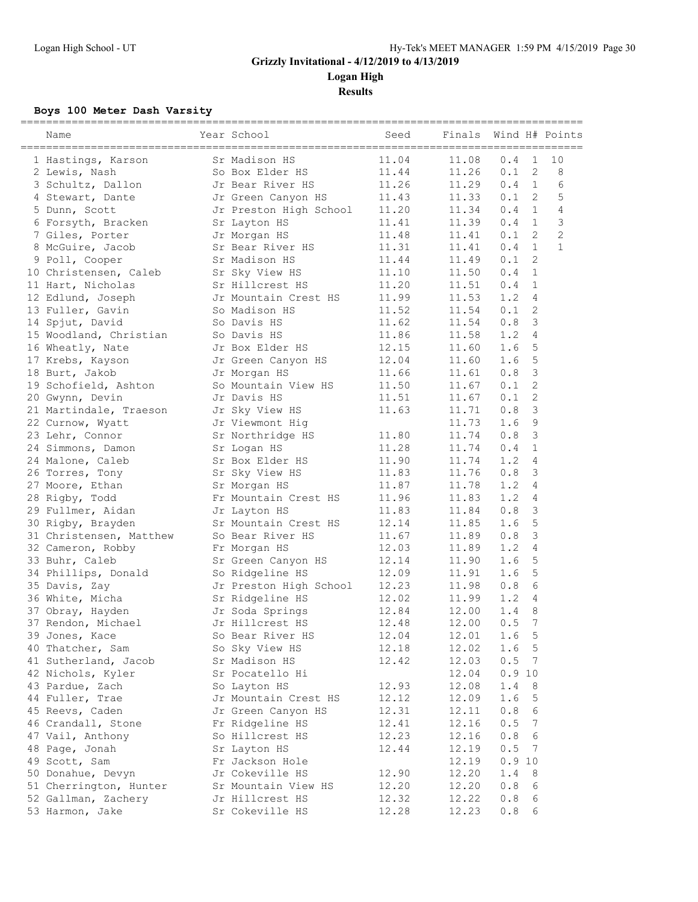**Results**

### **Boys 100 Meter Dash Varsity**

| Name                    | Year School            | Seed  | Finals |       | Wind H# Points                 |
|-------------------------|------------------------|-------|--------|-------|--------------------------------|
| 1 Hastings, Karson      | Sr Madison HS          | 11.04 | 11.08  | 0.4   | 1<br>10                        |
| 2 Lewis, Nash           | So Box Elder HS        | 11.44 | 11.26  | 0.1   | $\mathbf{2}$<br>8              |
| 3 Schultz, Dallon       | Jr Bear River HS       | 11.26 | 11.29  | 0.4   | 1<br>6                         |
| 4 Stewart, Dante        | Jr Green Canyon HS     | 11.43 | 11.33  | 0.1   | 5<br>-2                        |
| 5 Dunn, Scott           | Jr Preston High School | 11.20 | 11.34  | 0.4   | $\mathbf{1}$<br>$\overline{4}$ |
| 6 Forsyth, Bracken      | Sr Layton HS           | 11.41 | 11.39  | 0.4   | $\mathcal{S}$<br>1             |
| 7 Giles, Porter         | Jr Morgan HS           | 11.48 | 11.41  | 0.1   | $\overline{2}$<br>2            |
| 8 McGuire, Jacob        | Sr Bear River HS       | 11.31 | 11.41  | 0.4   | $\mathbf{1}$<br>$\mathbf{1}$   |
| 9 Poll, Cooper          | Sr Madison HS          | 11.44 | 11.49  | 0.1   | 2                              |
| 10 Christensen, Caleb   | Sr Sky View HS         | 11.10 | 11.50  | 0.4   | 1                              |
| 11 Hart, Nicholas       | Sr Hillcrest HS        | 11.20 | 11.51  | 0.4   | 1                              |
| 12 Edlund, Joseph       | Jr Mountain Crest HS   | 11.99 | 11.53  | 1.2   | 4                              |
| 13 Fuller, Gavin        | So Madison HS          | 11.52 | 11.54  | 0.1   | 2                              |
| 14 Spjut, David         | So Davis HS            | 11.62 | 11.54  | 0.8   | 3                              |
| 15 Woodland, Christian  | So Davis HS            | 11.86 | 11.58  | 1.2   | 4                              |
| 16 Wheatly, Nate        | Jr Box Elder HS        | 12.15 | 11.60  | 1.6   | 5                              |
| 17 Krebs, Kayson        | Jr Green Canyon HS     | 12.04 | 11.60  | 1.6   | 5                              |
| 18 Burt, Jakob          | Jr Morgan HS           | 11.66 | 11.61  | 0.8   | 3                              |
| 19 Schofield, Ashton    | So Mountain View HS    | 11.50 | 11.67  | 0.1   | $\overline{c}$                 |
| 20 Gwynn, Devin         | Jr Davis HS            | 11.51 | 11.67  | 0.1   | $\mathbf{2}$                   |
| 21 Martindale, Traeson  | Jr Sky View HS         | 11.63 | 11.71  | 0.8   | 3                              |
| 22 Curnow, Wyatt        | Jr Viewmont Hig        |       | 11.73  | 1.6   | 9                              |
| 23 Lehr, Connor         | Sr Northridge HS       | 11.80 | 11.74  | 0.8   | 3                              |
| 24 Simmons, Damon       | Sr Logan HS            | 11.28 | 11.74  | 0.4   | $\mathbf{1}$                   |
| 24 Malone, Caleb        | Sr Box Elder HS        | 11.90 | 11.74  | 1.2   | 4                              |
| 26 Torres, Tony         | Sr Sky View HS         | 11.83 | 11.76  | 0.8   | 3                              |
| 27 Moore, Ethan         | Sr Morgan HS           | 11.87 | 11.78  | 1.2   | 4                              |
| 28 Rigby, Todd          | Fr Mountain Crest HS   | 11.96 | 11.83  | 1.2   | 4                              |
| 29 Fullmer, Aidan       | Jr Layton HS           | 11.83 | 11.84  | 0.8   | 3                              |
| 30 Rigby, Brayden       | Sr Mountain Crest HS   | 12.14 | 11.85  | 1.6   | 5                              |
| 31 Christensen, Matthew | So Bear River HS       | 11.67 | 11.89  | 0.8   | $\mathcal{S}$                  |
| 32 Cameron, Robby       | Fr Morgan HS           | 12.03 | 11.89  | 1.2   | 4                              |
| 33 Buhr, Caleb          | Sr Green Canyon HS     | 12.14 | 11.90  | 1.6   | 5                              |
| 34 Phillips, Donald     | So Ridgeline HS        | 12.09 | 11.91  | 1.6   | 5                              |
| 35 Davis, Zay           | Jr Preston High School | 12.23 | 11.98  | 0.8   | 6                              |
| 36 White, Micha         | Sr Ridgeline HS        | 12.02 | 11.99  | 1.2   | 4                              |
| 37 Obray, Hayden        | Jr Soda Springs        | 12.84 | 12.00  | 1.4   | 8                              |
| 37 Rendon, Michael      | Jr Hillcrest HS        | 12.48 | 12.00  | 0.5   | 7                              |
| 39 Jones, Kace          | So Bear River HS       | 12.04 | 12.01  | 1.6   | 5                              |
| 40 Thatcher, Sam        | So Sky View HS         | 12.18 | 12.02  | 1.6   | 5                              |
| 41 Sutherland, Jacob    | Sr Madison HS          | 12.42 | 12.03  | 0.5   | 7                              |
| 42 Nichols, Kyler       | Sr Pocatello Hi        |       | 12.04  | 0.910 |                                |
|                         |                        |       |        |       |                                |
| 43 Pardue, Zach         | So Layton HS           | 12.93 | 12.08  | 1.4   | 8                              |
| 44 Fuller, Trae         | Jr Mountain Crest HS   | 12.12 | 12.09  | 1.6   | 5                              |
| 45 Reevs, Caden         | Jr Green Canyon HS     | 12.31 | 12.11  | 0.8   | 6                              |
| 46 Crandall, Stone      | Fr Ridgeline HS        | 12.41 | 12.16  | 0.5   | 7                              |
| 47 Vail, Anthony        | So Hillcrest HS        | 12.23 | 12.16  | 0.8   | 6                              |
| 48 Page, Jonah          | Sr Layton HS           | 12.44 | 12.19  | 0.5   | 7                              |
| 49 Scott, Sam           | Fr Jackson Hole        |       | 12.19  | 0.910 |                                |
| 50 Donahue, Devyn       | Jr Cokeville HS        | 12.90 | 12.20  | 1.4   | 8                              |
| 51 Cherrington, Hunter  | Sr Mountain View HS    | 12.20 | 12.20  | 0.8   | 6                              |
| 52 Gallman, Zachery     | Jr Hillcrest HS        | 12.32 | 12.22  | 0.8   | 6                              |
| 53 Harmon, Jake         | Sr Cokeville HS        | 12.28 | 12.23  | 0.8   | 6                              |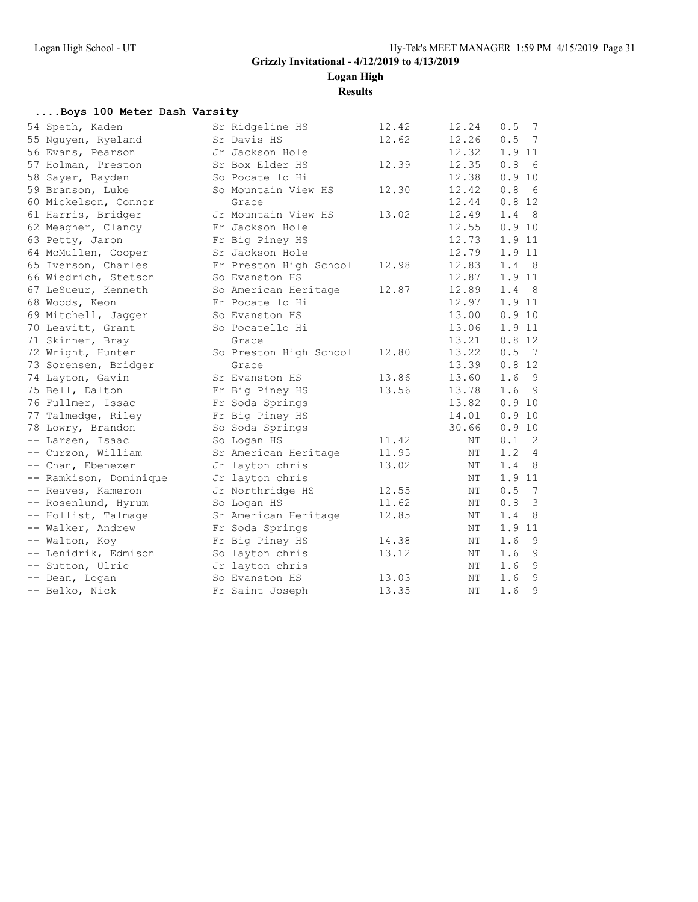**Logan High**

**Results**

#### **....Boys 100 Meter Dash Varsity**

| Sr Ridgeline HS        | 12.42 | 12.24 | 7<br>0.5                          |
|------------------------|-------|-------|-----------------------------------|
| Sr Davis HS            | 12.62 | 12.26 | 0.5 7                             |
| Jr Jackson Hole        |       | 12.32 | 1.9 11                            |
| Sr Box Elder HS        | 12.39 | 12.35 | 6<br>0.8                          |
| So Pocatello Hi        |       | 12.38 | 0.910                             |
| So Mountain View HS    | 12.30 | 12.42 | 6<br>0.8                          |
| Grace                  |       | 12.44 | 0.812                             |
| Jr Mountain View HS    | 13.02 | 12.49 | $1.4$ 8                           |
| Fr Jackson Hole        |       | 12.55 | 0.910                             |
| Fr Big Piney HS        |       | 12.73 | 1.9 11                            |
| Sr Jackson Hole        |       | 12.79 | 1.9 11                            |
| Fr Preston High School | 12.98 | 12.83 | 1.4 8                             |
| So Evanston HS         |       | 12.87 | 1.9 11                            |
| So American Heritage   | 12.87 | 12.89 | 1.4 8                             |
| Fr Pocatello Hi        |       | 12.97 | 1.9 11                            |
| So Evanston HS         |       | 13.00 | 0.9 10                            |
| So Pocatello Hi        |       | 13.06 | 1.9 11                            |
| Grace                  |       | 13.21 | 0.812                             |
| So Preston High School | 12.80 | 13.22 | 0.5 7                             |
| Grace                  |       | 13.39 | 0.812                             |
| Sr Evanston HS         | 13.86 | 13.60 | $1.6$ 9                           |
| Fr Big Piney HS        | 13.56 | 13.78 | - 9<br>1.6                        |
| Fr Soda Springs        |       | 13.82 | 0.9 10                            |
| Fr Big Piney HS        |       | 14.01 | 0.9 10                            |
| So Soda Springs        |       | 30.66 | 0.9 10                            |
| So Logan HS            | 11.42 | ΝT    | $\overline{\phantom{0}}^2$<br>0.1 |
| Sr American Heritage   | 11.95 | NΤ    | 1.2<br>$\overline{4}$             |
| Jr layton chris        | 13.02 | ΝT    | - 8<br>1.4                        |
| Jr layton chris        |       | NΤ    | 1.9 11                            |
| Jr Northridge HS       | 12.55 | NΤ    | 0.5<br>$\overline{7}$             |
| So Logan HS            | 11.62 | ΝT    | $\overline{\mathbf{3}}$<br>0.8    |
| Sr American Heritage   | 12.85 | NΤ    | - 8<br>1.4                        |
| Fr Soda Springs        |       | ΝT    | 1.9 11                            |
| Fr Big Piney HS        | 14.38 | ΝT    | - 9<br>1.6                        |
| So layton chris        | 13.12 | ΝT    | $1.6$ 9                           |
| Jr layton chris        |       | ΝT    | $1.6$ 9                           |
| So Evanston HS         | 13.03 | ΝT    | 1.69                              |
| Fr Saint Joseph        | 13.35 | NΤ    | 9<br>1.6                          |
|                        |       |       |                                   |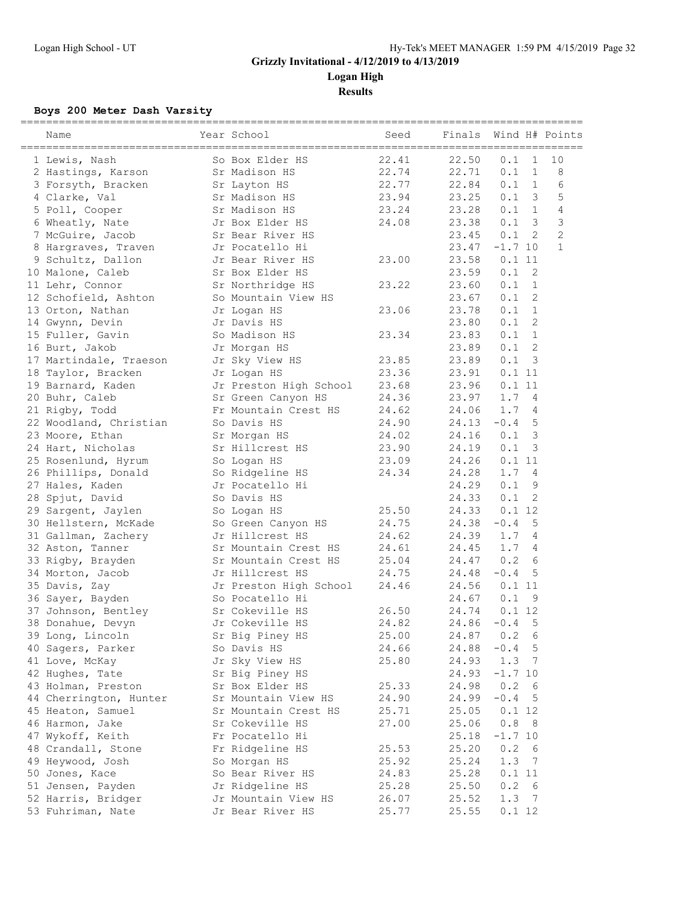**Logan High Results**

### **Boys 200 Meter Dash Varsity**

| Name                   | Year School            | Seed  | Finals |           |                          | Wind H# Points |
|------------------------|------------------------|-------|--------|-----------|--------------------------|----------------|
| 1 Lewis, Nash          | So Box Elder HS        | 22.41 | 22.50  | 0.1       | 1                        | 10             |
| 2 Hastings, Karson     | Sr Madison HS          | 22.74 | 22.71  | 0.1       | $\mathbf{1}$             | 8              |
| 3 Forsyth, Bracken     | Sr Layton HS           | 22.77 | 22.84  | 0.1       | 1                        | 6              |
| 4 Clarke, Val          | Sr Madison HS          | 23.94 | 23.25  | 0.1       | $\mathbf{3}$             | 5              |
| 5 Poll, Cooper         | Sr Madison HS          | 23.24 | 23.28  | 0.1       | $\mathbf{1}$             | $\overline{4}$ |
| 6 Wheatly, Nate        | Jr Box Elder HS        | 24.08 | 23.38  | 0.1       | 3                        | $\mathcal{S}$  |
| 7 McGuire, Jacob       | Sr Bear River HS       |       | 23.45  | 0.1       | $\overline{2}$           | $\overline{c}$ |
| 8 Hargraves, Traven    | Jr Pocatello Hi        |       | 23.47  | $-1.7$ 10 |                          | $\mathbf{1}$   |
| 9 Schultz, Dallon      | Jr Bear River HS       | 23.00 | 23.58  | 0.111     |                          |                |
| 10 Malone, Caleb       | Sr Box Elder HS        |       | 23.59  | 0.1       | 2                        |                |
| 11 Lehr, Connor        | Sr Northridge HS       | 23.22 | 23.60  | 0.1       | $\mathbf{1}$             |                |
| 12 Schofield, Ashton   | So Mountain View HS    |       | 23.67  | 0.1       | 2                        |                |
| 13 Orton, Nathan       | Jr Logan HS            | 23.06 | 23.78  | 0.1       | $\mathbf{1}$             |                |
| 14 Gwynn, Devin        | Jr Davis HS            |       | 23.80  | 0.1       | 2                        |                |
| 15 Fuller, Gavin       | So Madison HS          | 23.34 | 23.83  | 0.1       | 1                        |                |
| 16 Burt, Jakob         | Jr Morgan HS           |       | 23.89  | 0.1       | 2                        |                |
| 17 Martindale, Traeson | Jr Sky View HS         | 23.85 | 23.89  | 0.1       | $\overline{\phantom{a}}$ |                |
| 18 Taylor, Bracken     | Jr Logan HS            | 23.36 | 23.91  | 0.111     |                          |                |
| 19 Barnard, Kaden      | Jr Preston High School | 23.68 | 23.96  | 0.111     |                          |                |
| 20 Buhr, Caleb         | Sr Green Canyon HS     | 24.36 | 23.97  | 1.74      |                          |                |
| 21 Rigby, Todd         | Fr Mountain Crest HS   | 24.62 | 24.06  | 1.7       | 4                        |                |
| 22 Woodland, Christian | So Davis HS            | 24.90 | 24.13  | $-0.4$    | -5                       |                |
| 23 Moore, Ethan        | Sr Morgan HS           | 24.02 | 24.16  | 0.1       | 3                        |                |
| 24 Hart, Nicholas      | Sr Hillcrest HS        | 23.90 | 24.19  | 0.1       | 3                        |                |
| 25 Rosenlund, Hyrum    | So Logan HS            | 23.09 | 24.26  | 0.111     |                          |                |
| 26 Phillips, Donald    | So Ridgeline HS        | 24.34 | 24.28  | 1.7       | $\overline{4}$           |                |
| 27 Hales, Kaden        | Jr Pocatello Hi        |       | 24.29  | 0.1       | 9                        |                |
| 28 Spjut, David        | So Davis HS            |       | 24.33  | 0.1       | 2                        |                |
| 29 Sargent, Jaylen     | So Logan HS            | 25.50 | 24.33  | 0.112     |                          |                |
| 30 Hellstern, McKade   | So Green Canyon HS     | 24.75 | 24.38  | $-0.4$    | 5                        |                |
| 31 Gallman, Zachery    | Jr Hillcrest HS        | 24.62 | 24.39  | 1.7       | $\overline{4}$           |                |
| 32 Aston, Tanner       | Sr Mountain Crest HS   | 24.61 | 24.45  | 1.7       | 4                        |                |
| 33 Rigby, Brayden      | Sr Mountain Crest HS   | 25.04 | 24.47  | 0.2       | 6                        |                |
| 34 Morton, Jacob       | Jr Hillcrest HS        | 24.75 | 24.48  | $-0.4$    | 5                        |                |
| 35 Davis, Zay          | Jr Preston High School | 24.46 | 24.56  | 0.111     |                          |                |
| 36 Sayer, Bayden       | So Pocatello Hi        |       | 24.67  | 0.1       | 9                        |                |
| 37 Johnson, Bentley    | Sr Cokeville HS        | 26.50 | 24.74  | 0.112     |                          |                |
| 38 Donahue, Devyn      | Jr Cokeville HS        | 24.82 | 24.86  | $-0.4$    | 5                        |                |
| 39 Long, Lincoln       | Sr Big Piney HS        | 25.00 | 24.87  | 0.2       | 6                        |                |
| 40 Sagers, Parker      | So Davis HS            | 24.66 | 24.88  | $-0.4$    | 5                        |                |
| 41 Love, McKay         | Jr Sky View HS         | 25.80 | 24.93  | 1.3       | 7                        |                |
| 42 Hughes, Tate        | Sr Big Piney HS        |       | 24.93  | $-1.7$ 10 |                          |                |
| 43 Holman, Preston     | Sr Box Elder HS        | 25.33 | 24.98  | 0.2       | 6                        |                |
| 44 Cherrington, Hunter | Sr Mountain View HS    | 24.90 | 24.99  | $-0.4$    | 5                        |                |
| 45 Heaton, Samuel      | Sr Mountain Crest HS   | 25.71 | 25.05  | 0.1 12    |                          |                |
| 46 Harmon, Jake        | Sr Cokeville HS        | 27.00 | 25.06  | 0.88      |                          |                |
| 47 Wykoff, Keith       | Fr Pocatello Hi        |       | 25.18  | $-1.7$ 10 |                          |                |
| 48 Crandall, Stone     | Fr Ridgeline HS        | 25.53 | 25.20  | 0.2       | - 6                      |                |
| 49 Heywood, Josh       | So Morgan HS           | 25.92 | 25.24  | 1.3       | - 7                      |                |
| 50 Jones, Kace         | So Bear River HS       | 24.83 | 25.28  | 0.111     |                          |                |
| 51 Jensen, Payden      | Jr Ridgeline HS        | 25.28 | 25.50  | 0.2       | 6                        |                |
| 52 Harris, Bridger     | Jr Mountain View HS    | 26.07 | 25.52  | 1.3       | -7                       |                |
| 53 Fuhriman, Nate      | Jr Bear River HS       | 25.77 | 25.55  | 0.1 12    |                          |                |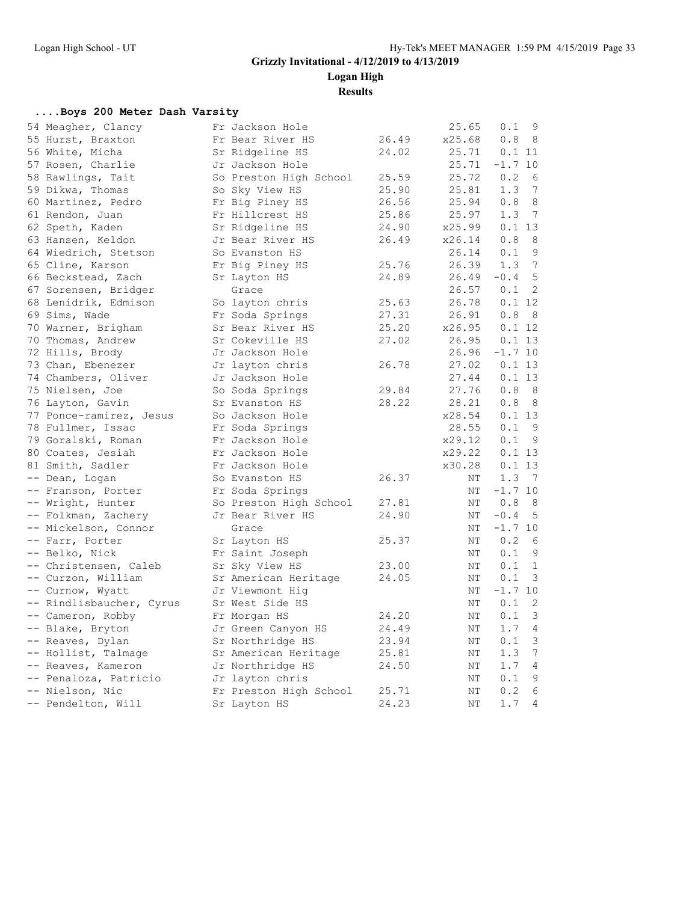**Logan High**

**Results**

#### **....Boys 200 Meter Dash Varsity**

| 54 Meagher, Clancy       | Fr Jackson Hole        |       | 25.65  | 0.1       | 9               |
|--------------------------|------------------------|-------|--------|-----------|-----------------|
| 55 Hurst, Braxton        | Fr Bear River HS       | 26.49 | x25.68 | 0.8       | - 8             |
| 56 White, Micha          | Sr Ridgeline HS        | 24.02 | 25.71  | 0.111     |                 |
| 57 Rosen, Charlie        | Jr Jackson Hole        |       | 25.71  | $-1.7$ 10 |                 |
| 58 Rawlings, Tait        | So Preston High School | 25.59 | 25.72  | 0.2       | - 6             |
| 59 Dikwa, Thomas         | So Sky View HS         | 25.90 | 25.81  | 1.3       | 7               |
| 60 Martinez, Pedro       | Fr Big Piney HS        | 26.56 | 25.94  | 0.8       | 8               |
| 61 Rendon, Juan          | Fr Hillcrest HS        | 25.86 | 25.97  | 1.3       | 7               |
| 62 Speth, Kaden          | Sr Ridgeline HS        | 24.90 | x25.99 | 0.113     |                 |
| 63 Hansen, Keldon        | Jr Bear River HS       | 26.49 | x26.14 | 0.8       | - 8             |
| 64 Wiedrich, Stetson     | So Evanston HS         |       | 26.14  | 0.1       | - 9             |
| 65 Cline, Karson         | Fr Big Piney HS        | 25.76 | 26.39  | 1.3       | 7               |
| 66 Beckstead, Zach       | Sr Layton HS           | 24.89 | 26.49  | $-0.4$    | 5               |
| 67 Sorensen, Bridger     | Grace                  |       | 26.57  | 0.1       | 2               |
| 68 Lenidrik, Edmison     | So layton chris        | 25.63 | 26.78  | 0.112     |                 |
| 69 Sims, Wade            | Fr Soda Springs        | 27.31 | 26.91  | 0.8       | $_{8}$          |
| 70 Warner, Brigham       | Sr Bear River HS       | 25.20 | x26.95 | 0.1 12    |                 |
| 70 Thomas, Andrew        | Sr Cokeville HS        | 27.02 | 26.95  | 0.113     |                 |
| 72 Hills, Brody          | Jr Jackson Hole        |       | 26.96  | $-1.7$ 10 |                 |
| 73 Chan, Ebenezer        | Jr layton chris        | 26.78 | 27.02  | 0.113     |                 |
| 74 Chambers, Oliver      | Jr Jackson Hole        |       | 27.44  | 0.113     |                 |
| 75 Nielsen, Joe          | So Soda Springs        | 29.84 | 27.76  | 0.8       | 8               |
| 76 Layton, Gavin         | Sr Evanston HS         | 28.22 | 28.21  | 0.8       | - 8             |
| 77 Ponce-ramirez, Jesus  | So Jackson Hole        |       | x28.54 | 0.113     |                 |
| 78 Fullmer, Issac        | Fr Soda Springs        |       | 28.55  | 0.1       | - 9             |
| 79 Goralski, Roman       | Fr Jackson Hole        |       | x29.12 | 0.1       | - 9             |
| 80 Coates, Jesiah        | Fr Jackson Hole        |       | x29.22 | 0.113     |                 |
| 81 Smith, Sadler         | Fr Jackson Hole        |       | x30.28 | 0.113     |                 |
| -- Dean, Logan           | So Evanston HS         | 26.37 | ΝT     | 1.3       | $\overline{7}$  |
| -- Franson, Porter       | Fr Soda Springs        |       | ΝT     | $-1.7$ 10 |                 |
| -- Wright, Hunter        | So Preston High School | 27.81 | ΝT     | 0.8       | - 8             |
| -- Folkman, Zachery      | Jr Bear River HS       | 24.90 | ΝT     | $-0.4$    | 5               |
| -- Mickelson, Connor     | Grace                  |       | ΝT     | $-1.7$ 10 |                 |
| -- Farr, Porter          | Sr Layton HS           | 25.37 | NΤ     | 0.2       | - 6             |
| -- Belko, Nick           | Fr Saint Joseph        |       | ΝT     | 0.1       | 9               |
| -- Christensen, Caleb    | Sr Sky View HS         | 23.00 | ΝT     | 0.1       | 1               |
| -- Curzon, William       | Sr American Heritage   | 24.05 | ΝT     | 0.1       | $\mathcal{E}$   |
| -- Curnow, Wyatt         | Jr Viewmont Hiq        |       | NΤ     | $-1.7$ 10 |                 |
| -- Rindlisbaucher, Cyrus | Sr West Side HS        |       | NΤ     | 0.1       | 2               |
| -- Cameron, Robby        | Fr Morgan HS           | 24.20 | ΝT     | 0.1       | 3               |
| -- Blake, Bryton         | Jr Green Canyon HS     | 24.49 | ΝT     | 1.7       | $\overline{4}$  |
| -- Reaves, Dylan         | Sr Northridge HS       | 23.94 | ΝT     | 0.1       | 3               |
| -- Hollist, Talmage      | Sr American Heritage   | 25.81 | ΝT     | 1.3       | $7\phantom{.0}$ |
| -- Reaves, Kameron       | Jr Northridge HS       | 24.50 | ΝT     | 1.7       | 4               |
| -- Penaloza, Patricio    | Jr layton chris        |       | ΝT     | 0.1       | $\mathsf 9$     |
| -- Nielson, Nic          | Fr Preston High School | 25.71 | ΝT     | 0.2       | 6               |
| -- Pendelton, Will       | Sr Layton HS           | 24.23 | NΤ     | 1.7       | 4               |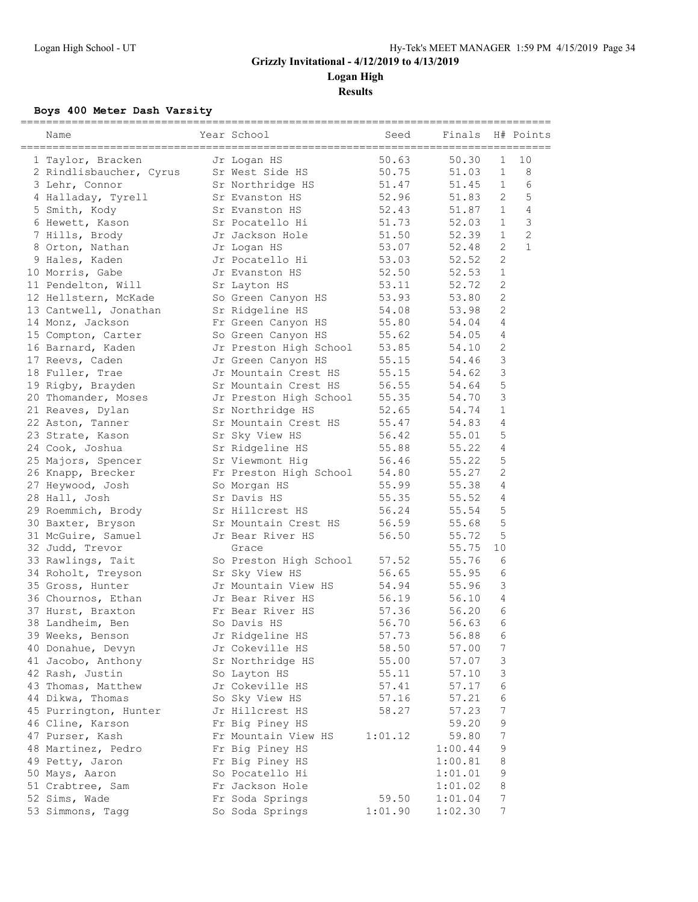**Logan High**

**Results**

### **Boys 400 Meter Dash Varsity**

| Name                                  | Year School                           | Seed    | Finals  |                | H# Points      |
|---------------------------------------|---------------------------------------|---------|---------|----------------|----------------|
| 1 Taylor, Bracken                     | Jr Logan HS                           | 50.63   | 50.30   | $\mathbf 1$    | 10             |
| 2 Rindlisbaucher, Cyrus               | Sr West Side HS                       | 50.75   | 51.03   | $\mathbf{1}$   | 8              |
| 3 Lehr, Connor                        | Sr Northridge HS                      | 51.47   | 51.45   | $\mathbf{1}$   | 6              |
| 4 Halladay, Tyrell                    | Sr Evanston HS                        | 52.96   | 51.83   | 2              | 5              |
| 5 Smith, Kody                         | Sr Evanston HS                        | 52.43   | 51.87   | $\mathbf{1}$   | 4              |
| 6 Hewett, Kason                       | Sr Pocatello Hi                       | 51.73   | 52.03   | $\mathbf{1}$   | 3              |
| 7 Hills, Brody                        | Jr Jackson Hole                       | 51.50   | 52.39   | $\mathbf{1}$   | $\overline{c}$ |
| 8 Orton, Nathan                       | Jr Logan HS                           | 53.07   | 52.48   | 2              | $\mathbf{1}$   |
| 9 Hales, Kaden                        | Jr Pocatello Hi                       | 53.03   | 52.52   | $\overline{2}$ |                |
| 10 Morris, Gabe                       | Jr Evanston HS                        | 52.50   | 52.53   | $\mathbf{1}$   |                |
| 11 Pendelton, Will                    | Sr Layton HS                          | 53.11   | 52.72   | 2              |                |
| 12 Hellstern, McKade                  | So Green Canyon HS                    | 53.93   | 53.80   | $\mathbf{2}$   |                |
| 13 Cantwell, Jonathan                 | Sr Ridgeline HS                       | 54.08   | 53.98   | $\overline{c}$ |                |
| 14 Monz, Jackson                      | Fr Green Canyon HS                    | 55.80   | 54.04   | 4              |                |
| 15 Compton, Carter                    | So Green Canyon HS                    | 55.62   | 54.05   | 4              |                |
| 16 Barnard, Kaden                     | Jr Preston High School                | 53.85   | 54.10   | 2              |                |
| 17 Reevs, Caden                       | Jr Green Canyon HS                    | 55.15   | 54.46   | 3              |                |
| 18 Fuller, Trae                       | Jr Mountain Crest HS                  | 55.15   | 54.62   | 3              |                |
| 19 Rigby, Brayden                     | Sr Mountain Crest HS                  | 56.55   | 54.64   | 5              |                |
| 20 Thomander, Moses                   | Jr Preston High School                | 55.35   | 54.70   | 3              |                |
| 21 Reaves, Dylan                      | Sr Northridge HS                      | 52.65   | 54.74   | $\mathbf{1}$   |                |
| 22 Aston, Tanner                      | Sr Mountain Crest HS                  | 55.47   | 54.83   | $\overline{4}$ |                |
| 23 Strate, Kason                      | Sr Sky View HS                        | 56.42   | 55.01   | 5              |                |
| 24 Cook, Joshua                       | Sr Ridgeline HS                       | 55.88   | 55.22   | 4              |                |
| 25 Majors, Spencer                    | Sr Viewmont Hig                       | 56.46   | 55.22   | 5              |                |
| 26 Knapp, Brecker                     | Fr Preston High School                | 54.80   | 55.27   | 2              |                |
| 27 Heywood, Josh                      | So Morgan HS                          | 55.99   | 55.38   | 4              |                |
| 28 Hall, Josh                         | Sr Davis HS                           | 55.35   | 55.52   | 4              |                |
| 29 Roemmich, Brody                    | Sr Hillcrest HS                       | 56.24   | 55.54   | 5              |                |
|                                       | Sr Mountain Crest HS                  | 56.59   | 55.68   | 5              |                |
| 30 Baxter, Bryson                     | Jr Bear River HS                      | 56.50   | 55.72   | 5              |                |
| 31 McGuire, Samuel<br>32 Judd, Trevor |                                       |         | 55.75   | 10             |                |
|                                       | Grace                                 | 57.52   | 55.76   | 6              |                |
| 33 Rawlings, Tait                     | So Preston High School                | 56.65   |         | 6              |                |
| 34 Roholt, Treyson                    | Sr Sky View HS<br>Jr Mountain View HS |         | 55.95   | 3              |                |
| 35 Gross, Hunter                      |                                       | 54.94   | 55.96   |                |                |
| 36 Chournos, Ethan                    | Jr Bear River HS                      | 56.19   | 56.10   | 4              |                |
| 37 Hurst, Braxton                     | Fr Bear River HS                      | 57.36   | 56.20   | 6<br>6         |                |
| 38 Landheim, Ben                      | So Davis HS                           | 56.70   | 56.63   |                |                |
| 39 Weeks, Benson                      | Jr Ridgeline HS                       | 57.73   | 56.88   | 6              |                |
| 40 Donahue, Devyn                     | Jr Cokeville HS                       | 58.50   | 57.00   | 7              |                |
| 41 Jacobo, Anthony                    | Sr Northridge HS                      | 55.00   | 57.07   | 3              |                |
| 42 Rash, Justin                       | So Layton HS                          | 55.11   | 57.10   | 3              |                |
| 43 Thomas, Matthew                    | Jr Cokeville HS                       | 57.41   | 57.17   | 6              |                |
| 44 Dikwa, Thomas                      | So Sky View HS                        | 57.16   | 57.21   | $\epsilon$     |                |
| 45 Purrington, Hunter                 | Jr Hillcrest HS                       | 58.27   | 57.23   | 7              |                |
| 46 Cline, Karson                      | Fr Big Piney HS                       |         | 59.20   | 9              |                |
| 47 Purser, Kash                       | Fr Mountain View HS                   | 1:01.12 | 59.80   | 7              |                |
| 48 Martinez, Pedro                    | Fr Big Piney HS                       |         | 1:00.44 | 9              |                |
| 49 Petty, Jaron                       | Fr Big Piney HS                       |         | 1:00.81 | 8              |                |
| 50 Mays, Aaron                        | So Pocatello Hi                       |         | 1:01.01 | $\mathsf 9$    |                |
| 51 Crabtree, Sam                      | Fr Jackson Hole                       |         | 1:01.02 | 8              |                |
| 52 Sims, Wade                         | Fr Soda Springs                       | 59.50   | 1:01.04 | 7              |                |
| 53 Simmons, Tagg                      | So Soda Springs                       | 1:01.90 | 1:02.30 | 7              |                |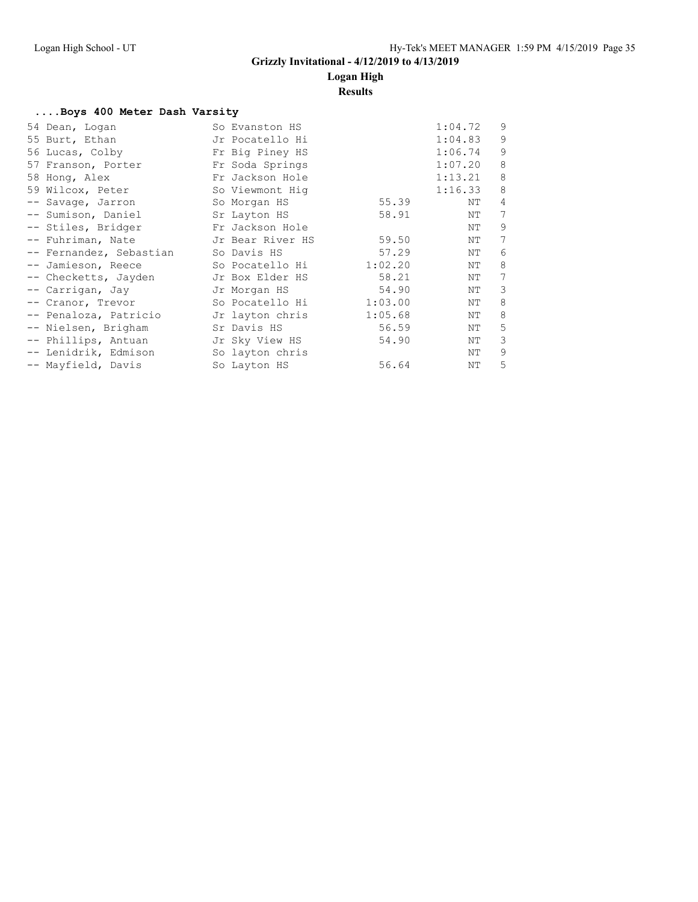### **Logan High**

#### **Results**

#### **....Boys 400 Meter Dash Varsity**

| 54 Dean, Logan          | So Evanston HS   |         | 1:04.72 | 9 |
|-------------------------|------------------|---------|---------|---|
| 55 Burt, Ethan          | Jr Pocatello Hi  |         | 1:04.83 | 9 |
| 56 Lucas, Colby         | Fr Big Piney HS  |         | 1:06.74 | 9 |
| 57 Franson, Porter      | Fr Soda Springs  |         | 1:07.20 | 8 |
| 58 Hong, Alex           | Fr Jackson Hole  |         | 1:13.21 | 8 |
| 59 Wilcox, Peter        | So Viewmont Hig  |         | 1:16.33 | 8 |
| -- Savage, Jarron       | So Morgan HS     | 55.39   | NΤ      | 4 |
| -- Sumison, Daniel      | Sr Layton HS     | 58.91   | NΤ      | 7 |
| -- Stiles, Bridger      | Fr Jackson Hole  |         | NΤ      | 9 |
| -- Fuhriman, Nate       | Jr Bear River HS | 59.50   | NΤ      | 7 |
| -- Fernandez, Sebastian | So Davis HS      | 57.29   | NΤ      | 6 |
| -- Jamieson, Reece      | So Pocatello Hi  | 1:02.20 | NΤ      | 8 |
| -- Checketts, Jayden    | Jr Box Elder HS  | 58.21   | NΤ      | 7 |
| -- Carrigan, Jay        | Jr Morgan HS     | 54.90   | NΤ      | 3 |
| -- Cranor, Trevor       | So Pocatello Hi  | 1:03.00 | NΤ      | 8 |
| -- Penaloza, Patricio   | Jr layton chris  | 1:05.68 | NΤ      | 8 |
| -- Nielsen, Brigham     | Sr Davis HS      | 56.59   | NΤ      | 5 |
| -- Phillips, Antuan     | Jr Sky View HS   | 54.90   | NΤ      | 3 |
| -- Lenidrik, Edmison    | So layton chris  |         | NΤ      | 9 |
| -- Mayfield, Davis      | So Layton HS     | 56.64   | ΝT      | 5 |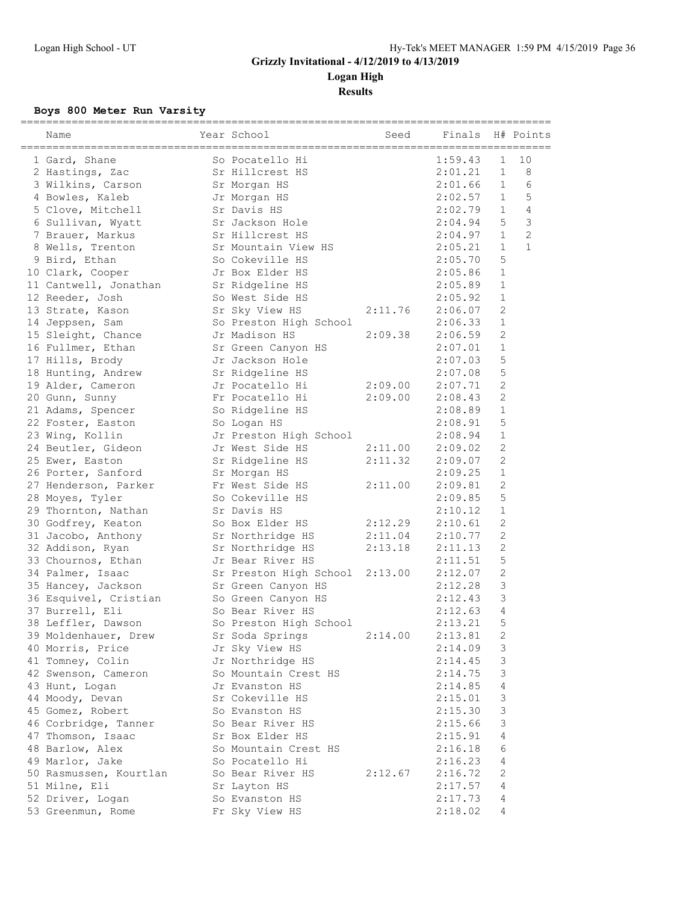**Logan High Results**

### **Boys 800 Meter Run Varsity**

| Name                                     | Year School                        | Seed    | Finals  |                           | H# Points      |
|------------------------------------------|------------------------------------|---------|---------|---------------------------|----------------|
| 1 Gard, Shane                            |                                    |         | 1:59.43 | $\mathbf 1$               | 10             |
| 2 Hastings, Zac                          | So Pocatello Hi<br>Sr Hillcrest HS |         | 2:01.21 | $\mathbf{1}$              | 8              |
| 3 Wilkins, Carson                        | Sr Morgan HS                       |         | 2:01.66 | $\mathbf{1}$              | 6              |
| 4 Bowles, Kaleb                          | Jr Morgan HS                       |         | 2:02.57 | $\mathbf{1}$              | 5              |
| 5 Clove, Mitchell                        | Sr Davis HS                        |         | 2:02.79 | $\mathbf{1}$              | 4              |
| 6 Sullivan, Wyatt                        | Sr Jackson Hole                    |         | 2:04.94 | 5                         | $\mathcal{E}$  |
| 7 Brauer, Markus                         | Sr Hillcrest HS                    |         | 2:04.97 | $\mathbf{1}$              | $\overline{c}$ |
| 8 Wells, Trenton                         | Sr Mountain View HS                |         | 2:05.21 | $\mathbf{1}$              | $\mathbf{1}$   |
| 9 Bird, Ethan                            | So Cokeville HS                    |         | 2:05.70 | 5                         |                |
| 10 Clark, Cooper                         | Jr Box Elder HS                    |         | 2:05.86 | $\mathbf{1}$              |                |
| 11 Cantwell, Jonathan Sr Ridgeline HS    |                                    |         | 2:05.89 | $\mathbf{1}$              |                |
| 12 Reeder, Josh                          | So West Side HS                    |         | 2:05.92 | $\mathbf{1}$              |                |
| 13 Strate, Kason                         | Sr Sky View HS                     | 2:11.76 | 2:06.07 | $\overline{2}$            |                |
| 14 Jeppsen, Sam                          | So Preston High School             |         | 2:06.33 | $\mathbf{1}$              |                |
| 15 Sleight, Chance                       | Jr Madison HS                      | 2:09.38 | 2:06.59 | $\mathbf{2}$              |                |
| 16 Fullmer, Ethan                        | Sr Green Canyon HS                 |         | 2:07.01 | $\mathbf{1}$              |                |
| 17 Hills, Brody                          | Jr Jackson Hole                    |         | 2:07.03 | 5                         |                |
| 18 Hunting, Andrew                       | Sr Ridgeline HS                    |         | 2:07.08 | 5                         |                |
| 19 Alder, Cameron                        | Jr Pocatello Hi                    | 2:09.00 | 2:07.71 | $\mathbf{2}$              |                |
| 20 Gunn, Sunny                           | Fr Pocatello Hi                    | 2:09.00 | 2:08.43 | $\mathbf{2}$              |                |
| 21 Adams, Spencer                        | So Ridgeline HS                    |         | 2:08.89 | $\mathbf{1}$              |                |
| 22 Foster, Easton                        | So Logan HS                        |         | 2:08.91 | 5                         |                |
| 23 Wing, Kollin                          | Jr Preston High School             |         | 2:08.94 | $\mathbf{1}$              |                |
| 24 Beutler, Gideon                       | Jr West Side HS                    | 2:11.00 | 2:09.02 | $\mathbf{2}$              |                |
| 25 Ewer, Easton                          | Sr Ridgeline HS                    | 2:11.32 | 2:09.07 | $\mathbf{2}$              |                |
| 26 Porter, Sanford                       | Sr Morgan HS                       |         | 2:09.25 | $\mathbf{1}$              |                |
| 27 Henderson, Parker                     | Fr West Side HS                    | 2:11.00 | 2:09.81 | $\mathbf{2}$              |                |
| 28 Moyes, Tyler                          | So Cokeville HS                    |         | 2:09.85 | 5                         |                |
| 29 Thornton, Nathan                      | Sr Davis HS                        |         | 2:10.12 | $\mathbf{1}$              |                |
| 30 Godfrey, Keaton                       | So Box Elder HS                    | 2:12.29 | 2:10.61 | 2                         |                |
| 31 Jacobo, Anthony                       | Sr Northridge HS                   | 2:11.04 | 2:10.77 | $\mathbf{2}$              |                |
| 32 Addison, Ryan                         | Sr Northridge HS                   | 2:13.18 | 2:11.13 | $\mathbf{2}$              |                |
| 33 Chournos, Ethan                       | Jr Bear River HS                   |         | 2:11.51 | 5                         |                |
| 34 Palmer, Isaac                         | Sr Preston High School 2:13.00     |         | 2:12.07 | $\sqrt{2}$                |                |
| 35 Hancey, Jackson                       | Sr Green Canyon HS                 |         | 2:12.28 | 3                         |                |
| 36 Esquivel, Cristian So Green Canyon HS |                                    |         | 2:12.43 | 3                         |                |
| 37 Burrell, Eli                          | So Bear River HS                   |         | 2:12.63 | 4                         |                |
| 38 Leffler, Dawson                       | So Preston High School             |         | 2:13.21 | 5                         |                |
| 39 Moldenhauer, Drew                     | Sr Soda Springs                    | 2:14.00 | 2:13.81 | 2                         |                |
| 40 Morris, Price                         | Jr Sky View HS                     |         | 2:14.09 | 3                         |                |
| 41 Tomney, Colin                         | Jr Northridge HS                   |         | 2:14.45 | 3                         |                |
| 42 Swenson, Cameron                      | So Mountain Crest HS               |         | 2:14.75 | 3                         |                |
| 43 Hunt, Logan                           | Jr Evanston HS                     |         | 2:14.85 | 4                         |                |
| 44 Moody, Devan                          | Sr Cokeville HS                    |         | 2:15.01 | 3                         |                |
| 45 Gomez, Robert                         | So Evanston HS                     |         | 2:15.30 | $\ensuremath{\mathsf{3}}$ |                |
|                                          |                                    |         |         |                           |                |
| 46 Corbridge, Tanner                     | So Bear River HS                   |         | 2:15.66 | 3                         |                |
| 47 Thomson, Isaac                        | Sr Box Elder HS                    |         | 2:15.91 | 4                         |                |
| 48 Barlow, Alex                          | So Mountain Crest HS               |         | 2:16.18 | 6                         |                |
| 49 Marlor, Jake                          | So Pocatello Hi                    |         | 2:16.23 | 4                         |                |
| 50 Rasmussen, Kourtlan                   | So Bear River HS                   | 2:12.67 | 2:16.72 | $\mathbf{2}$              |                |
| 51 Milne, Eli                            | Sr Layton HS                       |         | 2:17.57 | $\overline{4}$            |                |
| 52 Driver, Logan                         | So Evanston HS                     |         | 2:17.73 | 4                         |                |
| 53 Greenmun, Rome                        | Fr Sky View HS                     |         | 2:18.02 | 4                         |                |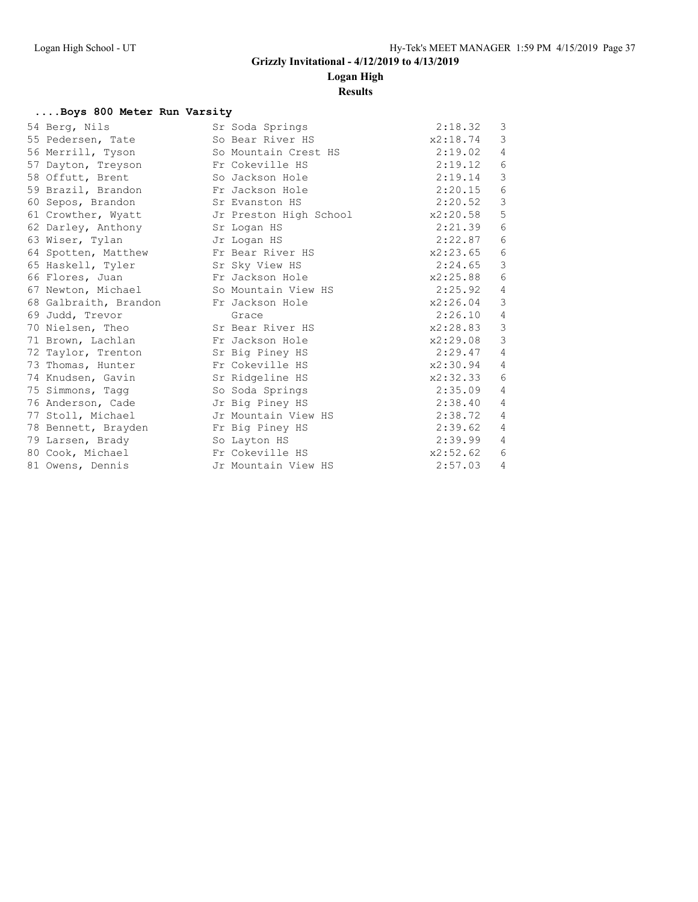### **Logan High**

#### **Results**

#### **....Boys 800 Meter Run Varsity**

| 54 Berg, Nils                            | Sr Soda Springs        | 2:18.32  | 3              |
|------------------------------------------|------------------------|----------|----------------|
| 55 Pedersen, Tate                        | So Bear River HS       | x2:18.74 | 3              |
| 56 Merrill, Tyson                        | So Mountain Crest HS   | 2:19.02  | 4              |
| 57 Dayton, Treyson Fr Cokeville HS       |                        | 2:19.12  | 6              |
| 58 Offutt, Brent                         | So Jackson Hole        | 2:19.14  | $\mathcal{S}$  |
| 59 Brazil, Brandon Fr Jackson Hole       |                        | 2:20.15  | 6              |
| 60 Sepos, Brandon                        | Sr Evanston HS         | 2:20.52  | 3              |
| 61 Crowther, Wyatt                       | Jr Preston High School | x2:20.58 | 5              |
| 62 Darley, Anthony Sr Logan HS           |                        | 2:21.39  | 6              |
| 63 Wiser, Tylan<br>Jr Logan HS           |                        | 2:22.87  | 6              |
| 64 Spotten, Matthew                      | Fr Bear River HS       | x2:23.65 | $\epsilon$     |
| 65 Haskell, Tyler Sr Sky View HS         |                        | 2:24.65  | $\mathcal{S}$  |
| 66 Flores, Juan                          | Fr Jackson Hole        | x2:25.88 | 6              |
| 67 Newton, Michael So Mountain View HS   |                        | 2:25.92  | $\overline{4}$ |
| 68 Galbraith, Brandon Fr Jackson Hole    |                        | x2:26.04 | $\mathcal{S}$  |
| 69 Judd, Trevor                          | Grace                  | 2:26.10  | 4              |
| 70 Nielsen, Theo                         | Sr Bear River HS       | x2:28.83 | $\mathfrak{Z}$ |
| 71 Brown, Lachlan Fr Jackson Hole        |                        | x2:29.08 | 3              |
| 72 Taylor, Trenton                       | Sr Big Piney HS        | 2:29.47  | 4              |
| 73 Thomas, Hunter                        | Fr Cokeville HS        | x2:30.94 | 4              |
| 74 Knudsen, Gavin Sr Ridgeline HS        |                        | x2:32.33 | 6              |
| 75 Simmons, Tagg                         | So Soda Springs        | 2:35.09  | 4              |
| 76 Anderson, Cade Gastra Jr Big Piney HS |                        | 2:38.40  | 4              |
| 77 Stoll, Michael                        | Jr Mountain View HS    | 2:38.72  | 4              |
| 78 Bennett, Brayden Fr Big Piney HS      |                        | 2:39.62  | $\overline{4}$ |
| So Layton HS<br>79 Larsen, Brady         |                        | 2:39.99  | $\overline{4}$ |
| 80 Cook, Michael                         | Fr Cokeville HS        | x2:52.62 | 6              |
| 81 Owens, Dennis                         | Jr Mountain View HS    | 2:57.03  | $\overline{4}$ |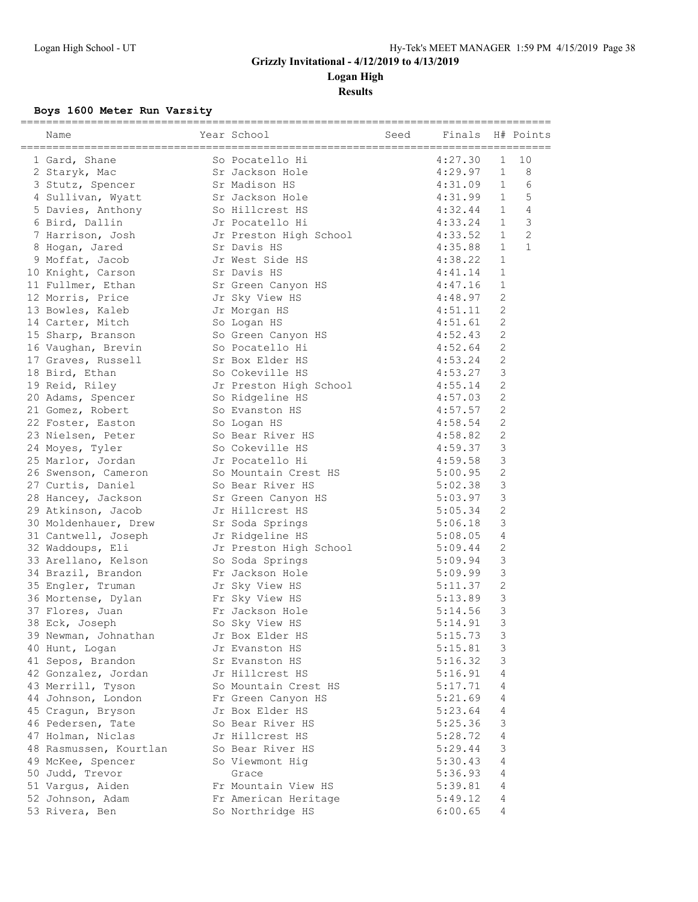**Logan High**

**Results**

### **Boys 1600 Meter Run Varsity**

| Name                                    | Year School                        | Seed | Finals  |                 | H# Points      |
|-----------------------------------------|------------------------------------|------|---------|-----------------|----------------|
| 1 Gard, Shane                           | So Pocatello Hi                    |      | 4:27.30 | $\mathbf{1}$    | 10             |
| 2 Staryk, Mac                           |                                    |      | 4:29.97 | $\mathbf{1}$    | 8              |
| 3 Stutz, Spencer                        | Sr Jackson Hole<br>Sr Madison HS   |      | 4:31.09 | $\mathbf{1}$    | 6              |
| 4 Sullivan, Wyatt                       | Sr Jackson Hole                    |      | 4:31.99 | $\mathbf{1}$    | 5              |
| 5 Davies, Anthony 50 Hillcrest HS       |                                    |      | 4:32.44 | $\mathbf{1}$    | 4              |
| 6 Bird, Dallin                          | Jr Pocatello Hi                    |      | 4:33.24 | $\mathbf{1}$    | 3              |
| 7 Harrison, Josh                        | Jr Preston High School             |      | 4:33.52 | $\mathbf{1}$    | $\overline{c}$ |
| 8 Hogan, Jared                          | Sr Davis HS                        |      | 4:35.88 | $\mathbf{1}$    | $\mathbf{1}$   |
| 9 Moffat, Jacob                         | Jr West Side HS                    |      | 4:38.22 | $\mathbf{1}$    |                |
| 10 Knight, Carson                       | Sr Davis HS                        |      | 4:41.14 | $\mathbf{1}$    |                |
| 11 Fullmer, Ethan                       | Sr Green Canyon HS                 |      | 4:47.16 | $\mathbf{1}$    |                |
| 12 Morris, Price                        | Jr Sky View HS                     |      | 4:48.97 | 2               |                |
| 13 Bowles, Kaleb                        | Jr Morgan HS                       |      | 4:51.11 | $\mathbf{2}$    |                |
| 14 Carter, Mitch                        | So Logan HS                        |      | 4:51.61 | $\mathbf{2}$    |                |
| 15 Sharp, Branson                       | So Green Canyon HS                 |      | 4:52.43 | $\mathbf{2}$    |                |
| 16 Vaughan, Brevin                      | So Pocatello Hi                    |      | 4:52.64 | $\overline{2}$  |                |
| 17 Graves, Russell                      | Sr Box Elder HS                    |      | 4:53.24 | $\mathbf{2}$    |                |
| 18 Bird, Ethan                          | So Cokeville HS                    |      | 4:53.27 | 3               |                |
| 19 Reid, Riley                          | Jr Preston High School             |      | 4:55.14 | $\mathbf{2}$    |                |
| 20 Adams, Spencer                       | So Ridgeline HS                    |      | 4:57.03 | $\mathbf{2}$    |                |
| 21 Gomez, Robert                        | So Evanston HS                     |      | 4:57.57 | $\mathbf{2}$    |                |
| 22 Foster, Easton                       | So Logan HS                        |      | 4:58.54 | $\mathbf{2}$    |                |
| 23 Nielsen, Peter                       | So Bear River HS                   |      | 4:58.82 | $\mathbf{2}$    |                |
| 24 Moyes, Tyler                         | So Cokeville HS                    |      | 4:59.37 | 3               |                |
| 25 Marlor, Jordan                       | Jr Pocatello Hi                    |      | 4:59.58 | 3               |                |
| 26 Swenson, Cameron                     | So Mountain Crest HS               |      | 5:00.95 | $\mathbf{2}$    |                |
| 27 Curtis, Daniel                       | So Bear River HS                   |      | 5:02.38 | 3               |                |
| 28 Hancey, Jackson                      | Sr Green Canyon HS                 |      | 5:03.97 | 3               |                |
| 29 Atkinson, Jacob                      | Jr Hillcrest HS                    |      | 5:05.34 | 2               |                |
| 30 Moldenhauer, Drew Sr Soda Springs    |                                    |      | 5:06.18 | 3               |                |
| 31 Cantwell, Joseph                     | Jr Ridgeline HS                    |      | 5:08.05 | 4               |                |
|                                         | Jr Preston High School             |      | 5:09.44 | $\mathbf{2}$    |                |
| 32 Waddoups, Eli<br>33 Arellano, Kelson |                                    |      | 5:09.94 | 3               |                |
|                                         | So Soda Springs<br>Fr Jackson Hole |      |         | 3               |                |
| 34 Brazil, Brandon                      |                                    |      | 5:09.99 |                 |                |
| 35 Engler, Truman                       | Jr Sky View HS                     |      | 5:11.37 | $\sqrt{2}$<br>3 |                |
| 36 Mortense, Dylan Fr Sky View HS       |                                    |      | 5:13.89 |                 |                |
| 37 Flores, Juan                         | Fr Jackson Hole                    |      | 5:14.56 | 3               |                |
| 38 Eck, Joseph                          | So Sky View HS                     |      | 5:14.91 | 3               |                |
| 39 Newman, Johnathan                    | Jr Box Elder HS                    |      | 5:15.73 | 3               |                |
| 40 Hunt, Logan                          | Jr Evanston HS                     |      | 5:15.81 | 3               |                |
| 41 Sepos, Brandon                       | Sr Evanston HS                     |      | 5:16.32 | 3               |                |
| 42 Gonzalez, Jordan                     | Jr Hillcrest HS                    |      | 5:16.91 | 4               |                |
| 43 Merrill, Tyson                       | So Mountain Crest HS               |      | 5:17.71 | 4               |                |
| 44 Johnson, London                      | Fr Green Canyon HS                 |      | 5:21.69 | 4               |                |
| 45 Cragun, Bryson                       | Jr Box Elder HS                    |      | 5:23.64 | $\overline{4}$  |                |
| 46 Pedersen, Tate                       | So Bear River HS                   |      | 5:25.36 | $\mathsf 3$     |                |
| 47 Holman, Niclas                       | Jr Hillcrest HS                    |      | 5:28.72 | 4               |                |
| 48 Rasmussen, Kourtlan                  | So Bear River HS                   |      | 5:29.44 | 3               |                |
| 49 McKee, Spencer                       | So Viewmont Hig                    |      | 5:30.43 | $\overline{4}$  |                |
| 50 Judd, Trevor                         | Grace                              |      | 5:36.93 | $\overline{4}$  |                |
| 51 Vargus, Aiden                        | Fr Mountain View HS                |      | 5:39.81 | $\overline{4}$  |                |
| 52 Johnson, Adam                        | Fr American Heritage               |      | 5:49.12 | $\overline{4}$  |                |
| 53 Rivera, Ben                          | So Northridge HS                   |      | 6:00.65 | 4               |                |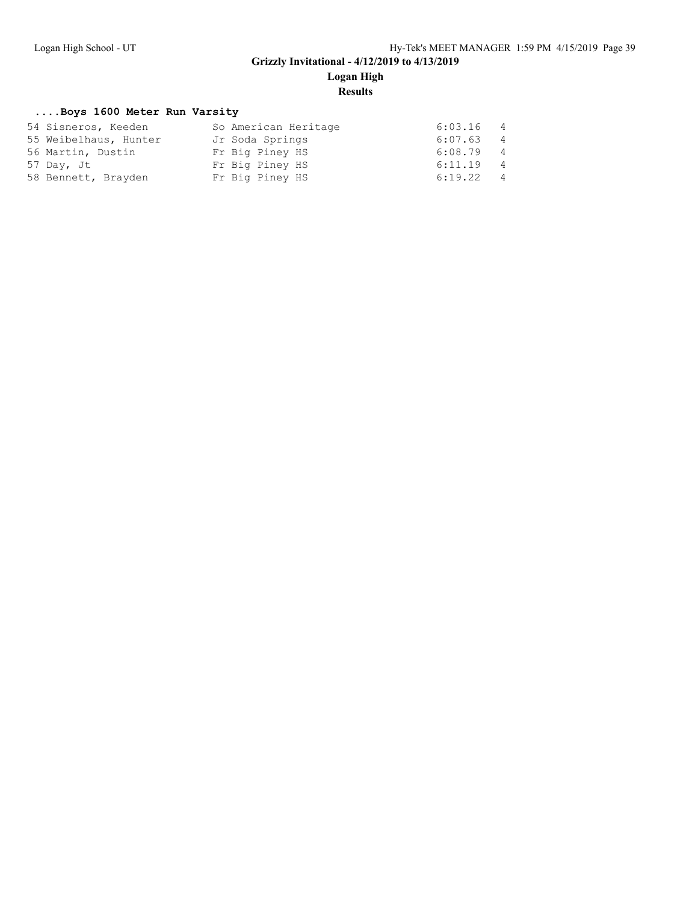## **Logan High**

**Results**

#### **....Boys 1600 Meter Run Varsity**

| 54 Sisneros, Keeden   | So American Heritage | 6:03.16 4   |                |
|-----------------------|----------------------|-------------|----------------|
| 55 Weibelhaus, Hunter | Jr Soda Springs      | $6:07.63$ 4 |                |
| 56 Martin, Dustin     | Fr Big Piney HS      | $6:08.79$ 4 |                |
| 57 Day, Jt            | Fr Big Piney HS      | $6:11.19$ 4 |                |
| 58 Bennett, Brayden   | Fr Big Piney HS      | 6:19.22     | $\overline{4}$ |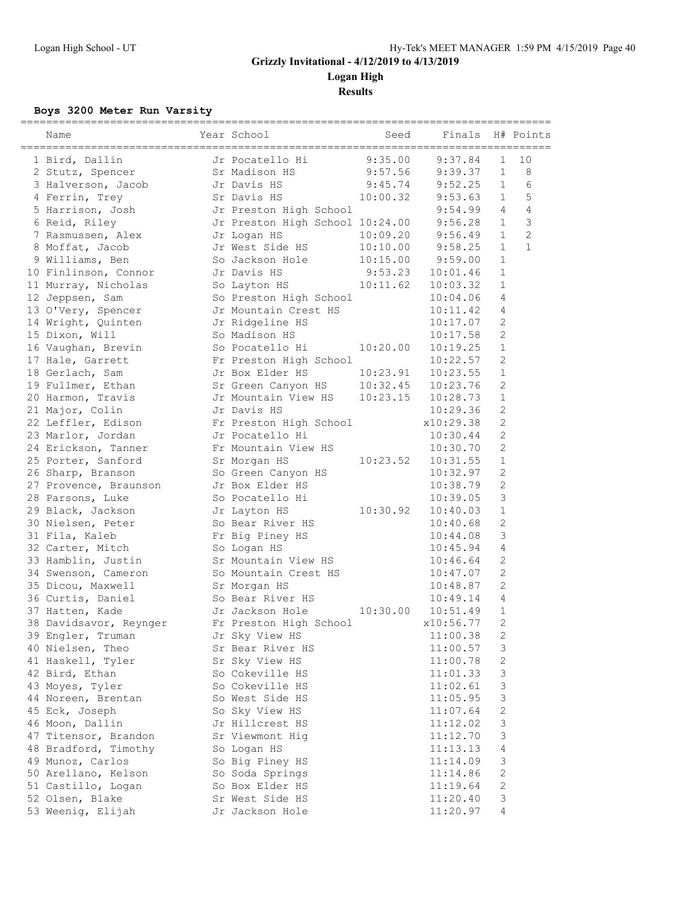**Logan High**

**Results**

### **Boys 3200 Meter Run Varsity**

| Name                   | Year School                             | Seed     | Finals               |                           | H# Points      |
|------------------------|-----------------------------------------|----------|----------------------|---------------------------|----------------|
| 1 Bird, Dallin         | Jr Pocatello Hi                         | 9:35.00  | 9:37.84              | $\mathbf 1$               | 10             |
| 2 Stutz, Spencer       | Sr Madison HS                           | 9:57.56  | 9:39.37              | $\mathbf{1}$              | 8              |
| 3 Halverson, Jacob     | Jr Davis HS                             | 9:45.74  | 9:52.25              | $\mathbf{1}$              | 6              |
| 4 Ferrin, Trey         | Sr Davis HS                             | 10:00.32 | 9:53.63              | $\mathbf{1}$              | 5              |
| 5 Harrison, Josh       | Jr Preston High School                  |          | 9:54.99              | $\overline{4}$            | $\overline{4}$ |
| 6 Reid, Riley          | Jr Preston High School 10:24.00 9:56.28 |          |                      | $\mathbf{1}$              | $\mathcal{E}$  |
| 7 Rasmussen, Alex      | Jr Logan HS                             |          | $10:09.20$ $9:56.49$ | $\mathbf{1}$              | $\overline{c}$ |
| 8 Moffat, Jacob        | Jr West Side HS                         | 10:10.00 | 9:58.25              | $\mathbf{1}$              | $\mathbf{1}$   |
| 9 Williams, Ben        | So Jackson Hole                         | 10:15.00 | 9:59.00              | $\mathbf{1}$              |                |
| 10 Finlinson, Connor   | Jr Davis HS                             | 9:53.23  | 10:01.46             | $\mathbf{1}$              |                |
| 11 Murray, Nicholas    | So Layton HS                            | 10:11.62 | 10:03.32             | $\mathbf{1}$              |                |
| 12 Jeppsen, Sam        | So Preston High School                  |          | 10:04.06             | 4                         |                |
| 13 O'Very, Spencer     | Jr Mountain Crest HS                    |          | 10:11.42             | 4                         |                |
| 14 Wright, Quinten     | Jr Ridgeline HS                         |          | 10:17.07             | $\mathbf{2}$              |                |
| 15 Dixon, Will         | So Madison HS                           |          | 10:17.58             | $\overline{2}$            |                |
| 16 Vaughan, Brevin     | So Pocatello Hi                         | 10:20.00 | 10:19.25             | $\mathbf{1}$              |                |
| 17 Hale, Garrett       | Fr Preston High School                  |          | 10:22.57             | 2                         |                |
| 18 Gerlach, Sam        | Jr Box Elder HS                         | 10:23.91 | 10:23.55             | $\mathbf{1}$              |                |
| 19 Fullmer, Ethan      | Sr Green Canyon HS                      | 10:32.45 | 10:23.76             | $\mathbf{2}$              |                |
| 20 Harmon, Travis      | Jr Mountain View HS                     | 10:23.15 | 10:28.73             | $\mathbf{1}$              |                |
| 21 Major, Colin        | Jr Davis HS                             |          | 10:29.36             | $\sqrt{2}$                |                |
| 22 Leffler, Edison     | Fr Preston High School                  |          | x10:29.38            | $\sqrt{2}$                |                |
| 23 Marlor, Jordan      | Jr Pocatello Hi                         |          | 10:30.44             | 2                         |                |
| 24 Erickson, Tanner    | Fr Mountain View HS                     |          | 10:30.70             | $\mathbf{2}$              |                |
| 25 Porter, Sanford     | Sr Morgan HS                            | 10:23.52 | 10:31.55             | $\mathbf{1}$              |                |
| 26 Sharp, Branson      | So Green Canyon HS                      |          | 10:32.97             | $\mathbf{2}$              |                |
| 27 Provence, Braunson  | Jr Box Elder HS                         |          | 10:38.79             | $\mathbf{2}$              |                |
| 28 Parsons, Luke       | So Pocatello Hi                         |          | 10:39.05             | 3                         |                |
| 29 Black, Jackson      | Jr Layton HS                            | 10:30.92 | 10:40.03             | $\mathbf{1}$              |                |
| 30 Nielsen, Peter      | So Bear River HS                        |          | 10:40.68             | $\mathbf{2}$              |                |
| 31 Fila, Kaleb         | Fr Big Piney HS                         |          | 10:44.08             | 3                         |                |
| 32 Carter, Mitch       | So Logan HS                             |          | 10:45.94             | $\overline{4}$            |                |
| 33 Hamblin, Justin     | Sr Mountain View HS                     |          | 10:46.64             | $\overline{c}$            |                |
| 34 Swenson, Cameron    | So Mountain Crest HS                    |          | 10:47.07             | $\overline{c}$            |                |
| 35 Dicou, Maxwell      | Sr Morgan HS                            |          | 10:48.87             | 2                         |                |
| 36 Curtis, Daniel      | So Bear River HS                        |          | 10:49.14             | $\overline{4}$            |                |
| 37 Hatten, Kade        | Jr Jackson Hole                         | 10:30.00 | 10:51.49             | $\mathbf{1}$              |                |
| 38 Davidsavor, Reynger | Fr Preston High School                  |          | x10:56.77            | $\overline{2}$            |                |
| 39 Engler, Truman      | Jr Sky View HS                          |          | 11:00.38             | 2                         |                |
| 40 Nielsen, Theo       | Sr Bear River HS                        |          | 11:00.57             | 3                         |                |
| 41 Haskell, Tyler      | Sr Sky View HS                          |          | 11:00.78             | 2                         |                |
| 42 Bird, Ethan         | So Cokeville HS                         |          | 11:01.33             | 3                         |                |
| 43 Moyes, Tyler        | So Cokeville HS                         |          | 11:02.61             | 3                         |                |
| 44 Noreen, Brentan     | So West Side HS                         |          | 11:05.95             | 3                         |                |
| 45 Eck, Joseph         | So Sky View HS                          |          | 11:07.64             | $\mathbf{2}$              |                |
| 46 Moon, Dallin        | Jr Hillcrest HS                         |          | 11:12.02             | $\ensuremath{\mathsf{3}}$ |                |
| 47 Titensor, Brandon   | Sr Viewmont Hiq                         |          | 11:12.70             | 3                         |                |
| 48 Bradford, Timothy   | So Logan HS                             |          | 11:13.13             | 4                         |                |
| 49 Munoz, Carlos       | So Big Piney HS                         |          | 11:14.09             | 3                         |                |
| 50 Arellano, Kelson    | So Soda Springs                         |          | 11:14.86             | $\sqrt{2}$                |                |
| 51 Castillo, Logan     | So Box Elder HS                         |          | 11:19.64             | $\sqrt{2}$                |                |
| 52 Olsen, Blake        | Sr West Side HS                         |          | 11:20.40             | 3                         |                |
| 53 Weenig, Elijah      | Jr Jackson Hole                         |          | 11:20.97             | $\overline{4}$            |                |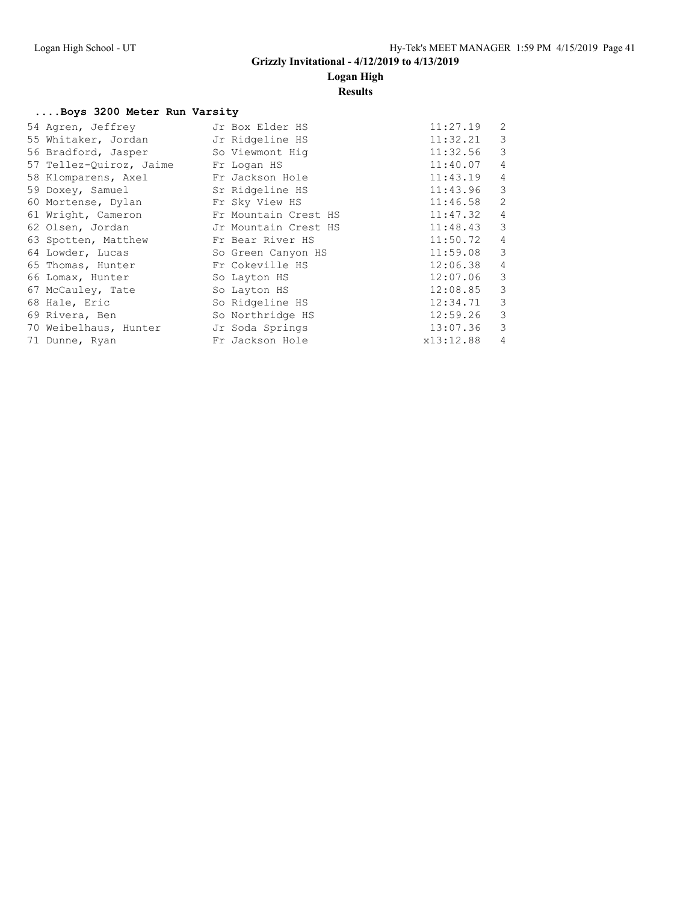### **Logan High**

#### **Results**

#### **....Boys 3200 Meter Run Varsity**

| 54 Agren, Jeffrey                     | Jr Box Elder HS      | 11:27.19  | 2              |
|---------------------------------------|----------------------|-----------|----------------|
| 55 Whitaker, Jordan Jr Ridgeline HS   |                      | 11:32.21  | 3              |
| 56 Bradford, Jasper So Viewmont Hig   |                      | 11:32.56  | 3              |
| 57 Tellez-Quiroz, Jaime Fr Logan HS   |                      | 11:40.07  | $\overline{4}$ |
| 58 Klomparens, Axel Fr Jackson Hole   |                      | 11:43.19  | $\overline{4}$ |
| 59 Doxey, Samuel Sr Ridgeline HS      |                      | 11:43.96  | 3              |
| 60 Mortense, Dylan                    | Fr Sky View HS       | 11:46.58  | 2              |
| 61 Wright, Cameron                    | Fr Mountain Crest HS | 11:47.32  | $\overline{4}$ |
| 62 Olsen, Jordan                      | Jr Mountain Crest HS | 11:48.43  | $\overline{3}$ |
| 63 Spotten, Matthew                   | Fr Bear River HS     | 11:50.72  | $\overline{4}$ |
| 64 Lowder, Lucas                      | So Green Canyon HS   | 11:59.08  | 3              |
| 65 Thomas, Hunter                     | Fr Cokeville HS      | 12:06.38  | $\overline{4}$ |
| 66 Lomax, Hunter                      | So Layton HS         | 12:07.06  | $\mathbf{3}$   |
| 67 McCauley, Tate                     | So Layton HS         | 12:08.85  | 3              |
| 68 Hale, Eric                         | So Ridgeline HS      | 12:34.71  | 3              |
| 69 Rivera, Ben                        | So Northridge HS     | 12:59.26  | 3              |
| 70 Weibelhaus, Hunter Jr Soda Springs |                      | 13:07.36  | 3              |
| 71 Dunne, Ryan                        | Fr Jackson Hole      | x13:12.88 | 4              |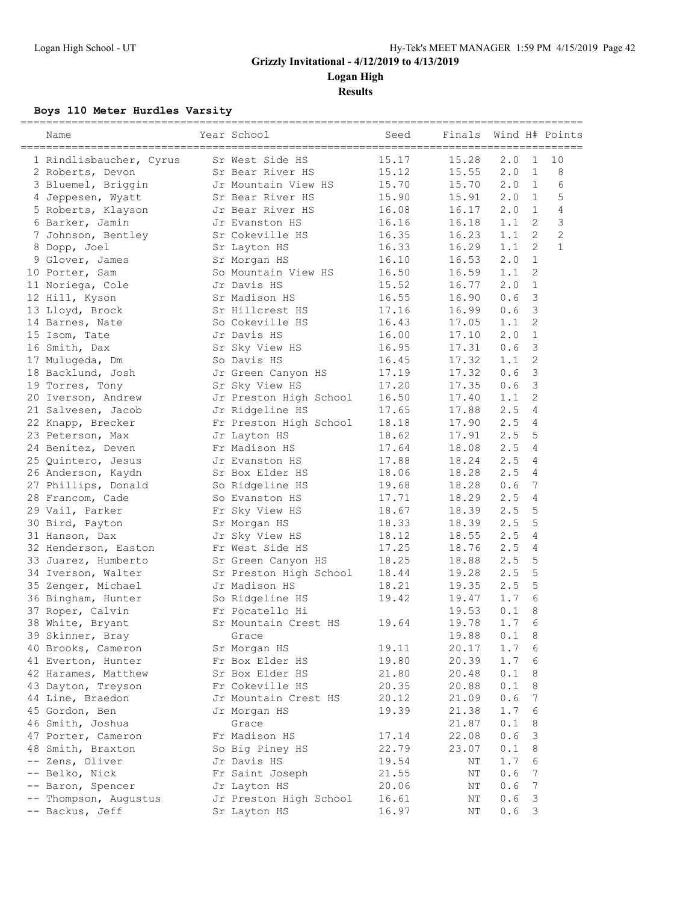**Logan High**

**Results**

### **Boys 110 Meter Hurdles Varsity**

|    | Name                    | Year School            | Seed  | Finals |     |                | Wind H# Points |
|----|-------------------------|------------------------|-------|--------|-----|----------------|----------------|
|    | 1 Rindlisbaucher, Cyrus | Sr West Side HS        | 15.17 | 15.28  | 2.0 | 1              | 10             |
|    | 2 Roberts, Devon        | Sr Bear River HS       | 15.12 | 15.55  | 2.0 | $\mathbf{1}$   | 8              |
|    | 3 Bluemel, Briggin      | Jr Mountain View HS    | 15.70 | 15.70  | 2.0 | 1              | 6              |
|    | 4 Jeppesen, Wyatt       | Sr Bear River HS       | 15.90 | 15.91  | 2.0 | 1              | 5              |
|    | 5 Roberts, Klayson      | Jr Bear River HS       | 16.08 | 16.17  | 2.0 | 1              | $\overline{4}$ |
|    | 6 Barker, Jamin         | Jr Evanston HS         | 16.16 | 16.18  | 1.1 | 2              | $\mathcal{S}$  |
|    | 7 Johnson, Bentley      | Sr Cokeville HS        | 16.35 | 16.23  | 1.1 | $\overline{2}$ | $\overline{2}$ |
|    | 8 Dopp, Joel            | Sr Layton HS           | 16.33 | 16.29  | 1.1 | $\mathbf{2}$   | $\mathbf{1}$   |
|    | 9 Glover, James         | Sr Morgan HS           | 16.10 | 16.53  | 2.0 | $\mathbf{1}$   |                |
|    | 10 Porter, Sam          | So Mountain View HS    | 16.50 | 16.59  | 1.1 | 2              |                |
|    | 11 Noriega, Cole        | Jr Davis HS            | 15.52 | 16.77  | 2.0 | $\mathbf{1}$   |                |
|    | 12 Hill, Kyson          | Sr Madison HS          | 16.55 | 16.90  | 0.6 | 3              |                |
|    | 13 Lloyd, Brock         | Sr Hillcrest HS        | 17.16 | 16.99  | 0.6 | $\mathcal{S}$  |                |
|    | 14 Barnes, Nate         | So Cokeville HS        | 16.43 | 17.05  | 1.1 | 2              |                |
|    | 15 Isom, Tate           | Jr Davis HS            | 16.00 | 17.10  | 2.0 | $\mathbf{1}$   |                |
|    | 16 Smith, Dax           | Sr Sky View HS         | 16.95 | 17.31  | 0.6 | 3              |                |
|    | 17 Mulugeda, Dm         | So Davis HS            | 16.45 | 17.32  | 1.1 | 2              |                |
|    | 18 Backlund, Josh       | Jr Green Canyon HS     | 17.19 | 17.32  | 0.6 | 3              |                |
|    | 19 Torres, Tony         | Sr Sky View HS         | 17.20 | 17.35  | 0.6 | $\mathcal{S}$  |                |
|    | 20 Iverson, Andrew      | Jr Preston High School | 16.50 | 17.40  | 1.1 | 2              |                |
|    | 21 Salvesen, Jacob      | Jr Ridgeline HS        | 17.65 | 17.88  | 2.5 | 4              |                |
|    | 22 Knapp, Brecker       | Fr Preston High School | 18.18 | 17.90  | 2.5 | 4              |                |
|    | 23 Peterson, Max        | Jr Layton HS           | 18.62 | 17.91  | 2.5 | 5              |                |
|    | 24 Benitez, Deven       | Fr Madison HS          | 17.64 | 18.08  | 2.5 | 4              |                |
|    |                         |                        | 17.88 | 18.24  | 2.5 | 4              |                |
|    | 25 Quintero, Jesus      | Jr Evanston HS         |       |        | 2.5 | 4              |                |
|    | 26 Anderson, Kaydn      | Sr Box Elder HS        | 18.06 | 18.28  |     |                |                |
|    | 27 Phillips, Donald     | So Ridgeline HS        | 19.68 | 18.28  | 0.6 | 7              |                |
|    | 28 Francom, Cade        | So Evanston HS         | 17.71 | 18.29  | 2.5 | 4              |                |
|    | 29 Vail, Parker         | Fr Sky View HS         | 18.67 | 18.39  | 2.5 | 5              |                |
|    | 30 Bird, Payton         | Sr Morgan HS           | 18.33 | 18.39  | 2.5 | 5              |                |
|    | 31 Hanson, Dax          | Jr Sky View HS         | 18.12 | 18.55  | 2.5 | 4              |                |
|    | 32 Henderson, Easton    | Fr West Side HS        | 17.25 | 18.76  | 2.5 | 4              |                |
|    | 33 Juarez, Humberto     | Sr Green Canyon HS     | 18.25 | 18.88  | 2.5 | 5              |                |
|    | 34 Iverson, Walter      | Sr Preston High School | 18.44 | 19.28  | 2.5 | 5              |                |
|    | 35 Zenger, Michael      | Jr Madison HS          | 18.21 | 19.35  | 2.5 | 5              |                |
|    | 36 Bingham, Hunter      | So Ridgeline HS        | 19.42 | 19.47  | 1.7 | 6              |                |
|    | 37 Roper, Calvin        | Fr Pocatello Hi        |       | 19.53  | 0.1 | 8              |                |
|    | 38 White, Bryant        | Sr Mountain Crest HS   | 19.64 | 19.78  | 1.7 | 6              |                |
|    | 39 Skinner, Bray        | Grace                  |       | 19.88  | 0.1 | 8              |                |
|    | 40 Brooks, Cameron      | Sr Morgan HS           | 19.11 | 20.17  | 1.7 | 6              |                |
|    | 41 Everton, Hunter      | Fr Box Elder HS        | 19.80 | 20.39  | 1.7 | 6              |                |
|    | 42 Harames, Matthew     | Sr Box Elder HS        | 21.80 | 20.48  | 0.1 | 8              |                |
|    | 43 Dayton, Treyson      | Fr Cokeville HS        | 20.35 | 20.88  | 0.1 | 8              |                |
|    | 44 Line, Braedon        | Jr Mountain Crest HS   | 20.12 | 21.09  | 0.6 | 7              |                |
|    | 45 Gordon, Ben          | Jr Morgan HS           | 19.39 | 21.38  | 1.7 | 6              |                |
|    | 46 Smith, Joshua        | Grace                  |       | 21.87  | 0.1 | 8              |                |
|    | 47 Porter, Cameron      | Fr Madison HS          | 17.14 | 22.08  | 0.6 | 3              |                |
|    | 48 Smith, Braxton       | So Big Piney HS        | 22.79 | 23.07  | 0.1 | 8              |                |
|    | Zens, Oliver            | Jr Davis HS            | 19.54 | ΝT     | 1.7 | 6              |                |
| -- | Belko, Nick             | Fr Saint Joseph        | 21.55 | ΝT     | 0.6 | 7              |                |
|    | Baron, Spencer          | Jr Layton HS           | 20.06 | ΝT     | 0.6 | 7              |                |
|    | Thompson, Augustus      | Jr Preston High School | 16.61 | ΝT     | 0.6 | 3              |                |
|    | -- Backus, Jeff         | Sr Layton HS           | 16.97 | ΝT     | 0.6 | 3              |                |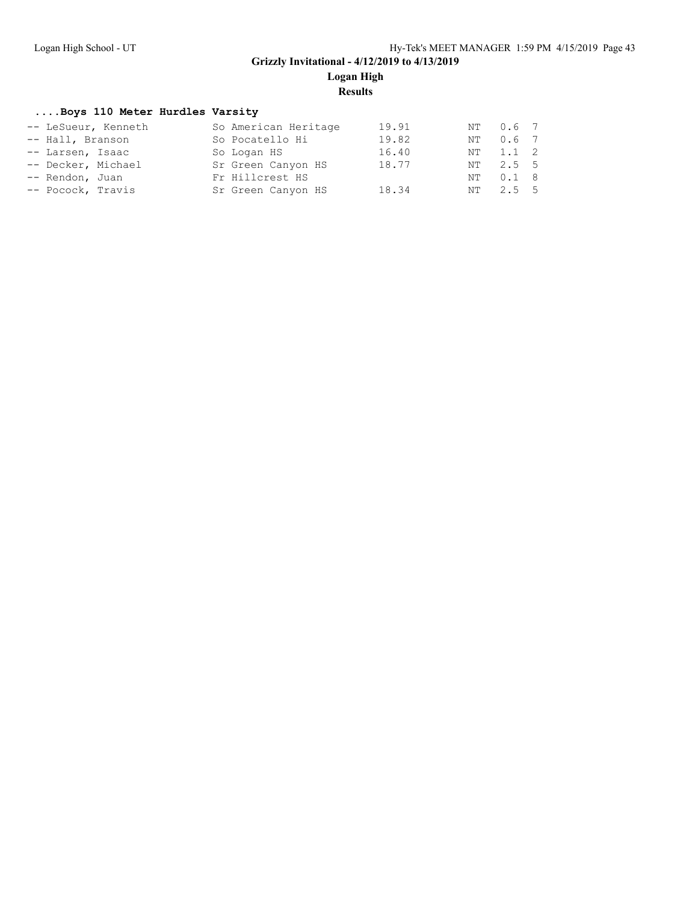**Logan High**

**Results**

#### **....Boys 110 Meter Hurdles Varsity**

| -- LeSueur, Kenneth |  | So American Heritage | 19.91 |    | NT 0.6 7      |  |
|---------------------|--|----------------------|-------|----|---------------|--|
| -- Hall, Branson    |  | So Pocatello Hi      | 19.82 | NT | $0.6$ 7       |  |
| -- Larsen, Isaac    |  | So Logan HS          | 16.40 |    | NT 1.1 2      |  |
| -- Decker, Michael  |  | Sr Green Canyon HS   | 18.77 |    | NT 2.5 5      |  |
| -- Rendon, Juan     |  | Fr Hillcrest HS      |       | NT | $0.1 \quad 8$ |  |
| -- Pocock, Travis   |  | Sr Green Canyon HS   | 18.34 |    | NT 2.5 5      |  |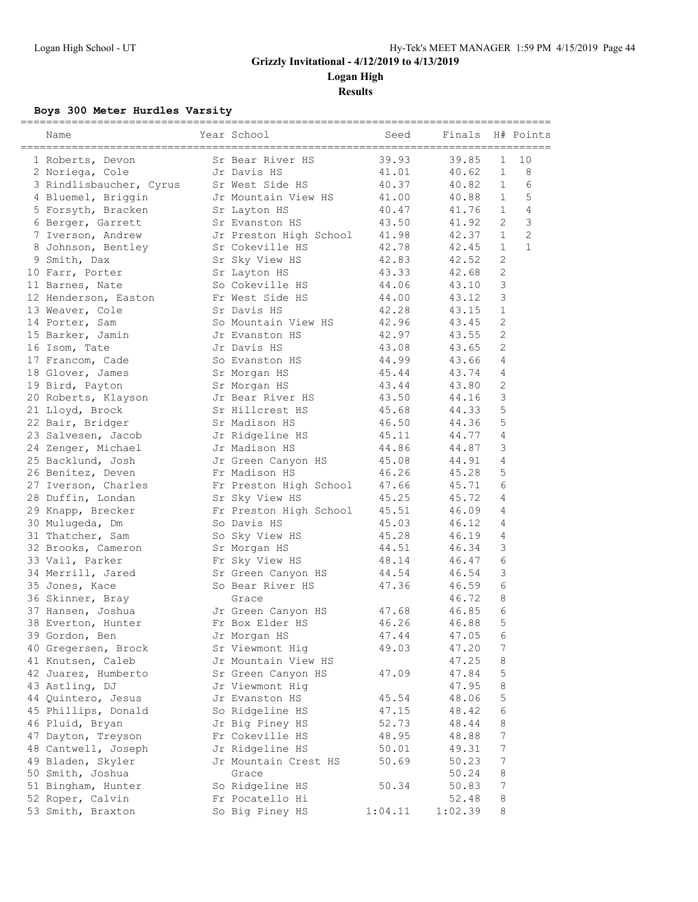**Logan High**

**Results**

### **Boys 300 Meter Hurdles Varsity**

| Name                    | Year School                           | Seed    | Finals  |                  | H# Points      |
|-------------------------|---------------------------------------|---------|---------|------------------|----------------|
| 1 Roberts, Devon        | Sr Bear River HS                      | 39.93   | 39.85   | $\mathbf 1$      | 10             |
| 2 Noriega, Cole         | Jr Davis HS                           | 41.01   | 40.62   | $\mathbf{1}$     | 8              |
| 3 Rindlisbaucher, Cyrus | Sr West Side HS                       | 40.37   | 40.82   | $\mathbf{1}$     | 6              |
| 4 Bluemel, Briggin      | Jr Mountain View HS                   | 41.00   | 40.88   | $\mathbf{1}$     | 5              |
| 5 Forsyth, Bracken      | Sr Layton HS                          | 40.47   | 41.76   | $\mathbf{1}$     | 4              |
| 6 Berger, Garrett       | Sr Evanston HS                        | 43.50   | 41.92   | 2                | $\mathcal{E}$  |
| 7 Iverson, Andrew       | Jr Preston High School                | 41.98   | 42.37   | $\mathbf{1}$     | $\overline{c}$ |
| 8 Johnson, Bentley      | Sr Cokeville HS                       | 42.78   | 42.45   | $\mathbf{1}$     | $\mathbf{1}$   |
| 9 Smith, Dax            | Sr Sky View HS                        | 42.83   | 42.52   | $\mathbf{2}$     |                |
| 10 Farr, Porter         | Sr Layton HS                          | 43.33   | 42.68   | $\overline{c}$   |                |
| 11 Barnes, Nate         | So Cokeville HS                       | 44.06   | 43.10   | 3                |                |
| 12 Henderson, Easton    | Fr West Side HS                       | 44.00   | 43.12   | 3                |                |
| 13 Weaver, Cole         | Sr Davis HS                           | 42.28   | 43.15   | $\mathbf{1}$     |                |
| 14 Porter, Sam          | So Mountain View HS                   | 42.96   | 43.45   | $\mathbf{2}$     |                |
| 15 Barker, Jamin        | Jr Evanston HS                        | 42.97   | 43.55   | $\mathbf{2}$     |                |
| 16 Isom, Tate           | Jr Davis HS                           | 43.08   | 43.65   | $\overline{2}$   |                |
| 17 Francom, Cade        | So Evanston HS                        | 44.99   | 43.66   | 4                |                |
| 18 Glover, James        | Sr Morgan HS                          | 45.44   | 43.74   | 4                |                |
| 19 Bird, Payton         | Sr Morgan HS                          | 43.44   | 43.80   | $\sqrt{2}$       |                |
| 20 Roberts, Klayson     | Jr Bear River HS                      | 43.50   | 44.16   | 3                |                |
| 21 Lloyd, Brock         | Sr Hillcrest HS                       | 45.68   | 44.33   | 5                |                |
| 22 Bair, Bridger        | Sr Madison HS                         | 46.50   | 44.36   | 5                |                |
| 23 Salvesen, Jacob      | Jr Ridgeline HS                       | 45.11   | 44.77   | 4                |                |
| 24 Zenger, Michael      | Jr Madison HS                         | 44.86   | 44.87   | 3                |                |
| 25 Backlund, Josh       | Jr Green Canyon HS                    | 45.08   | 44.91   | $\overline{4}$   |                |
| 26 Benitez, Deven       | Fr Madison HS                         | 46.26   | 45.28   | 5                |                |
| 27 Iverson, Charles     | Fr Preston High School                | 47.66   | 45.71   | 6                |                |
| 28 Duffin, Londan       | Sr Sky View HS                        | 45.25   | 45.72   | 4                |                |
| 29 Knapp, Brecker       |                                       | 45.51   | 46.09   | 4                |                |
| 30 Mulugeda, Dm         | Fr Preston High School<br>So Davis HS | 45.03   | 46.12   | 4                |                |
| 31 Thatcher, Sam        | So Sky View HS                        | 45.28   | 46.19   | 4                |                |
| 32 Brooks, Cameron      |                                       | 44.51   | 46.34   | 3                |                |
| 33 Vail, Parker         | Sr Morgan HS<br>Fr Sky View HS        | 48.14   | 46.47   | 6                |                |
|                         |                                       |         | 46.54   |                  |                |
| 34 Merrill, Jared       | Sr Green Canyon HS                    | 44.54   |         | 3<br>6           |                |
| 35 Jones, Kace          | So Bear River HS                      | 47.36   | 46.59   |                  |                |
| 36 Skinner, Bray        | Grace                                 |         | 46.72   | 8<br>6           |                |
| 37 Hansen, Joshua       | Jr Green Canyon HS                    | 47.68   | 46.85   | 5                |                |
| 38 Everton, Hunter      | Fr Box Elder HS                       | 46.26   | 46.88   |                  |                |
| 39 Gordon, Ben          | Jr Morgan HS                          | 47.44   | 47.05   | 6                |                |
| 40 Gregersen, Brock     | Sr Viewmont Hig                       | 49.03   | 47.20   | 7                |                |
| 41 Knutsen, Caleb       | Jr Mountain View HS                   |         | 47.25   | 8                |                |
| 42 Juarez, Humberto     | Sr Green Canyon HS                    | 47.09   | 47.84   | 5                |                |
| 43 Astling, DJ          | Jr Viewmont Hig                       |         | 47.95   | 8                |                |
| 44 Quintero, Jesus      | Jr Evanston HS                        | 45.54   | 48.06   | 5                |                |
| 45 Phillips, Donald     | So Ridgeline HS                       | 47.15   | 48.42   | 6                |                |
| 46 Pluid, Bryan         | Jr Big Piney HS                       | 52.73   | 48.44   | 8                |                |
| 47 Dayton, Treyson      | Fr Cokeville HS                       | 48.95   | 48.88   | 7                |                |
| 48 Cantwell, Joseph     | Jr Ridgeline HS                       | 50.01   | 49.31   | 7                |                |
| 49 Bladen, Skyler       | Jr Mountain Crest HS                  | 50.69   | 50.23   | $\boldsymbol{7}$ |                |
| 50 Smith, Joshua        | Grace                                 |         | 50.24   | 8                |                |
| 51 Bingham, Hunter      | So Ridgeline HS                       | 50.34   | 50.83   | $\boldsymbol{7}$ |                |
| 52 Roper, Calvin        | Fr Pocatello Hi                       |         | 52.48   | 8                |                |
| 53 Smith, Braxton       | So Big Piney HS                       | 1:04.11 | 1:02.39 | 8                |                |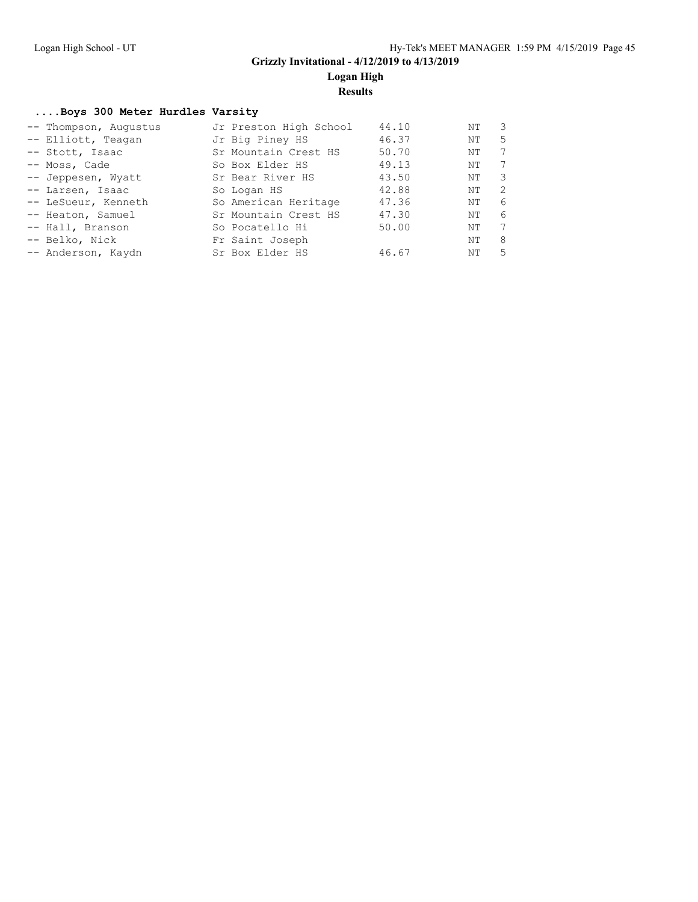**Logan High**

**Results**

#### **....Boys 300 Meter Hurdles Varsity**

| -- Thompson, Augustus | Jr Preston High School | 44.10 | ΝT | -3 |
|-----------------------|------------------------|-------|----|----|
| -- Elliott, Teagan    | Jr Big Piney HS        | 46.37 | NΤ | .5 |
| -- Stott, Isaac       | Sr Mountain Crest HS   | 50.70 | ΝT | 7  |
| -- Moss, Cade         | So Box Elder HS        | 49.13 | NΤ | 7  |
| -- Jeppesen, Wyatt    | Sr Bear River HS       | 43.50 | ΝT | 3  |
| -- Larsen, Isaac      | So Logan HS            | 42.88 | ΝT | -2 |
| -- LeSueur, Kenneth   | So American Heritage   | 47.36 | ΝT | 6  |
| -- Heaton, Samuel     | Sr Mountain Crest HS   | 47.30 | ΝT | 6  |
| -- Hall, Branson      | So Pocatello Hi        | 50.00 | NΤ | 7  |
| -- Belko, Nick        | Fr Saint Joseph        |       | ΝT | -8 |
| -- Anderson, Kaydn    | Sr Box Elder HS        | 46.67 | ΝT | -5 |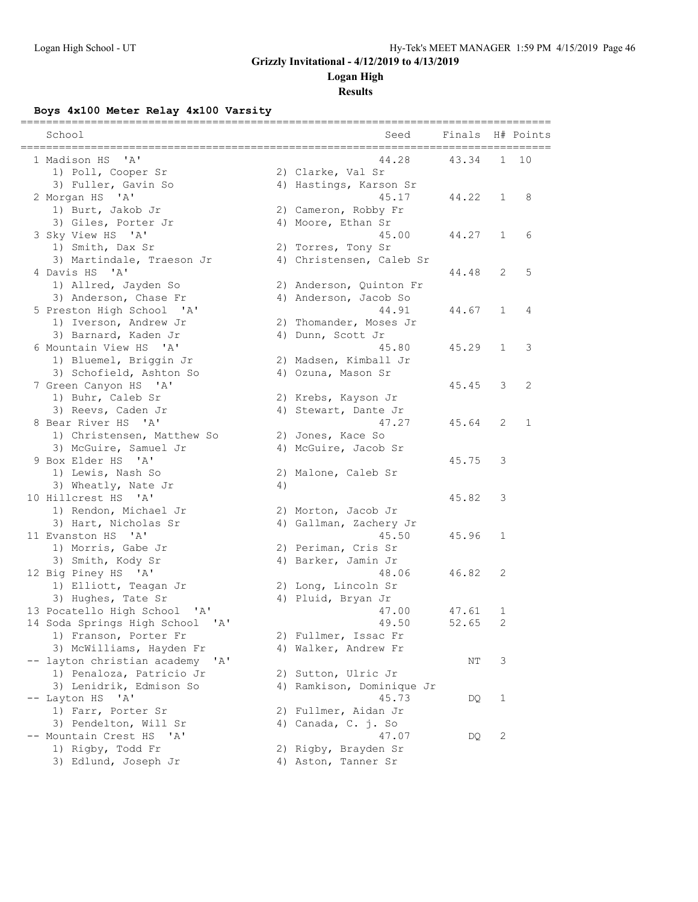### **Logan High**

**Results**

### **Boys 4x100 Meter Relay 4x100 Varsity**

| School                                                             |    | Seed                                    | Finals |              | H# Points    |
|--------------------------------------------------------------------|----|-----------------------------------------|--------|--------------|--------------|
| $^{\prime}$ A $^{\prime}$<br>1 Madison HS                          |    | ==============================<br>44.28 | 43.34  | $\mathbf{1}$ | 10           |
| 1) Poll, Cooper Sr                                                 |    | 2) Clarke, Val Sr                       |        |              |              |
| 3) Fuller, Gavin So                                                |    | 4) Hastings, Karson Sr                  |        |              |              |
| 2 Morgan HS<br>$^{\prime}$ A $^{\prime}$                           |    | 45.17                                   | 44.22  | 1            | 8            |
| 1) Burt, Jakob Jr                                                  |    | 2) Cameron, Robby Fr                    |        |              |              |
| 3) Giles, Porter Jr                                                |    | 4) Moore, Ethan Sr                      |        |              |              |
| 3 Sky View HS 'A'                                                  |    | 45.00                                   | 44.27  | $\mathbf{1}$ | 6            |
| 1) Smith, Dax Sr                                                   |    | 2) Torres, Tony Sr                      |        |              |              |
| 3) Martindale, Traeson Jr                                          |    | 4) Christensen, Caleb Sr                |        |              |              |
| 4 Davis HS 'A'                                                     |    |                                         | 44.48  | 2            | 5            |
| 1) Allred, Jayden So                                               |    | 2) Anderson, Quinton Fr                 |        |              |              |
| 3) Anderson, Chase Fr                                              |    | 4) Anderson, Jacob So                   |        |              |              |
| 5 Preston High School 'A'                                          |    | 44.91                                   | 44.67  | 1            | 4            |
| 1) Iverson, Andrew Jr                                              |    | 2) Thomander, Moses Jr                  |        |              |              |
| 3) Barnard, Kaden Jr                                               |    | 4) Dunn, Scott Jr                       |        |              |              |
| 6 Mountain View HS 'A'                                             |    | 45.80                                   | 45.29  | $\mathbf{1}$ | 3            |
| 1) Bluemel, Briggin Jr                                             |    | 2) Madsen, Kimball Jr                   |        |              |              |
| 3) Schofield, Ashton So                                            |    | 4) Ozuna, Mason Sr                      |        |              |              |
| 7 Green Canyon HS 'A'                                              |    |                                         | 45.45  | 3            | 2            |
| 1) Buhr, Caleb Sr                                                  |    | 2) Krebs, Kayson Jr                     |        |              |              |
| 3) Reevs, Caden Jr                                                 |    | 4) Stewart, Dante Jr                    |        |              |              |
| 8 Bear River HS 'A'                                                |    | 47.27                                   | 45.64  | 2            | $\mathbf{1}$ |
| 1) Christensen, Matthew So                                         |    | 2) Jones, Kace So                       |        |              |              |
| 3) McGuire, Samuel Jr                                              |    | 4) McGuire, Jacob Sr                    |        |              |              |
| 9 Box Elder HS 'A'                                                 |    |                                         | 45.75  | 3            |              |
| 1) Lewis, Nash So                                                  |    | 2) Malone, Caleb Sr                     |        |              |              |
| 3) Wheatly, Nate Jr                                                | 4) |                                         |        |              |              |
| 10 Hillcrest HS<br>$^{\prime}$ A <sup><math>^{\prime}</math></sup> |    |                                         | 45.82  | 3            |              |
| 1) Rendon, Michael Jr                                              |    | 2) Morton, Jacob Jr                     |        |              |              |
| 3) Hart, Nicholas Sr                                               |    | 4) Gallman, Zachery Jr                  |        |              |              |
| 11 Evanston HS 'A'                                                 |    | 45.50                                   | 45.96  | 1            |              |
| 1) Morris, Gabe Jr                                                 |    | 2) Periman, Cris Sr                     |        |              |              |
| 3) Smith, Kody Sr                                                  |    | 4) Barker, Jamin Jr                     |        |              |              |
| 12 Big Piney HS 'A'                                                |    | 48.06                                   | 46.82  | 2            |              |
| 1) Elliott, Teagan Jr                                              |    | 2) Long, Lincoln Sr                     |        |              |              |
| 3) Hughes, Tate Sr                                                 |    | 4) Pluid, Bryan Jr                      |        |              |              |
| 13 Pocatello High School 'A'                                       |    | 47.00                                   | 47.61  | 1            |              |
| 14 Soda Springs High School 'A'                                    |    | 49.50                                   | 52.65  | $\mathbf{2}$ |              |
| 1) Franson, Porter Fr                                              |    | 2) Fullmer, Issac Fr                    |        |              |              |
| 3) McWilliams, Hayden Fr                                           |    | 4) Walker, Andrew Fr                    |        |              |              |
| -- layton christian academy<br>'A'                                 |    |                                         | NΤ     | 3            |              |
| 1) Penaloza, Patricio Jr                                           |    | 2) Sutton, Ulric Jr                     |        |              |              |
| 3) Lenidrik, Edmison So                                            |    | 4) Ramkison, Dominique Jr               |        |              |              |
| -- Layton HS<br>A'                                                 |    | 45.73                                   | DQ     | 1            |              |
| 1) Farr, Porter Sr                                                 |    | 2) Fullmer, Aidan Jr                    |        |              |              |
| 3) Pendelton, Will Sr                                              |    | 4) Canada, C. j. So                     |        |              |              |
| -- Mountain Crest HS<br>'A'                                        |    | 47.07                                   | DQ     | $\mathbf{2}$ |              |
| 1) Rigby, Todd Fr                                                  |    | 2) Rigby, Brayden Sr                    |        |              |              |
| 3) Edlund, Joseph Jr                                               |    | 4) Aston, Tanner Sr                     |        |              |              |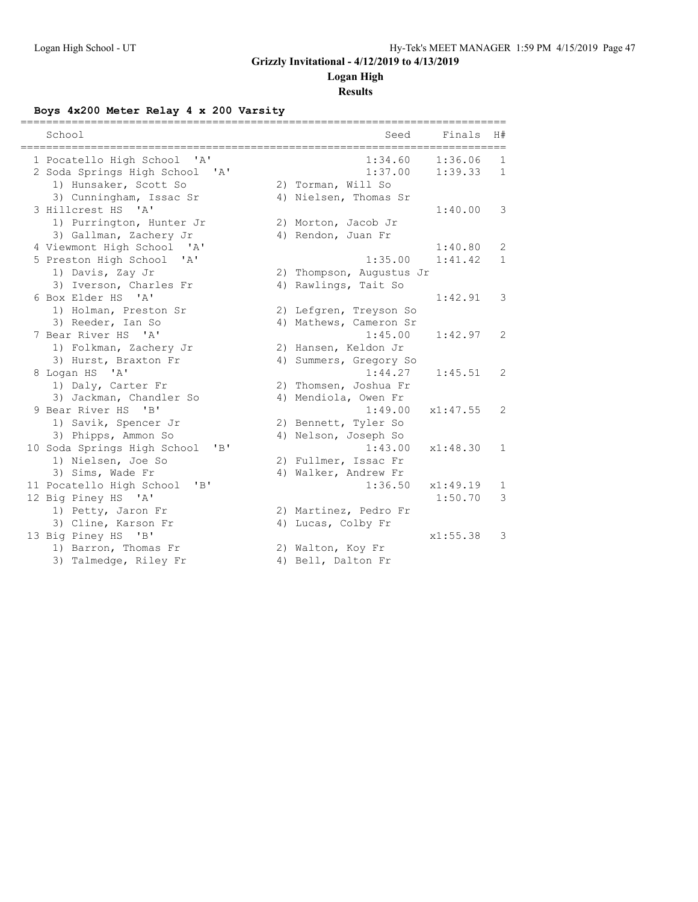### **Logan High**

**Results**

### **Boys 4x200 Meter Relay 4 x 200 Varsity**

| ================<br>========================<br>School                   | =====================================<br>Seed | Finals   | H#           |
|--------------------------------------------------------------------------|-----------------------------------------------|----------|--------------|
|                                                                          |                                               |          |              |
| 1 Pocatello High School 'A'                                              | 1:34.60                                       | 1:36.06  | 1            |
| 2 Soda Springs High School 'A'                                           | 1:37.00                                       | 1:39.33  | $\mathbf{1}$ |
| 1) Hunsaker, Scott So                                                    | 2) Torman, Will So                            |          |              |
| 3) Cunningham, Issac Sr                                                  | 4) Nielsen, Thomas Sr                         |          |              |
| 3 Hillcrest HS 'A'                                                       |                                               | 1:40.00  | 3            |
| 1) Purrington, Hunter Jr                                                 | 2) Morton, Jacob Jr                           |          |              |
| 3) Gallman, Zachery Jr                                                   | 4) Rendon, Juan Fr                            |          |              |
| 4 Viewmont High School<br>$\mathsf{A}$                                   |                                               | 1:40.80  | 2            |
| 5 Preston High School<br>"A"                                             | 1:35.00                                       | 1:41.42  | $\mathbf{1}$ |
| 1) Davis, Zay Jr                                                         | 2) Thompson, Augustus Jr                      |          |              |
| 3) Iverson, Charles Fr                                                   | 4) Rawlings, Tait So                          |          |              |
| 6 Box Elder HS 'A'                                                       |                                               | 1:42.91  | 3            |
| 1) Holman, Preston Sr                                                    | 2) Lefgren, Treyson So                        |          |              |
| 3) Reeder, Ian So                                                        | 4) Mathews, Cameron Sr                        |          |              |
| 7 Bear River HS 'A'                                                      | 1:45.00                                       | 1:42.97  | 2            |
| 1) Folkman, Zachery Jr                                                   | 2) Hansen, Keldon Jr                          |          |              |
| 3) Hurst, Braxton Fr                                                     | 4) Summers, Gregory So                        |          |              |
| 8 Logan HS 'A'                                                           | 1:44.27                                       | 1:45.51  | 2            |
| 1) Daly, Carter Fr                                                       | 2) Thomsen, Joshua Fr                         |          |              |
| 3) Jackman, Chandler So                                                  | 4) Mendiola, Owen Fr                          |          |              |
| 9 Bear River HS<br>$\mathbf{B}$                                          | 1:49.00                                       | x1:47.55 | 2            |
| 1) Savik, Spencer Jr                                                     | 2) Bennett, Tyler So                          |          |              |
| 3) Phipps, Ammon So                                                      | 4) Nelson, Joseph So                          |          |              |
| 10 Soda Springs High School<br>$\mathbf{R}$                              | 1:43.00                                       | x1:48.30 | $\mathbf{1}$ |
| 1) Nielsen, Joe So                                                       | 2) Fullmer, Issac Fr                          |          |              |
| 3) Sims, Wade Fr                                                         | 4) Walker, Andrew Fr                          |          |              |
| 11 Pocatello High School<br>$^{\prime}$ B <sup><math>\prime</math></sup> | 1:36.50                                       | x1:49.19 | 1            |
| 12 Big Piney HS 'A'                                                      |                                               | 1:50.70  | 3            |
| 1) Petty, Jaron Fr                                                       | 2) Martinez, Pedro Fr                         |          |              |
| 3) Cline, Karson Fr                                                      | 4) Lucas, Colby Fr                            |          |              |
| 13 Big Piney HS<br>$\mathbf{B}$                                          |                                               | x1:55.38 | 3            |
| 1) Barron, Thomas Fr                                                     | 2) Walton, Koy Fr                             |          |              |
| 3) Talmedge, Riley Fr                                                    | 4) Bell, Dalton Fr                            |          |              |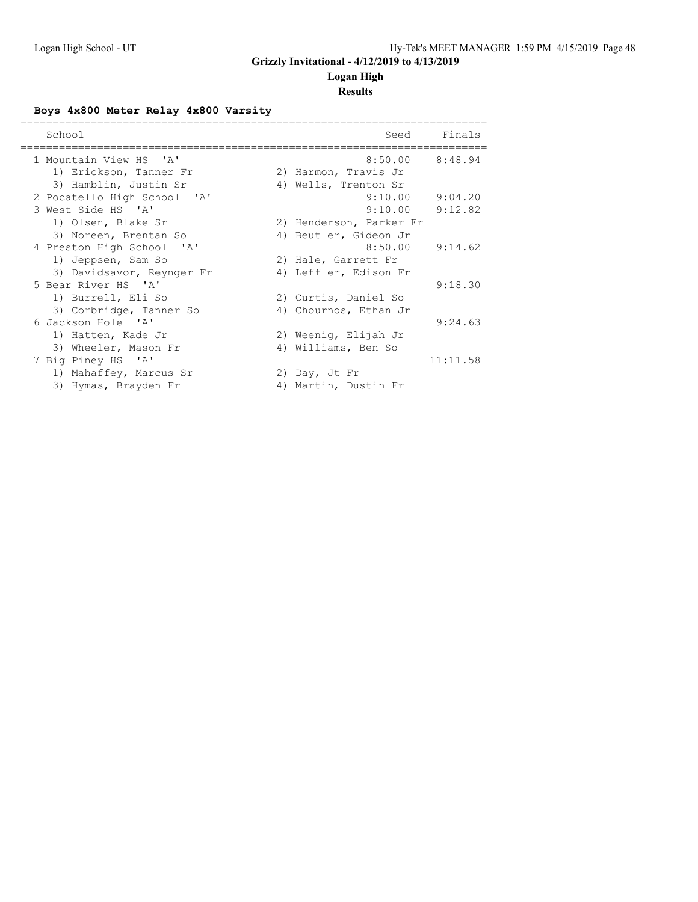### **Logan High**

### **Results**

### **Boys 4x800 Meter Relay 4x800 Varsity**

| School                      | Seed                    | Finals   |
|-----------------------------|-------------------------|----------|
| 1 Mountain View HS 'A'      | $8:50.00$ $8:48.94$     |          |
| 1) Erickson, Tanner Fr      | 2) Harmon, Travis Jr    |          |
| 3) Hamblin, Justin Sr       | 4) Wells, Trenton Sr    |          |
| 2 Pocatello High School 'A' | 9:10.00                 | 9:04.20  |
| 3 West Side HS 'A'          | 9:10.00                 | 9:12.82  |
| 1) Olsen, Blake Sr          | 2) Henderson, Parker Fr |          |
| 3) Noreen, Brentan So       | 4) Beutler, Gideon Jr   |          |
| 4 Preston High School 'A'   | 8:50.00                 | 9:14.62  |
| 1) Jeppsen, Sam So          | 2) Hale, Garrett Fr     |          |
| 3) Davidsavor, Reynger Fr   | 4) Leffler, Edison Fr   |          |
| 5 Bear River HS 'A'         |                         | 9:18.30  |
| 1) Burrell, Eli So          | 2) Curtis, Daniel So    |          |
| 3) Corbridge, Tanner So     | 4) Chournos, Ethan Jr   |          |
| 6 Jackson Hole 'A'          |                         | 9:24.63  |
| 1) Hatten, Kade Jr          | 2) Weenig, Elijah Jr    |          |
| 3) Wheeler, Mason Fr        | 4) Williams, Ben So     |          |
| 7 Big Piney HS 'A'          |                         | 11:11.58 |
| 1) Mahaffey, Marcus Sr      | 2) Day, Jt Fr           |          |
| 3) Hymas, Brayden Fr        | 4) Martin, Dustin Fr    |          |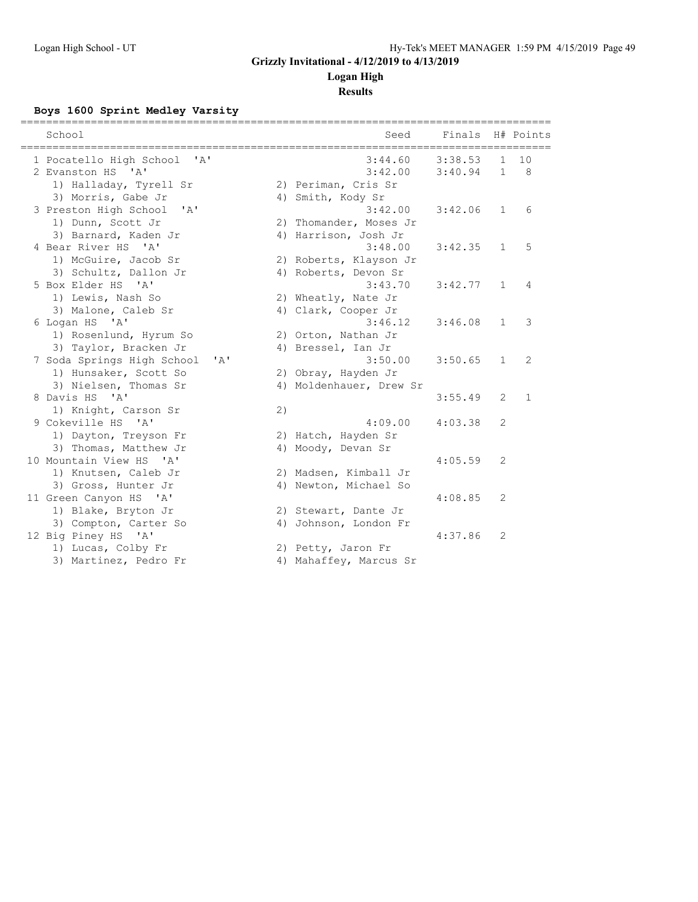### **Logan High**

### **Results**

### **Boys 1600 Sprint Medley Varsity**

| School                                     |    | Seed                    | Finals H# Points |                |              |
|--------------------------------------------|----|-------------------------|------------------|----------------|--------------|
| 1 Pocatello High School<br>$\mathsf{A}$    |    | 3:44.60                 | 3:38.53          | $\mathbf{1}$   | 10           |
| 2 Evanston HS 'A'                          |    | 3:42.00                 | 3:40.94          | $\mathbf{1}$   | 8            |
| 1) Halladay, Tyrell Sr                     |    | 2) Periman, Cris Sr     |                  |                |              |
| 3) Morris, Gabe Jr                         |    | 4) Smith, Kody Sr       |                  |                |              |
| 3 Preston High School<br>$\mathsf{A}$      |    | 3:42.00                 | 3:42.06          | $\mathbf{1}$   | 6            |
| 1) Dunn, Scott Jr                          |    | 2) Thomander, Moses Jr  |                  |                |              |
| 3) Barnard, Kaden Jr                       |    | 4) Harrison, Josh Jr    |                  |                |              |
| 4 Bear River HS 'A'                        |    | 3:48.00                 | 3:42.35          | $\mathbf{1}$   | 5            |
| 1) McGuire, Jacob Sr                       |    | 2) Roberts, Klayson Jr  |                  |                |              |
| 3) Schultz, Dallon Jr                      |    | 4) Roberts, Devon Sr    |                  |                |              |
| 5 Box Elder HS 'A'                         |    | 3:43.70                 | 3:42.77          | $\mathbf{1}$   | 4            |
| 1) Lewis, Nash So                          |    | 2) Wheatly, Nate Jr     |                  |                |              |
| 3) Malone, Caleb Sr                        |    | 4) Clark, Cooper Jr     |                  |                |              |
| 6 Logan HS 'A'                             |    | 3:46.12                 | 3:46.08          | $\mathbf{1}$   | 3            |
| 1) Rosenlund, Hyrum So                     |    | 2) Orton, Nathan Jr     |                  |                |              |
| 3) Taylor, Bracken Jr                      |    | 4) Bressel, Ian Jr      |                  |                |              |
| 7 Soda Springs High School<br>$\mathbf{A}$ |    | 3:50.00                 | 3:50.65          | $\mathbf{1}$   | 2            |
| 1) Hunsaker, Scott So                      |    | 2) Obray, Hayden Jr     |                  |                |              |
| 3) Nielsen, Thomas Sr                      |    | 4) Moldenhauer, Drew Sr |                  |                |              |
| 8 Davis HS 'A'                             |    |                         | 3:55.49          | $\overline{2}$ | $\mathbf{1}$ |
| 1) Knight, Carson Sr                       | 2) |                         |                  |                |              |
| 9 Cokeville HS 'A'                         |    | 4:09.00                 | 4:03.38          | 2              |              |
| 1) Dayton, Treyson Fr                      |    | 2) Hatch, Hayden Sr     |                  |                |              |
| 3) Thomas, Matthew Jr                      |    | 4) Moody, Devan Sr      |                  |                |              |
| 10 Mountain View HS 'A'                    |    |                         | 4:05.59          | 2              |              |
| 1) Knutsen, Caleb Jr                       |    | 2) Madsen, Kimball Jr   |                  |                |              |
| 3) Gross, Hunter Jr                        |    | 4) Newton, Michael So   |                  |                |              |
| 11 Green Canyon HS 'A'                     |    |                         | 4:08.85          | 2              |              |
| 1) Blake, Bryton Jr                        |    | 2) Stewart, Dante Jr    |                  |                |              |
| 3) Compton, Carter So                      |    | 4) Johnson, London Fr   |                  |                |              |
| 12 Big Piney HS 'A'                        |    |                         | 4:37.86          | 2              |              |
| 1) Lucas, Colby Fr                         |    | 2) Petty, Jaron Fr      |                  |                |              |
| 3) Martinez, Pedro Fr                      |    | 4) Mahaffey, Marcus Sr  |                  |                |              |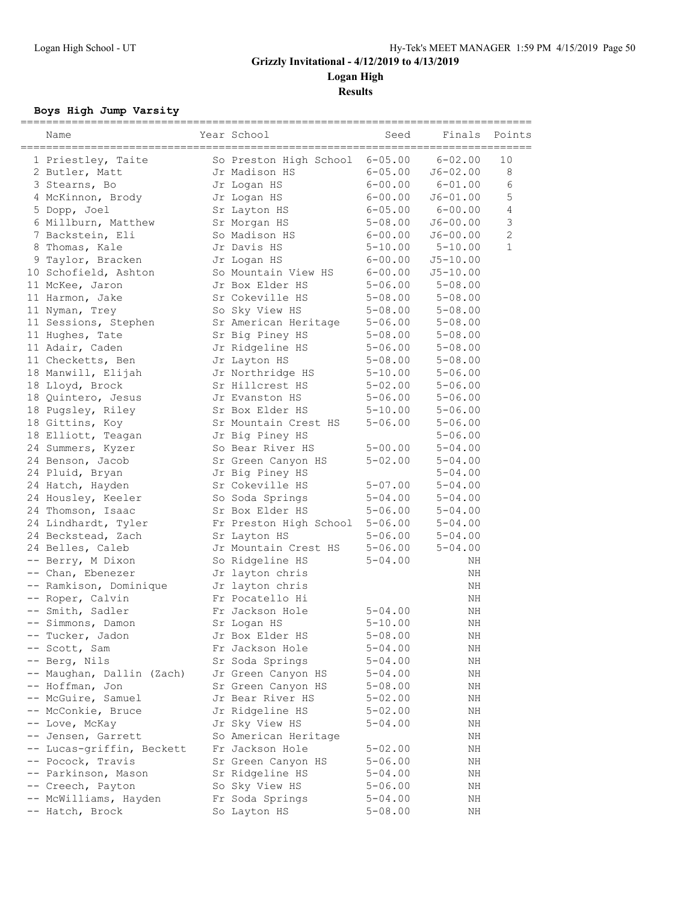**Results**

### **Boys High Jump Varsity**

| Name                      | Year School                          | Seed        | Finals       | Points         |
|---------------------------|--------------------------------------|-------------|--------------|----------------|
| 1 Priestley, Taite        | So Preston High School               | $6 - 05.00$ | $6 - 02.00$  | 10             |
| 2 Butler, Matt            | Jr Madison HS                        | $6 - 05.00$ | $J6 - 02.00$ | 8              |
| 3 Stearns, Bo             | Jr Logan HS                          | $6 - 00.00$ | $6 - 01.00$  | 6              |
| 4 McKinnon, Brody         | Jr Logan HS                          | $6 - 00.00$ | $J6 - 01.00$ | 5              |
| 5 Dopp, Joel              | Sr Layton HS                         | $6 - 05.00$ | $6 - 00.00$  | 4              |
| 6 Millburn, Matthew       | Sr Morgan HS                         | $5 - 08.00$ | J6-00.00     | 3              |
| 7 Backstein, Eli          | So Madison HS                        | $6 - 00.00$ | $J6 - 00.00$ | $\overline{2}$ |
| 8 Thomas, Kale            | Jr Davis HS                          | $5 - 10.00$ | $5 - 10.00$  | $\mathbf{1}$   |
| 9 Taylor, Bracken         | Jr Logan HS                          | $6 - 00.00$ | $J5 - 10.00$ |                |
| 10 Schofield, Ashton      | So Mountain View HS                  | $6 - 00.00$ | $J5 - 10.00$ |                |
| 11 McKee, Jaron           | Jr Box Elder HS                      | $5 - 06.00$ | $5 - 08.00$  |                |
| 11 Harmon, Jake           | Sr Cokeville HS                      | $5 - 08.00$ | $5 - 08.00$  |                |
| 11 Nyman, Trey            | So Sky View HS                       | $5 - 08.00$ | $5 - 08.00$  |                |
| 11 Sessions, Stephen      | Sr American Heritage                 | $5 - 06.00$ | $5 - 08.00$  |                |
| 11 Hughes, Tate           | Sr Big Piney HS                      | $5 - 08.00$ | $5 - 08.00$  |                |
| 11 Adair, Caden           | Jr Ridgeline HS                      | $5 - 06.00$ | $5 - 08.00$  |                |
| 11 Checketts, Ben         | Jr Layton HS                         | $5 - 08.00$ | $5 - 08.00$  |                |
| 18 Manwill, Elijah        | Jr Northridge HS                     | $5 - 10.00$ | $5 - 06.00$  |                |
| 18 Lloyd, Brock           | Sr Hillcrest HS                      | $5 - 02.00$ | $5 - 06.00$  |                |
| 18 Quintero, Jesus        | Jr Evanston HS                       | $5 - 06.00$ | $5 - 06.00$  |                |
| 18 Pugsley, Riley         | Sr Box Elder HS                      | 5-10.00     | $5 - 06.00$  |                |
| 18 Gittins, Koy           | Sr Mountain Crest HS                 | 5-06.00     | $5 - 06.00$  |                |
| 18 Elliott, Teagan        | Jr Big Piney HS                      |             | $5 - 06.00$  |                |
| 24 Summers, Kyzer         | So Bear River HS                     | $5 - 00.00$ | $5 - 04.00$  |                |
| 24 Benson, Jacob          | Sr Green Canyon HS                   | $5 - 02.00$ | $5 - 04.00$  |                |
| 24 Pluid, Bryan           | Jr Big Piney HS                      |             | $5 - 04.00$  |                |
| 24 Hatch, Hayden          | Sr Cokeville HS                      | 5-07.00     | $5 - 04.00$  |                |
| 24 Housley, Keeler        | So Soda Springs                      | $5 - 04.00$ | $5 - 04.00$  |                |
| 24 Thomson, Isaac         | Sr Box Elder HS                      | $5 - 06.00$ | $5 - 04.00$  |                |
|                           |                                      |             |              |                |
| 24 Lindhardt, Tyler       | Fr Preston High School               | $5 - 06.00$ | $5 - 04.00$  |                |
| 24 Beckstead, Zach        | Sr Layton HS<br>Jr Mountain Crest HS | $5 - 06.00$ | $5 - 04.00$  |                |
| 24 Belles, Caleb          |                                      | $5 - 06.00$ | $5 - 04.00$  |                |
| -- Berry, M Dixon         | So Ridgeline HS                      | 5-04.00     | ΝH           |                |
| -- Chan, Ebenezer         | Jr layton chris                      |             | ΝH           |                |
| -- Ramkison, Dominique    | Jr layton chris                      |             | ΝH           |                |
| -- Roper, Calvin          | Fr Pocatello Hi                      |             | ΝH           |                |
| -- Smith, Sadler          | Fr Jackson Hole                      | $5 - 04.00$ | ΝH           |                |
| -- Simmons, Damon         | Sr Logan HS                          | $5 - 10.00$ | ΝH           |                |
| -- Tucker, Jadon          | Jr Box Elder HS                      | $5 - 08.00$ | ΝH           |                |
| -- Scott, Sam             | Fr Jackson Hole                      | $5 - 04.00$ | ΝH           |                |
| -- Berg, Nils             | Sr Soda Springs                      | 5-04.00     | ΝH           |                |
| -- Maughan, Dallin (Zach) | Jr Green Canyon HS                   | 5-04.00     | ΝH           |                |
| -- Hoffman, Jon           | Sr Green Canyon HS                   | $5 - 08.00$ | ΝH           |                |
| -- McGuire, Samuel        | Jr Bear River HS                     | 5-02.00     | ΝH           |                |
| -- McConkie, Bruce        | Jr Ridgeline HS                      | $5 - 02.00$ | ΝH           |                |
| -- Love, McKay            | Jr Sky View HS                       | 5-04.00     | ΝH           |                |
| -- Jensen, Garrett        | So American Heritage                 |             | ΝH           |                |
| -- Lucas-griffin, Beckett | Fr Jackson Hole                      | $5 - 02.00$ | ΝH           |                |
| -- Pocock, Travis         | Sr Green Canyon HS                   | $5 - 06.00$ | ΝH           |                |
| -- Parkinson, Mason       | Sr Ridgeline HS                      | 5-04.00     | ΝH           |                |
| -- Creech, Payton         | So Sky View HS                       | 5-06.00     | ΝH           |                |
| -- McWilliams, Hayden     | Fr Soda Springs                      | $5 - 04.00$ | ΝH           |                |
| -- Hatch, Brock           | So Layton HS                         | $5 - 08.00$ | ΝH           |                |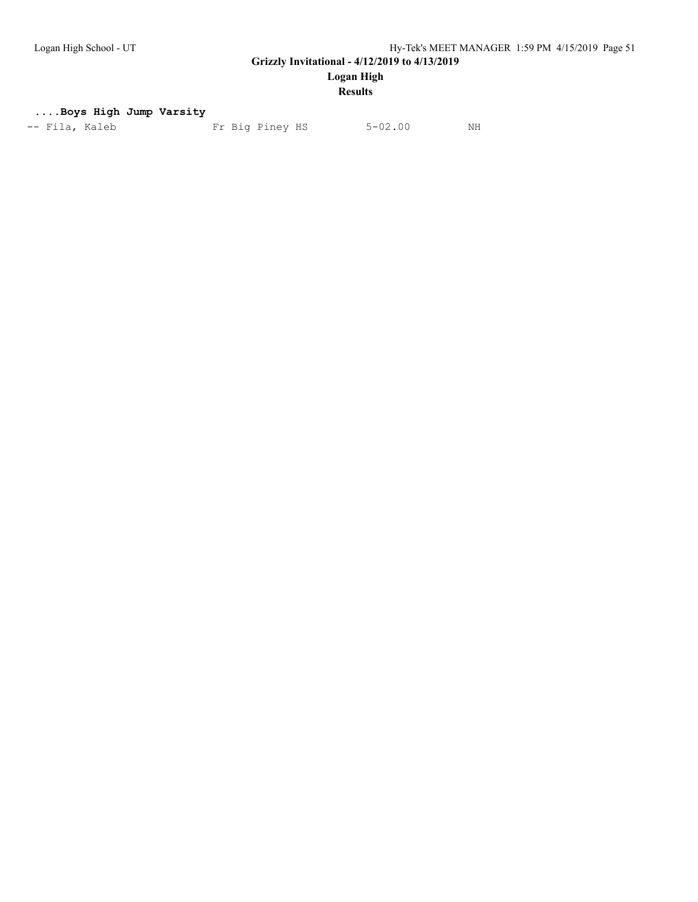**Logan High**

### **Results**

#### **....Boys High Jump Varsity**

| Fr Big Piney HS<br>$5 - 02.00$<br>-- Fila, Kaleb<br>NH |
|--------------------------------------------------------|
|--------------------------------------------------------|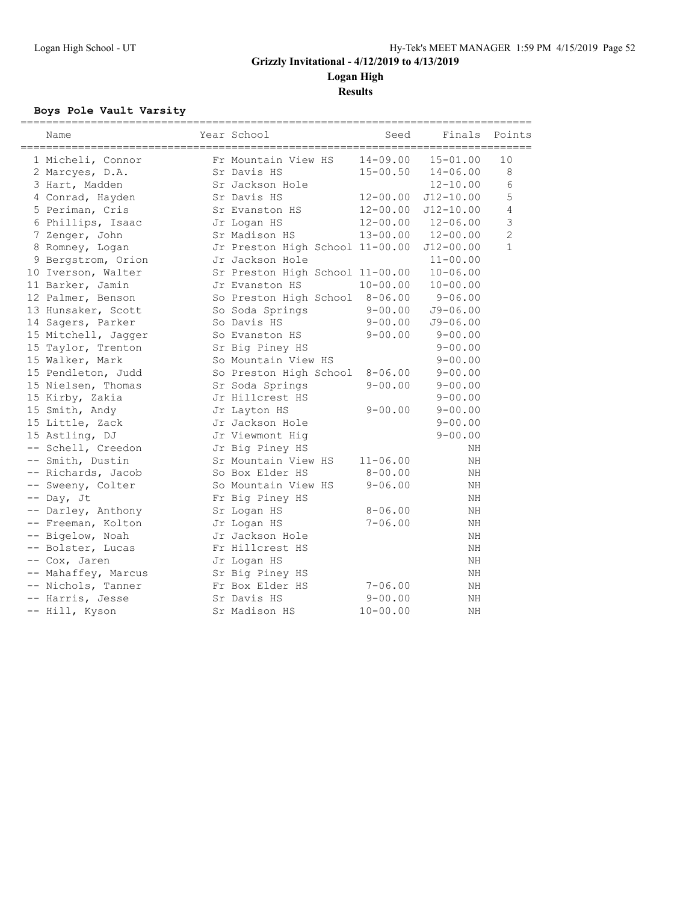**Logan High Results**

### **Boys Pole Vault Varsity**

| Name                | Year School                     | Seed         | Finals        | Points         |
|---------------------|---------------------------------|--------------|---------------|----------------|
| 1 Micheli, Connor   | Fr Mountain View HS             | $14 - 09.00$ | $15 - 01.00$  | 10             |
| 2 Marcyes, D.A.     | Sr Davis HS                     | $15 - 00.50$ | $14 - 06.00$  | 8              |
| 3 Hart, Madden      | Sr Jackson Hole                 |              | $12 - 10.00$  | 6              |
| 4 Conrad, Hayden    | Sr Davis HS                     | $12 - 00.00$ | $J12 - 10.00$ | 5              |
| 5 Periman, Cris     | Sr Evanston HS                  | 12-00.00     | $J12 - 10.00$ | 4              |
| 6 Phillips, Isaac   | Jr Logan HS                     | 12-00.00     | $12 - 06.00$  | 3              |
| 7 Zenger, John      | Sr Madison HS                   | $13 - 00.00$ | $12 - 00.00$  | $\overline{c}$ |
| 8 Romney, Logan     | Jr Preston High School 11-00.00 |              | $J12 - 00.00$ | $\mathbf{1}$   |
| 9 Bergstrom, Orion  | Jr Jackson Hole                 |              | $11 - 00.00$  |                |
| 10 Iverson, Walter  | Sr Preston High School 11-00.00 |              | $10 - 06.00$  |                |
| 11 Barker, Jamin    | Jr Evanston HS                  | $10 - 00.00$ | $10 - 00.00$  |                |
| 12 Palmer, Benson   | So Preston High School 8-06.00  |              | $9 - 06.00$   |                |
| 13 Hunsaker, Scott  | So Soda Springs                 | $9 - 00.00$  | $J9 - 06.00$  |                |
| 14 Sagers, Parker   | So Davis HS                     | $9 - 00.00$  | $J9 - 06.00$  |                |
| 15 Mitchell, Jagger | So Evanston HS                  | $9 - 00.00$  | $9 - 00.00$   |                |
| 15 Taylor, Trenton  | Sr Big Piney HS                 |              | $9 - 00.00$   |                |
| 15 Walker, Mark     | So Mountain View HS             |              | $9 - 00.00$   |                |
| 15 Pendleton, Judd  | So Preston High School 8-06.00  |              | $9 - 00.00$   |                |
| 15 Nielsen, Thomas  | Sr Soda Springs                 | $9 - 00.00$  | $9 - 00.00$   |                |
| 15 Kirby, Zakia     | Jr Hillcrest HS                 |              | $9 - 00.00$   |                |
| 15 Smith, Andy      | Jr Layton HS                    | $9 - 00.00$  | $9 - 00.00$   |                |
| 15 Little, Zack     | Jr Jackson Hole                 |              | $9 - 00.00$   |                |
| 15 Astling, DJ      | Jr Viewmont Hig                 |              | $9 - 00.00$   |                |
| -- Schell, Creedon  | Jr Big Piney HS                 |              | ΝH            |                |
| -- Smith, Dustin    | Sr Mountain View HS             | $11 - 06.00$ | ΝH            |                |
| -- Richards, Jacob  | So Box Elder HS                 | $8 - 00.00$  | ΝH            |                |
| -- Sweeny, Colter   | So Mountain View HS             | $9 - 06.00$  | ΝH            |                |
| -- Day, Jt          | Fr Big Piney HS                 |              | ΝH            |                |
| -- Darley, Anthony  | Sr Logan HS                     | $8 - 06.00$  | ΝH            |                |
| -- Freeman, Kolton  | Jr Logan HS                     | $7 - 06.00$  | ΝH            |                |
| -- Bigelow, Noah    | Jr Jackson Hole                 |              | NΗ            |                |
| -- Bolster, Lucas   | Fr Hillcrest HS                 |              | ΝH            |                |
| -- Cox, Jaren       | Jr Logan HS                     |              | ΝH            |                |
| -- Mahaffey, Marcus | Sr Big Piney HS                 |              | ΝH            |                |
| -- Nichols, Tanner  | Fr Box Elder HS                 | $7 - 06.00$  | ΝH            |                |
| -- Harris, Jesse    | Sr Davis HS                     | $9 - 00.00$  | NΗ            |                |
| -- Hill, Kyson      | Sr Madison HS                   | $10 - 00.00$ | NΗ            |                |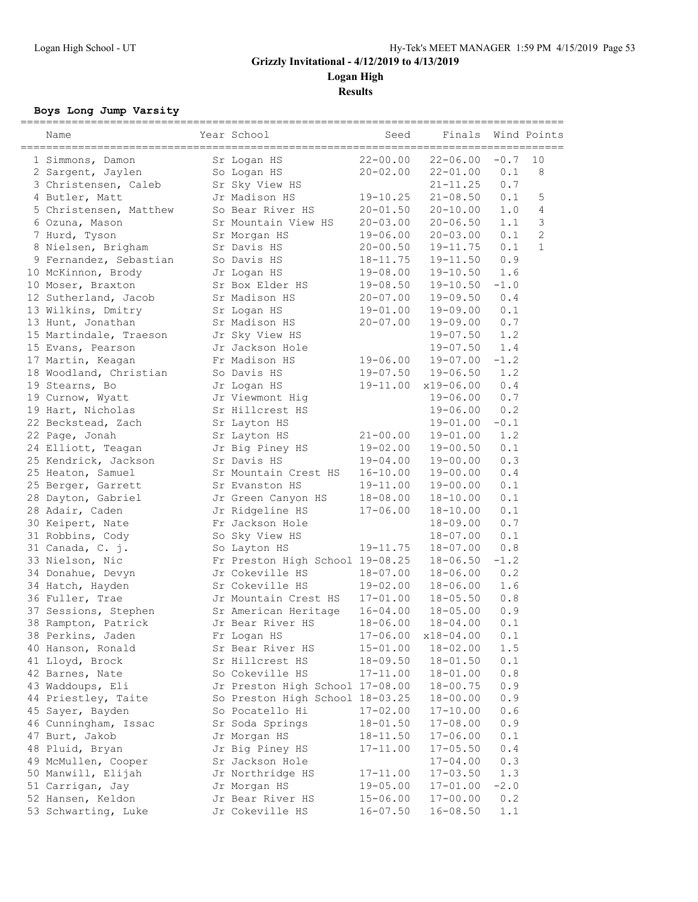**Results**

#### **Boys Long Jump Varsity**

| $22 - 00.00$<br>$22 - 06.00$<br>$-0.7$<br>10<br>Sr Logan HS<br>1 Simmons, Damon<br>$20 - 02.00$<br>8<br>2 Sargent, Jaylen<br>$22 - 01.00$<br>0.1<br>So Logan HS<br>3 Christensen, Caleb<br>Sr Sky View HS<br>$21 - 11.25$<br>0.7<br>4 Butler, Matt<br>Jr Madison HS<br>$19 - 10.25$<br>$21 - 08.50$<br>0.1<br>5<br>So Bear River HS<br>$20 - 10.00$<br>1.0<br>4<br>5 Christensen, Matthew<br>$20 - 01.50$<br>3<br>6 Ozuna, Mason<br>Sr Mountain View HS<br>$20 - 03.00$<br>$20 - 06.50$<br>1.1<br>$\mathbf{2}$<br>0.1<br>7 Hurd, Tyson<br>$19 - 06.00$<br>$20 - 03.00$<br>Sr Morgan HS<br>$\mathbf{1}$<br>0.1<br>8 Nielsen, Brigham<br>Sr Davis HS<br>$20 - 00.50$<br>$19 - 11.75$<br>0.9<br>9 Fernandez, Sebastian<br>So Davis HS<br>18-11.75<br>$19 - 11.50$<br>10 McKinnon, Brody<br>$19 - 08.00$<br>$19 - 10.50$<br>1.6<br>Jr Logan HS<br>10 Moser, Braxton<br>Sr Box Elder HS<br>$19 - 08.50$<br>$-1.0$<br>$19 - 10.50$<br>0.4<br>12 Sutherland, Jacob<br>Sr Madison HS<br>$20 - 07.00$<br>$19 - 09.50$<br>13 Wilkins, Dmitry<br>$19 - 01.00$<br>$19 - 09.00$<br>0.1<br>Sr Logan HS<br>0.7<br>13 Hunt, Jonathan<br>Sr Madison HS<br>$20 - 07.00$<br>$19 - 09.00$<br>15 Martindale, Traeson<br>$19 - 07.50$<br>1.2<br>Jr Sky View HS<br>15 Evans, Pearson<br>$19 - 07.50$<br>1.4<br>Jr Jackson Hole<br>$-1.2$<br>Fr Madison HS<br>$19 - 07.00$<br>17 Martin, Keagan<br>$19 - 06.00$<br>18 Woodland, Christian<br>1.2<br>So Davis HS<br>$19 - 07.50$<br>$19 - 06.50$<br>0.4<br>19 Stearns, Bo<br>$19 - 11.00$<br>x19-06.00<br>Jr Logan HS<br>$0.7$<br>Jr Viewmont Hig<br>$19 - 06.00$<br>19 Curnow, Wyatt<br>0.2<br>Sr Hillcrest HS<br>19 Hart, Nicholas<br>19-06.00<br>$-0.1$<br>22 Beckstead, Zach<br>$19 - 01.00$<br>Sr Layton HS<br>1.2<br>22 Page, Jonah<br>$19 - 01.00$<br>Sr Layton HS<br>$21 - 00.00$<br>Jr Big Piney HS<br>0.1<br>24 Elliott, Teagan<br>$19 - 02.00$<br>$19 - 00.50$<br>0.3<br>Sr Davis HS<br>$19 - 04.00$<br>$19 - 00.00$<br>25 Kendrick, Jackson<br>25 Heaton, Samuel<br>Sr Mountain Crest HS<br>$16 - 10.00$<br>$19 - 00.00$<br>0.4<br>$19 - 00.00$<br>0.1<br>25 Berger, Garrett<br>Sr Evanston HS<br>19-11.00<br>0.1<br>28 Dayton, Gabriel<br>$18 - 08.00$<br>$18 - 10.00$<br>Jr Green Canyon HS<br>28 Adair, Caden<br>Jr Ridgeline HS<br>0.1<br>$17 - 06.00$<br>18-10.00<br>0.7<br>30 Keipert, Nate<br>Fr Jackson Hole<br>$18 - 09.00$<br>0.1<br>31 Robbins, Cody<br>So Sky View HS<br>$18 - 07.00$<br>0.8<br>31 Canada, C. j.<br>$18 - 07.00$<br>So Layton HS<br>19-11.75<br>33 Nielson, Nic<br>Fr Preston High School 19-08.25<br>$-1.2$<br>$18 - 06.50$<br>0.2<br>34 Donahue, Devyn<br>Jr Cokeville HS<br>$18 - 07.00$<br>$18 - 06.00$<br>34 Hatch, Hayden<br>Sr Cokeville HS<br>$19 - 02.00$<br>1.6<br>18-06.00<br>0.8<br>36 Fuller, Trae<br>Jr Mountain Crest HS<br>$17 - 01.00$<br>$18 - 05.50$<br>37 Sessions, Stephen<br>Sr American Heritage<br>$16 - 04.00$<br>$18 - 05.00$<br>0.9<br>38 Rampton, Patrick<br>$18 - 06.00$<br>$18 - 04.00$<br>0.1<br>Jr Bear River HS<br>38 Perkins, Jaden<br>Fr Logan HS<br>$17 - 06.00$<br>x18-04.00<br>0.1<br>40 Hanson, Ronald<br>Sr Bear River HS<br>$15 - 01.00$<br>$18 - 02.00$<br>1.5<br>41 Lloyd, Brock<br>Sr Hillcrest HS<br>0.1<br>$18 - 09.50$<br>$18 - 01.50$<br>So Cokeville HS<br>0.8<br>42 Barnes, Nate<br>$17 - 11.00$<br>$18 - 01.00$<br>43 Waddoups, Eli<br>Jr Preston High School 17-08.00<br>0.9<br>$18 - 00.75$<br>44 Priestley, Taite<br>So Preston High School 18-03.25<br>0.9<br>$18 - 00.00$<br>45 Sayer, Bayden<br>So Pocatello Hi<br>$17 - 02.00$<br>$17 - 10.00$<br>0.6<br>46 Cunningham, Issac<br>Sr Soda Springs<br>$18 - 01.50$<br>0.9<br>$17 - 08.00$<br>47 Burt, Jakob<br>Jr Morgan HS<br>0.1<br>$18 - 11.50$<br>$17 - 06.00$<br>0.4<br>48 Pluid, Bryan<br>Jr Big Piney HS<br>$17 - 11.00$<br>$17 - 05.50$<br>49 McMullen, Cooper<br>Sr Jackson Hole<br>0.3<br>$17 - 04.00$<br>1.3<br>50 Manwill, Elijah<br>Jr Northridge HS<br>$17 - 11.00$<br>$17 - 03.50$<br>51 Carrigan, Jay<br>Jr Morgan HS<br>$-2.0$<br>$19 - 05.00$<br>$17 - 01.00$<br>52 Hansen, Keldon<br>Jr Bear River HS<br>$15 - 06.00$<br>0.2<br>$17 - 00.00$<br>53 Schwarting, Luke<br>Jr Cokeville HS<br>1.1<br>$16 - 07.50$<br>$16 - 08.50$ | Name | Year School | Seed | Finals | Wind Points |
|-------------------------------------------------------------------------------------------------------------------------------------------------------------------------------------------------------------------------------------------------------------------------------------------------------------------------------------------------------------------------------------------------------------------------------------------------------------------------------------------------------------------------------------------------------------------------------------------------------------------------------------------------------------------------------------------------------------------------------------------------------------------------------------------------------------------------------------------------------------------------------------------------------------------------------------------------------------------------------------------------------------------------------------------------------------------------------------------------------------------------------------------------------------------------------------------------------------------------------------------------------------------------------------------------------------------------------------------------------------------------------------------------------------------------------------------------------------------------------------------------------------------------------------------------------------------------------------------------------------------------------------------------------------------------------------------------------------------------------------------------------------------------------------------------------------------------------------------------------------------------------------------------------------------------------------------------------------------------------------------------------------------------------------------------------------------------------------------------------------------------------------------------------------------------------------------------------------------------------------------------------------------------------------------------------------------------------------------------------------------------------------------------------------------------------------------------------------------------------------------------------------------------------------------------------------------------------------------------------------------------------------------------------------------------------------------------------------------------------------------------------------------------------------------------------------------------------------------------------------------------------------------------------------------------------------------------------------------------------------------------------------------------------------------------------------------------------------------------------------------------------------------------------------------------------------------------------------------------------------------------------------------------------------------------------------------------------------------------------------------------------------------------------------------------------------------------------------------------------------------------------------------------------------------------------------------------------------------------------------------------------------------------------------------------------------------------------------------------------------------------------------------------------------------------------------------------------------------------------------------------------------------------------------------------------------------------------------------------------------------------------------------------------------------------------------------------------------------------------------------------------------------------------------------------------------------------------------------------|------|-------------|------|--------|-------------|
|                                                                                                                                                                                                                                                                                                                                                                                                                                                                                                                                                                                                                                                                                                                                                                                                                                                                                                                                                                                                                                                                                                                                                                                                                                                                                                                                                                                                                                                                                                                                                                                                                                                                                                                                                                                                                                                                                                                                                                                                                                                                                                                                                                                                                                                                                                                                                                                                                                                                                                                                                                                                                                                                                                                                                                                                                                                                                                                                                                                                                                                                                                                                                                                                                                                                                                                                                                                                                                                                                                                                                                                                                                                                                                                                                                                                                                                                                                                                                                                                                                                                                                                                                                                                                         |      |             |      |        |             |
|                                                                                                                                                                                                                                                                                                                                                                                                                                                                                                                                                                                                                                                                                                                                                                                                                                                                                                                                                                                                                                                                                                                                                                                                                                                                                                                                                                                                                                                                                                                                                                                                                                                                                                                                                                                                                                                                                                                                                                                                                                                                                                                                                                                                                                                                                                                                                                                                                                                                                                                                                                                                                                                                                                                                                                                                                                                                                                                                                                                                                                                                                                                                                                                                                                                                                                                                                                                                                                                                                                                                                                                                                                                                                                                                                                                                                                                                                                                                                                                                                                                                                                                                                                                                                         |      |             |      |        |             |
|                                                                                                                                                                                                                                                                                                                                                                                                                                                                                                                                                                                                                                                                                                                                                                                                                                                                                                                                                                                                                                                                                                                                                                                                                                                                                                                                                                                                                                                                                                                                                                                                                                                                                                                                                                                                                                                                                                                                                                                                                                                                                                                                                                                                                                                                                                                                                                                                                                                                                                                                                                                                                                                                                                                                                                                                                                                                                                                                                                                                                                                                                                                                                                                                                                                                                                                                                                                                                                                                                                                                                                                                                                                                                                                                                                                                                                                                                                                                                                                                                                                                                                                                                                                                                         |      |             |      |        |             |
|                                                                                                                                                                                                                                                                                                                                                                                                                                                                                                                                                                                                                                                                                                                                                                                                                                                                                                                                                                                                                                                                                                                                                                                                                                                                                                                                                                                                                                                                                                                                                                                                                                                                                                                                                                                                                                                                                                                                                                                                                                                                                                                                                                                                                                                                                                                                                                                                                                                                                                                                                                                                                                                                                                                                                                                                                                                                                                                                                                                                                                                                                                                                                                                                                                                                                                                                                                                                                                                                                                                                                                                                                                                                                                                                                                                                                                                                                                                                                                                                                                                                                                                                                                                                                         |      |             |      |        |             |
|                                                                                                                                                                                                                                                                                                                                                                                                                                                                                                                                                                                                                                                                                                                                                                                                                                                                                                                                                                                                                                                                                                                                                                                                                                                                                                                                                                                                                                                                                                                                                                                                                                                                                                                                                                                                                                                                                                                                                                                                                                                                                                                                                                                                                                                                                                                                                                                                                                                                                                                                                                                                                                                                                                                                                                                                                                                                                                                                                                                                                                                                                                                                                                                                                                                                                                                                                                                                                                                                                                                                                                                                                                                                                                                                                                                                                                                                                                                                                                                                                                                                                                                                                                                                                         |      |             |      |        |             |
|                                                                                                                                                                                                                                                                                                                                                                                                                                                                                                                                                                                                                                                                                                                                                                                                                                                                                                                                                                                                                                                                                                                                                                                                                                                                                                                                                                                                                                                                                                                                                                                                                                                                                                                                                                                                                                                                                                                                                                                                                                                                                                                                                                                                                                                                                                                                                                                                                                                                                                                                                                                                                                                                                                                                                                                                                                                                                                                                                                                                                                                                                                                                                                                                                                                                                                                                                                                                                                                                                                                                                                                                                                                                                                                                                                                                                                                                                                                                                                                                                                                                                                                                                                                                                         |      |             |      |        |             |
|                                                                                                                                                                                                                                                                                                                                                                                                                                                                                                                                                                                                                                                                                                                                                                                                                                                                                                                                                                                                                                                                                                                                                                                                                                                                                                                                                                                                                                                                                                                                                                                                                                                                                                                                                                                                                                                                                                                                                                                                                                                                                                                                                                                                                                                                                                                                                                                                                                                                                                                                                                                                                                                                                                                                                                                                                                                                                                                                                                                                                                                                                                                                                                                                                                                                                                                                                                                                                                                                                                                                                                                                                                                                                                                                                                                                                                                                                                                                                                                                                                                                                                                                                                                                                         |      |             |      |        |             |
|                                                                                                                                                                                                                                                                                                                                                                                                                                                                                                                                                                                                                                                                                                                                                                                                                                                                                                                                                                                                                                                                                                                                                                                                                                                                                                                                                                                                                                                                                                                                                                                                                                                                                                                                                                                                                                                                                                                                                                                                                                                                                                                                                                                                                                                                                                                                                                                                                                                                                                                                                                                                                                                                                                                                                                                                                                                                                                                                                                                                                                                                                                                                                                                                                                                                                                                                                                                                                                                                                                                                                                                                                                                                                                                                                                                                                                                                                                                                                                                                                                                                                                                                                                                                                         |      |             |      |        |             |
|                                                                                                                                                                                                                                                                                                                                                                                                                                                                                                                                                                                                                                                                                                                                                                                                                                                                                                                                                                                                                                                                                                                                                                                                                                                                                                                                                                                                                                                                                                                                                                                                                                                                                                                                                                                                                                                                                                                                                                                                                                                                                                                                                                                                                                                                                                                                                                                                                                                                                                                                                                                                                                                                                                                                                                                                                                                                                                                                                                                                                                                                                                                                                                                                                                                                                                                                                                                                                                                                                                                                                                                                                                                                                                                                                                                                                                                                                                                                                                                                                                                                                                                                                                                                                         |      |             |      |        |             |
|                                                                                                                                                                                                                                                                                                                                                                                                                                                                                                                                                                                                                                                                                                                                                                                                                                                                                                                                                                                                                                                                                                                                                                                                                                                                                                                                                                                                                                                                                                                                                                                                                                                                                                                                                                                                                                                                                                                                                                                                                                                                                                                                                                                                                                                                                                                                                                                                                                                                                                                                                                                                                                                                                                                                                                                                                                                                                                                                                                                                                                                                                                                                                                                                                                                                                                                                                                                                                                                                                                                                                                                                                                                                                                                                                                                                                                                                                                                                                                                                                                                                                                                                                                                                                         |      |             |      |        |             |
|                                                                                                                                                                                                                                                                                                                                                                                                                                                                                                                                                                                                                                                                                                                                                                                                                                                                                                                                                                                                                                                                                                                                                                                                                                                                                                                                                                                                                                                                                                                                                                                                                                                                                                                                                                                                                                                                                                                                                                                                                                                                                                                                                                                                                                                                                                                                                                                                                                                                                                                                                                                                                                                                                                                                                                                                                                                                                                                                                                                                                                                                                                                                                                                                                                                                                                                                                                                                                                                                                                                                                                                                                                                                                                                                                                                                                                                                                                                                                                                                                                                                                                                                                                                                                         |      |             |      |        |             |
|                                                                                                                                                                                                                                                                                                                                                                                                                                                                                                                                                                                                                                                                                                                                                                                                                                                                                                                                                                                                                                                                                                                                                                                                                                                                                                                                                                                                                                                                                                                                                                                                                                                                                                                                                                                                                                                                                                                                                                                                                                                                                                                                                                                                                                                                                                                                                                                                                                                                                                                                                                                                                                                                                                                                                                                                                                                                                                                                                                                                                                                                                                                                                                                                                                                                                                                                                                                                                                                                                                                                                                                                                                                                                                                                                                                                                                                                                                                                                                                                                                                                                                                                                                                                                         |      |             |      |        |             |
|                                                                                                                                                                                                                                                                                                                                                                                                                                                                                                                                                                                                                                                                                                                                                                                                                                                                                                                                                                                                                                                                                                                                                                                                                                                                                                                                                                                                                                                                                                                                                                                                                                                                                                                                                                                                                                                                                                                                                                                                                                                                                                                                                                                                                                                                                                                                                                                                                                                                                                                                                                                                                                                                                                                                                                                                                                                                                                                                                                                                                                                                                                                                                                                                                                                                                                                                                                                                                                                                                                                                                                                                                                                                                                                                                                                                                                                                                                                                                                                                                                                                                                                                                                                                                         |      |             |      |        |             |
|                                                                                                                                                                                                                                                                                                                                                                                                                                                                                                                                                                                                                                                                                                                                                                                                                                                                                                                                                                                                                                                                                                                                                                                                                                                                                                                                                                                                                                                                                                                                                                                                                                                                                                                                                                                                                                                                                                                                                                                                                                                                                                                                                                                                                                                                                                                                                                                                                                                                                                                                                                                                                                                                                                                                                                                                                                                                                                                                                                                                                                                                                                                                                                                                                                                                                                                                                                                                                                                                                                                                                                                                                                                                                                                                                                                                                                                                                                                                                                                                                                                                                                                                                                                                                         |      |             |      |        |             |
|                                                                                                                                                                                                                                                                                                                                                                                                                                                                                                                                                                                                                                                                                                                                                                                                                                                                                                                                                                                                                                                                                                                                                                                                                                                                                                                                                                                                                                                                                                                                                                                                                                                                                                                                                                                                                                                                                                                                                                                                                                                                                                                                                                                                                                                                                                                                                                                                                                                                                                                                                                                                                                                                                                                                                                                                                                                                                                                                                                                                                                                                                                                                                                                                                                                                                                                                                                                                                                                                                                                                                                                                                                                                                                                                                                                                                                                                                                                                                                                                                                                                                                                                                                                                                         |      |             |      |        |             |
|                                                                                                                                                                                                                                                                                                                                                                                                                                                                                                                                                                                                                                                                                                                                                                                                                                                                                                                                                                                                                                                                                                                                                                                                                                                                                                                                                                                                                                                                                                                                                                                                                                                                                                                                                                                                                                                                                                                                                                                                                                                                                                                                                                                                                                                                                                                                                                                                                                                                                                                                                                                                                                                                                                                                                                                                                                                                                                                                                                                                                                                                                                                                                                                                                                                                                                                                                                                                                                                                                                                                                                                                                                                                                                                                                                                                                                                                                                                                                                                                                                                                                                                                                                                                                         |      |             |      |        |             |
|                                                                                                                                                                                                                                                                                                                                                                                                                                                                                                                                                                                                                                                                                                                                                                                                                                                                                                                                                                                                                                                                                                                                                                                                                                                                                                                                                                                                                                                                                                                                                                                                                                                                                                                                                                                                                                                                                                                                                                                                                                                                                                                                                                                                                                                                                                                                                                                                                                                                                                                                                                                                                                                                                                                                                                                                                                                                                                                                                                                                                                                                                                                                                                                                                                                                                                                                                                                                                                                                                                                                                                                                                                                                                                                                                                                                                                                                                                                                                                                                                                                                                                                                                                                                                         |      |             |      |        |             |
|                                                                                                                                                                                                                                                                                                                                                                                                                                                                                                                                                                                                                                                                                                                                                                                                                                                                                                                                                                                                                                                                                                                                                                                                                                                                                                                                                                                                                                                                                                                                                                                                                                                                                                                                                                                                                                                                                                                                                                                                                                                                                                                                                                                                                                                                                                                                                                                                                                                                                                                                                                                                                                                                                                                                                                                                                                                                                                                                                                                                                                                                                                                                                                                                                                                                                                                                                                                                                                                                                                                                                                                                                                                                                                                                                                                                                                                                                                                                                                                                                                                                                                                                                                                                                         |      |             |      |        |             |
|                                                                                                                                                                                                                                                                                                                                                                                                                                                                                                                                                                                                                                                                                                                                                                                                                                                                                                                                                                                                                                                                                                                                                                                                                                                                                                                                                                                                                                                                                                                                                                                                                                                                                                                                                                                                                                                                                                                                                                                                                                                                                                                                                                                                                                                                                                                                                                                                                                                                                                                                                                                                                                                                                                                                                                                                                                                                                                                                                                                                                                                                                                                                                                                                                                                                                                                                                                                                                                                                                                                                                                                                                                                                                                                                                                                                                                                                                                                                                                                                                                                                                                                                                                                                                         |      |             |      |        |             |
|                                                                                                                                                                                                                                                                                                                                                                                                                                                                                                                                                                                                                                                                                                                                                                                                                                                                                                                                                                                                                                                                                                                                                                                                                                                                                                                                                                                                                                                                                                                                                                                                                                                                                                                                                                                                                                                                                                                                                                                                                                                                                                                                                                                                                                                                                                                                                                                                                                                                                                                                                                                                                                                                                                                                                                                                                                                                                                                                                                                                                                                                                                                                                                                                                                                                                                                                                                                                                                                                                                                                                                                                                                                                                                                                                                                                                                                                                                                                                                                                                                                                                                                                                                                                                         |      |             |      |        |             |
|                                                                                                                                                                                                                                                                                                                                                                                                                                                                                                                                                                                                                                                                                                                                                                                                                                                                                                                                                                                                                                                                                                                                                                                                                                                                                                                                                                                                                                                                                                                                                                                                                                                                                                                                                                                                                                                                                                                                                                                                                                                                                                                                                                                                                                                                                                                                                                                                                                                                                                                                                                                                                                                                                                                                                                                                                                                                                                                                                                                                                                                                                                                                                                                                                                                                                                                                                                                                                                                                                                                                                                                                                                                                                                                                                                                                                                                                                                                                                                                                                                                                                                                                                                                                                         |      |             |      |        |             |
|                                                                                                                                                                                                                                                                                                                                                                                                                                                                                                                                                                                                                                                                                                                                                                                                                                                                                                                                                                                                                                                                                                                                                                                                                                                                                                                                                                                                                                                                                                                                                                                                                                                                                                                                                                                                                                                                                                                                                                                                                                                                                                                                                                                                                                                                                                                                                                                                                                                                                                                                                                                                                                                                                                                                                                                                                                                                                                                                                                                                                                                                                                                                                                                                                                                                                                                                                                                                                                                                                                                                                                                                                                                                                                                                                                                                                                                                                                                                                                                                                                                                                                                                                                                                                         |      |             |      |        |             |
|                                                                                                                                                                                                                                                                                                                                                                                                                                                                                                                                                                                                                                                                                                                                                                                                                                                                                                                                                                                                                                                                                                                                                                                                                                                                                                                                                                                                                                                                                                                                                                                                                                                                                                                                                                                                                                                                                                                                                                                                                                                                                                                                                                                                                                                                                                                                                                                                                                                                                                                                                                                                                                                                                                                                                                                                                                                                                                                                                                                                                                                                                                                                                                                                                                                                                                                                                                                                                                                                                                                                                                                                                                                                                                                                                                                                                                                                                                                                                                                                                                                                                                                                                                                                                         |      |             |      |        |             |
|                                                                                                                                                                                                                                                                                                                                                                                                                                                                                                                                                                                                                                                                                                                                                                                                                                                                                                                                                                                                                                                                                                                                                                                                                                                                                                                                                                                                                                                                                                                                                                                                                                                                                                                                                                                                                                                                                                                                                                                                                                                                                                                                                                                                                                                                                                                                                                                                                                                                                                                                                                                                                                                                                                                                                                                                                                                                                                                                                                                                                                                                                                                                                                                                                                                                                                                                                                                                                                                                                                                                                                                                                                                                                                                                                                                                                                                                                                                                                                                                                                                                                                                                                                                                                         |      |             |      |        |             |
|                                                                                                                                                                                                                                                                                                                                                                                                                                                                                                                                                                                                                                                                                                                                                                                                                                                                                                                                                                                                                                                                                                                                                                                                                                                                                                                                                                                                                                                                                                                                                                                                                                                                                                                                                                                                                                                                                                                                                                                                                                                                                                                                                                                                                                                                                                                                                                                                                                                                                                                                                                                                                                                                                                                                                                                                                                                                                                                                                                                                                                                                                                                                                                                                                                                                                                                                                                                                                                                                                                                                                                                                                                                                                                                                                                                                                                                                                                                                                                                                                                                                                                                                                                                                                         |      |             |      |        |             |
|                                                                                                                                                                                                                                                                                                                                                                                                                                                                                                                                                                                                                                                                                                                                                                                                                                                                                                                                                                                                                                                                                                                                                                                                                                                                                                                                                                                                                                                                                                                                                                                                                                                                                                                                                                                                                                                                                                                                                                                                                                                                                                                                                                                                                                                                                                                                                                                                                                                                                                                                                                                                                                                                                                                                                                                                                                                                                                                                                                                                                                                                                                                                                                                                                                                                                                                                                                                                                                                                                                                                                                                                                                                                                                                                                                                                                                                                                                                                                                                                                                                                                                                                                                                                                         |      |             |      |        |             |
|                                                                                                                                                                                                                                                                                                                                                                                                                                                                                                                                                                                                                                                                                                                                                                                                                                                                                                                                                                                                                                                                                                                                                                                                                                                                                                                                                                                                                                                                                                                                                                                                                                                                                                                                                                                                                                                                                                                                                                                                                                                                                                                                                                                                                                                                                                                                                                                                                                                                                                                                                                                                                                                                                                                                                                                                                                                                                                                                                                                                                                                                                                                                                                                                                                                                                                                                                                                                                                                                                                                                                                                                                                                                                                                                                                                                                                                                                                                                                                                                                                                                                                                                                                                                                         |      |             |      |        |             |
|                                                                                                                                                                                                                                                                                                                                                                                                                                                                                                                                                                                                                                                                                                                                                                                                                                                                                                                                                                                                                                                                                                                                                                                                                                                                                                                                                                                                                                                                                                                                                                                                                                                                                                                                                                                                                                                                                                                                                                                                                                                                                                                                                                                                                                                                                                                                                                                                                                                                                                                                                                                                                                                                                                                                                                                                                                                                                                                                                                                                                                                                                                                                                                                                                                                                                                                                                                                                                                                                                                                                                                                                                                                                                                                                                                                                                                                                                                                                                                                                                                                                                                                                                                                                                         |      |             |      |        |             |
|                                                                                                                                                                                                                                                                                                                                                                                                                                                                                                                                                                                                                                                                                                                                                                                                                                                                                                                                                                                                                                                                                                                                                                                                                                                                                                                                                                                                                                                                                                                                                                                                                                                                                                                                                                                                                                                                                                                                                                                                                                                                                                                                                                                                                                                                                                                                                                                                                                                                                                                                                                                                                                                                                                                                                                                                                                                                                                                                                                                                                                                                                                                                                                                                                                                                                                                                                                                                                                                                                                                                                                                                                                                                                                                                                                                                                                                                                                                                                                                                                                                                                                                                                                                                                         |      |             |      |        |             |
|                                                                                                                                                                                                                                                                                                                                                                                                                                                                                                                                                                                                                                                                                                                                                                                                                                                                                                                                                                                                                                                                                                                                                                                                                                                                                                                                                                                                                                                                                                                                                                                                                                                                                                                                                                                                                                                                                                                                                                                                                                                                                                                                                                                                                                                                                                                                                                                                                                                                                                                                                                                                                                                                                                                                                                                                                                                                                                                                                                                                                                                                                                                                                                                                                                                                                                                                                                                                                                                                                                                                                                                                                                                                                                                                                                                                                                                                                                                                                                                                                                                                                                                                                                                                                         |      |             |      |        |             |
|                                                                                                                                                                                                                                                                                                                                                                                                                                                                                                                                                                                                                                                                                                                                                                                                                                                                                                                                                                                                                                                                                                                                                                                                                                                                                                                                                                                                                                                                                                                                                                                                                                                                                                                                                                                                                                                                                                                                                                                                                                                                                                                                                                                                                                                                                                                                                                                                                                                                                                                                                                                                                                                                                                                                                                                                                                                                                                                                                                                                                                                                                                                                                                                                                                                                                                                                                                                                                                                                                                                                                                                                                                                                                                                                                                                                                                                                                                                                                                                                                                                                                                                                                                                                                         |      |             |      |        |             |
|                                                                                                                                                                                                                                                                                                                                                                                                                                                                                                                                                                                                                                                                                                                                                                                                                                                                                                                                                                                                                                                                                                                                                                                                                                                                                                                                                                                                                                                                                                                                                                                                                                                                                                                                                                                                                                                                                                                                                                                                                                                                                                                                                                                                                                                                                                                                                                                                                                                                                                                                                                                                                                                                                                                                                                                                                                                                                                                                                                                                                                                                                                                                                                                                                                                                                                                                                                                                                                                                                                                                                                                                                                                                                                                                                                                                                                                                                                                                                                                                                                                                                                                                                                                                                         |      |             |      |        |             |
|                                                                                                                                                                                                                                                                                                                                                                                                                                                                                                                                                                                                                                                                                                                                                                                                                                                                                                                                                                                                                                                                                                                                                                                                                                                                                                                                                                                                                                                                                                                                                                                                                                                                                                                                                                                                                                                                                                                                                                                                                                                                                                                                                                                                                                                                                                                                                                                                                                                                                                                                                                                                                                                                                                                                                                                                                                                                                                                                                                                                                                                                                                                                                                                                                                                                                                                                                                                                                                                                                                                                                                                                                                                                                                                                                                                                                                                                                                                                                                                                                                                                                                                                                                                                                         |      |             |      |        |             |
|                                                                                                                                                                                                                                                                                                                                                                                                                                                                                                                                                                                                                                                                                                                                                                                                                                                                                                                                                                                                                                                                                                                                                                                                                                                                                                                                                                                                                                                                                                                                                                                                                                                                                                                                                                                                                                                                                                                                                                                                                                                                                                                                                                                                                                                                                                                                                                                                                                                                                                                                                                                                                                                                                                                                                                                                                                                                                                                                                                                                                                                                                                                                                                                                                                                                                                                                                                                                                                                                                                                                                                                                                                                                                                                                                                                                                                                                                                                                                                                                                                                                                                                                                                                                                         |      |             |      |        |             |
|                                                                                                                                                                                                                                                                                                                                                                                                                                                                                                                                                                                                                                                                                                                                                                                                                                                                                                                                                                                                                                                                                                                                                                                                                                                                                                                                                                                                                                                                                                                                                                                                                                                                                                                                                                                                                                                                                                                                                                                                                                                                                                                                                                                                                                                                                                                                                                                                                                                                                                                                                                                                                                                                                                                                                                                                                                                                                                                                                                                                                                                                                                                                                                                                                                                                                                                                                                                                                                                                                                                                                                                                                                                                                                                                                                                                                                                                                                                                                                                                                                                                                                                                                                                                                         |      |             |      |        |             |
|                                                                                                                                                                                                                                                                                                                                                                                                                                                                                                                                                                                                                                                                                                                                                                                                                                                                                                                                                                                                                                                                                                                                                                                                                                                                                                                                                                                                                                                                                                                                                                                                                                                                                                                                                                                                                                                                                                                                                                                                                                                                                                                                                                                                                                                                                                                                                                                                                                                                                                                                                                                                                                                                                                                                                                                                                                                                                                                                                                                                                                                                                                                                                                                                                                                                                                                                                                                                                                                                                                                                                                                                                                                                                                                                                                                                                                                                                                                                                                                                                                                                                                                                                                                                                         |      |             |      |        |             |
|                                                                                                                                                                                                                                                                                                                                                                                                                                                                                                                                                                                                                                                                                                                                                                                                                                                                                                                                                                                                                                                                                                                                                                                                                                                                                                                                                                                                                                                                                                                                                                                                                                                                                                                                                                                                                                                                                                                                                                                                                                                                                                                                                                                                                                                                                                                                                                                                                                                                                                                                                                                                                                                                                                                                                                                                                                                                                                                                                                                                                                                                                                                                                                                                                                                                                                                                                                                                                                                                                                                                                                                                                                                                                                                                                                                                                                                                                                                                                                                                                                                                                                                                                                                                                         |      |             |      |        |             |
|                                                                                                                                                                                                                                                                                                                                                                                                                                                                                                                                                                                                                                                                                                                                                                                                                                                                                                                                                                                                                                                                                                                                                                                                                                                                                                                                                                                                                                                                                                                                                                                                                                                                                                                                                                                                                                                                                                                                                                                                                                                                                                                                                                                                                                                                                                                                                                                                                                                                                                                                                                                                                                                                                                                                                                                                                                                                                                                                                                                                                                                                                                                                                                                                                                                                                                                                                                                                                                                                                                                                                                                                                                                                                                                                                                                                                                                                                                                                                                                                                                                                                                                                                                                                                         |      |             |      |        |             |
|                                                                                                                                                                                                                                                                                                                                                                                                                                                                                                                                                                                                                                                                                                                                                                                                                                                                                                                                                                                                                                                                                                                                                                                                                                                                                                                                                                                                                                                                                                                                                                                                                                                                                                                                                                                                                                                                                                                                                                                                                                                                                                                                                                                                                                                                                                                                                                                                                                                                                                                                                                                                                                                                                                                                                                                                                                                                                                                                                                                                                                                                                                                                                                                                                                                                                                                                                                                                                                                                                                                                                                                                                                                                                                                                                                                                                                                                                                                                                                                                                                                                                                                                                                                                                         |      |             |      |        |             |
|                                                                                                                                                                                                                                                                                                                                                                                                                                                                                                                                                                                                                                                                                                                                                                                                                                                                                                                                                                                                                                                                                                                                                                                                                                                                                                                                                                                                                                                                                                                                                                                                                                                                                                                                                                                                                                                                                                                                                                                                                                                                                                                                                                                                                                                                                                                                                                                                                                                                                                                                                                                                                                                                                                                                                                                                                                                                                                                                                                                                                                                                                                                                                                                                                                                                                                                                                                                                                                                                                                                                                                                                                                                                                                                                                                                                                                                                                                                                                                                                                                                                                                                                                                                                                         |      |             |      |        |             |
|                                                                                                                                                                                                                                                                                                                                                                                                                                                                                                                                                                                                                                                                                                                                                                                                                                                                                                                                                                                                                                                                                                                                                                                                                                                                                                                                                                                                                                                                                                                                                                                                                                                                                                                                                                                                                                                                                                                                                                                                                                                                                                                                                                                                                                                                                                                                                                                                                                                                                                                                                                                                                                                                                                                                                                                                                                                                                                                                                                                                                                                                                                                                                                                                                                                                                                                                                                                                                                                                                                                                                                                                                                                                                                                                                                                                                                                                                                                                                                                                                                                                                                                                                                                                                         |      |             |      |        |             |
|                                                                                                                                                                                                                                                                                                                                                                                                                                                                                                                                                                                                                                                                                                                                                                                                                                                                                                                                                                                                                                                                                                                                                                                                                                                                                                                                                                                                                                                                                                                                                                                                                                                                                                                                                                                                                                                                                                                                                                                                                                                                                                                                                                                                                                                                                                                                                                                                                                                                                                                                                                                                                                                                                                                                                                                                                                                                                                                                                                                                                                                                                                                                                                                                                                                                                                                                                                                                                                                                                                                                                                                                                                                                                                                                                                                                                                                                                                                                                                                                                                                                                                                                                                                                                         |      |             |      |        |             |
|                                                                                                                                                                                                                                                                                                                                                                                                                                                                                                                                                                                                                                                                                                                                                                                                                                                                                                                                                                                                                                                                                                                                                                                                                                                                                                                                                                                                                                                                                                                                                                                                                                                                                                                                                                                                                                                                                                                                                                                                                                                                                                                                                                                                                                                                                                                                                                                                                                                                                                                                                                                                                                                                                                                                                                                                                                                                                                                                                                                                                                                                                                                                                                                                                                                                                                                                                                                                                                                                                                                                                                                                                                                                                                                                                                                                                                                                                                                                                                                                                                                                                                                                                                                                                         |      |             |      |        |             |
|                                                                                                                                                                                                                                                                                                                                                                                                                                                                                                                                                                                                                                                                                                                                                                                                                                                                                                                                                                                                                                                                                                                                                                                                                                                                                                                                                                                                                                                                                                                                                                                                                                                                                                                                                                                                                                                                                                                                                                                                                                                                                                                                                                                                                                                                                                                                                                                                                                                                                                                                                                                                                                                                                                                                                                                                                                                                                                                                                                                                                                                                                                                                                                                                                                                                                                                                                                                                                                                                                                                                                                                                                                                                                                                                                                                                                                                                                                                                                                                                                                                                                                                                                                                                                         |      |             |      |        |             |
|                                                                                                                                                                                                                                                                                                                                                                                                                                                                                                                                                                                                                                                                                                                                                                                                                                                                                                                                                                                                                                                                                                                                                                                                                                                                                                                                                                                                                                                                                                                                                                                                                                                                                                                                                                                                                                                                                                                                                                                                                                                                                                                                                                                                                                                                                                                                                                                                                                                                                                                                                                                                                                                                                                                                                                                                                                                                                                                                                                                                                                                                                                                                                                                                                                                                                                                                                                                                                                                                                                                                                                                                                                                                                                                                                                                                                                                                                                                                                                                                                                                                                                                                                                                                                         |      |             |      |        |             |
|                                                                                                                                                                                                                                                                                                                                                                                                                                                                                                                                                                                                                                                                                                                                                                                                                                                                                                                                                                                                                                                                                                                                                                                                                                                                                                                                                                                                                                                                                                                                                                                                                                                                                                                                                                                                                                                                                                                                                                                                                                                                                                                                                                                                                                                                                                                                                                                                                                                                                                                                                                                                                                                                                                                                                                                                                                                                                                                                                                                                                                                                                                                                                                                                                                                                                                                                                                                                                                                                                                                                                                                                                                                                                                                                                                                                                                                                                                                                                                                                                                                                                                                                                                                                                         |      |             |      |        |             |
|                                                                                                                                                                                                                                                                                                                                                                                                                                                                                                                                                                                                                                                                                                                                                                                                                                                                                                                                                                                                                                                                                                                                                                                                                                                                                                                                                                                                                                                                                                                                                                                                                                                                                                                                                                                                                                                                                                                                                                                                                                                                                                                                                                                                                                                                                                                                                                                                                                                                                                                                                                                                                                                                                                                                                                                                                                                                                                                                                                                                                                                                                                                                                                                                                                                                                                                                                                                                                                                                                                                                                                                                                                                                                                                                                                                                                                                                                                                                                                                                                                                                                                                                                                                                                         |      |             |      |        |             |
|                                                                                                                                                                                                                                                                                                                                                                                                                                                                                                                                                                                                                                                                                                                                                                                                                                                                                                                                                                                                                                                                                                                                                                                                                                                                                                                                                                                                                                                                                                                                                                                                                                                                                                                                                                                                                                                                                                                                                                                                                                                                                                                                                                                                                                                                                                                                                                                                                                                                                                                                                                                                                                                                                                                                                                                                                                                                                                                                                                                                                                                                                                                                                                                                                                                                                                                                                                                                                                                                                                                                                                                                                                                                                                                                                                                                                                                                                                                                                                                                                                                                                                                                                                                                                         |      |             |      |        |             |
|                                                                                                                                                                                                                                                                                                                                                                                                                                                                                                                                                                                                                                                                                                                                                                                                                                                                                                                                                                                                                                                                                                                                                                                                                                                                                                                                                                                                                                                                                                                                                                                                                                                                                                                                                                                                                                                                                                                                                                                                                                                                                                                                                                                                                                                                                                                                                                                                                                                                                                                                                                                                                                                                                                                                                                                                                                                                                                                                                                                                                                                                                                                                                                                                                                                                                                                                                                                                                                                                                                                                                                                                                                                                                                                                                                                                                                                                                                                                                                                                                                                                                                                                                                                                                         |      |             |      |        |             |
|                                                                                                                                                                                                                                                                                                                                                                                                                                                                                                                                                                                                                                                                                                                                                                                                                                                                                                                                                                                                                                                                                                                                                                                                                                                                                                                                                                                                                                                                                                                                                                                                                                                                                                                                                                                                                                                                                                                                                                                                                                                                                                                                                                                                                                                                                                                                                                                                                                                                                                                                                                                                                                                                                                                                                                                                                                                                                                                                                                                                                                                                                                                                                                                                                                                                                                                                                                                                                                                                                                                                                                                                                                                                                                                                                                                                                                                                                                                                                                                                                                                                                                                                                                                                                         |      |             |      |        |             |
|                                                                                                                                                                                                                                                                                                                                                                                                                                                                                                                                                                                                                                                                                                                                                                                                                                                                                                                                                                                                                                                                                                                                                                                                                                                                                                                                                                                                                                                                                                                                                                                                                                                                                                                                                                                                                                                                                                                                                                                                                                                                                                                                                                                                                                                                                                                                                                                                                                                                                                                                                                                                                                                                                                                                                                                                                                                                                                                                                                                                                                                                                                                                                                                                                                                                                                                                                                                                                                                                                                                                                                                                                                                                                                                                                                                                                                                                                                                                                                                                                                                                                                                                                                                                                         |      |             |      |        |             |
|                                                                                                                                                                                                                                                                                                                                                                                                                                                                                                                                                                                                                                                                                                                                                                                                                                                                                                                                                                                                                                                                                                                                                                                                                                                                                                                                                                                                                                                                                                                                                                                                                                                                                                                                                                                                                                                                                                                                                                                                                                                                                                                                                                                                                                                                                                                                                                                                                                                                                                                                                                                                                                                                                                                                                                                                                                                                                                                                                                                                                                                                                                                                                                                                                                                                                                                                                                                                                                                                                                                                                                                                                                                                                                                                                                                                                                                                                                                                                                                                                                                                                                                                                                                                                         |      |             |      |        |             |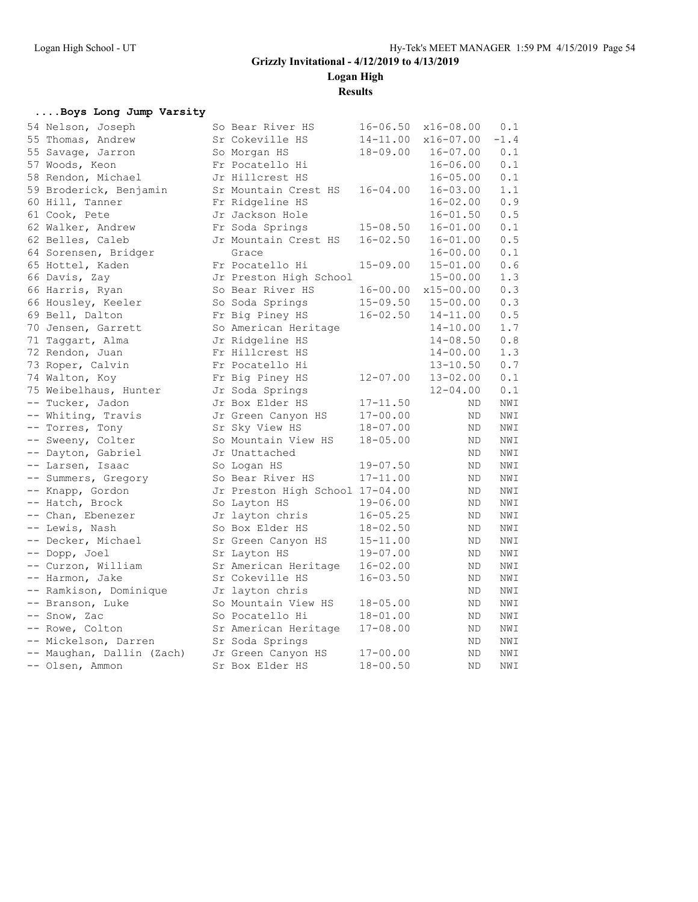**Logan High**

**Results**

#### **....Boys Long Jump Varsity**

| 54 Nelson, Joseph         | So Bear River HS                | $16 - 06.50$ | x16-08.00    | 0.1            |
|---------------------------|---------------------------------|--------------|--------------|----------------|
| 55 Thomas, Andrew         | Sr Cokeville HS                 | $14 - 11.00$ | x16-07.00    | $-1.4$         |
| 55 Savage, Jarron         | So Morgan HS                    | $18 - 09.00$ | $16 - 07.00$ | 0.1            |
| 57 Woods, Keon            | Fr Pocatello Hi                 |              | $16 - 06.00$ | 0.1            |
| 58 Rendon, Michael        | Jr Hillcrest HS                 |              | $16 - 05.00$ | $0.1\,$        |
| 59 Broderick, Benjamin    | Sr Mountain Crest HS            | $16 - 04.00$ | $16 - 03.00$ | 1.1            |
| 60 Hill, Tanner           | Fr Ridgeline HS                 |              | $16 - 02.00$ | $0.9$          |
| 61 Cook, Pete             | Jr Jackson Hole                 |              | $16 - 01.50$ | $0.5\,$        |
| 62 Walker, Andrew         | Fr Soda Springs                 | $15 - 08.50$ | $16 - 01.00$ | $0.1\,$        |
| 62 Belles, Caleb          | Jr Mountain Crest HS            | $16 - 02.50$ | $16 - 01.00$ | 0.5            |
| 64 Sorensen, Bridger      | Grace                           |              | $16 - 00.00$ | 0.1            |
| 65 Hottel, Kaden          | Fr Pocatello Hi                 | $15 - 09.00$ | $15 - 01.00$ | $0.6$          |
| 66 Davis, Zay             | Jr Preston High School          |              | $15 - 00.00$ | 1.3            |
| 66 Harris, Ryan           | So Bear River HS                | $16 - 00.00$ | x15-00.00    | 0.3            |
| 66 Housley, Keeler        | So Soda Springs                 | $15 - 09.50$ | $15 - 00.00$ | 0.3            |
| 69 Bell, Dalton           | Fr Big Piney HS                 | $16 - 02.50$ | $14 - 11.00$ | 0.5            |
| 70 Jensen, Garrett        | So American Heritage            |              | $14 - 10.00$ | 1.7            |
| 71 Taggart, Alma          | Jr Ridgeline HS                 |              | $14 - 08.50$ | 0.8            |
| 72 Rendon, Juan           | Fr Hillcrest HS                 |              | $14 - 00.00$ | 1.3            |
| 73 Roper, Calvin          | Fr Pocatello Hi                 |              | $13 - 10.50$ | 0.7            |
| 74 Walton, Koy            | Fr Big Piney HS                 | $12 - 07.00$ | $13 - 02.00$ | 0.1            |
| 75 Weibelhaus, Hunter     | Jr Soda Springs                 |              | $12 - 04.00$ | 0.1            |
| -- Tucker, Jadon          | Jr Box Elder HS                 | $17 - 11.50$ | ND.          | NWI            |
| -- Whiting, Travis        | Jr Green Canyon HS              | $17 - 00.00$ | ND           | $\texttt{NWI}$ |
| -- Torres, Tony           | Sr Sky View HS                  | $18 - 07.00$ | ND           | NWI            |
| -- Sweeny, Colter         | So Mountain View HS             | $18 - 05.00$ | <b>ND</b>    | NWI            |
| -- Dayton, Gabriel        | Jr Unattached                   |              | ND.          | NWI            |
| -- Larsen, Isaac          | So Logan HS                     | $19 - 07.50$ | ND           | $\texttt{NWI}$ |
| -- Summers, Gregory       | So Bear River HS                | $17 - 11.00$ | ND           | NWI            |
| -- Knapp, Gordon          | Jr Preston High School 17-04.00 |              | ND           | NWI            |
| -- Hatch, Brock           | So Layton HS                    | $19 - 06.00$ | ND           | $\texttt{NW1}$ |
| -- Chan, Ebenezer         | Jr layton chris                 | $16 - 05.25$ | ND           | NWI            |
| -- Lewis, Nash            | So Box Elder HS                 | $18 - 02.50$ | ND           | NWI            |
| -- Decker, Michael        | Sr Green Canyon HS              | $15 - 11.00$ | ND.          | NWI            |
| -- Dopp, Joel             | Sr Layton HS                    | $19 - 07.00$ | ND           | NWI            |
| -- Curzon, William        | Sr American Heritage            | $16 - 02.00$ | <b>ND</b>    | NWI            |
| -- Harmon, Jake           | Sr Cokeville HS                 | $16 - 03.50$ | ND.          | NWI            |
| -- Ramkison, Dominique    | Jr layton chris                 |              | <b>ND</b>    | NWI            |
| -- Branson, Luke          | So Mountain View HS             | $18 - 05.00$ | ND.          | NWI            |
| -- Snow, Zac              | So Pocatello Hi                 | $18 - 01.00$ | ND           | NWI            |
| -- Rowe, Colton           | Sr American Heritage            | $17 - 08.00$ | ND.          | NWI            |
| -- Mickelson, Darren      | Sr Soda Springs                 |              | ND           | NWI            |
| -- Maughan, Dallin (Zach) | Jr Green Canyon HS              | $17 - 00.00$ | <b>ND</b>    | NWI            |
| -- Olsen, Ammon           | Sr Box Elder HS                 | $18 - 00.50$ | <b>ND</b>    | $\texttt{NWI}$ |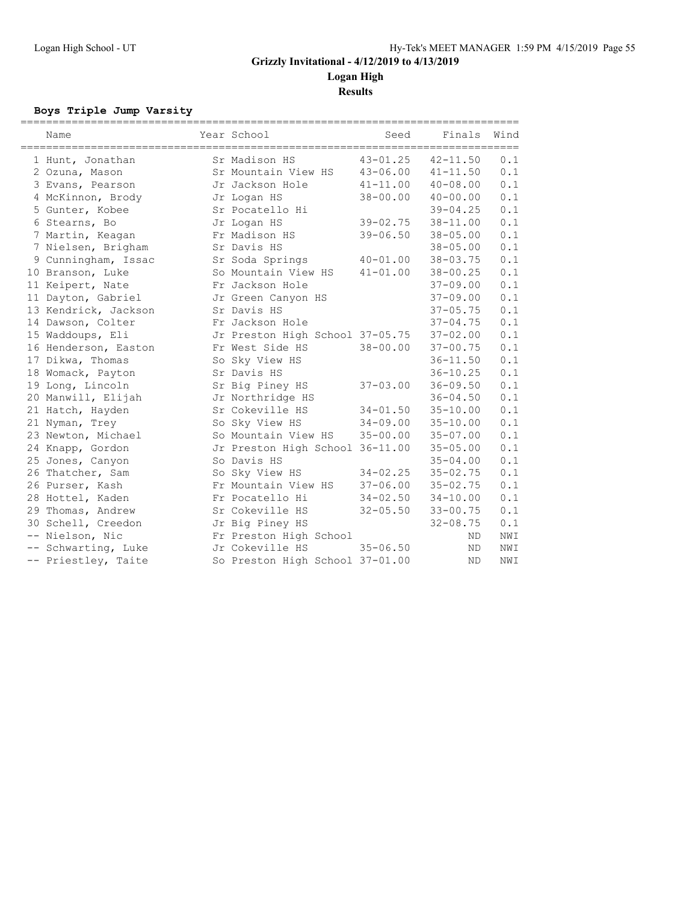**Logan High**

**Results**

#### **Boys Triple Jump Varsity**

| Name                 | Year School                     | Seed                      | Finals                    | Wind |
|----------------------|---------------------------------|---------------------------|---------------------------|------|
|                      |                                 |                           |                           |      |
| 1 Hunt, Jonathan     | Sr Madison HS                   | $43 - 01.25$ $42 - 11.50$ |                           | 0.1  |
| 2 Ozuna, Mason       | Sr Mountain View HS             | 43-06.00 41-11.50         |                           | 0.1  |
| 3 Evans, Pearson     | Jr Jackson Hole                 | $41 - 11.00$ $40 - 08.00$ |                           | 0.1  |
| 4 McKinnon, Brody    | Jr Logan HS                     | 38-00.00                  | 40-00.00                  | 0.1  |
| 5 Gunter, Kobee      | Sr Pocatello Hi                 |                           | $39 - 04.25$              | 0.1  |
| 6 Stearns, Bo        | Jr Logan HS                     |                           | $39 - 02.75$ $38 - 11.00$ | 0.1  |
| 7 Martin, Keagan     | Fr Madison HS                   | $39 - 06.50$              | 38-05.00                  | 0.1  |
| 7 Nielsen, Brigham   | Sr Davis HS                     |                           | $38 - 05.00$              | 0.1  |
| 9 Cunningham, Issac  | Sr Soda Springs                 | $40 - 01.00$              | $38 - 03.75$              | 0.1  |
| 10 Branson, Luke     | So Mountain View HS             | $41 - 01.00$              | $38 - 00.25$              | 0.1  |
| 11 Keipert, Nate     | Fr Jackson Hole                 |                           | $37 - 09.00$              | 0.1  |
| 11 Dayton, Gabriel   | Jr Green Canyon HS              |                           | $37 - 09.00$              | 0.1  |
| 13 Kendrick, Jackson | Sr Davis HS                     |                           | $37 - 05.75$              | 0.1  |
| 14 Dawson, Colter    | Fr Jackson Hole                 |                           | $37 - 04.75$              | 0.1  |
| 15 Waddoups, Eli     | Jr Preston High School 37-05.75 |                           | $37 - 02.00$              | 0.1  |
| 16 Henderson, Easton | Fr West Side HS                 | $38 - 00.00$              | $37 - 00.75$              | 0.1  |
| 17 Dikwa, Thomas     | So Sky View HS                  |                           | $36 - 11.50$              | 0.1  |
| 18 Womack, Payton    | Sr Davis HS                     |                           | $36 - 10.25$              | 0.1  |
| 19 Long, Lincoln     | Sr Big Piney HS                 | $37 - 03.00$              | $36 - 09.50$              | 0.1  |
| 20 Manwill, Elijah   | Jr Northridge HS                |                           | $36 - 04.50$              | 0.1  |
| 21 Hatch, Hayden     | Sr Cokeville HS                 | $34 - 01.50$              | $35 - 10.00$              | 0.1  |
| 21 Nyman, Trey       | So Sky View HS                  | $34 - 09.00$              | $35 - 10.00$              | 0.1  |
| 23 Newton, Michael   | So Mountain View HS             | $35 - 00.00$              | $35 - 07.00$              | 0.1  |
| 24 Knapp, Gordon     | Jr Preston High School 36-11.00 |                           | $35 - 05.00$              | 0.1  |
| 25 Jones, Canyon     | So Davis HS                     |                           | $35 - 04.00$              | 0.1  |
| 26 Thatcher, Sam     | So Sky View HS                  |                           | $34 - 02.25$ $35 - 02.75$ | 0.1  |
| 26 Purser, Kash      | Fr Mountain View HS             | 37-06.00 35-02.75         |                           | 0.1  |
| 28 Hottel, Kaden     | Fr Pocatello Hi                 | $34 - 02.50$ $34 - 10.00$ |                           | 0.1  |
| 29 Thomas, Andrew    | Sr Cokeville HS                 |                           | $32 - 05.50$ $33 - 00.75$ | 0.1  |
| 30 Schell, Creedon   | Jr Big Piney HS                 |                           | $32 - 08.75$              | 0.1  |
| -- Nielson, Nic      | Fr Preston High School          |                           | ND.                       | NWI  |
| -- Schwarting, Luke  | Jr Cokeville HS                 | $35 - 06.50$              | ND.                       | NWI  |
| -- Priestley, Taite  | So Preston High School 37-01.00 |                           | <b>ND</b>                 | NWI  |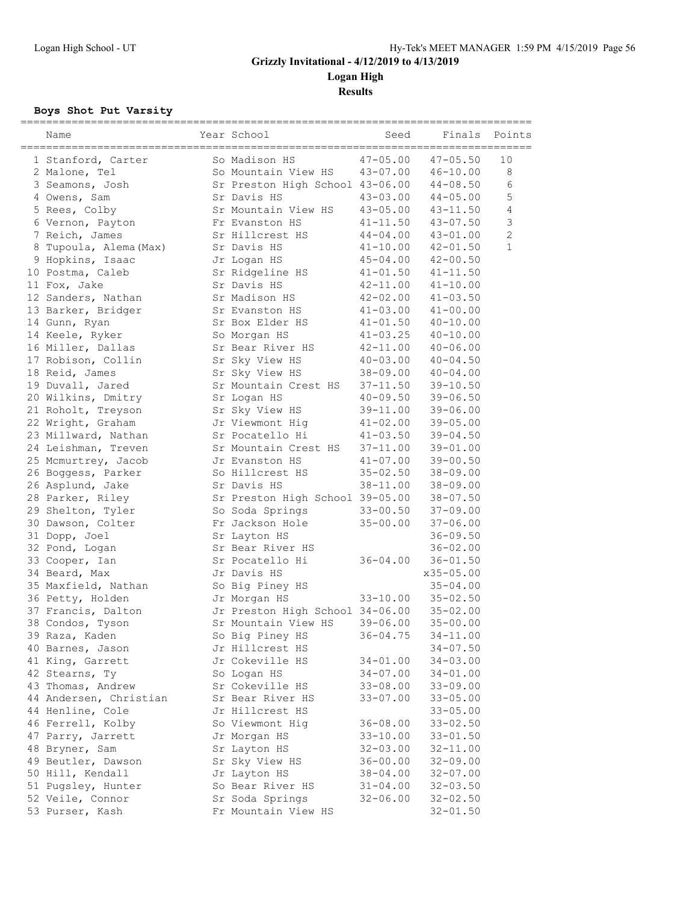**Results**

### **Boys Shot Put Varsity**

| Name                   | Year School                     | Seed         | Finals       | Points         |
|------------------------|---------------------------------|--------------|--------------|----------------|
|                        |                                 |              |              |                |
| 1 Stanford, Carter     | So Madison HS                   | $47 - 05.00$ | $47 - 05.50$ | 10             |
| 2 Malone, Tel          | So Mountain View HS             | 43-07.00     | $46 - 10.00$ | 8              |
| 3 Seamons, Josh        | Sr Preston High School 43-06.00 |              | $44 - 08.50$ | 6              |
| 4 Owens, Sam           | Sr Davis HS                     | $43 - 03.00$ | $44 - 05.00$ | 5              |
| 5 Rees, Colby          | Sr Mountain View HS             | $43 - 05.00$ | 43-11.50     | 4              |
| 6 Vernon, Payton       | Fr Evanston HS                  | $41 - 11.50$ | 43-07.50     | $\mathcal{S}$  |
| 7 Reich, James         | Sr Hillcrest HS                 | $44 - 04.00$ | $43 - 01.00$ | $\overline{c}$ |
| 8 Tupoula, Alema (Max) | Sr Davis HS                     | $41 - 10.00$ | $42 - 01.50$ | $\mathbf{1}$   |
| 9 Hopkins, Isaac       | Jr Logan HS                     | $45 - 04.00$ | $42 - 00.50$ |                |
| 10 Postma, Caleb       | Sr Ridgeline HS                 | $41 - 01.50$ | $41 - 11.50$ |                |
| 11 Fox, Jake           | Sr Davis HS                     | $42 - 11.00$ | $41 - 10.00$ |                |
| 12 Sanders, Nathan     | Sr Madison HS                   | $42 - 02.00$ | $41 - 03.50$ |                |
| 13 Barker, Bridger     | Sr Evanston HS                  | $41 - 03.00$ | $41 - 00.00$ |                |
| 14 Gunn, Ryan          | Sr Box Elder HS                 | $41 - 01.50$ | $40 - 10.00$ |                |
| 14 Keele, Ryker        | So Morgan HS                    | 41-03.25     | $40 - 10.00$ |                |
| 16 Miller, Dallas      | Sr Bear River HS                | $42 - 11.00$ | $40 - 06.00$ |                |
| 17 Robison, Collin     | Sr Sky View HS                  | $40 - 03.00$ | $40 - 04.50$ |                |
| 18 Reid, James         | Sr Sky View HS                  | $38 - 09.00$ | $40 - 04.00$ |                |
| 19 Duvall, Jared       | Sr Mountain Crest HS            | $37 - 11.50$ | $39 - 10.50$ |                |
| 20 Wilkins, Dmitry     | Sr Logan HS                     | $40 - 09.50$ | $39 - 06.50$ |                |
| 21 Roholt, Treyson     | Sr Sky View HS                  | 39-11.00     | $39 - 06.00$ |                |
| 22 Wright, Graham      | Jr Viewmont Hig                 | $41 - 02.00$ | $39 - 05.00$ |                |
| 23 Millward, Nathan    | Sr Pocatello Hi                 | $41 - 03.50$ | $39 - 04.50$ |                |
| 24 Leishman, Treven    | Sr Mountain Crest HS            | $37 - 11.00$ | $39 - 01.00$ |                |
| 25 Mcmurtrey, Jacob    | Jr Evanston HS                  | $41 - 07.00$ | $39 - 00.50$ |                |
| 26 Boggess, Parker     | So Hillcrest HS                 | $35 - 02.50$ | $38 - 09.00$ |                |
| 26 Asplund, Jake       | Sr Davis HS                     | 38-11.00     | $38 - 09.00$ |                |
| 28 Parker, Riley       | Sr Preston High School 39-05.00 |              | $38 - 07.50$ |                |
| 29 Shelton, Tyler      | So Soda Springs                 | $33 - 00.50$ | $37 - 09.00$ |                |
| 30 Dawson, Colter      | Fr Jackson Hole                 | $35 - 00.00$ | $37 - 06.00$ |                |
| 31 Dopp, Joel          | Sr Layton HS                    |              | $36 - 09.50$ |                |
| 32 Pond, Logan         | Sr Bear River HS                |              | $36 - 02.00$ |                |
| 33 Cooper, Ian         | Sr Pocatello Hi                 | $36 - 04.00$ | $36 - 01.50$ |                |
| 34 Beard, Max          | Jr Davis HS                     |              | x35-05.00    |                |
| 35 Maxfield, Nathan    | So Big Piney HS                 |              | $35 - 04.00$ |                |
| 36 Petty, Holden       | Jr Morgan HS                    | 33-10.00     | $35 - 02.50$ |                |
| 37 Francis, Dalton     | Jr Preston High School 34-06.00 |              | $35 - 02.00$ |                |
| 38 Condos, Tyson       | Sr Mountain View HS             | $39 - 06.00$ | $35 - 00.00$ |                |
| 39 Raza, Kaden         | So Big Piney HS                 | $36 - 04.75$ | $34 - 11.00$ |                |
| 40 Barnes, Jason       | Jr Hillcrest HS                 |              | $34 - 07.50$ |                |
| 41 King, Garrett       | Jr Cokeville HS                 | 34-01.00     | 34-03.00     |                |
| 42 Stearns, Ty         | So Logan HS                     | $34 - 07.00$ | $34 - 01.00$ |                |
| 43 Thomas, Andrew      | Sr Cokeville HS                 | $33 - 08.00$ | $33 - 09.00$ |                |
| 44 Andersen, Christian | Sr Bear River HS                | $33 - 07.00$ | $33 - 05.00$ |                |
| 44 Henline, Cole       | Jr Hillcrest HS                 |              | $33 - 05.00$ |                |
| 46 Ferrell, Kolby      | So Viewmont Hig                 | $36 - 08.00$ | $33 - 02.50$ |                |
|                        |                                 |              |              |                |
| 47 Parry, Jarrett      | Jr Morgan HS                    | $33 - 10.00$ | $33 - 01.50$ |                |
| 48 Bryner, Sam         | Sr Layton HS                    | $32 - 03.00$ | $32 - 11.00$ |                |
| 49 Beutler, Dawson     | Sr Sky View HS                  | $36 - 00.00$ | $32 - 09.00$ |                |
| 50 Hill, Kendall       | Jr Layton HS                    | $38 - 04.00$ | 32-07.00     |                |
| 51 Pugsley, Hunter     | So Bear River HS                | $31 - 04.00$ | $32 - 03.50$ |                |
| 52 Veile, Connor       | Sr Soda Springs                 | $32 - 06.00$ | $32 - 02.50$ |                |
| 53 Purser, Kash        | Fr Mountain View HS             |              | $32 - 01.50$ |                |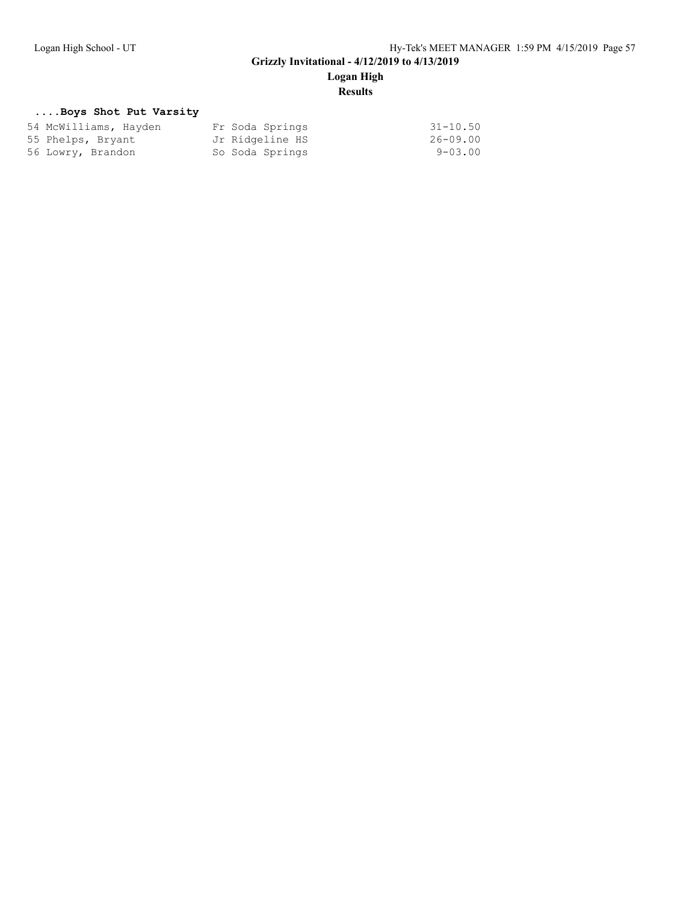# **Logan High**

## **Results**

#### **....Boys Shot Put Varsity**

| 54 McWilliams, Hayden | Fr Soda Springs | $31 - 10.50$   |
|-----------------------|-----------------|----------------|
| 55 Phelps, Bryant     | Jr Ridgeline HS | 26-09.00       |
| 56 Lowry, Brandon     | So Soda Springs | $9 - 0.3$ , 00 |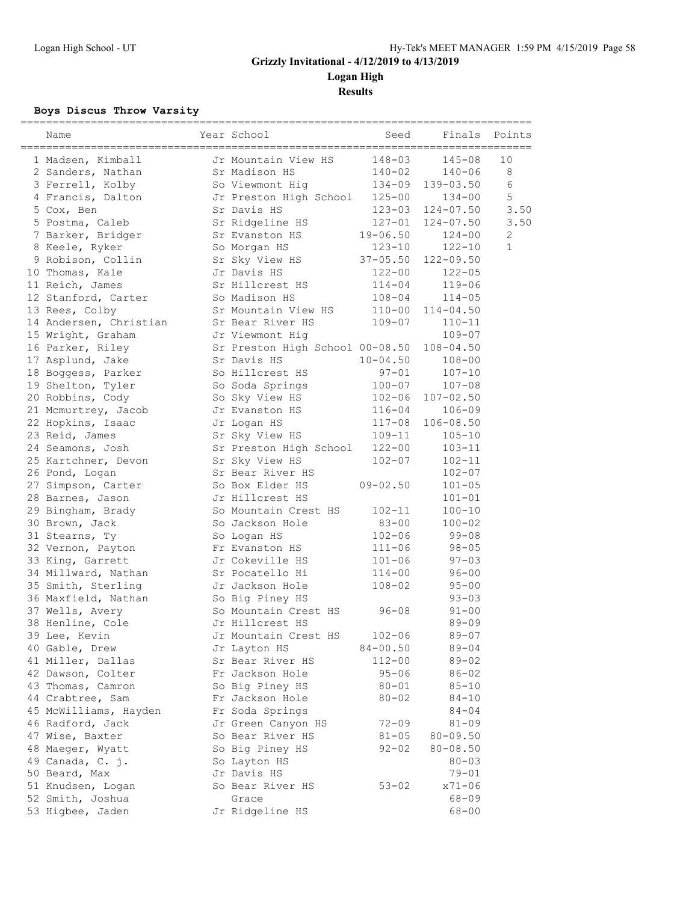**Logan High**

**Results**

### **Boys Discus Throw Varsity**

| Name                              | Year School                             | Seed                       | Finals                 | Points       |
|-----------------------------------|-----------------------------------------|----------------------------|------------------------|--------------|
| 1 Madsen, Kimball                 | Jr Mountain View HS                     | $148 - 03$                 | $145 - 08$             | 10           |
| 2 Sanders, Nathan                 | Sr Madison HS                           | 140-02                     | $140 - 06$             | 8            |
| 3 Ferrell, Kolby                  | So Viewmont Hig                         | $134 - 09$                 | 139-03.50              | 6            |
| 4 Francis, Dalton                 | Jr Preston High School                  | $125 - 00$                 | $134 - 00$             | 5            |
| 5 Cox, Ben                        | Sr Davis HS                             | 123-03                     | $124 - 07.50$          | 3.50         |
| 5 Postma, Caleb                   | Sr Ridgeline HS                         | 127-01                     | $124 - 07.50$          | 3.50         |
| 7 Barker, Bridger                 | Sr Evanston HS                          | $19 - 06.50$               | $124 - 00$             | $\mathbf{2}$ |
| 8 Keele, Ryker                    | So Morgan HS                            | $123 - 10$                 | $122 - 10$             | 1            |
| 9 Robison, Collin                 | Sr Sky View HS                          | $37 - 05.50$               | $122 - 09.50$          |              |
| 10 Thomas, Kale                   | Jr Davis HS                             | $122 - 00$                 | $122 - 05$             |              |
| 11 Reich, James                   | Sr Hillcrest HS                         | $114 - 04$                 | $119 - 06$             |              |
| 12 Stanford, Carter               | So Madison HS                           | $108 - 04$                 | $114 - 05$             |              |
| 13 Rees, Colby                    | Sr Mountain View HS                     | $110 - 00$                 | $114 - 04.50$          |              |
| 14 Andersen, Christian            | Sr Bear River HS                        | $109 - 07$                 | $110 - 11$             |              |
| 15 Wright, Graham                 | Jr Viewmont Hig                         |                            | $109 - 07$             |              |
| 16 Parker, Riley                  | Sr Preston High School 00-08.50         |                            | $108 - 04.50$          |              |
| 17 Asplund, Jake                  | Sr Davis HS                             | $10 - 04.50$               | $108 - 00$             |              |
| 18 Boggess, Parker                | So Hillcrest HS                         | $97 - 01$                  | $107 - 10$             |              |
| 19 Shelton, Tyler                 | So Soda Springs                         | $100 - 07$                 | $107 - 08$             |              |
| 20 Robbins, Cody                  | So Sky View HS                          | $102 - 06$                 | $107 - 02.50$          |              |
| 21 Mcmurtrey, Jacob               | Jr Evanston HS                          | $116 - 04$                 | $106 - 09$             |              |
| 22 Hopkins, Isaac                 | Jr Logan HS                             | $117 - 08$                 | $106 - 08.50$          |              |
| 23 Reid, James                    | Sr Sky View HS                          | $109 - 11$                 | $105 - 10$             |              |
| 24 Seamons, Josh                  | Sr Preston High School                  | $122 - 00$                 | $103 - 11$             |              |
| 25 Kartchner, Devon               | Sr Sky View HS                          | $102 - 07$                 | $102 - 11$             |              |
| 26 Pond, Logan                    | Sr Bear River HS                        |                            | $102 - 07$             |              |
| 27 Simpson, Carter                | So Box Elder HS                         | $09 - 02.50$               | $101 - 05$             |              |
| 28 Barnes, Jason                  | Jr Hillcrest HS                         |                            | $101 - 01$             |              |
| 29 Bingham, Brady                 | So Mountain Crest HS                    | $102 - 11$                 | $100 - 10$             |              |
| 30 Brown, Jack                    | So Jackson Hole                         | $83 - 00$                  | $100 - 02$             |              |
| 31 Stearns, Ty                    | So Logan HS                             | $102 - 06$                 | $99 - 08$              |              |
| 32 Vernon, Payton                 | Fr Evanston HS                          | $111 - 06$                 | $98 - 05$              |              |
| 33 King, Garrett                  | Jr Cokeville HS                         | $101 - 06$                 | $97 - 03$              |              |
| 34 Millward, Nathan               | Sr Pocatello Hi                         | $114 - 00$                 | $96 - 00$              |              |
| 35 Smith, Sterling                | Jr Jackson Hole                         | $108 - 02$                 | $95 - 00$              |              |
| 36 Maxfield, Nathan               | So Big Piney HS<br>So Mountain Crest HS |                            | $93 - 03$              |              |
| 37 Wells, Avery                   |                                         | $96 - 08$                  | $91 - 00$<br>$89 - 09$ |              |
| 38 Henline, Cole<br>39 Lee, Kevin | Jr Hillcrest HS<br>Jr Mountain Crest HS |                            |                        |              |
| 40 Gable, Drew                    |                                         | $102 - 06$<br>$84 - 00.50$ | $89 - 07$<br>$89 - 04$ |              |
| 41 Miller, Dallas                 | Jr Layton HS<br>Sr Bear River HS        | $112 - 00$                 | $89 - 02$              |              |
| 42 Dawson, Colter                 | Fr Jackson Hole                         | $95 - 06$                  | $86 - 02$              |              |
| 43 Thomas, Camron                 | So Big Piney HS                         | $80 - 01$                  | $85 - 10$              |              |
| 44 Crabtree, Sam                  | Fr Jackson Hole                         | $80 - 02$                  | 84-10                  |              |
| 45 McWilliams, Hayden             | Fr Soda Springs                         |                            | $84 - 04$              |              |
| 46 Radford, Jack                  | Jr Green Canyon HS                      | $72 - 09$                  | $81 - 09$              |              |
| 47 Wise, Baxter                   | So Bear River HS                        | $81 - 05$                  | $80 - 09.50$           |              |
| 48 Maeger, Wyatt                  | So Big Piney HS                         | 92-02                      | $80 - 08.50$           |              |
| 49 Canada, C. j.                  | So Layton HS                            |                            | $80 - 03$              |              |
| 50 Beard, Max                     | Jr Davis HS                             |                            | $79 - 01$              |              |
| 51 Knudsen, Logan                 | So Bear River HS                        | $53 - 02$                  | x71-06                 |              |
| 52 Smith, Joshua                  | Grace                                   |                            | $68 - 09$              |              |
| 53 Higbee, Jaden                  | Jr Ridgeline HS                         |                            | $68 - 00$              |              |
|                                   |                                         |                            |                        |              |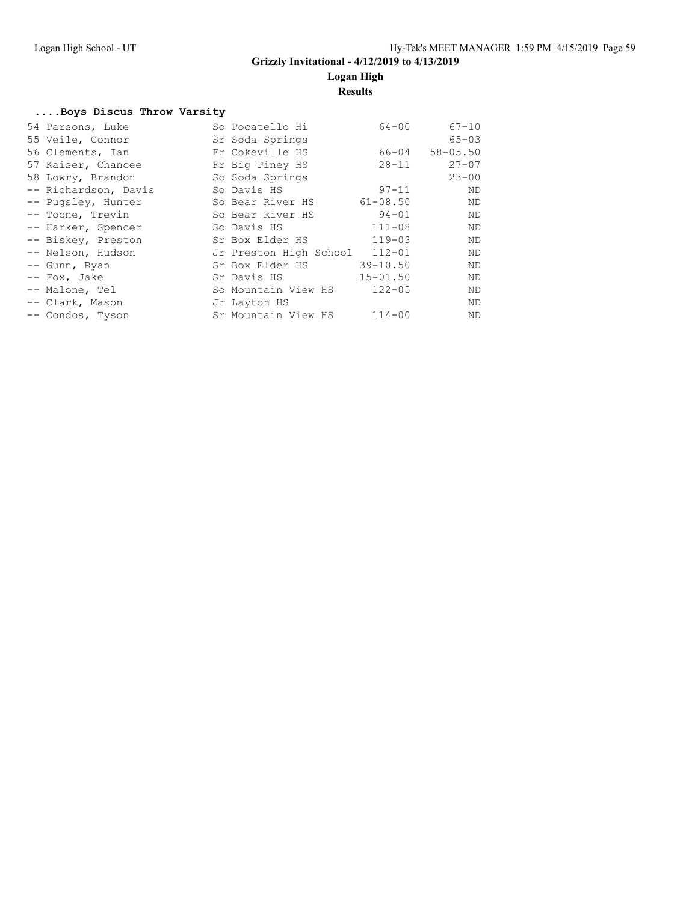**Logan High**

### **Results**

#### **....Boys Discus Throw Varsity**

| 54 Parsons, Luke     | So Pocatello Hi               | $64 - 00$    | $67 - 10$    |
|----------------------|-------------------------------|--------------|--------------|
| 55 Veile, Connor     | Sr Soda Springs               |              | $65 - 03$    |
| 56 Clements, Ian     | Fr Cokeville HS               | 66-04        | $58 - 05.50$ |
| 57 Kaiser, Chancee   | Fr Big Piney HS               | $28 - 11$    | $27 - 07$    |
| 58 Lowry, Brandon    | So Soda Springs               |              | $23 - 00$    |
| -- Richardson, Davis | So Davis HS                   | $97 - 11$    | ND           |
| -- Pugsley, Hunter   | So Bear River HS              | $61 - 08.50$ | ND           |
| -- Toone, Trevin     | So Bear River HS              | $94 - 01$    | ND           |
| -- Harker, Spencer   | So Davis HS                   | $111 - 08$   | ND           |
| -- Biskey, Preston   | Sr Box Elder HS               | $119 - 03$   | ND           |
| -- Nelson, Hudson    | Jr Preston High School 112-01 |              | ND           |
| -- Gunn, Ryan        | Sr Box Elder HS               | $39 - 10.50$ | ND           |
| -- Fox, Jake         | Sr Davis HS                   | $15 - 01.50$ | ND           |
| -- Malone, Tel       | So Mountain View HS           | $122 - 05$   | ND           |
| -- Clark, Mason      | Jr Layton HS                  |              | ND.          |
| -- Condos, Tyson     | Sr Mountain View HS           | $114 - 00$   | ND.          |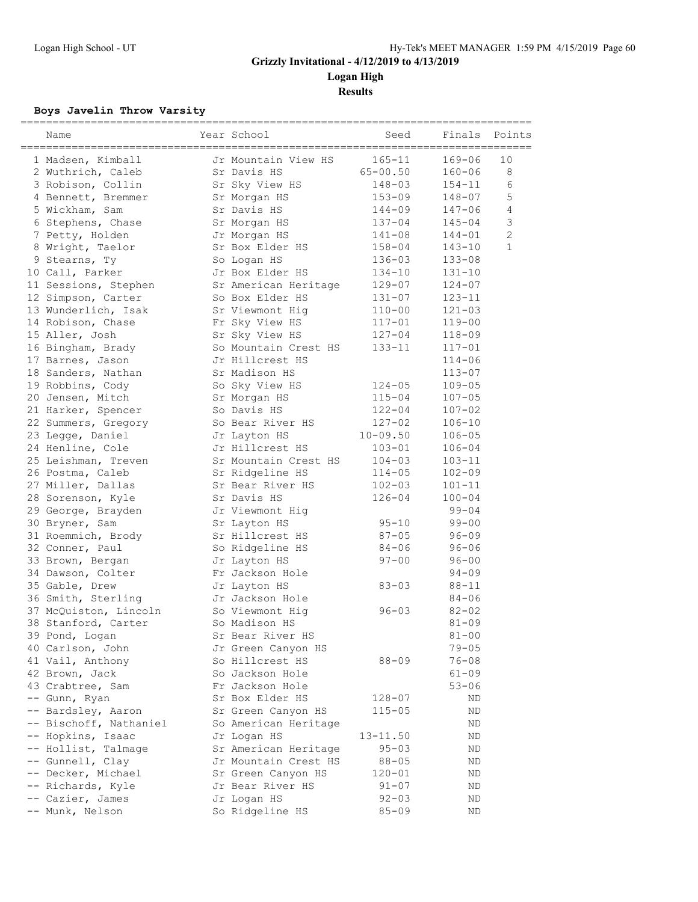**Logan High**

**Results**

### **Boys Javelin Throw Varsity**

| Name                   | Year School          | Seed         | Finals     | Points         |
|------------------------|----------------------|--------------|------------|----------------|
| 1 Madsen, Kimball      | Jr Mountain View HS  | $165 - 11$   | 169-06     | 10             |
| 2 Wuthrich, Caleb      | Sr Davis HS          | $65 - 00.50$ | $160 - 06$ | 8              |
| 3 Robison, Collin      | Sr Sky View HS       | $148 - 03$   | $154 - 11$ | 6              |
| 4 Bennett, Bremmer     | Sr Morgan HS         | $153 - 09$   | 148-07     | 5              |
| 5 Wickham, Sam         | Sr Davis HS          | 144-09       | 147-06     | 4              |
| 6 Stephens, Chase      | Sr Morgan HS         | $137 - 04$   | 145-04     | $\mathcal{S}$  |
| 7 Petty, Holden        | Jr Morgan HS         | $141 - 08$   | $144 - 01$ | $\overline{c}$ |
| 8 Wright, Taelor       | Sr Box Elder HS      | $158 - 04$   | $143 - 10$ | $\mathbf{1}$   |
| 9 Stearns, Ty          | So Logan HS          | $136 - 03$   | $133 - 08$ |                |
| 10 Call, Parker        | Jr Box Elder HS      | $134 - 10$   | $131 - 10$ |                |
| 11 Sessions, Stephen   | Sr American Heritage | $129 - 07$   | $124 - 07$ |                |
| 12 Simpson, Carter     | So Box Elder HS      | $131 - 07$   | $123 - 11$ |                |
| 13 Wunderlich, Isak    | Sr Viewmont Hig      | $110 - 00$   | $121 - 03$ |                |
| 14 Robison, Chase      | Fr Sky View HS       | $117 - 01$   | $119 - 00$ |                |
| 15 Aller, Josh         | Sr Sky View HS       | $127 - 04$   | $118 - 09$ |                |
| 16 Bingham, Brady      | So Mountain Crest HS | $133 - 11$   | 117-01     |                |
| 17 Barnes, Jason       | Jr Hillcrest HS      |              | 114-06     |                |
| 18 Sanders, Nathan     | Sr Madison HS        |              | 113-07     |                |
| 19 Robbins, Cody       | So Sky View HS       | $124 - 05$   | $109 - 05$ |                |
| 20 Jensen, Mitch       | Sr Morgan HS         | $115 - 04$   | $107 - 05$ |                |
| 21 Harker, Spencer     | So Davis HS          | $122 - 04$   | $107 - 02$ |                |
| 22 Summers, Gregory    | So Bear River HS     | $127 - 02$   | $106 - 10$ |                |
| 23 Legge, Daniel       | Jr Layton HS         | $10 - 09.50$ | $106 - 05$ |                |
| 24 Henline, Cole       | Jr Hillcrest HS      | $103 - 01$   | $106 - 04$ |                |
| 25 Leishman, Treven    | Sr Mountain Crest HS | $104 - 03$   | $103 - 11$ |                |
| 26 Postma, Caleb       | Sr Ridgeline HS      | $114 - 05$   | $102 - 09$ |                |
| 27 Miller, Dallas      | Sr Bear River HS     | $102 - 03$   | $101 - 11$ |                |
| 28 Sorenson, Kyle      | Sr Davis HS          | $126 - 04$   | $100 - 04$ |                |
| 29 George, Brayden     | Jr Viewmont Hiq      |              | $99 - 04$  |                |
| 30 Bryner, Sam         | Sr Layton HS         | $95 - 10$    | $99 - 00$  |                |
| 31 Roemmich, Brody     | Sr Hillcrest HS      | $87 - 05$    | $96 - 09$  |                |
| 32 Conner, Paul        | So Ridgeline HS      | $84 - 06$    | $96 - 06$  |                |
| 33 Brown, Bergan       | Jr Layton HS         | $97 - 00$    | $96 - 00$  |                |
| 34 Dawson, Colter      | Fr Jackson Hole      |              | $94 - 09$  |                |
| 35 Gable, Drew         | Jr Layton HS         | $83 - 03$    | $88 - 11$  |                |
| 36 Smith, Sterling     | Jr Jackson Hole      |              | $84 - 06$  |                |
| 37 McQuiston, Lincoln  | So Viewmont Hig      | $96 - 03$    | $82 - 02$  |                |
| 38 Stanford, Carter    | So Madison HS        |              | $81 - 09$  |                |
| 39 Pond, Logan         | Sr Bear River HS     |              | $81 - 00$  |                |
| 40 Carlson, John       | Jr Green Canyon HS   |              | $79 - 05$  |                |
| 41 Vail, Anthony       | So Hillcrest HS      | $88 - 09$    | 76-08      |                |
| 42 Brown, Jack         | So Jackson Hole      |              | 61-09      |                |
| 43 Crabtree, Sam       | Fr Jackson Hole      |              | $53 - 06$  |                |
| -- Gunn, Ryan          | Sr Box Elder HS      | 128-07       | ND         |                |
| -- Bardsley, Aaron     | Sr Green Canyon HS   | $115 - 05$   | ΝD         |                |
| -- Bischoff, Nathaniel | So American Heritage |              | ND         |                |
| -- Hopkins, Isaac      | Jr Logan HS          | 13-11.50     | ND         |                |
| -- Hollist, Talmage    | Sr American Heritage | $95 - 03$    | ΝD         |                |
| -- Gunnell, Clay       | Jr Mountain Crest HS | $88 - 05$    | ND         |                |
| -- Decker, Michael     | Sr Green Canyon HS   | $120 - 01$   | ΝD         |                |
| -- Richards, Kyle      | Jr Bear River HS     | $91 - 07$    | ΝD         |                |
| -- Cazier, James       | Jr Logan HS          | $92 - 03$    | ΝD         |                |
| -- Munk, Nelson        | So Ridgeline HS      | $85 - 09$    | ΝD         |                |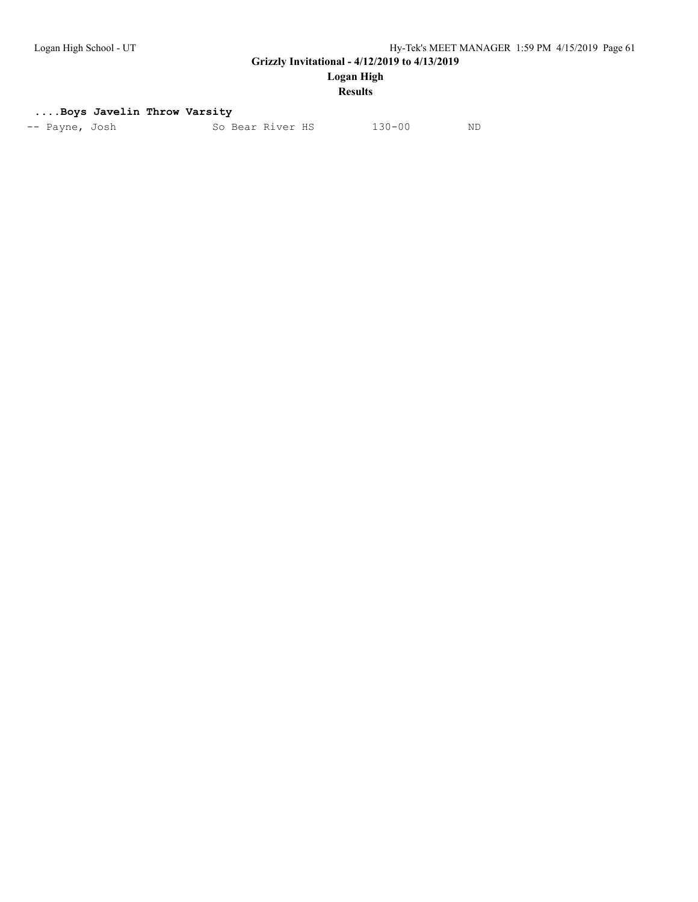**Logan High**

#### **Results**

#### **....Boys Javelin Throw Varsity**

| 130-00<br>So Bear River HS<br>-- Payne, Josh | ND |
|----------------------------------------------|----|
|----------------------------------------------|----|